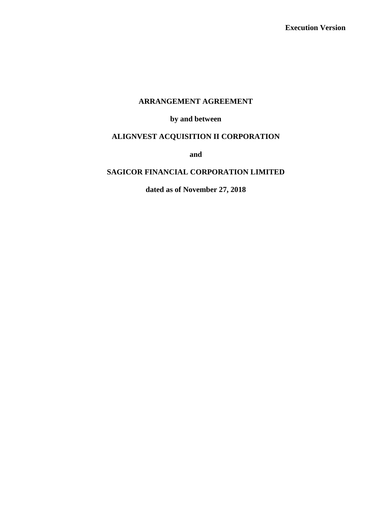## **ARRANGEMENT AGREEMENT**

## **by and between**

# **ALIGNVEST ACQUISITION II CORPORATION**

**and**

# **SAGICOR FINANCIAL CORPORATION LIMITED**

**dated as of November 27, 2018**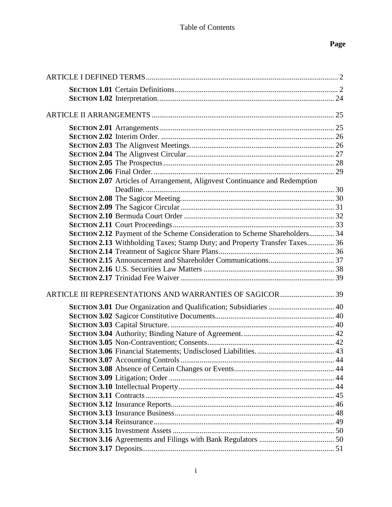# **Page**

| SECTION 2.07 Articles of Arrangement, Alignvest Continuance and Redemption |  |
|----------------------------------------------------------------------------|--|
|                                                                            |  |
|                                                                            |  |
|                                                                            |  |
|                                                                            |  |
|                                                                            |  |
| SECTION 2.12 Payment of the Scheme Consideration to Scheme Shareholders 34 |  |
| SECTION 2.13 Withholding Taxes; Stamp Duty; and Property Transfer Taxes 36 |  |
|                                                                            |  |
|                                                                            |  |
|                                                                            |  |
|                                                                            |  |
|                                                                            |  |
|                                                                            |  |
| SECTION 3.01 Due Organization and Qualification; Subsidiaries  40          |  |
|                                                                            |  |
|                                                                            |  |
|                                                                            |  |
|                                                                            |  |
|                                                                            |  |
|                                                                            |  |
|                                                                            |  |
|                                                                            |  |
|                                                                            |  |
|                                                                            |  |
|                                                                            |  |
|                                                                            |  |
|                                                                            |  |
|                                                                            |  |
|                                                                            |  |
|                                                                            |  |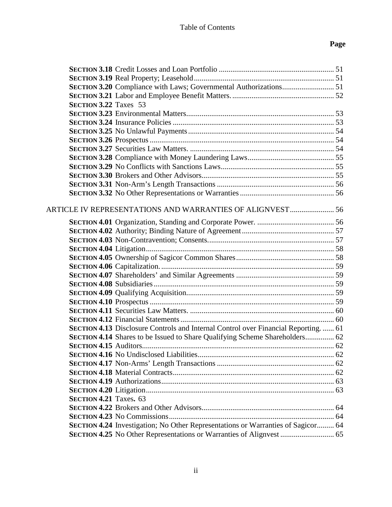# **Page**

| <b>SECTION 3.22 Taxes 53</b>  |                                                                                          |  |
|-------------------------------|------------------------------------------------------------------------------------------|--|
|                               |                                                                                          |  |
|                               |                                                                                          |  |
|                               |                                                                                          |  |
|                               |                                                                                          |  |
|                               |                                                                                          |  |
|                               |                                                                                          |  |
|                               |                                                                                          |  |
|                               |                                                                                          |  |
|                               |                                                                                          |  |
|                               |                                                                                          |  |
|                               | ARTICLE IV REPRESENTATIONS AND WARRANTIES OF ALIGNVEST  56                               |  |
|                               |                                                                                          |  |
|                               |                                                                                          |  |
|                               |                                                                                          |  |
|                               |                                                                                          |  |
|                               |                                                                                          |  |
|                               |                                                                                          |  |
|                               |                                                                                          |  |
|                               |                                                                                          |  |
|                               |                                                                                          |  |
|                               |                                                                                          |  |
|                               |                                                                                          |  |
|                               |                                                                                          |  |
|                               | <b>SECTION 4.13 Disclosure Controls and Internal Control over Financial Reporting 61</b> |  |
|                               | SECTION 4.14 Shares to be Issued to Share Qualifying Scheme Shareholders 62              |  |
|                               |                                                                                          |  |
|                               |                                                                                          |  |
|                               |                                                                                          |  |
|                               |                                                                                          |  |
|                               |                                                                                          |  |
|                               |                                                                                          |  |
| <b>SECTION 4.21 Taxes. 63</b> |                                                                                          |  |
|                               |                                                                                          |  |
|                               |                                                                                          |  |
|                               | SECTION 4.24 Investigation; No Other Representations or Warranties of Sagicor 64         |  |
|                               | SECTION 4.25 No Other Representations or Warranties of Alignvest  65                     |  |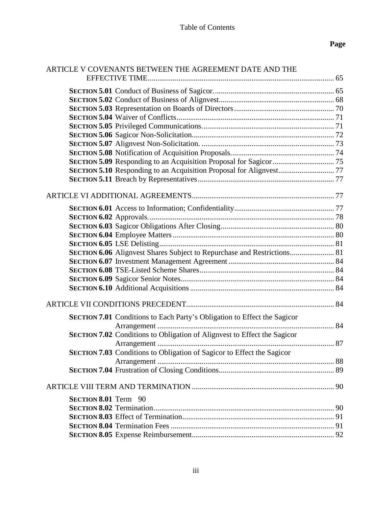| ARTICLE V COVENANTS BETWEEN THE AGREEMENT DATE AND THE                          |  |
|---------------------------------------------------------------------------------|--|
|                                                                                 |  |
|                                                                                 |  |
|                                                                                 |  |
|                                                                                 |  |
|                                                                                 |  |
|                                                                                 |  |
|                                                                                 |  |
|                                                                                 |  |
|                                                                                 |  |
|                                                                                 |  |
|                                                                                 |  |
|                                                                                 |  |
|                                                                                 |  |
|                                                                                 |  |
|                                                                                 |  |
|                                                                                 |  |
|                                                                                 |  |
|                                                                                 |  |
| SECTION 6.06 Alignvest Shares Subject to Repurchase and Restrictions 81         |  |
|                                                                                 |  |
|                                                                                 |  |
|                                                                                 |  |
|                                                                                 |  |
|                                                                                 |  |
| SECTION 7.01 Conditions to Each Party's Obligation to Effect the Sagicor        |  |
|                                                                                 |  |
| <b>SECTION 7.02</b> Conditions to Obligation of Alignvest to Effect the Sagicor |  |
|                                                                                 |  |
| SECTION 7.03 Conditions to Obligation of Sagicor to Effect the Sagicor          |  |
|                                                                                 |  |
|                                                                                 |  |
| SECTION 8.01 Term 90                                                            |  |
|                                                                                 |  |
|                                                                                 |  |
|                                                                                 |  |
|                                                                                 |  |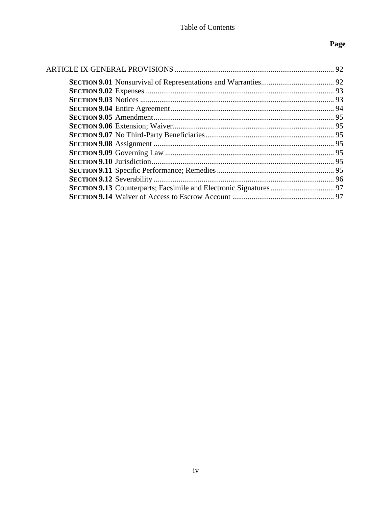# Page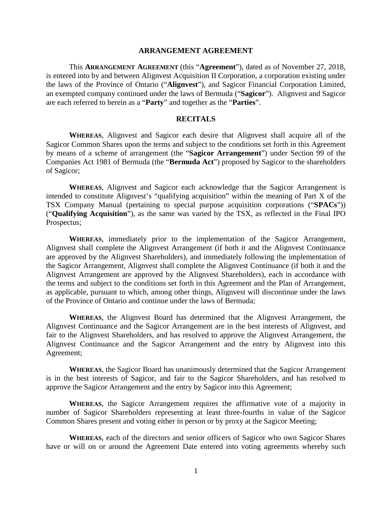#### **ARRANGEMENT AGREEMENT**

This **ARRANGEMENT AGREEMENT** (this "**Agreement**"), dated as of November 27, 2018, is entered into by and between Alignvest Acquisition II Corporation, a corporation existing under the laws of the Province of Ontario ("**Alignvest**"), and Sagicor Financial Corporation Limited, an exempted company continued under the laws of Bermuda ("**Sagicor**"). Alignvest and Sagicor are each referred to herein as a "**Party**" and together as the "**Parties**".

#### **RECITALS**

**WHEREAS**, Alignvest and Sagicor each desire that Alignvest shall acquire all of the Sagicor Common Shares upon the terms and subject to the conditions set forth in this Agreement by means of a scheme of arrangement (the "**Sagicor Arrangement**") under Section 99 of the Companies Act 1981 of Bermuda (the "**Bermuda Act**") proposed by Sagicor to the shareholders of Sagicor;

**WHEREAS**, Alignvest and Sagicor each acknowledge that the Sagicor Arrangement is intended to constitute Alignvest's "qualifying acquisition" within the meaning of Part X of the TSX Company Manual (pertaining to special purpose acquisition corporations ("**SPACs**")) ("**Qualifying Acquisition**"), as the same was varied by the TSX, as reflected in the Final IPO Prospectus;

**WHEREAS**, immediately prior to the implementation of the Sagicor Arrangement, Alignvest shall complete the Alignvest Arrangement (if both it and the Alignvest Continuance are approved by the Alignvest Shareholders), and immediately following the implementation of the Sagicor Arrangement, Alignvest shall complete the Alignvest Continuance (if both it and the Alignvest Arrangement are approved by the Alignvest Shareholders), each in accordance with the terms and subject to the conditions set forth in this Agreement and the Plan of Arrangement, as applicable, pursuant to which, among other things, Alignvest will discontinue under the laws of the Province of Ontario and continue under the laws of Bermuda;

**WHEREAS**, the Alignvest Board has determined that the Alignvest Arrangement, the Alignvest Continuance and the Sagicor Arrangement are in the best interests of Alignvest, and fair to the Alignvest Shareholders, and has resolved to approve the Alignvest Arrangement, the Alignvest Continuance and the Sagicor Arrangement and the entry by Alignvest into this Agreement;

**WHEREAS**, the Sagicor Board has unanimously determined that the Sagicor Arrangement is in the best interests of Sagicor, and fair to the Sagicor Shareholders, and has resolved to approve the Sagicor Arrangement and the entry by Sagicor into this Agreement;

**WHEREAS**, the Sagicor Arrangement requires the affirmative vote of a majority in number of Sagicor Shareholders representing at least three-fourths in value of the Sagicor Common Shares present and voting either in person or by proxy at the Sagicor Meeting;

**WHEREAS**, each of the directors and senior officers of Sagicor who own Sagicor Shares have or will on or around the Agreement Date entered into voting agreements whereby such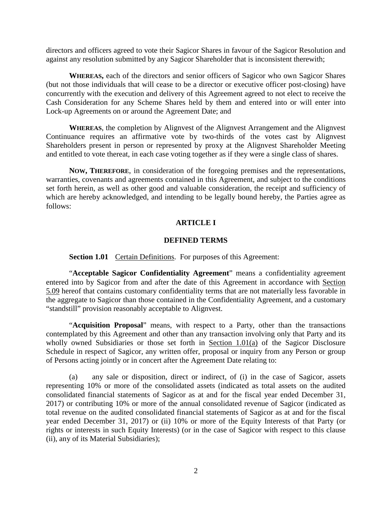directors and officers agreed to vote their Sagicor Shares in favour of the Sagicor Resolution and against any resolution submitted by any Sagicor Shareholder that is inconsistent therewith;

**WHEREAS,** each of the directors and senior officers of Sagicor who own Sagicor Shares (but not those individuals that will cease to be a director or executive officer post-closing) have concurrently with the execution and delivery of this Agreement agreed to not elect to receive the Cash Consideration for any Scheme Shares held by them and entered into or will enter into Lock-up Agreements on or around the Agreement Date; and

**WHEREAS**, the completion by Alignvest of the Alignvest Arrangement and the Alignvest Continuance requires an affirmative vote by two-thirds of the votes cast by Alignvest Shareholders present in person or represented by proxy at the Alignvest Shareholder Meeting and entitled to vote thereat, in each case voting together as if they were a single class of shares.

**NOW, THEREFORE**, in consideration of the foregoing premises and the representations, warranties, covenants and agreements contained in this Agreement, and subject to the conditions set forth herein, as well as other good and valuable consideration, the receipt and sufficiency of which are hereby acknowledged, and intending to be legally bound hereby, the Parties agree as follows:

### **ARTICLE I**

#### **DEFINED TERMS**

<span id="page-6-0"></span>**Section 1.01** Certain Definitions. For purposes of this Agreement:

<span id="page-6-1"></span>"**Acceptable Sagicor Confidentiality Agreement**" means a confidentiality agreement entered into by Sagicor from and after the date of this Agreement in accordance with Section 5.09 hereof that contains customary confidentiality terms that are not materially less favorable in the aggregate to Sagicor than those contained in the Confidentiality Agreement, and a customary "standstill" provision reasonably acceptable to Alignvest.

"**Acquisition Proposal**" means, with respect to a Party, other than the transactions contemplated by this Agreement and other than any transaction involving only that Party and its wholly owned Subsidiaries or those set forth in [Section 1.01\(](#page-6-1)a) of the Sagicor Disclosure Schedule in respect of Sagicor, any written offer, proposal or inquiry from any Person or group of Persons acting jointly or in concert after the Agreement Date relating to:

(a) any sale or disposition, direct or indirect, of (i) in the case of Sagicor, assets representing 10% or more of the consolidated assets (indicated as total assets on the audited consolidated financial statements of Sagicor as at and for the fiscal year ended December 31, 2017) or contributing 10% or more of the annual consolidated revenue of Sagicor (indicated as total revenue on the audited consolidated financial statements of Sagicor as at and for the fiscal year ended December 31, 2017) or (ii) 10% or more of the Equity Interests of that Party (or rights or interests in such Equity Interests) (or in the case of Sagicor with respect to this clause (ii), any of its Material Subsidiaries);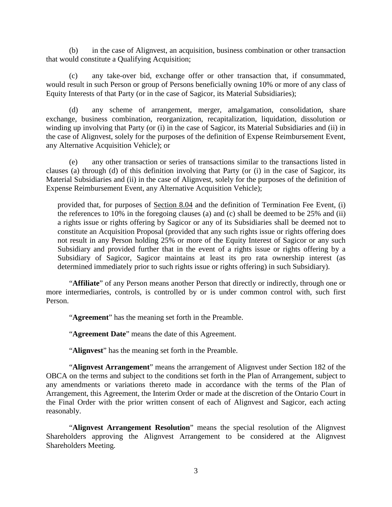(b) in the case of Alignvest, an acquisition, business combination or other transaction that would constitute a Qualifying Acquisition;

(c) any take-over bid, exchange offer or other transaction that, if consummated, would result in such Person or group of Persons beneficially owning 10% or more of any class of Equity Interests of that Party (or in the case of Sagicor, its Material Subsidiaries);

(d) any scheme of arrangement, merger, amalgamation, consolidation, share exchange, business combination, reorganization, recapitalization, liquidation, dissolution or winding up involving that Party (or (i) in the case of Sagicor, its Material Subsidiaries and (ii) in the case of Alignvest, solely for the purposes of the definition of Expense Reimbursement Event, any Alternative Acquisition Vehicle); or

(e) any other transaction or series of transactions similar to the transactions listed in clauses (a) through (d) of this definition involving that Party (or (i) in the case of Sagicor, its Material Subsidiaries and (ii) in the case of Alignvest, solely for the purposes of the definition of Expense Reimbursement Event, any Alternative Acquisition Vehicle);

provided that, for purposes of [Section 8.04](#page-95-1) and the definition of Termination Fee Event, (i) the references to 10% in the foregoing clauses (a) and (c) shall be deemed to be 25% and (ii) a rights issue or rights offering by Sagicor or any of its Subsidiaries shall be deemed not to constitute an Acquisition Proposal (provided that any such rights issue or rights offering does not result in any Person holding 25% or more of the Equity Interest of Sagicor or any such Subsidiary and provided further that in the event of a rights issue or rights offering by a Subsidiary of Sagicor, Sagicor maintains at least its pro rata ownership interest (as determined immediately prior to such rights issue or rights offering) in such Subsidiary).

"**Affiliate**" of any Person means another Person that directly or indirectly, through one or more intermediaries, controls, is controlled by or is under common control with, such first Person.

"**Agreement**" has the meaning set forth in the Preamble.

"**Agreement Date**" means the date of this Agreement.

"**Alignvest**" has the meaning set forth in the Preamble.

"**Alignvest Arrangement**" means the arrangement of Alignvest under Section 182 of the OBCA on the terms and subject to the conditions set forth in the Plan of Arrangement, subject to any amendments or variations thereto made in accordance with the terms of the Plan of Arrangement, this Agreement, the Interim Order or made at the discretion of the Ontario Court in the Final Order with the prior written consent of each of Alignvest and Sagicor, each acting reasonably.

"**Alignvest Arrangement Resolution**" means the special resolution of the Alignvest Shareholders approving the Alignvest Arrangement to be considered at the Alignvest Shareholders Meeting.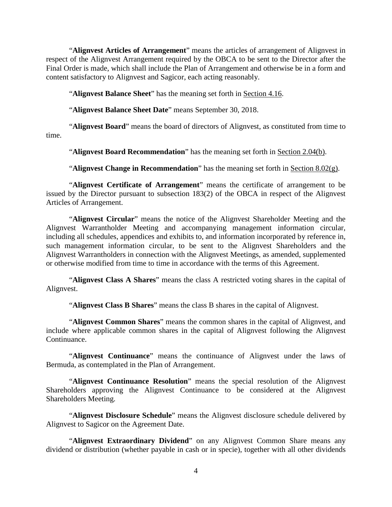"**Alignvest Articles of Arrangement**" means the articles of arrangement of Alignvest in respect of the Alignvest Arrangement required by the OBCA to be sent to the Director after the Final Order is made, which shall include the Plan of Arrangement and otherwise be in a form and content satisfactory to Alignvest and Sagicor, each acting reasonably.

"**Alignvest Balance Sheet**" has the meaning set forth in [Section 4.16.](#page-66-2)

"**Alignvest Balance Sheet Date**" means September 30, 2018.

"**Alignvest Board**" means the board of directors of Alignvest, as constituted from time to time.

"**Alignvest Board Recommendation**" has the meaning set forth in [Section 2.04\(b\).](#page-31-1)

"**Alignvest Change in Recommendation**" has the meaning set forth in [Section 8.02\(g\).](#page-95-2)

"**Alignvest Certificate of Arrangement**" means the certificate of arrangement to be issued by the Director pursuant to subsection 183(2) of the OBCA in respect of the Alignvest Articles of Arrangement.

"**Alignvest Circular**" means the notice of the Alignvest Shareholder Meeting and the Alignvest Warrantholder Meeting and accompanying management information circular, including all schedules, appendices and exhibits to, and information incorporated by reference in, such management information circular, to be sent to the Alignvest Shareholders and the Alignvest Warrantholders in connection with the Alignvest Meetings, as amended, supplemented or otherwise modified from time to time in accordance with the terms of this Agreement.

"**Alignvest Class A Shares**" means the class A restricted voting shares in the capital of Alignvest.

"**Alignvest Class B Shares**" means the class B shares in the capital of Alignvest.

"**Alignvest Common Shares**" means the common shares in the capital of Alignvest, and include where applicable common shares in the capital of Alignvest following the Alignvest Continuance.

"**Alignvest Continuance**" means the continuance of Alignvest under the laws of Bermuda, as contemplated in the Plan of Arrangement.

"**Alignvest Continuance Resolution**" means the special resolution of the Alignvest Shareholders approving the Alignvest Continuance to be considered at the Alignvest Shareholders Meeting.

"**Alignvest Disclosure Schedule**" means the Alignvest disclosure schedule delivered by Alignvest to Sagicor on the Agreement Date.

"**Alignvest Extraordinary Dividend**" on any Alignvest Common Share means any dividend or distribution (whether payable in cash or in specie), together with all other dividends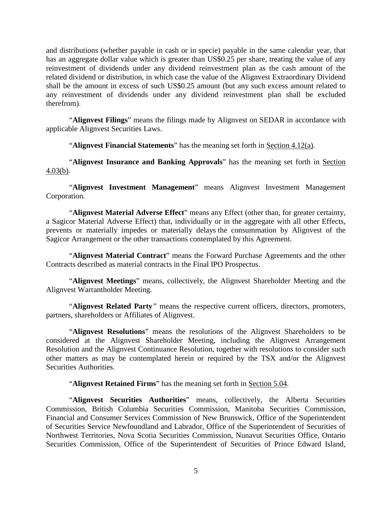and distributions (whether payable in cash or in specie) payable in the same calendar year, that has an aggregate dollar value which is greater than US\$0.25 per share, treating the value of any reinvestment of dividends under any dividend reinvestment plan as the cash amount of the related dividend or distribution, in which case the value of the Alignvest Extraordinary Dividend shall be the amount in excess of such US\$0.25 amount (but any such excess amount related to any reinvestment of dividends under any dividend reinvestment plan shall be excluded therefrom).

"**Alignvest Filings**" means the filings made by Alignvest on SEDAR in accordance with applicable Alignvest Securities Laws.

"**Alignvest Financial Statements**" has the meaning set forth in [Section 4.12\(a\).](#page-64-2)

"**Alignvest Insurance and Banking Approvals**" has the meaning set forth in [Section](#page-62-2)  [4.03\(b\).](#page-62-2)

"**Alignvest Investment Management**" means Alignvest Investment Management Corporation.

"**Alignvest Material Adverse Effect**" means any Effect (other than, for greater certainty, a Sagicor Material Adverse Effect) that, individually or in the aggregate with all other Effects, prevents or materially impedes or materially delays the consummation by Alignvest of the Sagicor Arrangement or the other transactions contemplated by this Agreement.

"**Alignvest Material Contract**" means the Forward Purchase Agreements and the other Contracts described as material contracts in the Final IPO Prospectus.

"**Alignvest Meetings**" means, collectively, the Alignvest Shareholder Meeting and the Alignvest Warrantholder Meeting.

"**Alignvest Related Party***"* means the respective current officers, directors, promoters, partners, shareholders or Affiliates of Alignvest.

"**Alignvest Resolutions**" means the resolutions of the Alignvest Shareholders to be considered at the Alignvest Shareholder Meeting, including the Alignvest Arrangement Resolution and the Alignvest Continuance Resolution, together with resolutions to consider such other matters as may be contemplated herein or required by the TSX and/or the Alignvest Securities Authorities.

"Alignvest Retained Firms" has the meaning set forth in **Section 5.04**.

"**Alignvest Securities Authorities**" means, collectively, the Alberta Securities Commission, British Columbia Securities Commission, Manitoba Securities Commission, Financial and Consumer Services Commission of New Brunswick, Office of the Superintendent of Securities Service Newfoundland and Labrador, Office of the Superintendent of Securities of Northwest Territories, Nova Scotia Securities Commission, Nunavut Securities Office, Ontario Securities Commission, Office of the Superintendent of Securities of Prince Edward Island,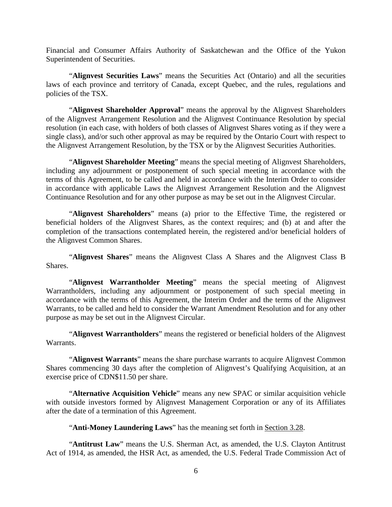Financial and Consumer Affairs Authority of Saskatchewan and the Office of the Yukon Superintendent of Securities.

"**Alignvest Securities Laws**" means the Securities Act (Ontario) and all the securities laws of each province and territory of Canada, except Quebec, and the rules, regulations and policies of the TSX.

"**Alignvest Shareholder Approval**" means the approval by the Alignvest Shareholders of the Alignvest Arrangement Resolution and the Alignvest Continuance Resolution by special resolution (in each case, with holders of both classes of Alignvest Shares voting as if they were a single class), and/or such other approval as may be required by the Ontario Court with respect to the Alignvest Arrangement Resolution, by the TSX or by the Alignvest Securities Authorities.

"**Alignvest Shareholder Meeting**" means the special meeting of Alignvest Shareholders, including any adjournment or postponement of such special meeting in accordance with the terms of this Agreement, to be called and held in accordance with the Interim Order to consider in accordance with applicable Laws the Alignvest Arrangement Resolution and the Alignvest Continuance Resolution and for any other purpose as may be set out in the Alignvest Circular.

"**Alignvest Shareholders**" means (a) prior to the Effective Time, the registered or beneficial holders of the Alignvest Shares, as the context requires; and (b) at and after the completion of the transactions contemplated herein, the registered and/or beneficial holders of the Alignvest Common Shares.

"**Alignvest Shares**" means the Alignvest Class A Shares and the Alignvest Class B Shares.

"**Alignvest Warrantholder Meeting**" means the special meeting of Alignvest Warrantholders, including any adjournment or postponement of such special meeting in accordance with the terms of this Agreement, the Interim Order and the terms of the Alignvest Warrants, to be called and held to consider the Warrant Amendment Resolution and for any other purpose as may be set out in the Alignvest Circular.

"**Alignvest Warrantholders**" means the registered or beneficial holders of the Alignvest Warrants.

"**Alignvest Warrants**" means the share purchase warrants to acquire Alignvest Common Shares commencing 30 days after the completion of Alignvest's Qualifying Acquisition, at an exercise price of CDN\$11.50 per share.

"**Alternative Acquisition Vehicle**" means any new SPAC or similar acquisition vehicle with outside investors formed by Alignvest Management Corporation or any of its Affiliates after the date of a termination of this Agreement.

"**Anti-Money Laundering Laws**" has the meaning set forth in [Section 3.28.](#page-59-0)

"**Antitrust Law**" means the U.S. Sherman Act, as amended, the U.S. Clayton Antitrust Act of 1914, as amended, the HSR Act, as amended, the U.S. Federal Trade Commission Act of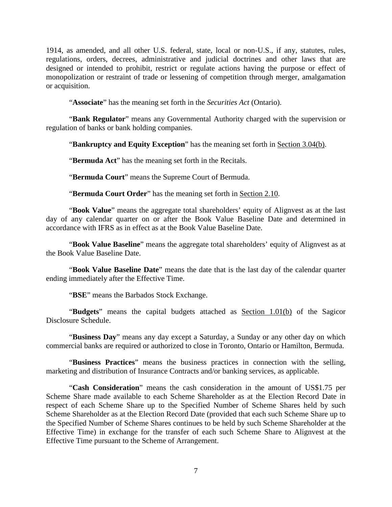1914, as amended, and all other U.S. federal, state, local or non-U.S., if any, statutes, rules, regulations, orders, decrees, administrative and judicial doctrines and other laws that are designed or intended to prohibit, restrict or regulate actions having the purpose or effect of monopolization or restraint of trade or lessening of competition through merger, amalgamation or acquisition.

"**Associate**" has the meaning set forth in the *Securities Act* (Ontario).

"**Bank Regulator**" means any Governmental Authority charged with the supervision or regulation of banks or bank holding companies.

"**Bankruptcy and Equity Exception**" has the meaning set forth in [Section 3.04\(b\).](#page-46-2)

"**Bermuda Act**" has the meaning set forth in the Recitals.

"**Bermuda Court**" means the Supreme Court of Bermuda.

"**Bermuda Court Order**" has the meaning set forth in [Section 2.10.](#page-36-0)

"**Book Value**" means the aggregate total shareholders' equity of Alignvest as at the last day of any calendar quarter on or after the Book Value Baseline Date and determined in accordance with IFRS as in effect as at the Book Value Baseline Date.

"**Book Value Baseline**" means the aggregate total shareholders' equity of Alignvest as at the Book Value Baseline Date.

"**Book Value Baseline Date**" means the date that is the last day of the calendar quarter ending immediately after the Effective Time.

"**BSE**" means the Barbados Stock Exchange.

"**Budgets**" means the capital budgets attached as [Section 1.01\(](#page-6-1)b) of the Sagicor Disclosure Schedule.

"**Business Day**" means any day except a Saturday, a Sunday or any other day on which commercial banks are required or authorized to close in Toronto, Ontario or Hamilton, Bermuda.

"**Business Practices**" means the business practices in connection with the selling, marketing and distribution of Insurance Contracts and/or banking services, as applicable.

"**Cash Consideration**" means the cash consideration in the amount of US\$1.75 per Scheme Share made available to each Scheme Shareholder as at the Election Record Date in respect of each Scheme Share up to the Specified Number of Scheme Shares held by such Scheme Shareholder as at the Election Record Date (provided that each such Scheme Share up to the Specified Number of Scheme Shares continues to be held by such Scheme Shareholder at the Effective Time) in exchange for the transfer of each such Scheme Share to Alignvest at the Effective Time pursuant to the Scheme of Arrangement.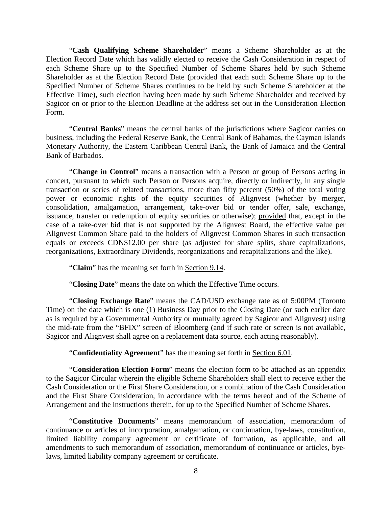"**Cash Qualifying Scheme Shareholder**" means a Scheme Shareholder as at the Election Record Date which has validly elected to receive the Cash Consideration in respect of each Scheme Share up to the Specified Number of Scheme Shares held by such Scheme Shareholder as at the Election Record Date (provided that each such Scheme Share up to the Specified Number of Scheme Shares continues to be held by such Scheme Shareholder at the Effective Time), such election having been made by such Scheme Shareholder and received by Sagicor on or prior to the Election Deadline at the address set out in the Consideration Election Form.

"**Central Banks**" means the central banks of the jurisdictions where Sagicor carries on business, including the Federal Reserve Bank, the Central Bank of Bahamas, the Cayman Islands Monetary Authority, the Eastern Caribbean Central Bank, the Bank of Jamaica and the Central Bank of Barbados.

"**Change in Control**" means a transaction with a Person or group of Persons acting in concert, pursuant to which such Person or Persons acquire, directly or indirectly, in any single transaction or series of related transactions, more than fifty percent (50%) of the total voting power or economic rights of the equity securities of Alignvest (whether by merger, consolidation, amalgamation, arrangement, take-over bid or tender offer, sale, exchange, issuance, transfer or redemption of equity securities or otherwise); provided that, except in the case of a take-over bid that is not supported by the Alignvest Board, the effective value per Alignvest Common Share paid to the holders of Alignvest Common Shares in such transaction equals or exceeds CDN\$12.00 per share (as adjusted for share splits, share capitalizations, reorganizations, Extraordinary Dividends, reorganizations and recapitalizations and the like).

"**Claim**" has the meaning set forth in [Section 9.14.](#page-101-1)

"**Closing Date**" means the date on which the Effective Time occurs.

"**Closing Exchange Rate**" means the CAD/USD exchange rate as of 5:00PM (Toronto Time) on the date which is one (1) Business Day prior to the Closing Date (or such earlier date as is required by a Governmental Authority or mutually agreed by Sagicor and Alignvest) using the mid-rate from the "BFIX" screen of Bloomberg (and if such rate or screen is not available, Sagicor and Alignvest shall agree on a replacement data source, each acting reasonably).

"**Confidentiality Agreement**" has the meaning set forth in [Section 6.01.](#page-81-3)

"**Consideration Election Form**" means the election form to be attached as an appendix to the Sagicor Circular wherein the eligible Scheme Shareholders shall elect to receive either the Cash Consideration or the First Share Consideration, or a combination of the Cash Consideration and the First Share Consideration, in accordance with the terms hereof and of the Scheme of Arrangement and the instructions therein, for up to the Specified Number of Scheme Shares.

"**Constitutive Documents**" means memorandum of association, memorandum of continuance or articles of incorporation, amalgamation, or continuation, bye-laws, constitution, limited liability company agreement or certificate of formation, as applicable, and all amendments to such memorandum of association, memorandum of continuance or articles, byelaws, limited liability company agreement or certificate.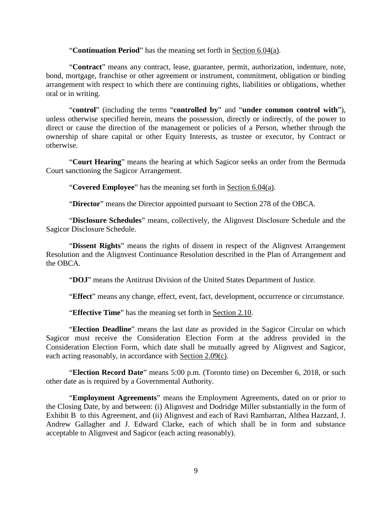#### "**Continuation Period**" has the meaning set forth in [Section 6.04\(a\).](#page-84-2)

"**Contract**" means any contract, lease, guarantee, permit, authorization, indenture, note, bond, mortgage, franchise or other agreement or instrument, commitment, obligation or binding arrangement with respect to which there are continuing rights, liabilities or obligations, whether oral or in writing.

"**control**" (including the terms "**controlled by**" and "**under common control with**"), unless otherwise specified herein, means the possession, directly or indirectly, of the power to direct or cause the direction of the management or policies of a Person, whether through the ownership of share capital or other Equity Interests, as trustee or executor, by Contract or otherwise.

"**Court Hearing**" means the hearing at which Sagicor seeks an order from the Bermuda Court sanctioning the Sagicor Arrangement.

"**Covered Employee**" has the meaning set forth in [Section 6.04\(a\).](#page-84-2)

"**Director**" means the Director appointed pursuant to Section 278 of the OBCA.

"**Disclosure Schedules**" means, collectively, the Alignvest Disclosure Schedule and the Sagicor Disclosure Schedule.

"**Dissent Rights**" means the rights of dissent in respect of the Alignvest Arrangement Resolution and the Alignvest Continuance Resolution described in the Plan of Arrangement and the OBCA.

"**DOJ**" means the Antitrust Division of the United States Department of Justice.

"**Effect**" means any change, effect, event, fact, development, occurrence or circumstance.

"**Effective Time**" has the meaning set forth in [Section 2.10.](#page-36-0)

"**Election Deadline**" means the last date as provided in the Sagicor Circular on which Sagicor must receive the Consideration Election Form at the address provided in the Consideration Election Form, which date shall be mutually agreed by Alignvest and Sagicor, each acting reasonably, in accordance with [Section 2.09\(c\).](#page-35-1)

"**Election Record Date**" means 5:00 p.m. (Toronto time) on December 6, 2018, or such other date as is required by a Governmental Authority.

"**Employment Agreements**" means the Employment Agreements, dated on or prior to the Closing Date, by and between: (i) Alignvest and Dodridge Miller substantially in the form of Exhibit B to this Agreement, and (ii) Alignvest and each of Ravi Rambarran, Althea Hazzard, J. Andrew Gallagher and J. Edward Clarke, each of which shall be in form and substance acceptable to Alignvest and Sagicor (each acting reasonably).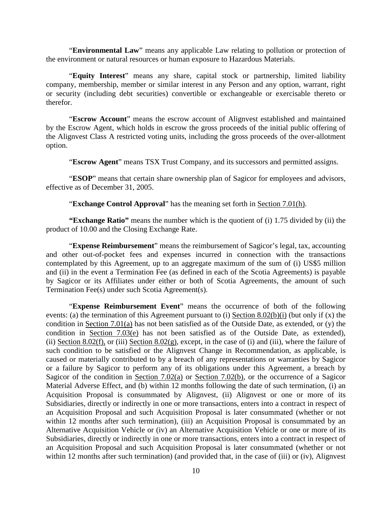"**Environmental Law**" means any applicable Law relating to pollution or protection of the environment or natural resources or human exposure to Hazardous Materials.

"**Equity Interest**" means any share, capital stock or partnership, limited liability company, membership, member or similar interest in any Person and any option, warrant, right or security (including debt securities) convertible or exchangeable or exercisable thereto or therefor.

"**Escrow Account**" means the escrow account of Alignvest established and maintained by the Escrow Agent, which holds in escrow the gross proceeds of the initial public offering of the Alignvest Class A restricted voting units, including the gross proceeds of the over-allotment option.

"**Escrow Agent**" means TSX Trust Company, and its successors and permitted assigns.

"**ESOP**" means that certain share ownership plan of Sagicor for employees and advisors, effective as of December 31, 2005.

"**Exchange Control Approval**" has the meaning set forth in [Section 7.01\(h\).](#page-89-0)

**"Exchange Ratio"** means the number which is the quotient of (i) 1.75 divided by (ii) the product of 10.00 and the Closing Exchange Rate.

"**Expense Reimbursement**" means the reimbursement of Sagicor's legal, tax, accounting and other out-of-pocket fees and expenses incurred in connection with the transactions contemplated by this Agreement, up to an aggregate maximum of the sum of (i) US\$5 million and (ii) in the event a Termination Fee (as defined in each of the Scotia Agreements) is payable by Sagicor or its Affiliates under either or both of Scotia Agreements, the amount of such Termination Fee(s) under such Scotia Agreement(s).

"**Expense Reimbursement Event**" means the occurrence of both of the following events: (a) the termination of this Agreement pursuant to (i) [Section 8.02\(b\)\(i\)](#page-94-3) (but only if (x) the condition in Section 7.01(a) has not been satisfied as of the Outside Date, as extended, or (y) the condition in [Section 7.03\(e\)](#page-92-1) has not been satisfied as of the Outside Date, as extended), (ii) Section 8.02(f), or (iii) [Section 8.02\(g\),](#page-95-2) except, in the case of (i) and (iii), where the failure of such condition to be satisfied or the Alignvest Change in Recommendation, as applicable, is caused or materially contributed to by a breach of any representations or warranties by Sagicor or a failure by Sagicor to perform any of its obligations under this Agreement, a breach by Sagicor of the condition in [Section 7.02\(a\)](#page-91-1) or [Section 7.02\(b\),](#page-91-2) or the occurrence of a Sagicor Material Adverse Effect, and (b) within 12 months following the date of such termination, (i) an Acquisition Proposal is consummated by Alignvest, (ii) Alignvest or one or more of its Subsidiaries, directly or indirectly in one or more transactions, enters into a contract in respect of an Acquisition Proposal and such Acquisition Proposal is later consummated (whether or not within 12 months after such termination), (iii) an Acquisition Proposal is consummated by an Alternative Acquisition Vehicle or (iv) an Alternative Acquisition Vehicle or one or more of its Subsidiaries, directly or indirectly in one or more transactions, enters into a contract in respect of an Acquisition Proposal and such Acquisition Proposal is later consummated (whether or not within 12 months after such termination) (and provided that, in the case of (iii) or (iv), Alignvest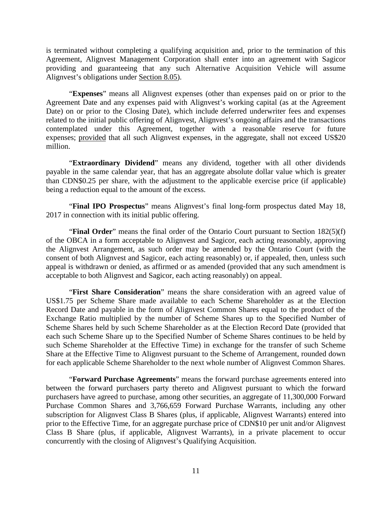is terminated without completing a qualifying acquisition and, prior to the termination of this Agreement, Alignvest Management Corporation shall enter into an agreement with Sagicor providing and guaranteeing that any such Alternative Acquisition Vehicle will assume Alignvest's obligations under [Section 8.05\)](#page-96-0).

"**Expenses**" means all Alignvest expenses (other than expenses paid on or prior to the Agreement Date and any expenses paid with Alignvest's working capital (as at the Agreement Date) on or prior to the Closing Date), which include deferred underwriter fees and expenses related to the initial public offering of Alignvest, Alignvest's ongoing affairs and the transactions contemplated under this Agreement, together with a reasonable reserve for future expenses; provided that all such Alignvest expenses, in the aggregate, shall not exceed US\$20 million.

"**Extraordinary Dividend**" means any dividend, together with all other dividends payable in the same calendar year, that has an aggregate absolute dollar value which is greater than CDN\$0.25 per share, with the adjustment to the applicable exercise price (if applicable) being a reduction equal to the amount of the excess.

"**Final IPO Prospectus**" means Alignvest's final long-form prospectus dated May 18, 2017 in connection with its initial public offering.

"**Final Order**" means the final order of the Ontario Court pursuant to Section 182(5)(f) of the OBCA in a form acceptable to Alignvest and Sagicor, each acting reasonably, approving the Alignvest Arrangement, as such order may be amended by the Ontario Court (with the consent of both Alignvest and Sagicor, each acting reasonably) or, if appealed, then, unless such appeal is withdrawn or denied, as affirmed or as amended (provided that any such amendment is acceptable to both Alignvest and Sagicor, each acting reasonably) on appeal.

"**First Share Consideration**" means the share consideration with an agreed value of US\$1.75 per Scheme Share made available to each Scheme Shareholder as at the Election Record Date and payable in the form of Alignvest Common Shares equal to the product of the Exchange Ratio multiplied by the number of Scheme Shares up to the Specified Number of Scheme Shares held by such Scheme Shareholder as at the Election Record Date (provided that each such Scheme Share up to the Specified Number of Scheme Shares continues to be held by such Scheme Shareholder at the Effective Time) in exchange for the transfer of such Scheme Share at the Effective Time to Alignvest pursuant to the Scheme of Arrangement, rounded down for each applicable Scheme Shareholder to the next whole number of Alignvest Common Shares.

"**Forward Purchase Agreements**" means the forward purchase agreements entered into between the forward purchasers party thereto and Alignvest pursuant to which the forward purchasers have agreed to purchase, among other securities, an aggregate of 11,300,000 Forward Purchase Common Shares and 3,766,659 Forward Purchase Warrants, including any other subscription for Alignvest Class B Shares (plus, if applicable, Alignvest Warrants) entered into prior to the Effective Time, for an aggregate purchase price of CDN\$10 per unit and/or Alignvest Class B Share (plus, if applicable, Alignvest Warrants), in a private placement to occur concurrently with the closing of Alignvest's Qualifying Acquisition.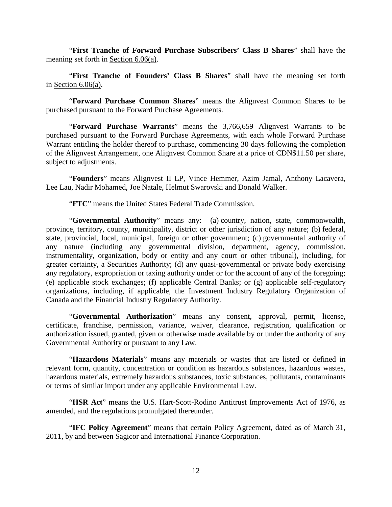"**First Tranche of Forward Purchase Subscribers' Class B Shares**" shall have the meaning set forth in Section 6.06(a).

"**First Tranche of Founders' Class B Shares**" shall have the meaning set forth in Section 6.06(a).

"**Forward Purchase Common Shares**" means the Alignvest Common Shares to be purchased pursuant to the Forward Purchase Agreements.

"**Forward Purchase Warrants**" means the 3,766,659 Alignvest Warrants to be purchased pursuant to the Forward Purchase Agreements, with each whole Forward Purchase Warrant entitling the holder thereof to purchase, commencing 30 days following the completion of the Alignvest Arrangement, one Alignvest Common Share at a price of CDN\$11.50 per share, subject to adjustments.

"**Founders**" means Alignvest II LP, Vince Hemmer, Azim Jamal, Anthony Lacavera, Lee Lau, Nadir Mohamed, Joe Natale, Helmut Swarovski and Donald Walker.

"**FTC**" means the United States Federal Trade Commission.

"**Governmental Authority**" means any: (a) country, nation, state, commonwealth, province, territory, county, municipality, district or other jurisdiction of any nature; (b) federal, state, provincial, local, municipal, foreign or other government; (c) governmental authority of any nature (including any governmental division, department, agency, commission, instrumentality, organization, body or entity and any court or other tribunal), including, for greater certainty, a Securities Authority; (d) any quasi-governmental or private body exercising any regulatory, expropriation or taxing authority under or for the account of any of the foregoing; (e) applicable stock exchanges; (f) applicable Central Banks; or (g) applicable self-regulatory organizations, including, if applicable, the Investment Industry Regulatory Organization of Canada and the Financial Industry Regulatory Authority.

"**Governmental Authorization**" means any consent, approval, permit, license, certificate, franchise, permission, variance, waiver, clearance, registration, qualification or authorization issued, granted, given or otherwise made available by or under the authority of any Governmental Authority or pursuant to any Law.

"**Hazardous Materials**" means any materials or wastes that are listed or defined in relevant form, quantity, concentration or condition as hazardous substances, hazardous wastes, hazardous materials, extremely hazardous substances, toxic substances, pollutants, contaminants or terms of similar import under any applicable Environmental Law.

"**HSR Act**" means the U.S. Hart-Scott-Rodino Antitrust Improvements Act of 1976, as amended, and the regulations promulgated thereunder.

"**IFC Policy Agreement**" means that certain Policy Agreement, dated as of March 31, 2011, by and between Sagicor and International Finance Corporation.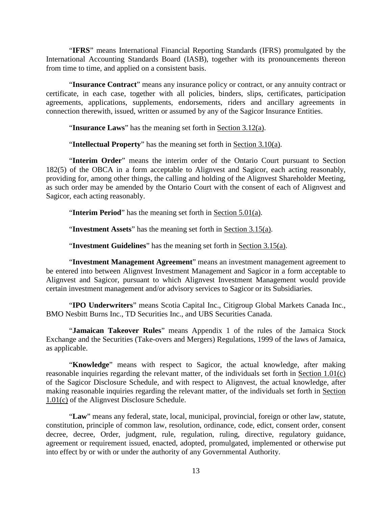"**IFRS**" means International Financial Reporting Standards (IFRS) promulgated by the International Accounting Standards Board (IASB), together with its pronouncements thereon from time to time, and applied on a consistent basis.

"**Insurance Contract**" means any insurance policy or contract, or any annuity contract or certificate, in each case, together with all policies, binders, slips, certificates, participation agreements, applications, supplements, endorsements, riders and ancillary agreements in connection therewith, issued, written or assumed by any of the Sagicor Insurance Entities.

"**Insurance Laws**" has the meaning set forth in [Section 3.12\(a\).](#page-50-1)

"**Intellectual Property**" has the meaning set forth in [Section 3.10\(](#page-48-3)a).

"**Interim Order**" means the interim order of the Ontario Court pursuant to Section 182(5) of the OBCA in a form acceptable to Alignvest and Sagicor, each acting reasonably, providing for, among other things, the calling and holding of the Alignvest Shareholder Meeting, as such order may be amended by the Ontario Court with the consent of each of Alignvest and Sagicor, each acting reasonably.

"**Interim Period**" has the meaning set forth in [Section 5.01\(a\).](#page-69-3)

"**Investment Assets**" has the meaning set forth in [Section 3.15\(a\).](#page-54-2)

"**Investment Guidelines**" has the meaning set forth in [Section 3.15\(a\).](#page-54-2)

"**Investment Management Agreement**" means an investment management agreement to be entered into between Alignvest Investment Management and Sagicor in a form acceptable to Alignvest and Sagicor, pursuant to which Alignvest Investment Management would provide certain investment management and/or advisory services to Sagicor or its Subsidiaries.

"**IPO Underwriters**" means Scotia Capital Inc., Citigroup Global Markets Canada Inc., BMO Nesbitt Burns Inc., TD Securities Inc., and UBS Securities Canada.

"**Jamaican Takeover Rules**" means Appendix 1 of the rules of the Jamaica Stock Exchange and the Securities (Take-overs and Mergers) Regulations, 1999 of the laws of Jamaica, as applicable.

"**Knowledge**" means with respect to Sagicor, the actual knowledge, after making reasonable inquiries regarding the relevant matter, of the individuals set forth in [Section 1.01\(](#page-6-1)c) of the Sagicor Disclosure Schedule, and with respect to Alignvest, the actual knowledge, after making reasonable inquiries regarding the relevant matter, of the individuals set forth in [Section](#page-6-1)  [1.01\(](#page-6-1)c) of the Alignvest Disclosure Schedule.

"**Law**" means any federal, state, local, municipal, provincial, foreign or other law, statute, constitution, principle of common law, resolution, ordinance, code, edict, consent order, consent decree, decree, Order, judgment, rule, regulation, ruling, directive, regulatory guidance, agreement or requirement issued, enacted, adopted, promulgated, implemented or otherwise put into effect by or with or under the authority of any Governmental Authority.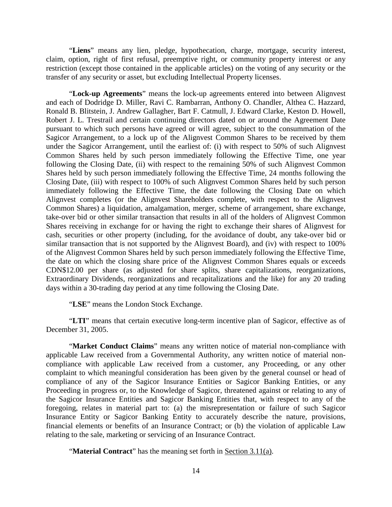"**Liens**" means any lien, pledge, hypothecation, charge, mortgage, security interest, claim, option, right of first refusal, preemptive right, or community property interest or any restriction (except those contained in the applicable articles) on the voting of any security or the transfer of any security or asset, but excluding Intellectual Property licenses.

"**Lock-up Agreements**" means the lock-up agreements entered into between Alignvest and each of Dodridge D. Miller, Ravi C. Rambarran, Anthony O. Chandler, Althea C. Hazzard, Ronald B. Blitstein, J. Andrew Gallagher, Bart F. Catmull, J. Edward Clarke, Keston D. Howell, Robert J. L. Trestrail and certain continuing directors dated on or around the Agreement Date pursuant to which such persons have agreed or will agree, subject to the consummation of the Sagicor Arrangement, to a lock up of the Alignvest Common Shares to be received by them under the Sagicor Arrangement, until the earliest of: (i) with respect to 50% of such Alignvest Common Shares held by such person immediately following the Effective Time, one year following the Closing Date, (ii) with respect to the remaining 50% of such Alignvest Common Shares held by such person immediately following the Effective Time, 24 months following the Closing Date, (iii) with respect to 100% of such Alignvest Common Shares held by such person immediately following the Effective Time, the date following the Closing Date on which Alignvest completes (or the Alignvest Shareholders complete, with respect to the Alignvest Common Shares) a liquidation, amalgamation, merger, scheme of arrangement, share exchange, take-over bid or other similar transaction that results in all of the holders of Alignvest Common Shares receiving in exchange for or having the right to exchange their shares of Alignvest for cash, securities or other property (including, for the avoidance of doubt, any take-over bid or similar transaction that is not supported by the Alignvest Board), and (iv) with respect to 100% of the Alignvest Common Shares held by such person immediately following the Effective Time, the date on which the closing share price of the Alignvest Common Shares equals or exceeds CDN\$12.00 per share (as adjusted for share splits, share capitalizations, reorganizations, Extraordinary Dividends, reorganizations and recapitalizations and the like) for any 20 trading days within a 30-trading day period at any time following the Closing Date.

"**LSE**" means the London Stock Exchange.

"**LTI**" means that certain executive long-term incentive plan of Sagicor, effective as of December 31, 2005.

"**Market Conduct Claims**" means any written notice of material non-compliance with applicable Law received from a Governmental Authority, any written notice of material noncompliance with applicable Law received from a customer, any Proceeding, or any other complaint to which meaningful consideration has been given by the general counsel or head of compliance of any of the Sagicor Insurance Entities or Sagicor Banking Entities, or any Proceeding in progress or, to the Knowledge of Sagicor, threatened against or relating to any of the Sagicor Insurance Entities and Sagicor Banking Entities that, with respect to any of the foregoing, relates in material part to: (a) the misrepresentation or failure of such Sagicor Insurance Entity or Sagicor Banking Entity to accurately describe the nature, provisions, financial elements or benefits of an Insurance Contract; or (b) the violation of applicable Law relating to the sale, marketing or servicing of an Insurance Contract.

"**Material Contract**" has the meaning set forth in [Section 3.11\(a\).](#page-49-1)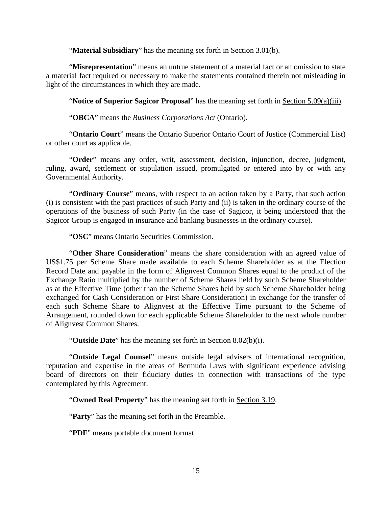"**Material Subsidiary**" has the meaning set forth in [Section 3.01\(b\).](#page-44-3)

"**Misrepresentation**" means an untrue statement of a material fact or an omission to state a material fact required or necessary to make the statements contained therein not misleading in light of the circumstances in which they are made.

"**Notice of Superior Sagicor Proposal**" has the meaning set forth in [Section 5.09\(a\)\(iii\).](#page-80-0)

"**OBCA**" means the *Business Corporations Act* (Ontario).

"**Ontario Court**" means the Ontario Superior Ontario Court of Justice (Commercial List) or other court as applicable.

"**Order**" means any order, writ, assessment, decision, injunction, decree, judgment, ruling, award, settlement or stipulation issued, promulgated or entered into by or with any Governmental Authority.

"**Ordinary Course**" means, with respect to an action taken by a Party, that such action (i) is consistent with the past practices of such Party and (ii) is taken in the ordinary course of the operations of the business of such Party (in the case of Sagicor, it being understood that the Sagicor Group is engaged in insurance and banking businesses in the ordinary course).

"**OSC**" means Ontario Securities Commission.

"**Other Share Consideration**" means the share consideration with an agreed value of US\$1.75 per Scheme Share made available to each Scheme Shareholder as at the Election Record Date and payable in the form of Alignvest Common Shares equal to the product of the Exchange Ratio multiplied by the number of Scheme Shares held by such Scheme Shareholder as at the Effective Time (other than the Scheme Shares held by such Scheme Shareholder being exchanged for Cash Consideration or First Share Consideration) in exchange for the transfer of each such Scheme Share to Alignvest at the Effective Time pursuant to the Scheme of Arrangement, rounded down for each applicable Scheme Shareholder to the next whole number of Alignvest Common Shares.

"**Outside Date**" has the meaning set forth in [Section 8.02\(b\)\(i\).](#page-94-3)

"**Outside Legal Counsel**" means outside legal advisers of international recognition, reputation and expertise in the areas of Bermuda Laws with significant experience advising board of directors on their fiduciary duties in connection with transactions of the type contemplated by this Agreement.

"**Owned Real Property**" has the meaning set forth in [Section 3.19.](#page-55-2)

"**Party**" has the meaning set forth in the Preamble.

"**PDF**" means portable document format.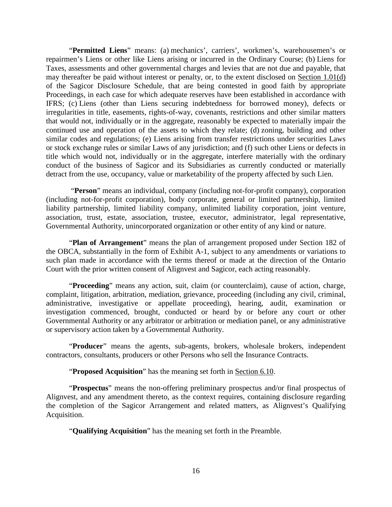"**Permitted Liens**" means: (a) mechanics', carriers', workmen's, warehousemen's or repairmen's Liens or other like Liens arising or incurred in the Ordinary Course; (b) Liens for Taxes, assessments and other governmental charges and levies that are not due and payable, that may thereafter be paid without interest or penalty, or, to the extent disclosed on [Section 1.01\(](#page-6-1)d) of the Sagicor Disclosure Schedule, that are being contested in good faith by appropriate Proceedings, in each case for which adequate reserves have been established in accordance with IFRS; (c) Liens (other than Liens securing indebtedness for borrowed money), defects or irregularities in title, easements, rights-of-way, covenants, restrictions and other similar matters that would not, individually or in the aggregate, reasonably be expected to materially impair the continued use and operation of the assets to which they relate; (d) zoning, building and other similar codes and regulations; (e) Liens arising from transfer restrictions under securities Laws or stock exchange rules or similar Laws of any jurisdiction; and (f) such other Liens or defects in title which would not, individually or in the aggregate, interfere materially with the ordinary conduct of the business of Sagicor and its Subsidiaries as currently conducted or materially detract from the use, occupancy, value or marketability of the property affected by such Lien.

"**Person**" means an individual, company (including not-for-profit company), corporation (including not-for-profit corporation), body corporate, general or limited partnership, limited liability partnership, limited liability company, unlimited liability corporation, joint venture, association, trust, estate, association, trustee, executor, administrator, legal representative, Governmental Authority, unincorporated organization or other entity of any kind or nature.

"**Plan of Arrangement**" means the plan of arrangement proposed under Section 182 of the OBCA, substantially in the form of Exhibit [A-](#page-104-0)1, subject to any amendments or variations to such plan made in accordance with the terms thereof or made at the direction of the Ontario Court with the prior written consent of Alignvest and Sagicor, each acting reasonably.

"**Proceeding**" means any action, suit, claim (or counterclaim), cause of action, charge, complaint, litigation, arbitration, mediation, grievance, proceeding (including any civil, criminal, administrative, investigative or appellate proceeding), hearing, audit, examination or investigation commenced, brought, conducted or heard by or before any court or other Governmental Authority or any arbitrator or arbitration or mediation panel, or any administrative or supervisory action taken by a Governmental Authority.

"**Producer**" means the agents, sub-agents, brokers, wholesale brokers, independent contractors, consultants, producers or other Persons who sell the Insurance Contracts.

"**Proposed Acquisition**" has the meaning set forth in [Section 6.10.](#page-88-3)

"**Prospectus**" means the non-offering preliminary prospectus and/or final prospectus of Alignvest, and any amendment thereto, as the context requires, containing disclosure regarding the completion of the Sagicor Arrangement and related matters, as Alignvest's Qualifying Acquisition.

"**Qualifying Acquisition**" has the meaning set forth in the Preamble.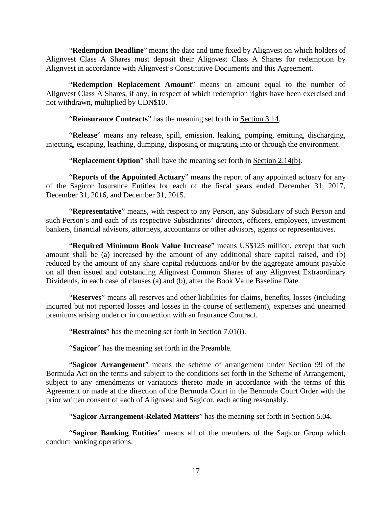"**Redemption Deadline**" means the date and time fixed by Alignvest on which holders of Alignvest Class A Shares must deposit their Alignvest Class A Shares for redemption by Alignvest in accordance with Alignvest's Constitutive Documents and this Agreement.

"**Redemption Replacement Amount**" means an amount equal to the number of Alignvest Class A Shares, if any, in respect of which redemption rights have been exercised and not withdrawn, multiplied by CDN\$10.

"**Reinsurance Contracts**" has the meaning set forth in [Section 3.14.](#page-53-0)

"**Release**" means any release, spill, emission, leaking, pumping, emitting, discharging, injecting, escaping, leaching, dumping, disposing or migrating into or through the environment.

"**Replacement Option**" shall have the meaning set forth in Section 2.14(b).

"**Reports of the Appointed Actuary**" means the report of any appointed actuary for any of the Sagicor Insurance Entities for each of the fiscal years ended December 31, 2017, December 31, 2016, and December 31, 2015.

"**Representative**" means, with respect to any Person, any Subsidiary of such Person and such Person's and each of its respective Subsidiaries' directors, officers, employees, investment bankers, financial advisors, attorneys, accountants or other advisors, agents or representatives.

"**Required Minimum Book Value Increase**" means US\$125 million, except that such amount shall be (a) increased by the amount of any additional share capital raised, and (b) reduced by the amount of any share capital reductions and/or by the aggregate amount payable on all then issued and outstanding Alignvest Common Shares of any Alignvest Extraordinary Dividends, in each case of clauses (a) and (b), after the Book Value Baseline Date.

"**Reserves**" means all reserves and other liabilities for claims, benefits, losses (including incurred but not reported losses and losses in the course of settlement), expenses and unearned premiums arising under or in connection with an Insurance Contract.

"**Restraints**" has the meaning set forth in [Section 7.01\(i\).](#page-89-1)

"**Sagicor**" has the meaning set forth in the Preamble.

"**Sagicor Arrangement**" means the scheme of arrangement under Section 99 of the Bermuda Act on the terms and subject to the conditions set forth in the Scheme of Arrangement, subject to any amendments or variations thereto made in accordance with the terms of this Agreement or made at the direction of the Bermuda Court in the Bermuda Court Order with the prior written consent of each of Alignvest and Sagicor, each acting reasonably.

"**Sagicor Arrangement-Related Matters**" has the meaning set forth in [Section 5.04.](#page-75-0)

"**Sagicor Banking Entities**" means all of the members of the Sagicor Group which conduct banking operations.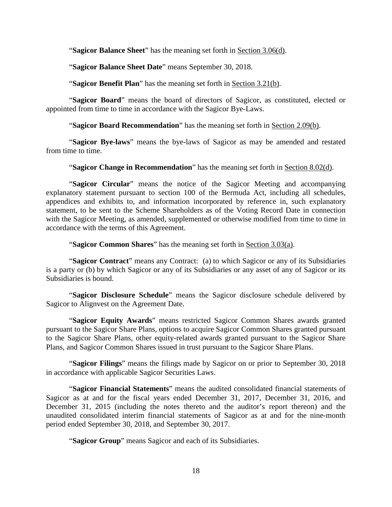"**Sagicor Balance Sheet**" has the meaning set forth in [Section 3.06\(d\).](#page-48-4)

"**Sagicor Balance Sheet Date**" means September 30, 2018.

"**Sagicor Benefit Plan**" has the meaning set forth in [Section 3.21\(b\).](#page-56-1)

"**Sagicor Board**" means the board of directors of Sagicor, as constituted, elected or appointed from time to time in accordance with the Sagicor Bye-Laws.

"**Sagicor Board Recommendation**" has the meaning set forth in [Section 2.09\(b\).](#page-35-2)

"**Sagicor Bye-laws**" means the bye-laws of Sagicor as may be amended and restated from time to time.

"**Sagicor Change in Recommendation**" has the meaning set forth in [Section 8.02\(d\).](#page-95-3)

"**Sagicor Circular**" means the notice of the Sagicor Meeting and accompanying explanatory statement pursuant to section 100 of the Bermuda Act, including all schedules, appendices and exhibits to, and information incorporated by reference in, such explanatory statement, to be sent to the Scheme Shareholders as of the Voting Record Date in connection with the Sagicor Meeting, as amended, supplemented or otherwise modified from time to time in accordance with the terms of this Agreement.

"**Sagicor Common Shares**" has the meaning set forth in [Section 3.03\(a\).](#page-44-4)

"**Sagicor Contract**" means any Contract: (a) to which Sagicor or any of its Subsidiaries is a party or (b) by which Sagicor or any of its Subsidiaries or any asset of any of Sagicor or its Subsidiaries is bound.

"**Sagicor Disclosure Schedule**" means the Sagicor disclosure schedule delivered by Sagicor to Alignvest on the Agreement Date.

"**Sagicor Equity Awards**" means restricted Sagicor Common Shares awards granted pursuant to the Sagicor Share Plans, options to acquire Sagicor Common Shares granted pursuant to the Sagicor Share Plans, other equity-related awards granted pursuant to the Sagicor Share Plans, and Sagicor Common Shares issued in trust pursuant to the Sagicor Share Plans.

"**Sagicor Filings**" means the filings made by Sagicor on or prior to September 30, 2018 in accordance with applicable Sagicor Securities Laws.

"**Sagicor Financial Statements**" means the audited consolidated financial statements of Sagicor as at and for the fiscal years ended December 31, 2017, December 31, 2016, and December 31, 2015 (including the notes thereto and the auditor's report thereon) and the unaudited consolidated interim financial statements of Sagicor as at and for the nine-month period ended September 30, 2018, and September 30, 2017.

"**Sagicor Group**" means Sagicor and each of its Subsidiaries.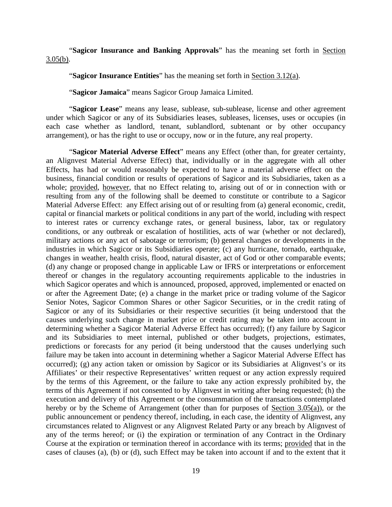"**Sagicor Insurance and Banking Approvals**" has the meaning set forth in [Section](#page-47-1)  [3.05\(b\).](#page-47-1)

"**Sagicor Insurance Entities**" has the meaning set forth in [Section 3.12\(a\).](#page-50-1)

"**Sagicor Jamaica**" means Sagicor Group Jamaica Limited.

"**Sagicor Lease**" means any lease, sublease, sub-sublease, license and other agreement under which Sagicor or any of its Subsidiaries leases, subleases, licenses, uses or occupies (in each case whether as landlord, tenant, sublandlord, subtenant or by other occupancy arrangement), or has the right to use or occupy, now or in the future, any real property.

"**Sagicor Material Adverse Effect**" means any Effect (other than, for greater certainty, an Alignvest Material Adverse Effect) that, individually or in the aggregate with all other Effects, has had or would reasonably be expected to have a material adverse effect on the business, financial condition or results of operations of Sagicor and its Subsidiaries, taken as a whole; provided, however, that no Effect relating to, arising out of or in connection with or resulting from any of the following shall be deemed to constitute or contribute to a Sagicor Material Adverse Effect: any Effect arising out of or resulting from (a) general economic, credit, capital or financial markets or political conditions in any part of the world, including with respect to interest rates or currency exchange rates, or general business, labor, tax or regulatory conditions, or any outbreak or escalation of hostilities, acts of war (whether or not declared), military actions or any act of sabotage or terrorism; (b) general changes or developments in the industries in which Sagicor or its Subsidiaries operate; (c) any hurricane, tornado, earthquake, changes in weather, health crisis, flood, natural disaster, act of God or other comparable events; (d) any change or proposed change in applicable Law or IFRS or interpretations or enforcement thereof or changes in the regulatory accounting requirements applicable to the industries in which Sagicor operates and which is announced, proposed, approved, implemented or enacted on or after the Agreement Date; (e) a change in the market price or trading volume of the Sagicor Senior Notes, Sagicor Common Shares or other Sagicor Securities, or in the credit rating of Sagicor or any of its Subsidiaries or their respective securities (it being understood that the causes underlying such change in market price or credit rating may be taken into account in determining whether a Sagicor Material Adverse Effect has occurred); (f) any failure by Sagicor and its Subsidiaries to meet internal, published or other budgets, projections, estimates, predictions or forecasts for any period (it being understood that the causes underlying such failure may be taken into account in determining whether a Sagicor Material Adverse Effect has occurred); (g) any action taken or omission by Sagicor or its Subsidiaries at Alignvest's or its Affiliates' or their respective Representatives' written request or any action expressly required by the terms of this Agreement, or the failure to take any action expressly prohibited by, the terms of this Agreement if not consented to by Alignvest in writing after being requested; (h) the execution and delivery of this Agreement or the consummation of the transactions contemplated hereby or by the Scheme of Arrangement (other than for purposes of [Section 3.05\(a\)\)](#page-46-3), or the public announcement or pendency thereof, including, in each case, the identity of Alignvest, any circumstances related to Alignvest or any Alignvest Related Party or any breach by Alignvest of any of the terms hereof; or (i) the expiration or termination of any Contract in the Ordinary Course at the expiration or termination thereof in accordance with its terms; provided that in the cases of clauses (a), (b) or (d), such Effect may be taken into account if and to the extent that it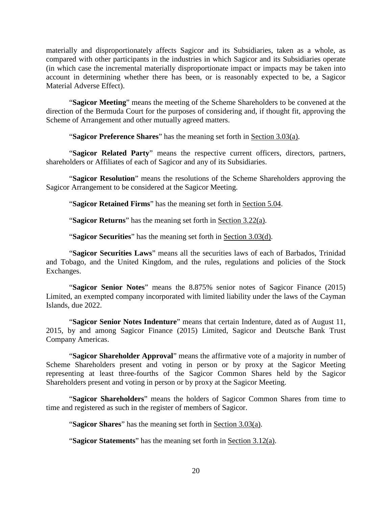materially and disproportionately affects Sagicor and its Subsidiaries, taken as a whole, as compared with other participants in the industries in which Sagicor and its Subsidiaries operate (in which case the incremental materially disproportionate impact or impacts may be taken into account in determining whether there has been, or is reasonably expected to be, a Sagicor Material Adverse Effect).

"**Sagicor Meeting**" means the meeting of the Scheme Shareholders to be convened at the direction of the Bermuda Court for the purposes of considering and, if thought fit, approving the Scheme of Arrangement and other mutually agreed matters.

"**Sagicor Preference Shares**" has the meaning set forth in [Section 3.03\(a\).](#page-44-4)

"**Sagicor Related Party**" means the respective current officers, directors, partners, shareholders or Affiliates of each of Sagicor and any of its Subsidiaries.

"**Sagicor Resolution**" means the resolutions of the Scheme Shareholders approving the Sagicor Arrangement to be considered at the Sagicor Meeting.

"**Sagicor Retained Firms**" has the meaning set forth in [Section 5.04.](#page-75-0)

"**Sagicor Returns**" has the meaning set forth in [Section 3.22\(a\).](#page-57-3)

"**Sagicor Securities**" has the meaning set forth in [Section 3.03\(d\).](#page-45-0)

"**Sagicor Securities Laws**" means all the securities laws of each of Barbados, Trinidad and Tobago, and the United Kingdom, and the rules, regulations and policies of the Stock Exchanges.

"**Sagicor Senior Notes**" means the 8.875% senior notes of Sagicor Finance (2015) Limited, an exempted company incorporated with limited liability under the laws of the Cayman Islands, due 2022.

"**Sagicor Senior Notes Indenture**" means that certain Indenture, dated as of August 11, 2015, by and among Sagicor Finance (2015) Limited, Sagicor and Deutsche Bank Trust Company Americas.

"**Sagicor Shareholder Approval**" means the affirmative vote of a majority in number of Scheme Shareholders present and voting in person or by proxy at the Sagicor Meeting representing at least three-fourths of the Sagicor Common Shares held by the Sagicor Shareholders present and voting in person or by proxy at the Sagicor Meeting.

"**Sagicor Shareholders**" means the holders of Sagicor Common Shares from time to time and registered as such in the register of members of Sagicor.

"**Sagicor Shares**" has the meaning set forth in [Section 3.03\(a\).](#page-44-4)

"**Sagicor Statements**" has the meaning set forth in [Section 3.12\(a\).](#page-50-1)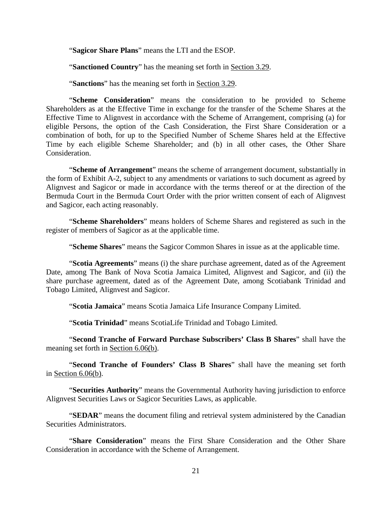"**Sagicor Share Plans**" means the LTI and the ESOP.

"**Sanctioned Country**" has the meaning set forth in [Section 3.29.](#page-59-1)

"**Sanctions**" has the meaning set forth in [Section 3.29.](#page-59-1)

"**Scheme Consideration**" means the consideration to be provided to Scheme Shareholders as at the Effective Time in exchange for the transfer of the Scheme Shares at the Effective Time to Alignvest in accordance with the Scheme of Arrangement, comprising (a) for eligible Persons, the option of the Cash Consideration, the First Share Consideration or a combination of both, for up to the Specified Number of Scheme Shares held at the Effective Time by each eligible Scheme Shareholder; and (b) in all other cases, the Other Share Consideration.

"**Scheme of Arrangement**" means the scheme of arrangement document, substantially in the form of Exhibit [A-2,](#page-117-0) subject to any amendments or variations to such document as agreed by Alignvest and Sagicor or made in accordance with the terms thereof or at the direction of the Bermuda Court in the Bermuda Court Order with the prior written consent of each of Alignvest and Sagicor, each acting reasonably.

"**Scheme Shareholders**" means holders of Scheme Shares and registered as such in the register of members of Sagicor as at the applicable time.

"**Scheme Shares**" means the Sagicor Common Shares in issue as at the applicable time.

"**Scotia Agreements**" means (i) the share purchase agreement, dated as of the Agreement Date, among The Bank of Nova Scotia Jamaica Limited, Alignvest and Sagicor, and (ii) the share purchase agreement, dated as of the Agreement Date, among Scotiabank Trinidad and Tobago Limited, Alignvest and Sagicor.

"**Scotia Jamaica**" means Scotia Jamaica Life Insurance Company Limited.

"**Scotia Trinidad**" means ScotiaLife Trinidad and Tobago Limited.

"**Second Tranche of Forward Purchase Subscribers' Class B Shares**" shall have the meaning set forth in Section 6.06(b).

"**Second Tranche of Founders' Class B Shares**" shall have the meaning set forth in Section 6.06(b).

"**Securities Authority**" means the Governmental Authority having jurisdiction to enforce Alignvest Securities Laws or Sagicor Securities Laws, as applicable.

"**SEDAR**" means the document filing and retrieval system administered by the Canadian Securities Administrators.

"**Share Consideration**" means the First Share Consideration and the Other Share Consideration in accordance with the Scheme of Arrangement.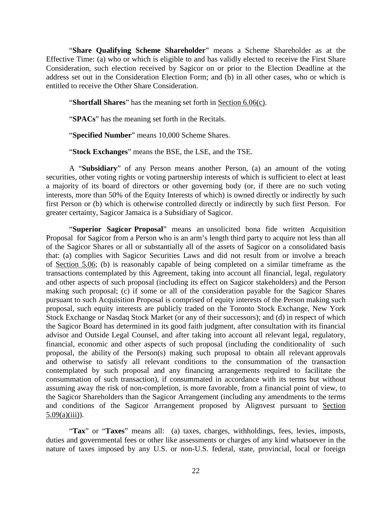"**Share Qualifying Scheme Shareholder**" means a Scheme Shareholder as at the Effective Time: (a) who or which is eligible to and has validly elected to receive the First Share Consideration, such election received by Sagicor on or prior to the Election Deadline at the address set out in the Consideration Election Form; and (b) in all other cases, who or which is entitled to receive the Other Share Consideration.

"**Shortfall Shares**" has the meaning set forth in [Section 6.06\(c\).](#page-86-0)

"**SPACs**" has the meaning set forth in the Recitals.

"**Specified Number**" means 10,000 Scheme Shares.

"**Stock Exchanges**" means the BSE, the LSE, and the TSE.

A "**Subsidiary**" of any Person means another Person, (a) an amount of the voting securities, other voting rights or voting partnership interests of which is sufficient to elect at least a majority of its board of directors or other governing body (or, if there are no such voting interests, more than 50% of the Equity Interests of which) is owned directly or indirectly by such first Person or (b) which is otherwise controlled directly or indirectly by such first Person. For greater certainty, Sagicor Jamaica is a Subsidiary of Sagicor.

"**Superior Sagicor Proposal**" means an unsolicited bona fide written Acquisition Proposal for Sagicor from a Person who is an arm's length third party to acquire not less than all of the Sagicor Shares or all or substantially all of the assets of Sagicor on a consolidated basis that: (a) complies with Sagicor Securities Laws and did not result from or involve a breach of [Section 5.06;](#page-76-0) (b) is reasonably capable of being completed on a similar timeframe as the transactions contemplated by this Agreement, taking into account all financial, legal, regulatory and other aspects of such proposal (including its effect on Sagicor stakeholders) and the Person making such proposal; (c) if some or all of the consideration payable for the Sagicor Shares pursuant to such Acquisition Proposal is comprised of equity interests of the Person making such proposal, such equity interests are publicly traded on the Toronto Stock Exchange, New York Stock Exchange or Nasdaq Stock Market (or any of their successors); and (d) in respect of which the Sagicor Board has determined in its good faith judgment, after consultation with its financial advisor and Outside Legal Counsel, and after taking into account all relevant legal, regulatory, financial, economic and other aspects of such proposal (including the conditionality of such proposal, the ability of the Person(s) making such proposal to obtain all relevant approvals and otherwise to satisfy all relevant conditions to the consummation of the transaction contemplated by such proposal and any financing arrangements required to facilitate the consummation of such transaction), if consummated in accordance with its terms but without assuming away the risk of non-completion, is more favorable, from a financial point of view, to the Sagicor Shareholders than the Sagicor Arrangement (including any amendments to the terms and conditions of the Sagicor Arrangement proposed by Alignvest pursuant to [Section](#page-80-0)   $5.09(a)(iii)$ ).

"**Tax**" or "**Taxes**" means all: (a) taxes, charges, withholdings, fees, levies, imposts, duties and governmental fees or other like assessments or charges of any kind whatsoever in the nature of taxes imposed by any U.S. or non-U.S. federal, state, provincial, local or foreign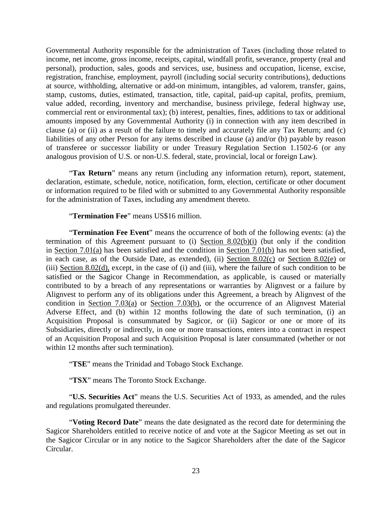Governmental Authority responsible for the administration of Taxes (including those related to income, net income, gross income, receipts, capital, windfall profit, severance, property (real and personal), production, sales, goods and services, use, business and occupation, license, excise, registration, franchise, employment, payroll (including social security contributions), deductions at source, withholding, alternative or add-on minimum, intangibles, ad valorem, transfer, gains, stamp, customs, duties, estimated, transaction, title, capital, paid-up capital, profits, premium, value added, recording, inventory and merchandise, business privilege, federal highway use, commercial rent or environmental tax); (b) interest, penalties, fines, additions to tax or additional amounts imposed by any Governmental Authority (i) in connection with any item described in clause (a) or (ii) as a result of the failure to timely and accurately file any Tax Return; and (c) liabilities of any other Person for any items described in clause (a) and/or (b) payable by reason of transferee or successor liability or under Treasury Regulation Section 1.1502-6 (or any analogous provision of U.S. or non-U.S. federal, state, provincial, local or foreign Law).

"**Tax Return**" means any return (including any information return), report, statement, declaration, estimate, schedule, notice, notification, form, election, certificate or other document or information required to be filed with or submitted to any Governmental Authority responsible for the administration of Taxes, including any amendment thereto.

"**Termination Fee**" means US\$16 million.

"**Termination Fee Event**" means the occurrence of both of the following events: (a) the termination of this Agreement pursuant to (i) [Section 8.02\(b\)\(i\)](#page-94-3) (but only if the condition in Section 7.01(a) has been satisfied and the condition in Section 7.01(b) has not been satisfied, in each case, as of the Outside Date, as extended), (ii) [Section 8.02\(c\)](#page-94-4) or [Section 8.02\(e\)](#page-95-4) or (iii) [Section 8.02\(d\),](#page-95-3) except, in the case of (i) and (iii), where the failure of such condition to be satisfied or the Sagicor Change in Recommendation, as applicable, is caused or materially contributed to by a breach of any representations or warranties by Alignvest or a failure by Alignvest to perform any of its obligations under this Agreement, a breach by Alignvest of the condition in [Section 7.03\(a\)](#page-92-2) or [Section 7.03\(b\),](#page-92-3) or the occurrence of an Alignvest Material Adverse Effect, and (b) within 12 months following the date of such termination, (i) an Acquisition Proposal is consummated by Sagicor, or (ii) Sagicor or one or more of its Subsidiaries, directly or indirectly, in one or more transactions, enters into a contract in respect of an Acquisition Proposal and such Acquisition Proposal is later consummated (whether or not within 12 months after such termination).

"**TSE**" means the Trinidad and Tobago Stock Exchange.

"**TSX**" means The Toronto Stock Exchange.

"**U.S. Securities Act**" means the U.S. Securities Act of 1933, as amended, and the rules and regulations promulgated thereunder.

"**Voting Record Date**" means the date designated as the record date for determining the Sagicor Shareholders entitled to receive notice of and vote at the Sagicor Meeting as set out in the Sagicor Circular or in any notice to the Sagicor Shareholders after the date of the Sagicor Circular.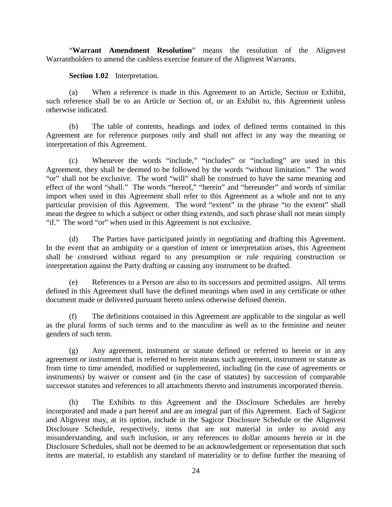"**Warrant Amendment Resolution**" means the resolution of the Alignvest Warrantholders to amend the cashless exercise feature of the Alignvest Warrants.

**Section 1.02** Interpretation.

<span id="page-28-0"></span>(a) When a reference is made in this Agreement to an Article, Section or Exhibit, such reference shall be to an Article or Section of, or an Exhibit to, this Agreement unless otherwise indicated.

(b) The table of contents, headings and index of defined terms contained in this Agreement are for reference purposes only and shall not affect in any way the meaning or interpretation of this Agreement.

(c) Whenever the words "include," "includes" or "including" are used in this Agreement, they shall be deemed to be followed by the words "without limitation." The word "or" shall not be exclusive. The word "will" shall be construed to have the same meaning and effect of the word "shall." The words "hereof," "herein" and "hereunder" and words of similar import when used in this Agreement shall refer to this Agreement as a whole and not to any particular provision of this Agreement. The word "extent" in the phrase "to the extent" shall mean the degree to which a subject or other thing extends, and such phrase shall not mean simply "if." The word "or" when used in this Agreement is not exclusive.

(d) The Parties have participated jointly in negotiating and drafting this Agreement. In the event that an ambiguity or a question of intent or interpretation arises, this Agreement shall be construed without regard to any presumption or rule requiring construction or interpretation against the Party drafting or causing any instrument to be drafted.

(e) References to a Person are also to its successors and permitted assigns. All terms defined in this Agreement shall have the defined meanings when used in any certificate or other document made or delivered pursuant hereto unless otherwise defined therein.

(f) The definitions contained in this Agreement are applicable to the singular as well as the plural forms of such terms and to the masculine as well as to the feminine and neuter genders of such term.

(g) Any agreement, instrument or statute defined or referred to herein or in any agreement or instrument that is referred to herein means such agreement, instrument or statute as from time to time amended, modified or supplemented, including (in the case of agreements or instruments) by waiver or consent and (in the case of statutes) by succession of comparable successor statutes and references to all attachments thereto and instruments incorporated therein.

(h) The Exhibits to this Agreement and the Disclosure Schedules are hereby incorporated and made a part hereof and are an integral part of this Agreement. Each of Sagicor and Alignvest may, at its option, include in the Sagicor Disclosure Schedule or the Alignvest Disclosure Schedule, respectively, items that are not material in order to avoid any misunderstanding, and such inclusion, or any references to dollar amounts herein or in the Disclosure Schedules, shall not be deemed to be an acknowledgement or representation that such items are material, to establish any standard of materiality or to define further the meaning of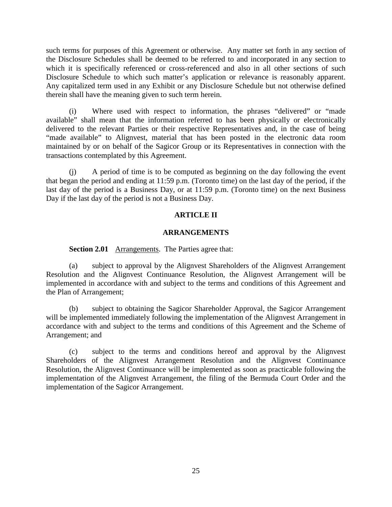such terms for purposes of this Agreement or otherwise. Any matter set forth in any section of the Disclosure Schedules shall be deemed to be referred to and incorporated in any section to which it is specifically referenced or cross-referenced and also in all other sections of such Disclosure Schedule to which such matter's application or relevance is reasonably apparent. Any capitalized term used in any Exhibit or any Disclosure Schedule but not otherwise defined therein shall have the meaning given to such term herein.

(i) Where used with respect to information, the phrases "delivered" or "made available" shall mean that the information referred to has been physically or electronically delivered to the relevant Parties or their respective Representatives and, in the case of being "made available" to Alignvest, material that has been posted in the electronic data room maintained by or on behalf of the Sagicor Group or its Representatives in connection with the transactions contemplated by this Agreement.

(j) A period of time is to be computed as beginning on the day following the event that began the period and ending at 11:59 p.m. (Toronto time) on the last day of the period, if the last day of the period is a Business Day, or at 11:59 p.m. (Toronto time) on the next Business Day if the last day of the period is not a Business Day.

# **ARTICLE II**

## **ARRANGEMENTS**

<span id="page-29-0"></span>**Section 2.01** Arrangements. The Parties agree that:

<span id="page-29-1"></span>(a) subject to approval by the Alignvest Shareholders of the Alignvest Arrangement Resolution and the Alignvest Continuance Resolution, the Alignvest Arrangement will be implemented in accordance with and subject to the terms and conditions of this Agreement and the Plan of Arrangement;

(b) subject to obtaining the Sagicor Shareholder Approval, the Sagicor Arrangement will be implemented immediately following the implementation of the Alignvest Arrangement in accordance with and subject to the terms and conditions of this Agreement and the Scheme of Arrangement; and

(c) subject to the terms and conditions hereof and approval by the Alignvest Shareholders of the Alignvest Arrangement Resolution and the Alignvest Continuance Resolution, the Alignvest Continuance will be implemented as soon as practicable following the implementation of the Alignvest Arrangement, the filing of the Bermuda Court Order and the implementation of the Sagicor Arrangement.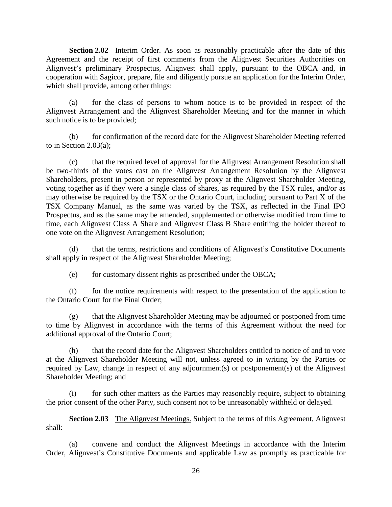<span id="page-30-0"></span>**Section 2.02** Interim Order. As soon as reasonably practicable after the date of this Agreement and the receipt of first comments from the Alignvest Securities Authorities on Alignvest's preliminary Prospectus, Alignvest shall apply, pursuant to the OBCA and, in cooperation with Sagicor, prepare, file and diligently pursue an application for the Interim Order, which shall provide, among other things:

(a) for the class of persons to whom notice is to be provided in respect of the Alignvest Arrangement and the Alignvest Shareholder Meeting and for the manner in which such notice is to be provided;

(b) for confirmation of the record date for the Alignvest Shareholder Meeting referred to in [Section 2.03\(a\);](#page-30-2)

(c) that the required level of approval for the Alignvest Arrangement Resolution shall be two-thirds of the votes cast on the Alignvest Arrangement Resolution by the Alignvest Shareholders, present in person or represented by proxy at the Alignvest Shareholder Meeting, voting together as if they were a single class of shares, as required by the TSX rules, and/or as may otherwise be required by the TSX or the Ontario Court, including pursuant to Part X of the TSX Company Manual, as the same was varied by the TSX, as reflected in the Final IPO Prospectus, and as the same may be amended, supplemented or otherwise modified from time to time, each Alignvest Class A Share and Alignvest Class B Share entitling the holder thereof to one vote on the Alignvest Arrangement Resolution;

(d) that the terms, restrictions and conditions of Alignvest's Constitutive Documents shall apply in respect of the Alignvest Shareholder Meeting;

(e) for customary dissent rights as prescribed under the OBCA;

(f) for the notice requirements with respect to the presentation of the application to the Ontario Court for the Final Order;

(g) that the Alignvest Shareholder Meeting may be adjourned or postponed from time to time by Alignvest in accordance with the terms of this Agreement without the need for additional approval of the Ontario Court;

(h) that the record date for the Alignvest Shareholders entitled to notice of and to vote at the Alignvest Shareholder Meeting will not, unless agreed to in writing by the Parties or required by Law, change in respect of any adjournment(s) or postponement(s) of the Alignvest Shareholder Meeting; and

(i) for such other matters as the Parties may reasonably require, subject to obtaining the prior consent of the other Party, such consent not to be unreasonably withheld or delayed.

<span id="page-30-1"></span>**Section 2.03** The Alignvest Meetings. Subject to the terms of this Agreement, Alignvest shall:

<span id="page-30-2"></span>(a) convene and conduct the Alignvest Meetings in accordance with the Interim Order, Alignvest's Constitutive Documents and applicable Law as promptly as practicable for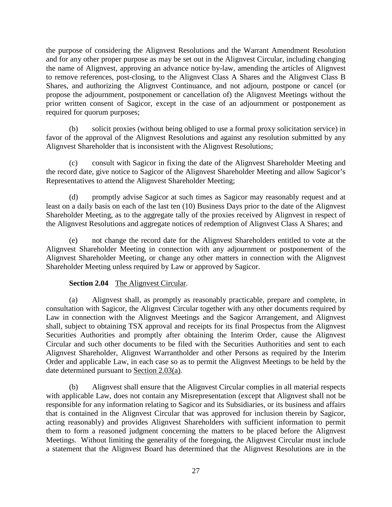the purpose of considering the Alignvest Resolutions and the Warrant Amendment Resolution and for any other proper purpose as may be set out in the Alignvest Circular, including changing the name of Alignvest, approving an advance notice by-law, amending the articles of Alignvest to remove references, post-closing, to the Alignvest Class A Shares and the Alignvest Class B Shares, and authorizing the Alignvest Continuance, and not adjourn, postpone or cancel (or propose the adjournment, postponement or cancellation of) the Alignvest Meetings without the prior written consent of Sagicor, except in the case of an adjournment or postponement as required for quorum purposes;

(b) solicit proxies (without being obliged to use a formal proxy solicitation service) in favor of the approval of the Alignvest Resolutions and against any resolution submitted by any Alignvest Shareholder that is inconsistent with the Alignvest Resolutions;

(c) consult with Sagicor in fixing the date of the Alignvest Shareholder Meeting and the record date, give notice to Sagicor of the Alignvest Shareholder Meeting and allow Sagicor's Representatives to attend the Alignvest Shareholder Meeting;

(d) promptly advise Sagicor at such times as Sagicor may reasonably request and at least on a daily basis on each of the last ten (10) Business Days prior to the date of the Alignvest Shareholder Meeting, as to the aggregate tally of the proxies received by Alignvest in respect of the Alignvest Resolutions and aggregate notices of redemption of Alignvest Class A Shares; and

(e) not change the record date for the Alignvest Shareholders entitled to vote at the Alignvest Shareholder Meeting in connection with any adjournment or postponement of the Alignvest Shareholder Meeting, or change any other matters in connection with the Alignvest Shareholder Meeting unless required by Law or approved by Sagicor.

# **Section 2.04** The Alignvest Circular.

<span id="page-31-0"></span>(a) Alignvest shall, as promptly as reasonably practicable, prepare and complete, in consultation with Sagicor, the Alignvest Circular together with any other documents required by Law in connection with the Alignvest Meetings and the Sagicor Arrangement, and Alignvest shall, subject to obtaining TSX approval and receipts for its final Prospectus from the Alignvest Securities Authorities and promptly after obtaining the Interim Order, cause the Alignvest Circular and such other documents to be filed with the Securities Authorities and sent to each Alignvest Shareholder, Alignvest Warrantholder and other Persons as required by the Interim Order and applicable Law, in each case so as to permit the Alignvest Meetings to be held by the date determined pursuant to [Section 2.03\(a\).](#page-30-2)

<span id="page-31-1"></span>(b) Alignvest shall ensure that the Alignvest Circular complies in all material respects with applicable Law, does not contain any Misrepresentation (except that Alignvest shall not be responsible for any information relating to Sagicor and its Subsidiaries, or its business and affairs that is contained in the Alignvest Circular that was approved for inclusion therein by Sagicor, acting reasonably) and provides Alignvest Shareholders with sufficient information to permit them to form a reasoned judgment concerning the matters to be placed before the Alignvest Meetings. Without limiting the generality of the foregoing, the Alignvest Circular must include a statement that the Alignvest Board has determined that the Alignvest Resolutions are in the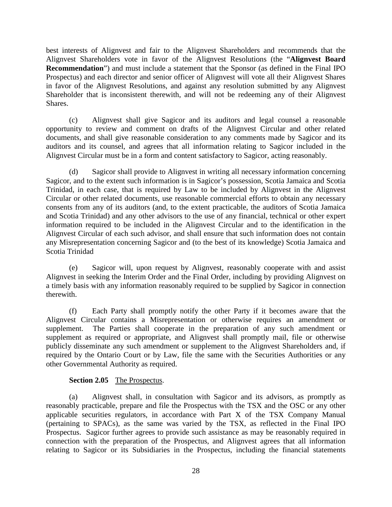best interests of Alignvest and fair to the Alignvest Shareholders and recommends that the Alignvest Shareholders vote in favor of the Alignvest Resolutions (the "**Alignvest Board Recommendation**") and must include a statement that the Sponsor (as defined in the Final IPO Prospectus) and each director and senior officer of Alignvest will vote all their Alignvest Shares in favor of the Alignvest Resolutions, and against any resolution submitted by any Alignvest Shareholder that is inconsistent therewith, and will not be redeeming any of their Alignvest Shares.

(c) Alignvest shall give Sagicor and its auditors and legal counsel a reasonable opportunity to review and comment on drafts of the Alignvest Circular and other related documents, and shall give reasonable consideration to any comments made by Sagicor and its auditors and its counsel, and agrees that all information relating to Sagicor included in the Alignvest Circular must be in a form and content satisfactory to Sagicor, acting reasonably.

(d) Sagicor shall provide to Alignvest in writing all necessary information concerning Sagicor, and to the extent such information is in Sagicor's possession, Scotia Jamaica and Scotia Trinidad, in each case, that is required by Law to be included by Alignvest in the Alignvest Circular or other related documents, use reasonable commercial efforts to obtain any necessary consents from any of its auditors (and, to the extent practicable, the auditors of Scotia Jamaica and Scotia Trinidad) and any other advisors to the use of any financial, technical or other expert information required to be included in the Alignvest Circular and to the identification in the Alignvest Circular of each such advisor, and shall ensure that such information does not contain any Misrepresentation concerning Sagicor and (to the best of its knowledge) Scotia Jamaica and Scotia Trinidad

(e) Sagicor will, upon request by Alignvest, reasonably cooperate with and assist Alignvest in seeking the Interim Order and the Final Order, including by providing Alignvest on a timely basis with any information reasonably required to be supplied by Sagicor in connection therewith.

(f) Each Party shall promptly notify the other Party if it becomes aware that the Alignvest Circular contains a Misrepresentation or otherwise requires an amendment or supplement. The Parties shall cooperate in the preparation of any such amendment or supplement as required or appropriate, and Alignvest shall promptly mail, file or otherwise publicly disseminate any such amendment or supplement to the Alignvest Shareholders and, if required by the Ontario Court or by Law, file the same with the Securities Authorities or any other Governmental Authority as required.

## **Section 2.05** The Prospectus.

<span id="page-32-0"></span>(a) Alignvest shall, in consultation with Sagicor and its advisors, as promptly as reasonably practicable, prepare and file the Prospectus with the TSX and the OSC or any other applicable securities regulators, in accordance with Part X of the TSX Company Manual (pertaining to SPACs), as the same was varied by the TSX, as reflected in the Final IPO Prospectus. Sagicor further agrees to provide such assistance as may be reasonably required in connection with the preparation of the Prospectus, and Alignvest agrees that all information relating to Sagicor or its Subsidiaries in the Prospectus, including the financial statements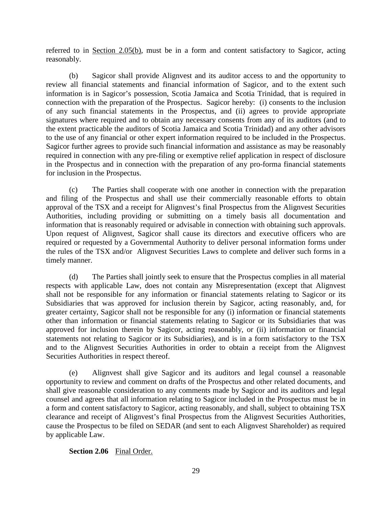referred to in [Section 2.05\(b\),](#page-33-1) must be in a form and content satisfactory to Sagicor, acting reasonably.

<span id="page-33-1"></span>(b) Sagicor shall provide Alignvest and its auditor access to and the opportunity to review all financial statements and financial information of Sagicor, and to the extent such information is in Sagicor's possession, Scotia Jamaica and Scotia Trinidad, that is required in connection with the preparation of the Prospectus. Sagicor hereby: (i) consents to the inclusion of any such financial statements in the Prospectus, and (ii) agrees to provide appropriate signatures where required and to obtain any necessary consents from any of its auditors (and to the extent practicable the auditors of Scotia Jamaica and Scotia Trinidad) and any other advisors to the use of any financial or other expert information required to be included in the Prospectus. Sagicor further agrees to provide such financial information and assistance as may be reasonably required in connection with any pre-filing or exemptive relief application in respect of disclosure in the Prospectus and in connection with the preparation of any pro-forma financial statements for inclusion in the Prospectus.

(c) The Parties shall cooperate with one another in connection with the preparation and filing of the Prospectus and shall use their commercially reasonable efforts to obtain approval of the TSX and a receipt for Alignvest's final Prospectus from the Alignvest Securities Authorities, including providing or submitting on a timely basis all documentation and information that is reasonably required or advisable in connection with obtaining such approvals. Upon request of Alignvest, Sagicor shall cause its directors and executive officers who are required or requested by a Governmental Authority to deliver personal information forms under the rules of the TSX and/or Alignvest Securities Laws to complete and deliver such forms in a timely manner.

(d) The Parties shall jointly seek to ensure that the Prospectus complies in all material respects with applicable Law, does not contain any Misrepresentation (except that Alignvest shall not be responsible for any information or financial statements relating to Sagicor or its Subsidiaries that was approved for inclusion therein by Sagicor, acting reasonably, and, for greater certainty, Sagicor shall not be responsible for any (i) information or financial statements other than information or financial statements relating to Sagicor or its Subsidiaries that was approved for inclusion therein by Sagicor, acting reasonably, or (ii) information or financial statements not relating to Sagicor or its Subsidiaries), and is in a form satisfactory to the TSX and to the Alignvest Securities Authorities in order to obtain a receipt from the Alignvest Securities Authorities in respect thereof.

(e) Alignvest shall give Sagicor and its auditors and legal counsel a reasonable opportunity to review and comment on drafts of the Prospectus and other related documents, and shall give reasonable consideration to any comments made by Sagicor and its auditors and legal counsel and agrees that all information relating to Sagicor included in the Prospectus must be in a form and content satisfactory to Sagicor, acting reasonably, and shall, subject to obtaining TSX clearance and receipt of Alignvest's final Prospectus from the Alignvest Securities Authorities, cause the Prospectus to be filed on SEDAR (and sent to each Alignvest Shareholder) as required by applicable Law.

## <span id="page-33-0"></span>**Section 2.06** Final Order.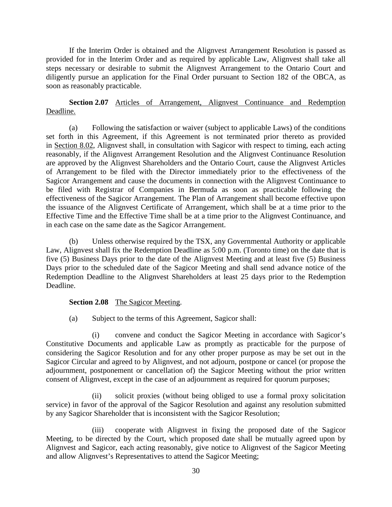If the Interim Order is obtained and the Alignvest Arrangement Resolution is passed as provided for in the Interim Order and as required by applicable Law, Alignvest shall take all steps necessary or desirable to submit the Alignvest Arrangement to the Ontario Court and diligently pursue an application for the Final Order pursuant to Section 182 of the OBCA, as soon as reasonably practicable.

# <span id="page-34-0"></span>**Section 2.07** Articles of Arrangement, Alignvest Continuance and Redemption Deadline.

(a) Following the satisfaction or waiver (subject to applicable Laws) of the conditions set forth in this Agreement, if this Agreement is not terminated prior thereto as provided in [Section 8.02,](#page-94-2) Alignvest shall, in consultation with Sagicor with respect to timing, each acting reasonably, if the Alignvest Arrangement Resolution and the Alignvest Continuance Resolution are approved by the Alignvest Shareholders and the Ontario Court, cause the Alignvest Articles of Arrangement to be filed with the Director immediately prior to the effectiveness of the Sagicor Arrangement and cause the documents in connection with the Alignvest Continuance to be filed with Registrar of Companies in Bermuda as soon as practicable following the effectiveness of the Sagicor Arrangement. The Plan of Arrangement shall become effective upon the issuance of the Alignvest Certificate of Arrangement, which shall be at a time prior to the Effective Time and the Effective Time shall be at a time prior to the Alignvest Continuance, and in each case on the same date as the Sagicor Arrangement.

(b) Unless otherwise required by the TSX, any Governmental Authority or applicable Law, Alignvest shall fix the Redemption Deadline as 5:00 p.m. (Toronto time) on the date that is five (5) Business Days prior to the date of the Alignvest Meeting and at least five (5) Business Days prior to the scheduled date of the Sagicor Meeting and shall send advance notice of the Redemption Deadline to the Alignvest Shareholders at least 25 days prior to the Redemption Deadline.

## <span id="page-34-1"></span>**Section 2.08** The Sagicor Meeting.

(a) Subject to the terms of this Agreement, Sagicor shall:

<span id="page-34-2"></span>(i) convene and conduct the Sagicor Meeting in accordance with Sagicor's Constitutive Documents and applicable Law as promptly as practicable for the purpose of considering the Sagicor Resolution and for any other proper purpose as may be set out in the Sagicor Circular and agreed to by Alignvest, and not adjourn, postpone or cancel (or propose the adjournment, postponement or cancellation of) the Sagicor Meeting without the prior written consent of Alignvest, except in the case of an adjournment as required for quorum purposes;

(ii) solicit proxies (without being obliged to use a formal proxy solicitation service) in favor of the approval of the Sagicor Resolution and against any resolution submitted by any Sagicor Shareholder that is inconsistent with the Sagicor Resolution;

(iii) cooperate with Alignvest in fixing the proposed date of the Sagicor Meeting, to be directed by the Court, which proposed date shall be mutually agreed upon by Alignvest and Sagicor, each acting reasonably, give notice to Alignvest of the Sagicor Meeting and allow Alignvest's Representatives to attend the Sagicor Meeting;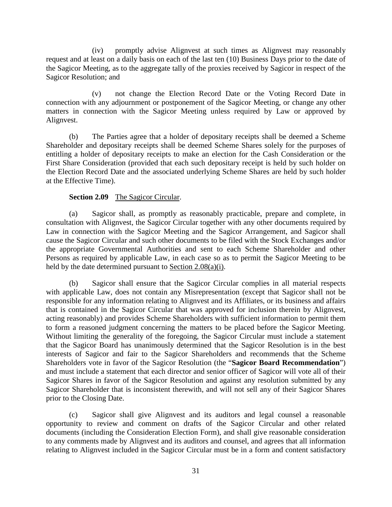(iv) promptly advise Alignvest at such times as Alignvest may reasonably request and at least on a daily basis on each of the last ten (10) Business Days prior to the date of the Sagicor Meeting, as to the aggregate tally of the proxies received by Sagicor in respect of the Sagicor Resolution; and

(v) not change the Election Record Date or the Voting Record Date in connection with any adjournment or postponement of the Sagicor Meeting, or change any other matters in connection with the Sagicor Meeting unless required by Law or approved by Alignvest.

(b) The Parties agree that a holder of depositary receipts shall be deemed a Scheme Shareholder and depositary receipts shall be deemed Scheme Shares solely for the purposes of entitling a holder of depositary receipts to make an election for the Cash Consideration or the First Share Consideration (provided that each such depositary receipt is held by such holder on the Election Record Date and the associated underlying Scheme Shares are held by such holder at the Effective Time).

## **Section 2.09** The Sagicor Circular.

<span id="page-35-0"></span>(a) Sagicor shall, as promptly as reasonably practicable, prepare and complete, in consultation with Alignvest, the Sagicor Circular together with any other documents required by Law in connection with the Sagicor Meeting and the Sagicor Arrangement, and Sagicor shall cause the Sagicor Circular and such other documents to be filed with the Stock Exchanges and/or the appropriate Governmental Authorities and sent to each Scheme Shareholder and other Persons as required by applicable Law, in each case so as to permit the Sagicor Meeting to be held by the date determined pursuant to [Section 2.08\(a\)\(i\).](#page-34-2)

<span id="page-35-2"></span>(b) Sagicor shall ensure that the Sagicor Circular complies in all material respects with applicable Law, does not contain any Misrepresentation (except that Sagicor shall not be responsible for any information relating to Alignvest and its Affiliates, or its business and affairs that is contained in the Sagicor Circular that was approved for inclusion therein by Alignvest, acting reasonably) and provides Scheme Shareholders with sufficient information to permit them to form a reasoned judgment concerning the matters to be placed before the Sagicor Meeting. Without limiting the generality of the foregoing, the Sagicor Circular must include a statement that the Sagicor Board has unanimously determined that the Sagicor Resolution is in the best interests of Sagicor and fair to the Sagicor Shareholders and recommends that the Scheme Shareholders vote in favor of the Sagicor Resolution (the "**Sagicor Board Recommendation**") and must include a statement that each director and senior officer of Sagicor will vote all of their Sagicor Shares in favor of the Sagicor Resolution and against any resolution submitted by any Sagicor Shareholder that is inconsistent therewith, and will not sell any of their Sagicor Shares prior to the Closing Date.

<span id="page-35-1"></span>(c) Sagicor shall give Alignvest and its auditors and legal counsel a reasonable opportunity to review and comment on drafts of the Sagicor Circular and other related documents (including the Consideration Election Form), and shall give reasonable consideration to any comments made by Alignvest and its auditors and counsel, and agrees that all information relating to Alignvest included in the Sagicor Circular must be in a form and content satisfactory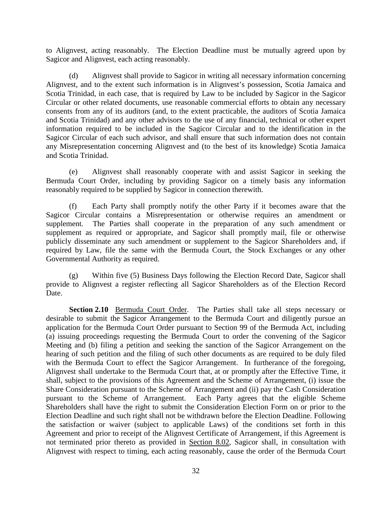to Alignvest, acting reasonably. The Election Deadline must be mutually agreed upon by Sagicor and Alignvest, each acting reasonably.

(d) Alignvest shall provide to Sagicor in writing all necessary information concerning Alignvest, and to the extent such information is in Alignvest's possession, Scotia Jamaica and Scotia Trinidad, in each case, that is required by Law to be included by Sagicor in the Sagicor Circular or other related documents, use reasonable commercial efforts to obtain any necessary consents from any of its auditors (and, to the extent practicable, the auditors of Scotia Jamaica and Scotia Trinidad) and any other advisors to the use of any financial, technical or other expert information required to be included in the Sagicor Circular and to the identification in the Sagicor Circular of each such advisor, and shall ensure that such information does not contain any Misrepresentation concerning Alignvest and (to the best of its knowledge) Scotia Jamaica and Scotia Trinidad.

(e) Alignvest shall reasonably cooperate with and assist Sagicor in seeking the Bermuda Court Order, including by providing Sagicor on a timely basis any information reasonably required to be supplied by Sagicor in connection therewith.

(f) Each Party shall promptly notify the other Party if it becomes aware that the Sagicor Circular contains a Misrepresentation or otherwise requires an amendment or supplement. The Parties shall cooperate in the preparation of any such amendment or supplement as required or appropriate, and Sagicor shall promptly mail, file or otherwise publicly disseminate any such amendment or supplement to the Sagicor Shareholders and, if required by Law, file the same with the Bermuda Court, the Stock Exchanges or any other Governmental Authority as required.

(g) Within five (5) Business Days following the Election Record Date, Sagicor shall provide to Alignvest a register reflecting all Sagicor Shareholders as of the Election Record Date.

**Section 2.10** Bermuda Court Order. The Parties shall take all steps necessary or desirable to submit the Sagicor Arrangement to the Bermuda Court and diligently pursue an application for the Bermuda Court Order pursuant to Section 99 of the Bermuda Act, including (a) issuing proceedings requesting the Bermuda Court to order the convening of the Sagicor Meeting and (b) filing a petition and seeking the sanction of the Sagicor Arrangement on the hearing of such petition and the filing of such other documents as are required to be duly filed with the Bermuda Court to effect the Sagicor Arrangement. In furtherance of the foregoing, Alignvest shall undertake to the Bermuda Court that, at or promptly after the Effective Time, it shall, subject to the provisions of this Agreement and the Scheme of Arrangement, (i) issue the Share Consideration pursuant to the Scheme of Arrangement and (ii) pay the Cash Consideration pursuant to the Scheme of Arrangement. Each Party agrees that the eligible Scheme Shareholders shall have the right to submit the Consideration Election Form on or prior to the Election Deadline and such right shall not be withdrawn before the Election Deadline. Following the satisfaction or waiver (subject to applicable Laws) of the conditions set forth in this Agreement and prior to receipt of the Alignvest Certificate of Arrangement, if this Agreement is not terminated prior thereto as provided in [Section 8.02,](#page-94-0) Sagicor shall, in consultation with Alignvest with respect to timing, each acting reasonably, cause the order of the Bermuda Court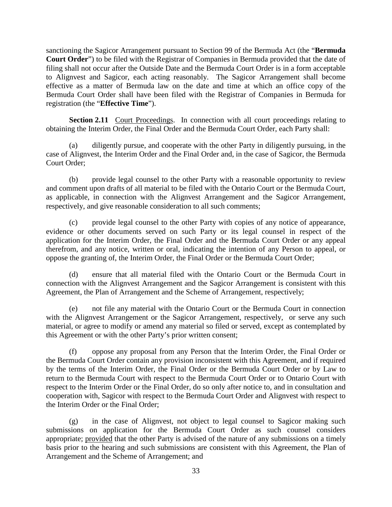sanctioning the Sagicor Arrangement pursuant to Section 99 of the Bermuda Act (the "**Bermuda Court Order**") to be filed with the Registrar of Companies in Bermuda provided that the date of filing shall not occur after the Outside Date and the Bermuda Court Order is in a form acceptable to Alignvest and Sagicor, each acting reasonably. The Sagicor Arrangement shall become effective as a matter of Bermuda law on the date and time at which an office copy of the Bermuda Court Order shall have been filed with the Registrar of Companies in Bermuda for registration (the "**Effective Time**").

**Section 2.11** Court Proceedings. In connection with all court proceedings relating to obtaining the Interim Order, the Final Order and the Bermuda Court Order, each Party shall:

(a) diligently pursue, and cooperate with the other Party in diligently pursuing, in the case of Alignvest, the Interim Order and the Final Order and, in the case of Sagicor, the Bermuda Court Order;

(b) provide legal counsel to the other Party with a reasonable opportunity to review and comment upon drafts of all material to be filed with the Ontario Court or the Bermuda Court, as applicable, in connection with the Alignvest Arrangement and the Sagicor Arrangement, respectively, and give reasonable consideration to all such comments;

(c) provide legal counsel to the other Party with copies of any notice of appearance, evidence or other documents served on such Party or its legal counsel in respect of the application for the Interim Order, the Final Order and the Bermuda Court Order or any appeal therefrom, and any notice, written or oral, indicating the intention of any Person to appeal, or oppose the granting of, the Interim Order, the Final Order or the Bermuda Court Order;

(d) ensure that all material filed with the Ontario Court or the Bermuda Court in connection with the Alignvest Arrangement and the Sagicor Arrangement is consistent with this Agreement, the Plan of Arrangement and the Scheme of Arrangement, respectively;

(e) not file any material with the Ontario Court or the Bermuda Court in connection with the Alignvest Arrangement or the Sagicor Arrangement, respectively, or serve any such material, or agree to modify or amend any material so filed or served, except as contemplated by this Agreement or with the other Party's prior written consent;

(f) oppose any proposal from any Person that the Interim Order, the Final Order or the Bermuda Court Order contain any provision inconsistent with this Agreement, and if required by the terms of the Interim Order, the Final Order or the Bermuda Court Order or by Law to return to the Bermuda Court with respect to the Bermuda Court Order or to Ontario Court with respect to the Interim Order or the Final Order, do so only after notice to, and in consultation and cooperation with, Sagicor with respect to the Bermuda Court Order and Alignvest with respect to the Interim Order or the Final Order;

(g) in the case of Alignvest, not object to legal counsel to Sagicor making such submissions on application for the Bermuda Court Order as such counsel considers appropriate; provided that the other Party is advised of the nature of any submissions on a timely basis prior to the hearing and such submissions are consistent with this Agreement, the Plan of Arrangement and the Scheme of Arrangement; and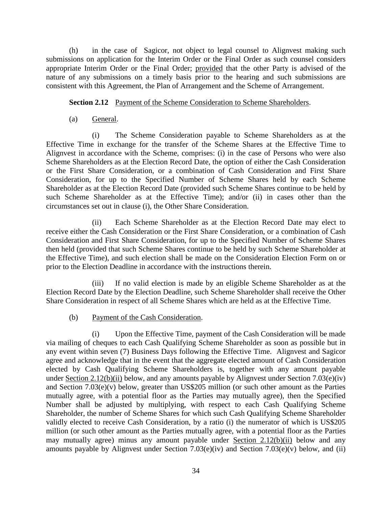(h) in the case of Sagicor, not object to legal counsel to Alignvest making such submissions on application for the Interim Order or the Final Order as such counsel considers appropriate Interim Order or the Final Order; provided that the other Party is advised of the nature of any submissions on a timely basis prior to the hearing and such submissions are consistent with this Agreement, the Plan of Arrangement and the Scheme of Arrangement.

### **Section 2.12** Payment of the Scheme Consideration to Scheme Shareholders.

(a) General.

(i) The Scheme Consideration payable to Scheme Shareholders as at the Effective Time in exchange for the transfer of the Scheme Shares at the Effective Time to Alignvest in accordance with the Scheme, comprises: (i) in the case of Persons who were also Scheme Shareholders as at the Election Record Date, the option of either the Cash Consideration or the First Share Consideration, or a combination of Cash Consideration and First Share Consideration, for up to the Specified Number of Scheme Shares held by each Scheme Shareholder as at the Election Record Date (provided such Scheme Shares continue to be held by such Scheme Shareholder as at the Effective Time); and/or (ii) in cases other than the circumstances set out in clause (i), the Other Share Consideration.

(ii) Each Scheme Shareholder as at the Election Record Date may elect to receive either the Cash Consideration or the First Share Consideration, or a combination of Cash Consideration and First Share Consideration, for up to the Specified Number of Scheme Shares then held (provided that such Scheme Shares continue to be held by such Scheme Shareholder at the Effective Time), and such election shall be made on the Consideration Election Form on or prior to the Election Deadline in accordance with the instructions therein.

(iii) If no valid election is made by an eligible Scheme Shareholder as at the Election Record Date by the Election Deadline, such Scheme Shareholder shall receive the Other Share Consideration in respect of all Scheme Shares which are held as at the Effective Time.

(b) Payment of the Cash Consideration.

(i) Upon the Effective Time, payment of the Cash Consideration will be made via mailing of cheques to each Cash Qualifying Scheme Shareholder as soon as possible but in any event within seven (7) Business Days following the Effective Time. Alignvest and Sagicor agree and acknowledge that in the event that the aggregate elected amount of Cash Consideration elected by Cash Qualifying Scheme Shareholders is, together with any amount payable under [Section 2.12\(b\)\(ii\)](#page-39-0) below, and any amounts payable by Alignvest under [Section 7.03\(e\)\(](#page-92-0)iv) and [Section 7.03\(e\)\(](#page-92-0)v) below, greater than US\$205 million (or such other amount as the Parties mutually agree, with a potential floor as the Parties may mutually agree), then the Specified Number shall be adjusted by multiplying, with respect to each Cash Qualifying Scheme Shareholder, the number of Scheme Shares for which such Cash Qualifying Scheme Shareholder validly elected to receive Cash Consideration, by a ratio (i) the numerator of which is US\$205 million (or such other amount as the Parties mutually agree, with a potential floor as the Parties may mutually agree) minus any amount payable under [Section 2.12\(b\)\(ii\)](#page-39-0) below and any amounts payable by Alignvest under [Section 7.03\(e\)\(](#page-92-0)iv) and [Section 7.03\(e\)\(](#page-92-0)v) below, and (ii)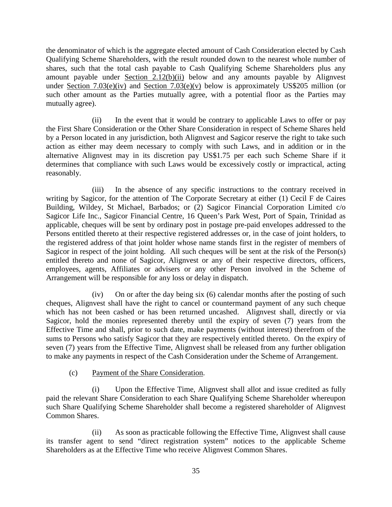the denominator of which is the aggregate elected amount of Cash Consideration elected by Cash Qualifying Scheme Shareholders, with the result rounded down to the nearest whole number of shares, such that the total cash payable to Cash Qualifying Scheme Shareholders plus any amount payable under [Section 2.12\(b\)\(ii\)](#page-39-0) below and any amounts payable by Alignvest under [Section 7.03\(e\)\(](#page-92-0)iv) and [Section 7.03\(e\)\(](#page-92-0)v) below is approximately US\$205 million (or such other amount as the Parties mutually agree, with a potential floor as the Parties may mutually agree).

<span id="page-39-0"></span>(ii) In the event that it would be contrary to applicable Laws to offer or pay the First Share Consideration or the Other Share Consideration in respect of Scheme Shares held by a Person located in any jurisdiction, both Alignvest and Sagicor reserve the right to take such action as either may deem necessary to comply with such Laws, and in addition or in the alternative Alignvest may in its discretion pay US\$1.75 per each such Scheme Share if it determines that compliance with such Laws would be excessively costly or impractical, acting reasonably.

(iii) In the absence of any specific instructions to the contrary received in writing by Sagicor, for the attention of The Corporate Secretary at either (1) Cecil F de Caires Building, Wildey, St Michael, Barbados; or (2) Sagicor Financial Corporation Limited c/o Sagicor Life Inc., Sagicor Financial Centre, 16 Queen's Park West, Port of Spain, Trinidad as applicable, cheques will be sent by ordinary post in postage pre-paid envelopes addressed to the Persons entitled thereto at their respective registered addresses or, in the case of joint holders, to the registered address of that joint holder whose name stands first in the register of members of Sagicor in respect of the joint holding. All such cheques will be sent at the risk of the Person(s) entitled thereto and none of Sagicor, Alignvest or any of their respective directors, officers, employees, agents, Affiliates or advisers or any other Person involved in the Scheme of Arrangement will be responsible for any loss or delay in dispatch.

(iv) On or after the day being six (6) calendar months after the posting of such cheques, Alignvest shall have the right to cancel or countermand payment of any such cheque which has not been cashed or has been returned uncashed. Alignvest shall, directly or via Sagicor, hold the monies represented thereby until the expiry of seven (7) years from the Effective Time and shall, prior to such date, make payments (without interest) therefrom of the sums to Persons who satisfy Sagicor that they are respectively entitled thereto. On the expiry of seven (7) years from the Effective Time, Alignvest shall be released from any further obligation to make any payments in respect of the Cash Consideration under the Scheme of Arrangement.

(c) Payment of the Share Consideration.

(i) Upon the Effective Time, Alignvest shall allot and issue credited as fully paid the relevant Share Consideration to each Share Qualifying Scheme Shareholder whereupon such Share Qualifying Scheme Shareholder shall become a registered shareholder of Alignvest Common Shares.

(ii) As soon as practicable following the Effective Time, Alignvest shall cause its transfer agent to send "direct registration system" notices to the applicable Scheme Shareholders as at the Effective Time who receive Alignvest Common Shares.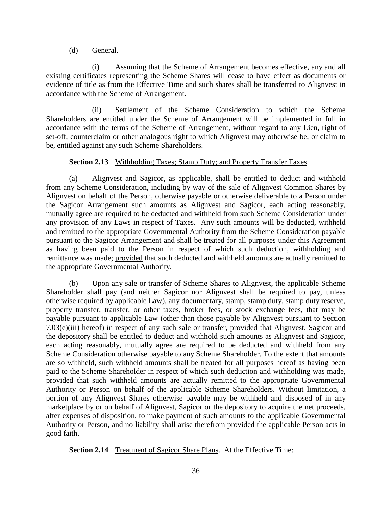### (d) General.

(i) Assuming that the Scheme of Arrangement becomes effective, any and all existing certificates representing the Scheme Shares will cease to have effect as documents or evidence of title as from the Effective Time and such shares shall be transferred to Alignvest in accordance with the Scheme of Arrangement.

(ii) Settlement of the Scheme Consideration to which the Scheme Shareholders are entitled under the Scheme of Arrangement will be implemented in full in accordance with the terms of the Scheme of Arrangement, without regard to any Lien, right of set-off, counterclaim or other analogous right to which Alignvest may otherwise be, or claim to be, entitled against any such Scheme Shareholders.

# **Section 2.13** Withholding Taxes; Stamp Duty; and Property Transfer Taxes.

(a) Alignvest and Sagicor, as applicable, shall be entitled to deduct and withhold from any Scheme Consideration, including by way of the sale of Alignvest Common Shares by Alignvest on behalf of the Person, otherwise payable or otherwise deliverable to a Person under the Sagicor Arrangement such amounts as Alignvest and Sagicor, each acting reasonably, mutually agree are required to be deducted and withheld from such Scheme Consideration under any provision of any Laws in respect of Taxes. Any such amounts will be deducted, withheld and remitted to the appropriate Governmental Authority from the Scheme Consideration payable pursuant to the Sagicor Arrangement and shall be treated for all purposes under this Agreement as having been paid to the Person in respect of which such deduction, withholding and remittance was made; provided that such deducted and withheld amounts are actually remitted to the appropriate Governmental Authority.

(b) Upon any sale or transfer of Scheme Shares to Alignvest, the applicable Scheme Shareholder shall pay (and neither Sagicor nor Alignvest shall be required to pay, unless otherwise required by applicable Law), any documentary, stamp, stamp duty, stamp duty reserve, property transfer, transfer, or other taxes, broker fees, or stock exchange fees, that may be payable pursuant to applicable Law (other than those payable by Alignvest pursuant to [Section](#page-92-0)  [7.03\(e\)\(](#page-92-0)iii) hereof) in respect of any such sale or transfer, provided that Alignvest, Sagicor and the depository shall be entitled to deduct and withhold such amounts as Alignvest and Sagicor, each acting reasonably, mutually agree are required to be deducted and withheld from any Scheme Consideration otherwise payable to any Scheme Shareholder. To the extent that amounts are so withheld, such withheld amounts shall be treated for all purposes hereof as having been paid to the Scheme Shareholder in respect of which such deduction and withholding was made, provided that such withheld amounts are actually remitted to the appropriate Governmental Authority or Person on behalf of the applicable Scheme Shareholders. Without limitation, a portion of any Alignvest Shares otherwise payable may be withheld and disposed of in any marketplace by or on behalf of Alignvest, Sagicor or the depository to acquire the net proceeds, after expenses of disposition, to make payment of such amounts to the applicable Governmental Authority or Person, and no liability shall arise therefrom provided the applicable Person acts in good faith.

<span id="page-40-0"></span>**Section 2.14** Treatment of Sagicor Share Plans. At the Effective Time: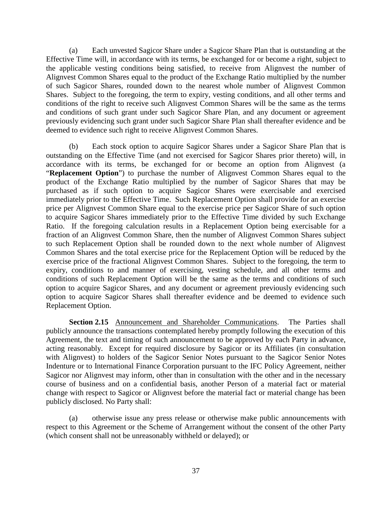(a) Each unvested Sagicor Share under a Sagicor Share Plan that is outstanding at the Effective Time will, in accordance with its terms, be exchanged for or become a right, subject to the applicable vesting conditions being satisfied, to receive from Alignvest the number of Alignvest Common Shares equal to the product of the Exchange Ratio multiplied by the number of such Sagicor Shares, rounded down to the nearest whole number of Alignvest Common Shares. Subject to the foregoing, the term to expiry, vesting conditions, and all other terms and conditions of the right to receive such Alignvest Common Shares will be the same as the terms and conditions of such grant under such Sagicor Share Plan, and any document or agreement previously evidencing such grant under such Sagicor Share Plan shall thereafter evidence and be deemed to evidence such right to receive Alignvest Common Shares.

(b) Each stock option to acquire Sagicor Shares under a Sagicor Share Plan that is outstanding on the Effective Time (and not exercised for Sagicor Shares prior thereto) will, in accordance with its terms, be exchanged for or become an option from Alignvest (a "**Replacement Option**") to purchase the number of Alignvest Common Shares equal to the product of the Exchange Ratio multiplied by the number of Sagicor Shares that may be purchased as if such option to acquire Sagicor Shares were exercisable and exercised immediately prior to the Effective Time. Such Replacement Option shall provide for an exercise price per Alignvest Common Share equal to the exercise price per Sagicor Share of such option to acquire Sagicor Shares immediately prior to the Effective Time divided by such Exchange Ratio. If the foregoing calculation results in a Replacement Option being exercisable for a fraction of an Alignvest Common Share, then the number of Alignvest Common Shares subject to such Replacement Option shall be rounded down to the next whole number of Alignvest Common Shares and the total exercise price for the Replacement Option will be reduced by the exercise price of the fractional Alignvest Common Shares. Subject to the foregoing, the term to expiry, conditions to and manner of exercising, vesting schedule, and all other terms and conditions of such Replacement Option will be the same as the terms and conditions of such option to acquire Sagicor Shares, and any document or agreement previously evidencing such option to acquire Sagicor Shares shall thereafter evidence and be deemed to evidence such Replacement Option.

**Section 2.15** Announcement and Shareholder Communications. The Parties shall publicly announce the transactions contemplated hereby promptly following the execution of this Agreement, the text and timing of such announcement to be approved by each Party in advance, acting reasonably. Except for required disclosure by Sagicor or its Affiliates (in consultation with Alignvest) to holders of the Sagicor Senior Notes pursuant to the Sagicor Senior Notes Indenture or to International Finance Corporation pursuant to the IFC Policy Agreement, neither Sagicor nor Alignvest may inform, other than in consultation with the other and in the necessary course of business and on a confidential basis, another Person of a material fact or material change with respect to Sagicor or Alignvest before the material fact or material change has been publicly disclosed. No Party shall:

(a) otherwise issue any press release or otherwise make public announcements with respect to this Agreement or the Scheme of Arrangement without the consent of the other Party (which consent shall not be unreasonably withheld or delayed); or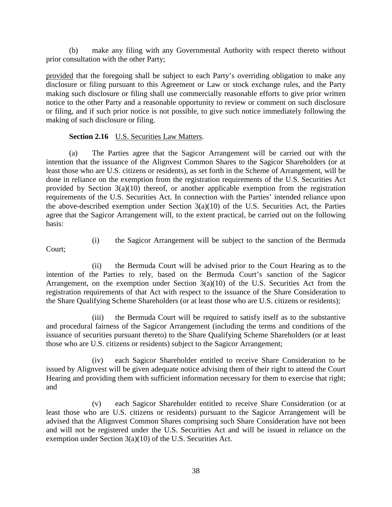(b) make any filing with any Governmental Authority with respect thereto without prior consultation with the other Party;

provided that the foregoing shall be subject to each Party's overriding obligation to make any disclosure or filing pursuant to this Agreement or Law or stock exchange rules, and the Party making such disclosure or filing shall use commercially reasonable efforts to give prior written notice to the other Party and a reasonable opportunity to review or comment on such disclosure or filing, and if such prior notice is not possible, to give such notice immediately following the making of such disclosure or filing.

# **Section 2.16** U.S. Securities Law Matters.

(a) The Parties agree that the Sagicor Arrangement will be carried out with the intention that the issuance of the Alignvest Common Shares to the Sagicor Shareholders (or at least those who are U.S. citizens or residents), as set forth in the Scheme of Arrangement, will be done in reliance on the exemption from the registration requirements of the U.S. Securities Act provided by Section 3(a)(10) thereof, or another applicable exemption from the registration requirements of the U.S. Securities Act. In connection with the Parties' intended reliance upon the above-described exemption under Section  $3(a)(10)$  of the U.S. Securities Act, the Parties agree that the Sagicor Arrangement will, to the extent practical, be carried out on the following basis:

Court;

(i) the Sagicor Arrangement will be subject to the sanction of the Bermuda

(ii) the Bermuda Court will be advised prior to the Court Hearing as to the intention of the Parties to rely, based on the Bermuda Court's sanction of the Sagicor Arrangement, on the exemption under Section  $3(a)(10)$  of the U.S. Securities Act from the registration requirements of that Act with respect to the issuance of the Share Consideration to the Share Qualifying Scheme Shareholders (or at least those who are U.S. citizens or residents);

(iii) the Bermuda Court will be required to satisfy itself as to the substantive and procedural fairness of the Sagicor Arrangement (including the terms and conditions of the issuance of securities pursuant thereto) to the Share Qualifying Scheme Shareholders (or at least those who are U.S. citizens or residents) subject to the Sagicor Arrangement;

(iv) each Sagicor Shareholder entitled to receive Share Consideration to be issued by Alignvest will be given adequate notice advising them of their right to attend the Court Hearing and providing them with sufficient information necessary for them to exercise that right; and

(v) each Sagicor Shareholder entitled to receive Share Consideration (or at least those who are U.S. citizens or residents) pursuant to the Sagicor Arrangement will be advised that the Alignvest Common Shares comprising such Share Consideration have not been and will not be registered under the U.S. Securities Act and will be issued in reliance on the exemption under Section 3(a)(10) of the U.S. Securities Act.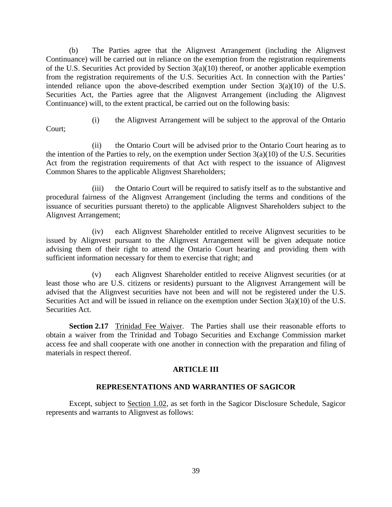(b) The Parties agree that the Alignvest Arrangement (including the Alignvest Continuance) will be carried out in reliance on the exemption from the registration requirements of the U.S. Securities Act provided by Section 3(a)(10) thereof, or another applicable exemption from the registration requirements of the U.S. Securities Act. In connection with the Parties' intended reliance upon the above-described exemption under Section 3(a)(10) of the U.S. Securities Act, the Parties agree that the Alignvest Arrangement (including the Alignvest Continuance) will, to the extent practical, be carried out on the following basis:

(i) the Alignvest Arrangement will be subject to the approval of the Ontario

Court;

(ii) the Ontario Court will be advised prior to the Ontario Court hearing as to the intention of the Parties to rely, on the exemption under Section  $3(a)(10)$  of the U.S. Securities Act from the registration requirements of that Act with respect to the issuance of Alignvest Common Shares to the applicable Alignvest Shareholders;

(iii) the Ontario Court will be required to satisfy itself as to the substantive and procedural fairness of the Alignvest Arrangement (including the terms and conditions of the issuance of securities pursuant thereto) to the applicable Alignvest Shareholders subject to the Alignvest Arrangement;

(iv) each Alignvest Shareholder entitled to receive Alignvest securities to be issued by Alignvest pursuant to the Alignvest Arrangement will be given adequate notice advising them of their right to attend the Ontario Court hearing and providing them with sufficient information necessary for them to exercise that right; and

(v) each Alignvest Shareholder entitled to receive Alignvest securities (or at least those who are U.S. citizens or residents) pursuant to the Alignvest Arrangement will be advised that the Alignvest securities have not been and will not be registered under the U.S. Securities Act and will be issued in reliance on the exemption under Section 3(a)(10) of the U.S. Securities Act.

**Section 2.17** Trinidad Fee Waiver. The Parties shall use their reasonable efforts to obtain a waiver from the Trinidad and Tobago Securities and Exchange Commission market access fee and shall cooperate with one another in connection with the preparation and filing of materials in respect thereof.

# **ARTICLE III**

# **REPRESENTATIONS AND WARRANTIES OF SAGICOR**

<span id="page-43-0"></span>Except, subject to [Section 1.02,](#page-28-0) as set forth in the Sagicor Disclosure Schedule, Sagicor represents and warrants to Alignvest as follows: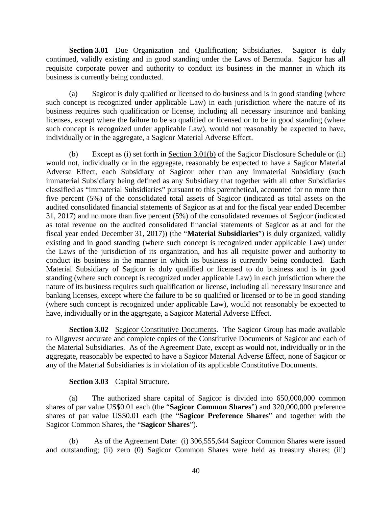**Section 3.01** Due Organization and Qualification; Subsidiaries. Sagicor is duly continued, validly existing and in good standing under the Laws of Bermuda. Sagicor has all requisite corporate power and authority to conduct its business in the manner in which its business is currently being conducted.

(a) Sagicor is duly qualified or licensed to do business and is in good standing (where such concept is recognized under applicable Law) in each jurisdiction where the nature of its business requires such qualification or license, including all necessary insurance and banking licenses, except where the failure to be so qualified or licensed or to be in good standing (where such concept is recognized under applicable Law), would not reasonably be expected to have, individually or in the aggregate, a Sagicor Material Adverse Effect.

<span id="page-44-0"></span>(b) Except as (i) set forth in [Section 3.01\(b\)](#page-44-0) of the Sagicor Disclosure Schedule or (ii) would not, individually or in the aggregate, reasonably be expected to have a Sagicor Material Adverse Effect, each Subsidiary of Sagicor other than any immaterial Subsidiary (such immaterial Subsidiary being defined as any Subsidiary that together with all other Subsidiaries classified as "immaterial Subsidiaries" pursuant to this parenthetical, accounted for no more than five percent (5%) of the consolidated total assets of Sagicor (indicated as total assets on the audited consolidated financial statements of Sagicor as at and for the fiscal year ended December 31, 2017) and no more than five percent (5%) of the consolidated revenues of Sagicor (indicated as total revenue on the audited consolidated financial statements of Sagicor as at and for the fiscal year ended December 31, 2017)) (the "**Material Subsidiaries**") is duly organized, validly existing and in good standing (where such concept is recognized under applicable Law) under the Laws of the jurisdiction of its organization, and has all requisite power and authority to conduct its business in the manner in which its business is currently being conducted. Each Material Subsidiary of Sagicor is duly qualified or licensed to do business and is in good standing (where such concept is recognized under applicable Law) in each jurisdiction where the nature of its business requires such qualification or license, including all necessary insurance and banking licenses, except where the failure to be so qualified or licensed or to be in good standing (where such concept is recognized under applicable Law), would not reasonably be expected to have, individually or in the aggregate, a Sagicor Material Adverse Effect.

**Section 3.02** Sagicor Constitutive Documents. The Sagicor Group has made available to Alignvest accurate and complete copies of the Constitutive Documents of Sagicor and each of the Material Subsidiaries. As of the Agreement Date, except as would not, individually or in the aggregate, reasonably be expected to have a Sagicor Material Adverse Effect, none of Sagicor or any of the Material Subsidiaries is in violation of its applicable Constitutive Documents.

#### **Section 3.03** Capital Structure.

(a) The authorized share capital of Sagicor is divided into 650,000,000 common shares of par value US\$0.01 each (the "**Sagicor Common Shares**") and 320,000,000 preference shares of par value US\$0.01 each (the "**Sagicor Preference Shares**" and together with the Sagicor Common Shares, the "**Sagicor Shares**").

<span id="page-44-1"></span>As of the Agreement Date: (i) 306,555,644 Sagicor Common Shares were issued and outstanding; (ii) zero (0) Sagicor Common Shares were held as treasury shares; (iii)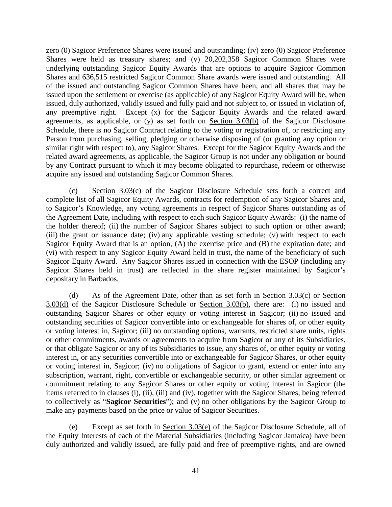zero (0) Sagicor Preference Shares were issued and outstanding; (iv) zero (0) Sagicor Preference Shares were held as treasury shares; and (v) 20,202,358 Sagicor Common Shares were underlying outstanding Sagicor Equity Awards that are options to acquire Sagicor Common Shares and 636,515 restricted Sagicor Common Share awards were issued and outstanding. All of the issued and outstanding Sagicor Common Shares have been, and all shares that may be issued upon the settlement or exercise (as applicable) of any Sagicor Equity Award will be, when issued, duly authorized, validly issued and fully paid and not subject to, or issued in violation of, any preemptive right. Except (x) for the Sagicor Equity Awards and the related award agreements, as applicable, or (y) as set forth on [Section 3.03\(b\)](#page-44-1) of the Sagicor Disclosure Schedule, there is no Sagicor Contract relating to the voting or registration of, or restricting any Person from purchasing, selling, pledging or otherwise disposing of (or granting any option or similar right with respect to), any Sagicor Shares. Except for the Sagicor Equity Awards and the related award agreements, as applicable, the Sagicor Group is not under any obligation or bound by any Contract pursuant to which it may become obligated to repurchase, redeem or otherwise acquire any issued and outstanding Sagicor Common Shares.

<span id="page-45-0"></span>(c) [Section 3.03\(c\)](#page-45-0) of the Sagicor Disclosure Schedule sets forth a correct and complete list of all Sagicor Equity Awards, contracts for redemption of any Sagicor Shares and, to Sagicor's Knowledge, any voting agreements in respect of Sagicor Shares outstanding as of the Agreement Date, including with respect to each such Sagicor Equity Awards: (i) the name of the holder thereof; (ii) the number of Sagicor Shares subject to such option or other award; (iii) the grant or issuance date; (iv) any applicable vesting schedule; (v) with respect to each Sagicor Equity Award that is an option, (A) the exercise price and (B) the expiration date; and (vi) with respect to any Sagicor Equity Award held in trust, the name of the beneficiary of such Sagicor Equity Award. Any Sagicor Shares issued in connection with the ESOP (including any Sagicor Shares held in trust) are reflected in the share register maintained by Sagicor's depositary in Barbados.

<span id="page-45-1"></span>(d) As of the Agreement Date, other than as set forth in [Section](#page-45-1)  $3.03(c)$  or Section [3.03\(d\)](#page-45-1) of the Sagicor Disclosure Schedule or [Section 3.03\(b\),](#page-44-1) there are: (i) no issued and outstanding Sagicor Shares or other equity or voting interest in Sagicor; (ii) no issued and outstanding securities of Sagicor convertible into or exchangeable for shares of, or other equity or voting interest in, Sagicor; (iii) no outstanding options, warrants, restricted share units, rights or other commitments, awards or agreements to acquire from Sagicor or any of its Subsidiaries, or that obligate Sagicor or any of its Subsidiaries to issue, any shares of, or other equity or voting interest in, or any securities convertible into or exchangeable for Sagicor Shares, or other equity or voting interest in, Sagicor; (iv) no obligations of Sagicor to grant, extend or enter into any subscription, warrant, right, convertible or exchangeable security, or other similar agreement or commitment relating to any Sagicor Shares or other equity or voting interest in Sagicor (the items referred to in clauses (i), (ii), (iii) and (iv), together with the Sagicor Shares, being referred to collectively as "**Sagicor Securities**"); and (v) no other obligations by the Sagicor Group to make any payments based on the price or value of Sagicor Securities.

<span id="page-45-2"></span>(e) Except as set forth in [Section 3.03\(e\)](#page-45-2) of the Sagicor Disclosure Schedule, all of the Equity Interests of each of the Material Subsidiaries (including Sagicor Jamaica) have been duly authorized and validly issued, are fully paid and free of preemptive rights, and are owned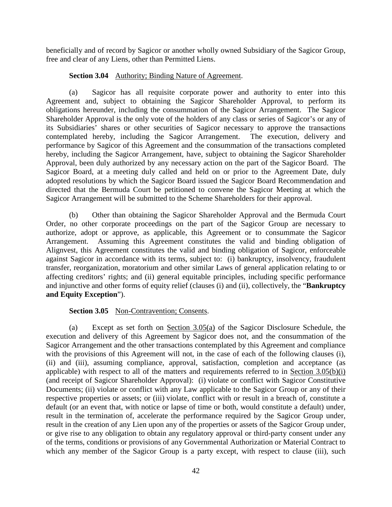beneficially and of record by Sagicor or another wholly owned Subsidiary of the Sagicor Group, free and clear of any Liens, other than Permitted Liens.

# **Section 3.04** Authority; Binding Nature of Agreement.

(a) Sagicor has all requisite corporate power and authority to enter into this Agreement and, subject to obtaining the Sagicor Shareholder Approval, to perform its obligations hereunder, including the consummation of the Sagicor Arrangement. The Sagicor Shareholder Approval is the only vote of the holders of any class or series of Sagicor's or any of its Subsidiaries' shares or other securities of Sagicor necessary to approve the transactions contemplated hereby, including the Sagicor Arrangement. The execution, delivery and performance by Sagicor of this Agreement and the consummation of the transactions completed hereby, including the Sagicor Arrangement, have, subject to obtaining the Sagicor Shareholder Approval, been duly authorized by any necessary action on the part of the Sagicor Board. The Sagicor Board, at a meeting duly called and held on or prior to the Agreement Date, duly adopted resolutions by which the Sagicor Board issued the Sagicor Board Recommendation and directed that the Bermuda Court be petitioned to convene the Sagicor Meeting at which the Sagicor Arrangement will be submitted to the Scheme Shareholders for their approval.

(b) Other than obtaining the Sagicor Shareholder Approval and the Bermuda Court Order, no other corporate proceedings on the part of the Sagicor Group are necessary to authorize, adopt or approve, as applicable, this Agreement or to consummate the Sagicor Arrangement. Assuming this Agreement constitutes the valid and binding obligation of Alignvest, this Agreement constitutes the valid and binding obligation of Sagicor, enforceable against Sagicor in accordance with its terms, subject to: (i) bankruptcy, insolvency, fraudulent transfer, reorganization, moratorium and other similar Laws of general application relating to or affecting creditors' rights; and (ii) general equitable principles, including specific performance and injunctive and other forms of equity relief (clauses (i) and (ii), collectively, the "**Bankruptcy and Equity Exception**").

# **Section 3.05** Non-Contravention; Consents.

<span id="page-46-0"></span>(a) Except as set forth on [Section 3.05\(a\)](#page-46-0) of the Sagicor Disclosure Schedule, the execution and delivery of this Agreement by Sagicor does not, and the consummation of the Sagicor Arrangement and the other transactions contemplated by this Agreement and compliance with the provisions of this Agreement will not, in the case of each of the following clauses (i), (ii) and (iii), assuming compliance, approval, satisfaction, completion and acceptance (as applicable) with respect to all of the matters and requirements referred to in [Section 3.05\(b\)\(](#page-47-0)i) (and receipt of Sagicor Shareholder Approval): (i) violate or conflict with Sagicor Constitutive Documents; (ii) violate or conflict with any Law applicable to the Sagicor Group or any of their respective properties or assets; or (iii) violate, conflict with or result in a breach of, constitute a default (or an event that, with notice or lapse of time or both, would constitute a default) under, result in the termination of, accelerate the performance required by the Sagicor Group under, result in the creation of any Lien upon any of the properties or assets of the Sagicor Group under, or give rise to any obligation to obtain any regulatory approval or third-party consent under any of the terms, conditions or provisions of any Governmental Authorization or Material Contract to which any member of the Sagicor Group is a party except, with respect to clause (iii), such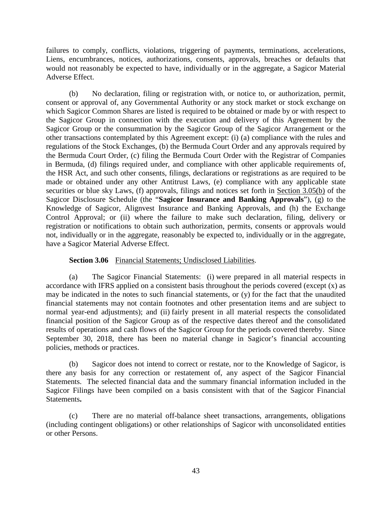failures to comply, conflicts, violations, triggering of payments, terminations, accelerations, Liens, encumbrances, notices, authorizations, consents, approvals, breaches or defaults that would not reasonably be expected to have, individually or in the aggregate, a Sagicor Material Adverse Effect.

<span id="page-47-0"></span>(b) No declaration, filing or registration with, or notice to, or authorization, permit, consent or approval of, any Governmental Authority or any stock market or stock exchange on which Sagicor Common Shares are listed is required to be obtained or made by or with respect to the Sagicor Group in connection with the execution and delivery of this Agreement by the Sagicor Group or the consummation by the Sagicor Group of the Sagicor Arrangement or the other transactions contemplated by this Agreement except: (i) (a) compliance with the rules and regulations of the Stock Exchanges, (b) the Bermuda Court Order and any approvals required by the Bermuda Court Order, (c) filing the Bermuda Court Order with the Registrar of Companies in Bermuda, (d) filings required under, and compliance with other applicable requirements of, the HSR Act, and such other consents, filings, declarations or registrations as are required to be made or obtained under any other Antitrust Laws, (e) compliance with any applicable state securities or blue sky Laws, (f) approvals, filings and notices set forth in [Section 3.05\(b\)](#page-47-0) of the Sagicor Disclosure Schedule (the "**Sagicor Insurance and Banking Approvals**"), (g) to the Knowledge of Sagicor, Alignvest Insurance and Banking Approvals, and (h) the Exchange Control Approval; or (ii) where the failure to make such declaration, filing, delivery or registration or notifications to obtain such authorization, permits, consents or approvals would not, individually or in the aggregate, reasonably be expected to, individually or in the aggregate, have a Sagicor Material Adverse Effect.

### **Section 3.06** Financial Statements; Undisclosed Liabilities.

(a) The Sagicor Financial Statements: (i) were prepared in all material respects in accordance with IFRS applied on a consistent basis throughout the periods covered (except  $(x)$ ) as may be indicated in the notes to such financial statements, or (y) for the fact that the unaudited financial statements may not contain footnotes and other presentation items and are subject to normal year-end adjustments); and (ii) fairly present in all material respects the consolidated financial position of the Sagicor Group as of the respective dates thereof and the consolidated results of operations and cash flows of the Sagicor Group for the periods covered thereby. Since September 30, 2018, there has been no material change in Sagicor's financial accounting policies, methods or practices.

(b) Sagicor does not intend to correct or restate, nor to the Knowledge of Sagicor, is there any basis for any correction or restatement of, any aspect of the Sagicor Financial Statements. The selected financial data and the summary financial information included in the Sagicor Filings have been compiled on a basis consistent with that of the Sagicor Financial Statements**.** 

(c) There are no material off-balance sheet transactions, arrangements, obligations (including contingent obligations) or other relationships of Sagicor with unconsolidated entities or other Persons.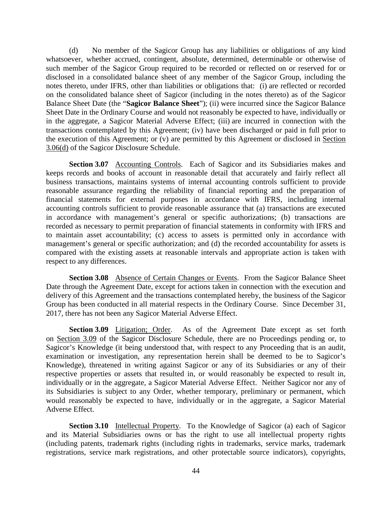<span id="page-48-0"></span>(d) No member of the Sagicor Group has any liabilities or obligations of any kind whatsoever, whether accrued, contingent, absolute, determined, determinable or otherwise of such member of the Sagicor Group required to be recorded or reflected on or reserved for or disclosed in a consolidated balance sheet of any member of the Sagicor Group, including the notes thereto, under IFRS, other than liabilities or obligations that: (i) are reflected or recorded on the consolidated balance sheet of Sagicor (including in the notes thereto) as of the Sagicor Balance Sheet Date (the "**Sagicor Balance Sheet**"); (ii) were incurred since the Sagicor Balance Sheet Date in the Ordinary Course and would not reasonably be expected to have, individually or in the aggregate, a Sagicor Material Adverse Effect; (iii) are incurred in connection with the transactions contemplated by this Agreement; (iv) have been discharged or paid in full prior to the execution of this Agreement; or (v) are permitted by this Agreement or disclosed in [Section](#page-48-0)  [3.06\(d\)](#page-48-0) of the Sagicor Disclosure Schedule.

**Section 3.07** Accounting Controls. Each of Sagicor and its Subsidiaries makes and keeps records and books of account in reasonable detail that accurately and fairly reflect all business transactions, maintains systems of internal accounting controls sufficient to provide reasonable assurance regarding the reliability of financial reporting and the preparation of financial statements for external purposes in accordance with IFRS, including internal accounting controls sufficient to provide reasonable assurance that (a) transactions are executed in accordance with management's general or specific authorizations; (b) transactions are recorded as necessary to permit preparation of financial statements in conformity with IFRS and to maintain asset accountability; (c) access to assets is permitted only in accordance with management's general or specific authorization; and (d) the recorded accountability for assets is compared with the existing assets at reasonable intervals and appropriate action is taken with respect to any differences.

**Section 3.08** Absence of Certain Changes or Events. From the Sagicor Balance Sheet Date through the Agreement Date, except for actions taken in connection with the execution and delivery of this Agreement and the transactions contemplated hereby, the business of the Sagicor Group has been conducted in all material respects in the Ordinary Course. Since December 31, 2017, there has not been any Sagicor Material Adverse Effect.

<span id="page-48-1"></span>**Section 3.09** Litigation; Order. As of the Agreement Date except as set forth on [Section 3.09](#page-48-1) of the Sagicor Disclosure Schedule, there are no Proceedings pending or, to Sagicor's Knowledge (it being understood that, with respect to any Proceeding that is an audit, examination or investigation, any representation herein shall be deemed to be to Sagicor's Knowledge), threatened in writing against Sagicor or any of its Subsidiaries or any of their respective properties or assets that resulted in, or would reasonably be expected to result in, individually or in the aggregate, a Sagicor Material Adverse Effect. Neither Sagicor nor any of its Subsidiaries is subject to any Order, whether temporary, preliminary or permanent, which would reasonably be expected to have, individually or in the aggregate, a Sagicor Material Adverse Effect.

**Section 3.10** Intellectual Property. To the Knowledge of Sagicor (a) each of Sagicor and its Material Subsidiaries owns or has the right to use all intellectual property rights (including patents, trademark rights (including rights in trademarks, service marks, trademark registrations, service mark registrations, and other protectable source indicators), copyrights,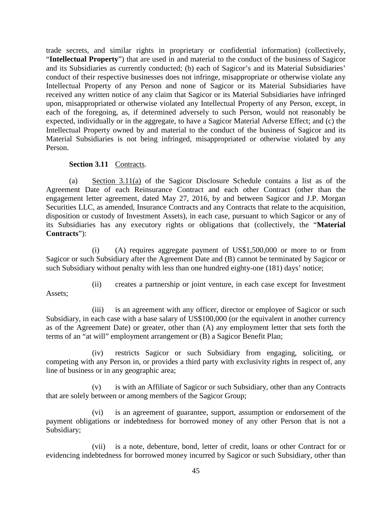trade secrets, and similar rights in proprietary or confidential information) (collectively, "**Intellectual Property**") that are used in and material to the conduct of the business of Sagicor and its Subsidiaries as currently conducted; (b) each of Sagicor's and its Material Subsidiaries' conduct of their respective businesses does not infringe, misappropriate or otherwise violate any Intellectual Property of any Person and none of Sagicor or its Material Subsidiaries have received any written notice of any claim that Sagicor or its Material Subsidiaries have infringed upon, misappropriated or otherwise violated any Intellectual Property of any Person, except, in each of the foregoing, as, if determined adversely to such Person, would not reasonably be expected, individually or in the aggregate, to have a Sagicor Material Adverse Effect; and (c) the Intellectual Property owned by and material to the conduct of the business of Sagicor and its Material Subsidiaries is not being infringed, misappropriated or otherwise violated by any Person.

# <span id="page-49-0"></span>**Section 3.11** Contracts.

(a) [Section 3.11\(a\)](#page-49-0) of the Sagicor Disclosure Schedule contains a list as of the Agreement Date of each Reinsurance Contract and each other Contract (other than the engagement letter agreement, dated May 27, 2016, by and between Sagicor and J.P. Morgan Securities LLC, as amended, Insurance Contracts and any Contracts that relate to the acquisition, disposition or custody of Investment Assets), in each case, pursuant to which Sagicor or any of its Subsidiaries has any executory rights or obligations that (collectively, the "**Material Contracts**"):

(i) (A) requires aggregate payment of US\$1,500,000 or more to or from Sagicor or such Subsidiary after the Agreement Date and (B) cannot be terminated by Sagicor or such Subsidiary without penalty with less than one hundred eighty-one (181) days' notice;

Assets;

(ii) creates a partnership or joint venture, in each case except for Investment

(iii) is an agreement with any officer, director or employee of Sagicor or such Subsidiary, in each case with a base salary of US\$100,000 (or the equivalent in another currency as of the Agreement Date) or greater, other than (A) any employment letter that sets forth the terms of an "at will" employment arrangement or (B) a Sagicor Benefit Plan;

(iv) restricts Sagicor or such Subsidiary from engaging, soliciting, or competing with any Person in, or provides a third party with exclusivity rights in respect of, any line of business or in any geographic area;

(v) is with an Affiliate of Sagicor or such Subsidiary, other than any Contracts that are solely between or among members of the Sagicor Group;

(vi) is an agreement of guarantee, support, assumption or endorsement of the payment obligations or indebtedness for borrowed money of any other Person that is not a Subsidiary;

(vii) is a note, debenture, bond, letter of credit, loans or other Contract for or evidencing indebtedness for borrowed money incurred by Sagicor or such Subsidiary, other than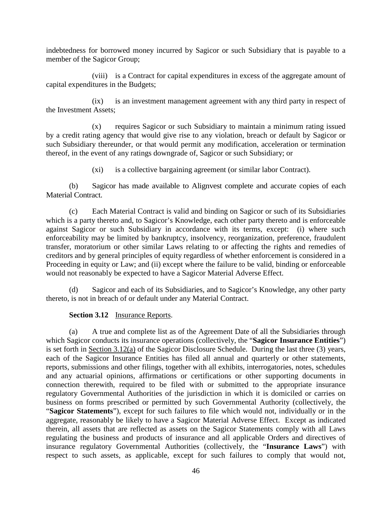indebtedness for borrowed money incurred by Sagicor or such Subsidiary that is payable to a member of the Sagicor Group;

(viii) is a Contract for capital expenditures in excess of the aggregate amount of capital expenditures in the Budgets;

(ix) is an investment management agreement with any third party in respect of the Investment Assets;

(x) requires Sagicor or such Subsidiary to maintain a minimum rating issued by a credit rating agency that would give rise to any violation, breach or default by Sagicor or such Subsidiary thereunder, or that would permit any modification, acceleration or termination thereof, in the event of any ratings downgrade of, Sagicor or such Subsidiary; or

(xi) is a collective bargaining agreement (or similar labor Contract).

(b) Sagicor has made available to Alignvest complete and accurate copies of each Material Contract.

(c) Each Material Contract is valid and binding on Sagicor or such of its Subsidiaries which is a party thereto and, to Sagicor's Knowledge, each other party thereto and is enforceable against Sagicor or such Subsidiary in accordance with its terms, except: (i) where such enforceability may be limited by bankruptcy, insolvency, reorganization, preference, fraudulent transfer, moratorium or other similar Laws relating to or affecting the rights and remedies of creditors and by general principles of equity regardless of whether enforcement is considered in a Proceeding in equity or Law; and (ii) except where the failure to be valid, binding or enforceable would not reasonably be expected to have a Sagicor Material Adverse Effect.

(d) Sagicor and each of its Subsidiaries, and to Sagicor's Knowledge, any other party thereto, is not in breach of or default under any Material Contract.

# **Section 3.12** Insurance Reports.

<span id="page-50-1"></span><span id="page-50-0"></span>(a) A true and complete list as of the Agreement Date of all the Subsidiaries through which Sagicor conducts its insurance operations (collectively, the "**Sagicor Insurance Entities**") is set forth in [Section 3.12\(a\)](#page-50-0) of the Sagicor Disclosure Schedule. During the last three (3) years, each of the Sagicor Insurance Entities has filed all annual and quarterly or other statements, reports, submissions and other filings, together with all exhibits, interrogatories, notes, schedules and any actuarial opinions, affirmations or certifications or other supporting documents in connection therewith, required to be filed with or submitted to the appropriate insurance regulatory Governmental Authorities of the jurisdiction in which it is domiciled or carries on business on forms prescribed or permitted by such Governmental Authority (collectively, the "**Sagicor Statements**"), except for such failures to file which would not, individually or in the aggregate, reasonably be likely to have a Sagicor Material Adverse Effect. Except as indicated therein, all assets that are reflected as assets on the Sagicor Statements comply with all Laws regulating the business and products of insurance and all applicable Orders and directives of insurance regulatory Governmental Authorities (collectively, the "**Insurance Laws**") with respect to such assets, as applicable, except for such failures to comply that would not,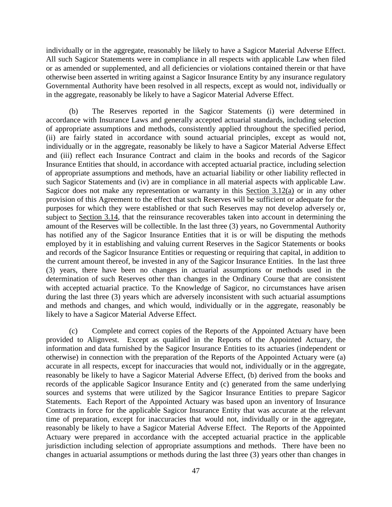individually or in the aggregate, reasonably be likely to have a Sagicor Material Adverse Effect. All such Sagicor Statements were in compliance in all respects with applicable Law when filed or as amended or supplemented, and all deficiencies or violations contained therein or that have otherwise been asserted in writing against a Sagicor Insurance Entity by any insurance regulatory Governmental Authority have been resolved in all respects, except as would not, individually or in the aggregate, reasonably be likely to have a Sagicor Material Adverse Effect.

(b) The Reserves reported in the Sagicor Statements (i) were determined in accordance with Insurance Laws and generally accepted actuarial standards, including selection of appropriate assumptions and methods, consistently applied throughout the specified period, (ii) are fairly stated in accordance with sound actuarial principles, except as would not, individually or in the aggregate, reasonably be likely to have a Sagicor Material Adverse Effect and (iii) reflect each Insurance Contract and claim in the books and records of the Sagicor Insurance Entities that should, in accordance with accepted actuarial practice, including selection of appropriate assumptions and methods, have an actuarial liability or other liability reflected in such Sagicor Statements and (iv) are in compliance in all material aspects with applicable Law. Sagicor does not make any representation or warranty in this [Section 3.12\(a\)](#page-50-1) or in any other provision of this Agreement to the effect that such Reserves will be sufficient or adequate for the purposes for which they were established or that such Reserves may not develop adversely or, subject to [Section 3.14,](#page-53-0) that the reinsurance recoverables taken into account in determining the amount of the Reserves will be collectible. In the last three (3) years, no Governmental Authority has notified any of the Sagicor Insurance Entities that it is or will be disputing the methods employed by it in establishing and valuing current Reserves in the Sagicor Statements or books and records of the Sagicor Insurance Entities or requesting or requiring that capital, in addition to the current amount thereof, be invested in any of the Sagicor Insurance Entities. In the last three (3) years, there have been no changes in actuarial assumptions or methods used in the determination of such Reserves other than changes in the Ordinary Course that are consistent with accepted actuarial practice. To the Knowledge of Sagicor, no circumstances have arisen during the last three (3) years which are adversely inconsistent with such actuarial assumptions and methods and changes, and which would, individually or in the aggregate, reasonably be likely to have a Sagicor Material Adverse Effect.

(c) Complete and correct copies of the Reports of the Appointed Actuary have been provided to Alignvest. Except as qualified in the Reports of the Appointed Actuary, the information and data furnished by the Sagicor Insurance Entities to its actuaries (independent or otherwise) in connection with the preparation of the Reports of the Appointed Actuary were (a) accurate in all respects, except for inaccuracies that would not, individually or in the aggregate, reasonably be likely to have a Sagicor Material Adverse Effect, (b) derived from the books and records of the applicable Sagicor Insurance Entity and (c) generated from the same underlying sources and systems that were utilized by the Sagicor Insurance Entities to prepare Sagicor Statements. Each Report of the Appointed Actuary was based upon an inventory of Insurance Contracts in force for the applicable Sagicor Insurance Entity that was accurate at the relevant time of preparation, except for inaccuracies that would not, individually or in the aggregate, reasonably be likely to have a Sagicor Material Adverse Effect. The Reports of the Appointed Actuary were prepared in accordance with the accepted actuarial practice in the applicable jurisdiction including selection of appropriate assumptions and methods. There have been no changes in actuarial assumptions or methods during the last three (3) years other than changes in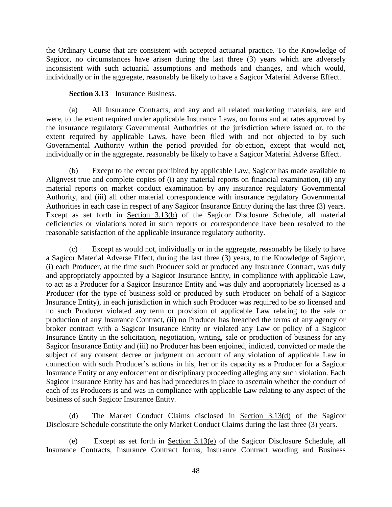the Ordinary Course that are consistent with accepted actuarial practice. To the Knowledge of Sagicor, no circumstances have arisen during the last three (3) years which are adversely inconsistent with such actuarial assumptions and methods and changes, and which would, individually or in the aggregate, reasonably be likely to have a Sagicor Material Adverse Effect.

### **Section 3.13** Insurance Business.

(a) All Insurance Contracts, and any and all related marketing materials, are and were, to the extent required under applicable Insurance Laws, on forms and at rates approved by the insurance regulatory Governmental Authorities of the jurisdiction where issued or, to the extent required by applicable Laws, have been filed with and not objected to by such Governmental Authority within the period provided for objection, except that would not, individually or in the aggregate, reasonably be likely to have a Sagicor Material Adverse Effect.

<span id="page-52-0"></span>(b) Except to the extent prohibited by applicable Law, Sagicor has made available to Alignvest true and complete copies of (i) any material reports on financial examination, (ii) any material reports on market conduct examination by any insurance regulatory Governmental Authority, and (iii) all other material correspondence with insurance regulatory Governmental Authorities in each case in respect of any Sagicor Insurance Entity during the last three (3) years. Except as set forth in [Section 3.13\(b\)](#page-52-0) of the Sagicor Disclosure Schedule, all material deficiencies or violations noted in such reports or correspondence have been resolved to the reasonable satisfaction of the applicable insurance regulatory authority.

(c) Except as would not, individually or in the aggregate, reasonably be likely to have a Sagicor Material Adverse Effect, during the last three (3) years, to the Knowledge of Sagicor, (i) each Producer, at the time such Producer sold or produced any Insurance Contract, was duly and appropriately appointed by a Sagicor Insurance Entity, in compliance with applicable Law, to act as a Producer for a Sagicor Insurance Entity and was duly and appropriately licensed as a Producer (for the type of business sold or produced by such Producer on behalf of a Sagicor Insurance Entity), in each jurisdiction in which such Producer was required to be so licensed and no such Producer violated any term or provision of applicable Law relating to the sale or production of any Insurance Contract, (ii) no Producer has breached the terms of any agency or broker contract with a Sagicor Insurance Entity or violated any Law or policy of a Sagicor Insurance Entity in the solicitation, negotiation, writing, sale or production of business for any Sagicor Insurance Entity and (iii) no Producer has been enjoined, indicted, convicted or made the subject of any consent decree or judgment on account of any violation of applicable Law in connection with such Producer's actions in his, her or its capacity as a Producer for a Sagicor Insurance Entity or any enforcement or disciplinary proceeding alleging any such violation. Each Sagicor Insurance Entity has and has had procedures in place to ascertain whether the conduct of each of its Producers is and was in compliance with applicable Law relating to any aspect of the business of such Sagicor Insurance Entity.

<span id="page-52-1"></span>(d) The Market Conduct Claims disclosed in [Section 3.13\(d\)](#page-52-1) of the Sagicor Disclosure Schedule constitute the only Market Conduct Claims during the last three (3) years.

<span id="page-52-2"></span>(e) Except as set forth in [Section 3.13\(e\)](#page-52-2) of the Sagicor Disclosure Schedule, all Insurance Contracts, Insurance Contract forms, Insurance Contract wording and Business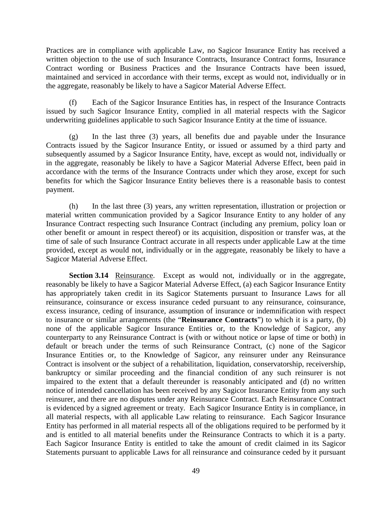Practices are in compliance with applicable Law, no Sagicor Insurance Entity has received a written objection to the use of such Insurance Contracts, Insurance Contract forms, Insurance Contract wording or Business Practices and the Insurance Contracts have been issued, maintained and serviced in accordance with their terms, except as would not, individually or in the aggregate, reasonably be likely to have a Sagicor Material Adverse Effect.

(f) Each of the Sagicor Insurance Entities has, in respect of the Insurance Contracts issued by such Sagicor Insurance Entity, complied in all material respects with the Sagicor underwriting guidelines applicable to such Sagicor Insurance Entity at the time of issuance.

(g) In the last three (3) years, all benefits due and payable under the Insurance Contracts issued by the Sagicor Insurance Entity, or issued or assumed by a third party and subsequently assumed by a Sagicor Insurance Entity, have, except as would not, individually or in the aggregate, reasonably be likely to have a Sagicor Material Adverse Effect, been paid in accordance with the terms of the Insurance Contracts under which they arose, except for such benefits for which the Sagicor Insurance Entity believes there is a reasonable basis to contest payment.

(h) In the last three (3) years, any written representation, illustration or projection or material written communication provided by a Sagicor Insurance Entity to any holder of any Insurance Contract respecting such Insurance Contract (including any premium, policy loan or other benefit or amount in respect thereof) or its acquisition, disposition or transfer was, at the time of sale of such Insurance Contract accurate in all respects under applicable Law at the time provided, except as would not, individually or in the aggregate, reasonably be likely to have a Sagicor Material Adverse Effect.

<span id="page-53-0"></span>**Section 3.14** Reinsurance. Except as would not, individually or in the aggregate, reasonably be likely to have a Sagicor Material Adverse Effect, (a) each Sagicor Insurance Entity has appropriately taken credit in its Sagicor Statements pursuant to Insurance Laws for all reinsurance, coinsurance or excess insurance ceded pursuant to any reinsurance, coinsurance, excess insurance, ceding of insurance, assumption of insurance or indemnification with respect to insurance or similar arrangements (the "**Reinsurance Contracts**") to which it is a party, (b) none of the applicable Sagicor Insurance Entities or, to the Knowledge of Sagicor, any counterparty to any Reinsurance Contract is (with or without notice or lapse of time or both) in default or breach under the terms of such Reinsurance Contract, (c) none of the Sagicor Insurance Entities or, to the Knowledge of Sagicor, any reinsurer under any Reinsurance Contract is insolvent or the subject of a rehabilitation, liquidation, conservatorship, receivership, bankruptcy or similar proceeding and the financial condition of any such reinsurer is not impaired to the extent that a default thereunder is reasonably anticipated and (d) no written notice of intended cancellation has been received by any Sagicor Insurance Entity from any such reinsurer, and there are no disputes under any Reinsurance Contract. Each Reinsurance Contract is evidenced by a signed agreement or treaty. Each Sagicor Insurance Entity is in compliance, in all material respects, with all applicable Law relating to reinsurance. Each Sagicor Insurance Entity has performed in all material respects all of the obligations required to be performed by it and is entitled to all material benefits under the Reinsurance Contracts to which it is a party. Each Sagicor Insurance Entity is entitled to take the amount of credit claimed in its Sagicor Statements pursuant to applicable Laws for all reinsurance and coinsurance ceded by it pursuant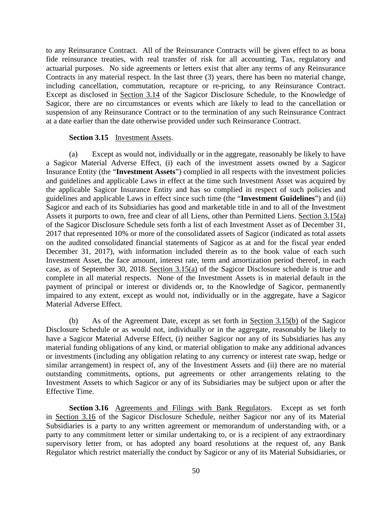to any Reinsurance Contract. All of the Reinsurance Contracts will be given effect to as bona fide reinsurance treaties, with real transfer of risk for all accounting, Tax, regulatory and actuarial purposes. No side agreements or letters exist that alter any terms of any Reinsurance Contracts in any material respect. In the last three (3) years, there has been no material change, including cancellation, commutation, recapture or re-pricing, to any Reinsurance Contract. Except as disclosed in [Section 3.14](#page-53-0) of the Sagicor Disclosure Schedule, to the Knowledge of Sagicor, there are no circumstances or events which are likely to lead to the cancellation or suspension of any Reinsurance Contract or to the termination of any such Reinsurance Contract at a date earlier than the date otherwise provided under such Reinsurance Contract.

#### **Section 3.15** Investment Assets.

<span id="page-54-1"></span><span id="page-54-0"></span>(a) Except as would not, individually or in the aggregate, reasonably be likely to have a Sagicor Material Adverse Effect, (i) each of the investment assets owned by a Sagicor Insurance Entity (the "**Investment Assets**") complied in all respects with the investment policies and guidelines and applicable Laws in effect at the time such Investment Asset was acquired by the applicable Sagicor Insurance Entity and has so complied in respect of such policies and guidelines and applicable Laws in effect since such time (the "**Investment Guidelines**") and (ii) Sagicor and each of its Subsidiaries has good and marketable title in and to all of the Investment Assets it purports to own, free and clear of all Liens, other than Permitted Liens. [Section 3.15\(](#page-54-0)a) of the Sagicor Disclosure Schedule sets forth a list of each Investment Asset as of December 31, 2017 that represented 10% or more of the consolidated assets of Sagicor (indicated as total assets on the audited consolidated financial statements of Sagicor as at and for the fiscal year ended December 31, 2017), with information included therein as to the book value of each such Investment Asset, the face amount, interest rate, term and amortization period thereof, in each case, as of September 30, 2018. [Section 3.15\(a\)](#page-54-1) of the Sagicor Disclosure schedule is true and complete in all material respects. None of the Investment Assets is in material default in the payment of principal or interest or dividends or, to the Knowledge of Sagicor, permanently impaired to any extent, except as would not, individually or in the aggregate, have a Sagicor Material Adverse Effect.

<span id="page-54-2"></span>(b) As of the Agreement Date, except as set forth in [Section 3.15\(b\)](#page-54-2) of the Sagicor Disclosure Schedule or as would not, individually or in the aggregate, reasonably be likely to have a Sagicor Material Adverse Effect, (i) neither Sagicor nor any of its Subsidiaries has any material funding obligations of any kind, or material obligation to make any additional advances or investments (including any obligation relating to any currency or interest rate swap, hedge or similar arrangement) in respect of, any of the Investment Assets and (ii) there are no material outstanding commitments, options, put agreements or other arrangements relating to the Investment Assets to which Sagicor or any of its Subsidiaries may be subject upon or after the Effective Time.

<span id="page-54-3"></span>**Section 3.16** Agreements and Filings with Bank Regulators. Except as set forth in [Section 3.16](#page-54-3) of the Sagicor Disclosure Schedule, neither Sagicor nor any of its Material Subsidiaries is a party to any written agreement or memorandum of understanding with, or a party to any commitment letter or similar undertaking to, or is a recipient of any extraordinary supervisory letter from, or has adopted any board resolutions at the request of, any Bank Regulator which restrict materially the conduct by Sagicor or any of its Material Subsidiaries, or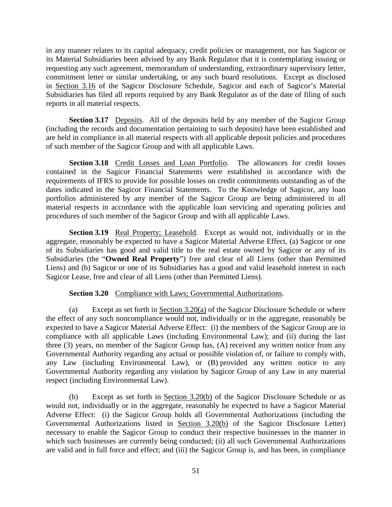in any manner relates to its capital adequacy, credit policies or management, nor has Sagicor or its Material Subsidiaries been advised by any Bank Regulator that it is contemplating issuing or requesting any such agreement, memorandum of understanding, extraordinary supervisory letter, commitment letter or similar undertaking, or any such board resolutions. Except as disclosed in [Section 3.16](#page-54-3) of the Sagicor Disclosure Schedule, Sagicor and each of Sagicor's Material Subsidiaries has filed all reports required by any Bank Regulator as of the date of filing of such reports in all material respects.

**Section 3.17** Deposits. All of the deposits held by any member of the Sagicor Group (including the records and documentation pertaining to such deposits) have been established and are held in compliance in all material respects with all applicable deposit policies and procedures of such member of the Sagicor Group and with all applicable Laws.

**Section 3.18** Credit Losses and Loan Portfolio. The allowances for credit losses contained in the Sagicor Financial Statements were established in accordance with the requirements of IFRS to provide for possible losses on credit commitments outstanding as of the dates indicated in the Sagicor Financial Statements. To the Knowledge of Sagicor, any loan portfolios administered by any member of the Sagicor Group are being administered in all material respects in accordance with the applicable loan servicing and operating policies and procedures of such member of the Sagicor Group and with all applicable Laws.

**Section 3.19** Real Property; Leasehold. Except as would not, individually or in the aggregate, reasonably be expected to have a Sagicor Material Adverse Effect, (a) Sagicor or one of its Subsidiaries has good and valid title to the real estate owned by Sagicor or any of its Subsidiaries (the "**Owned Real Property**") free and clear of all Liens (other than Permitted Liens) and (b) Sagicor or one of its Subsidiaries has a good and valid leasehold interest in each Sagicor Lease, free and clear of all Liens (other than Permitted Liens).

# **Section 3.20** Compliance with Laws; Governmental Authorizations.

<span id="page-55-0"></span>(a) Except as set forth in [Section 3.20\(a\)](#page-55-0) of the Sagicor Disclosure Schedule or where the effect of any such noncompliance would not, individually or in the aggregate, reasonably be expected to have a Sagicor Material Adverse Effect: (i) the members of the Sagicor Group are in compliance with all applicable Laws (including Environmental Law); and (ii) during the last three (3) years, no member of the Sagicor Group has, (A) received any written notice from any Governmental Authority regarding any actual or possible violation of, or failure to comply with, any Law (including Environmental Law), or (B) provided any written notice to any Governmental Authority regarding any violation by Sagicor Group of any Law in any material respect (including Environmental Law).

<span id="page-55-1"></span>(b) Except as set forth in [Section 3.20\(b\)](#page-55-1) of the Sagicor Disclosure Schedule or as would not, individually or in the aggregate, reasonably be expected to have a Sagicor Material Adverse Effect: (i) the Sagicor Group holds all Governmental Authorizations (including the Governmental Authorizations listed in [Section 3.20\(b\)](#page-55-1) of the Sagicor Disclosure Letter) necessary to enable the Sagicor Group to conduct their respective businesses in the manner in which such businesses are currently being conducted; (ii) all such Governmental Authorizations are valid and in full force and effect; and (iii) the Sagicor Group is, and has been, in compliance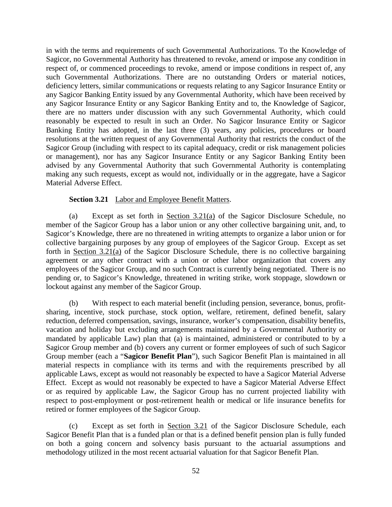in with the terms and requirements of such Governmental Authorizations. To the Knowledge of Sagicor, no Governmental Authority has threatened to revoke, amend or impose any condition in respect of, or commenced proceedings to revoke, amend or impose conditions in respect of, any such Governmental Authorizations. There are no outstanding Orders or material notices, deficiency letters, similar communications or requests relating to any Sagicor Insurance Entity or any Sagicor Banking Entity issued by any Governmental Authority, which have been received by any Sagicor Insurance Entity or any Sagicor Banking Entity and to, the Knowledge of Sagicor, there are no matters under discussion with any such Governmental Authority, which could reasonably be expected to result in such an Order. No Sagicor Insurance Entity or Sagicor Banking Entity has adopted, in the last three (3) years, any policies, procedures or board resolutions at the written request of any Governmental Authority that restricts the conduct of the Sagicor Group (including with respect to its capital adequacy, credit or risk management policies or management), nor has any Sagicor Insurance Entity or any Sagicor Banking Entity been advised by any Governmental Authority that such Governmental Authority is contemplating making any such requests, except as would not, individually or in the aggregate, have a Sagicor Material Adverse Effect.

### **Section 3.21** Labor and Employee Benefit Matters.

<span id="page-56-0"></span>(a) Except as set forth in [Section 3.21\(a\)](#page-56-0) of the Sagicor Disclosure Schedule, no member of the Sagicor Group has a labor union or any other collective bargaining unit, and, to Sagicor's Knowledge, there are no threatened in writing attempts to organize a labor union or for collective bargaining purposes by any group of employees of the Sagicor Group. Except as set forth in [Section 3.21\(a\)](#page-56-0) of the Sagicor Disclosure Schedule, there is no collective bargaining agreement or any other contract with a union or other labor organization that covers any employees of the Sagicor Group, and no such Contract is currently being negotiated. There is no pending or, to Sagicor's Knowledge, threatened in writing strike, work stoppage, slowdown or lockout against any member of the Sagicor Group.

(b) With respect to each material benefit (including pension, severance, bonus, profitsharing, incentive, stock purchase, stock option, welfare, retirement, defined benefit, salary reduction, deferred compensation, savings, insurance, worker's compensation, disability benefits, vacation and holiday but excluding arrangements maintained by a Governmental Authority or mandated by applicable Law) plan that (a) is maintained, administered or contributed to by a Sagicor Group member and (b) covers any current or former employees of such of such Sagicor Group member (each a "**Sagicor Benefit Plan**"), such Sagicor Benefit Plan is maintained in all material respects in compliance with its terms and with the requirements prescribed by all applicable Laws, except as would not reasonably be expected to have a Sagicor Material Adverse Effect. Except as would not reasonably be expected to have a Sagicor Material Adverse Effect or as required by applicable Law, the Sagicor Group has no current projected liability with respect to post-employment or post-retirement health or medical or life insurance benefits for retired or former employees of the Sagicor Group.

(c) Except as set forth in Section 3.21 of the Sagicor Disclosure Schedule, each Sagicor Benefit Plan that is a funded plan or that is a defined benefit pension plan is fully funded on both a going concern and solvency basis pursuant to the actuarial assumptions and methodology utilized in the most recent actuarial valuation for that Sagicor Benefit Plan.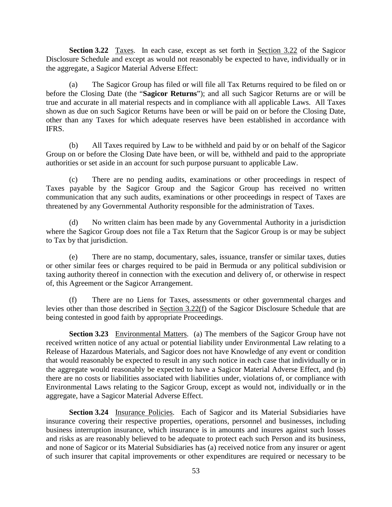<span id="page-57-0"></span>**Section 3.22** Taxes. In each case, except as set forth in [Section 3.22](#page-57-0) of the Sagicor Disclosure Schedule and except as would not reasonably be expected to have, individually or in the aggregate, a Sagicor Material Adverse Effect:

(a) The Sagicor Group has filed or will file all Tax Returns required to be filed on or before the Closing Date (the "**Sagicor Returns**"); and all such Sagicor Returns are or will be true and accurate in all material respects and in compliance with all applicable Laws. All Taxes shown as due on such Sagicor Returns have been or will be paid on or before the Closing Date, other than any Taxes for which adequate reserves have been established in accordance with IFRS.

(b) All Taxes required by Law to be withheld and paid by or on behalf of the Sagicor Group on or before the Closing Date have been, or will be, withheld and paid to the appropriate authorities or set aside in an account for such purpose pursuant to applicable Law.

(c) There are no pending audits, examinations or other proceedings in respect of Taxes payable by the Sagicor Group and the Sagicor Group has received no written communication that any such audits, examinations or other proceedings in respect of Taxes are threatened by any Governmental Authority responsible for the administration of Taxes.

(d) No written claim has been made by any Governmental Authority in a jurisdiction where the Sagicor Group does not file a Tax Return that the Sagicor Group is or may be subject to Tax by that jurisdiction.

(e) There are no stamp, documentary, sales, issuance, transfer or similar taxes, duties or other similar fees or charges required to be paid in Bermuda or any political subdivision or taxing authority thereof in connection with the execution and delivery of, or otherwise in respect of, this Agreement or the Sagicor Arrangement.

(f) There are no Liens for Taxes, assessments or other governmental charges and levies other than those described in [Section 3.22\(f\)](#page-57-0) of the Sagicor Disclosure Schedule that are being contested in good faith by appropriate Proceedings.

**Section 3.23** Environmental Matters. (a) The members of the Sagicor Group have not received written notice of any actual or potential liability under Environmental Law relating to a Release of Hazardous Materials, and Sagicor does not have Knowledge of any event or condition that would reasonably be expected to result in any such notice in each case that individually or in the aggregate would reasonably be expected to have a Sagicor Material Adverse Effect, and (b) there are no costs or liabilities associated with liabilities under, violations of, or compliance with Environmental Laws relating to the Sagicor Group, except as would not, individually or in the aggregate, have a Sagicor Material Adverse Effect.

**Section 3.24** Insurance Policies. Each of Sagicor and its Material Subsidiaries have insurance covering their respective properties, operations, personnel and businesses, including business interruption insurance, which insurance is in amounts and insures against such losses and risks as are reasonably believed to be adequate to protect each such Person and its business, and none of Sagicor or its Material Subsidiaries has (a) received notice from any insurer or agent of such insurer that capital improvements or other expenditures are required or necessary to be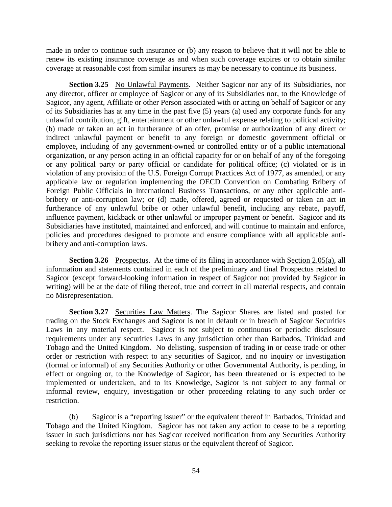made in order to continue such insurance or (b) any reason to believe that it will not be able to renew its existing insurance coverage as and when such coverage expires or to obtain similar coverage at reasonable cost from similar insurers as may be necessary to continue its business.

**Section 3.25** No Unlawful Payments. Neither Sagicor nor any of its Subsidiaries, nor any director, officer or employee of Sagicor or any of its Subsidiaries nor, to the Knowledge of Sagicor, any agent, Affiliate or other Person associated with or acting on behalf of Sagicor or any of its Subsidiaries has at any time in the past five (5) years (a) used any corporate funds for any unlawful contribution, gift, entertainment or other unlawful expense relating to political activity; (b) made or taken an act in furtherance of an offer, promise or authorization of any direct or indirect unlawful payment or benefit to any foreign or domestic government official or employee, including of any government-owned or controlled entity or of a public international organization, or any person acting in an official capacity for or on behalf of any of the foregoing or any political party or party official or candidate for political office; (c) violated or is in violation of any provision of the U.S. Foreign Corrupt Practices Act of 1977, as amended, or any applicable law or regulation implementing the OECD Convention on Combating Bribery of Foreign Public Officials in International Business Transactions, or any other applicable antibribery or anti-corruption law; or (d) made, offered, agreed or requested or taken an act in furtherance of any unlawful bribe or other unlawful benefit, including any rebate, payoff, influence payment, kickback or other unlawful or improper payment or benefit. Sagicor and its Subsidiaries have instituted, maintained and enforced, and will continue to maintain and enforce, policies and procedures designed to promote and ensure compliance with all applicable antibribery and anti-corruption laws.

**Section 3.26** Prospectus. At the time of its filing in accordance with [Section 2.05\(a\),](#page-32-0) all information and statements contained in each of the preliminary and final Prospectus related to Sagicor (except forward-looking information in respect of Sagicor not provided by Sagicor in writing) will be at the date of filing thereof, true and correct in all material respects, and contain no Misrepresentation.

<span id="page-58-0"></span>**Section 3.27** Securities Law Matters. The Sagicor Shares are listed and posted for trading on the Stock Exchanges and Sagicor is not in default or in breach of Sagicor Securities Laws in any material respect. Sagicor is not subject to continuous or periodic disclosure requirements under any securities Laws in any jurisdiction other than Barbados, Trinidad and Tobago and the United Kingdom. No delisting, suspension of trading in or cease trade or other order or restriction with respect to any securities of Sagicor, and no inquiry or investigation (formal or informal) of any Securities Authority or other Governmental Authority, is pending, in effect or ongoing or, to the Knowledge of Sagicor, has been threatened or is expected to be implemented or undertaken, and to its Knowledge, Sagicor is not subject to any formal or informal review, enquiry, investigation or other proceeding relating to any such order or restriction.

(b) Sagicor is a "reporting issuer" or the equivalent thereof in Barbados, Trinidad and Tobago and the United Kingdom. Sagicor has not taken any action to cease to be a reporting issuer in such jurisdictions nor has Sagicor received notification from any Securities Authority seeking to revoke the reporting issuer status or the equivalent thereof of Sagicor.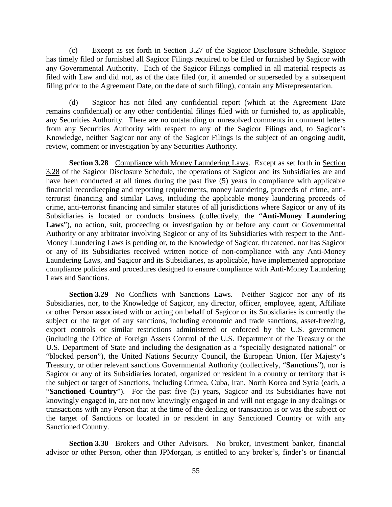(c) Except as set forth in [Section 3.27](#page-58-0) of the Sagicor Disclosure Schedule, Sagicor has timely filed or furnished all Sagicor Filings required to be filed or furnished by Sagicor with any Governmental Authority. Each of the Sagicor Filings complied in all material respects as filed with Law and did not, as of the date filed (or, if amended or superseded by a subsequent filing prior to the Agreement Date, on the date of such filing), contain any Misrepresentation.

(d) Sagicor has not filed any confidential report (which at the Agreement Date remains confidential) or any other confidential filings filed with or furnished to, as applicable, any Securities Authority. There are no outstanding or unresolved comments in comment letters from any Securities Authority with respect to any of the Sagicor Filings and, to Sagicor's Knowledge, neither Sagicor nor any of the Sagicor Filings is the subject of an ongoing audit, review, comment or investigation by any Securities Authority.

<span id="page-59-0"></span>**Section 3.28** Compliance with Money Laundering Laws. Except as set forth in Section [3.28](#page-59-0) of the Sagicor Disclosure Schedule, the operations of Sagicor and its Subsidiaries are and have been conducted at all times during the past five (5) years in compliance with applicable financial recordkeeping and reporting requirements, money laundering, proceeds of crime, antiterrorist financing and similar Laws, including the applicable money laundering proceeds of crime, anti-terrorist financing and similar statutes of all jurisdictions where Sagicor or any of its Subsidiaries is located or conducts business (collectively, the "**Anti-Money Laundering**  Laws"), no action, suit, proceeding or investigation by or before any court or Governmental Authority or any arbitrator involving Sagicor or any of its Subsidiaries with respect to the Anti-Money Laundering Laws is pending or, to the Knowledge of Sagicor, threatened, nor has Sagicor or any of its Subsidiaries received written notice of non-compliance with any Anti-Money Laundering Laws, and Sagicor and its Subsidiaries, as applicable, have implemented appropriate compliance policies and procedures designed to ensure compliance with Anti-Money Laundering Laws and Sanctions.

**Section 3.29** No Conflicts with Sanctions Laws. Neither Sagicor nor any of its Subsidiaries, nor, to the Knowledge of Sagicor, any director, officer, employee, agent, Affiliate or other Person associated with or acting on behalf of Sagicor or its Subsidiaries is currently the subject or the target of any sanctions, including economic and trade sanctions, asset-freezing, export controls or similar restrictions administered or enforced by the U.S. government (including the Office of Foreign Assets Control of the U.S. Department of the Treasury or the U.S. Department of State and including the designation as a "specially designated national" or "blocked person"), the United Nations Security Council, the European Union, Her Majesty's Treasury, or other relevant sanctions Governmental Authority (collectively, "**Sanctions**"), nor is Sagicor or any of its Subsidiaries located, organized or resident in a country or territory that is the subject or target of Sanctions, including Crimea, Cuba, Iran, North Korea and Syria (each, a "**Sanctioned Country**"). For the past five (5) years, Sagicor and its Subsidiaries have not knowingly engaged in, are not now knowingly engaged in and will not engage in any dealings or transactions with any Person that at the time of the dealing or transaction is or was the subject or the target of Sanctions or located in or resident in any Sanctioned Country or with any Sanctioned Country.

**Section 3.30** Brokers and Other Advisors. No broker, investment banker, financial advisor or other Person, other than JPMorgan, is entitled to any broker's, finder's or financial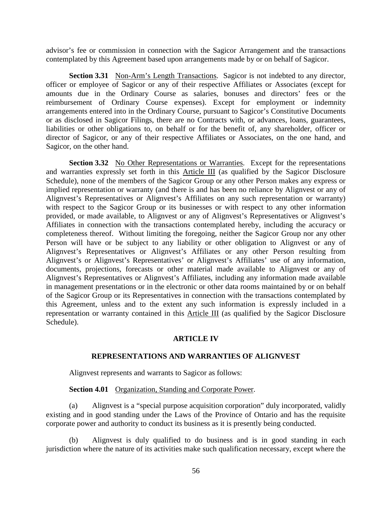advisor's fee or commission in connection with the Sagicor Arrangement and the transactions contemplated by this Agreement based upon arrangements made by or on behalf of Sagicor.

**Section 3.31** Non-Arm's Length Transactions. Sagicor is not indebted to any director, officer or employee of Sagicor or any of their respective Affiliates or Associates (except for amounts due in the Ordinary Course as salaries, bonuses and directors' fees or the reimbursement of Ordinary Course expenses). Except for employment or indemnity arrangements entered into in the Ordinary Course, pursuant to Sagicor's Constitutive Documents or as disclosed in Sagicor Filings, there are no Contracts with, or advances, loans, guarantees, liabilities or other obligations to, on behalf or for the benefit of, any shareholder, officer or director of Sagicor, or any of their respective Affiliates or Associates, on the one hand, and Sagicor, on the other hand.

**Section 3.32** No Other Representations or Warranties. Except for the representations and warranties expressly set forth in this [Article III](#page-43-0) (as qualified by the Sagicor Disclosure Schedule), none of the members of the Sagicor Group or any other Person makes any express or implied representation or warranty (and there is and has been no reliance by Alignvest or any of Alignvest's Representatives or Alignvest's Affiliates on any such representation or warranty) with respect to the Sagicor Group or its businesses or with respect to any other information provided, or made available, to Alignvest or any of Alignvest's Representatives or Alignvest's Affiliates in connection with the transactions contemplated hereby, including the accuracy or completeness thereof. Without limiting the foregoing, neither the Sagicor Group nor any other Person will have or be subject to any liability or other obligation to Alignvest or any of Alignvest's Representatives or Alignvest's Affiliates or any other Person resulting from Alignvest's or Alignvest's Representatives' or Alignvest's Affiliates' use of any information, documents, projections, forecasts or other material made available to Alignvest or any of Alignvest's Representatives or Alignvest's Affiliates, including any information made available in management presentations or in the electronic or other data rooms maintained by or on behalf of the Sagicor Group or its Representatives in connection with the transactions contemplated by this Agreement, unless and to the extent any such information is expressly included in a representation or warranty contained in this [Article III](#page-43-0) (as qualified by the Sagicor Disclosure Schedule).

#### **ARTICLE IV**

#### **REPRESENTATIONS AND WARRANTIES OF ALIGNVEST**

<span id="page-60-0"></span>Alignvest represents and warrants to Sagicor as follows:

#### **Section 4.01** Organization, Standing and Corporate Power.

(a) Alignvest is a "special purpose acquisition corporation" duly incorporated, validly existing and in good standing under the Laws of the Province of Ontario and has the requisite corporate power and authority to conduct its business as it is presently being conducted.

(b) Alignvest is duly qualified to do business and is in good standing in each jurisdiction where the nature of its activities make such qualification necessary, except where the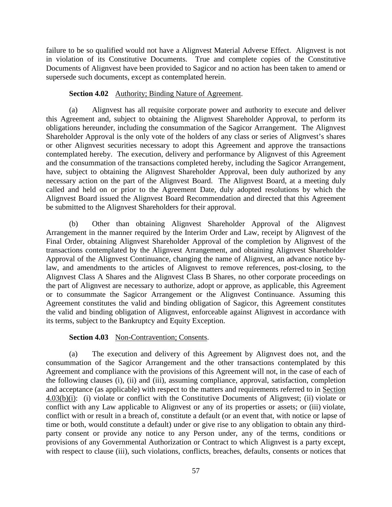failure to be so qualified would not have a Alignvest Material Adverse Effect. Alignvest is not in violation of its Constitutive Documents. True and complete copies of the Constitutive Documents of Alignvest have been provided to Sagicor and no action has been taken to amend or supersede such documents, except as contemplated herein.

# **Section 4.02** Authority; Binding Nature of Agreement.

(a) Alignvest has all requisite corporate power and authority to execute and deliver this Agreement and, subject to obtaining the Alignvest Shareholder Approval, to perform its obligations hereunder, including the consummation of the Sagicor Arrangement. The Alignvest Shareholder Approval is the only vote of the holders of any class or series of Alignvest's shares or other Alignvest securities necessary to adopt this Agreement and approve the transactions contemplated hereby. The execution, delivery and performance by Alignvest of this Agreement and the consummation of the transactions completed hereby, including the Sagicor Arrangement, have, subject to obtaining the Alignvest Shareholder Approval, been duly authorized by any necessary action on the part of the Alignvest Board. The Alignvest Board, at a meeting duly called and held on or prior to the Agreement Date, duly adopted resolutions by which the Alignvest Board issued the Alignvest Board Recommendation and directed that this Agreement be submitted to the Alignvest Shareholders for their approval.

(b) Other than obtaining Alignvest Shareholder Approval of the Alignvest Arrangement in the manner required by the Interim Order and Law, receipt by Alignvest of the Final Order, obtaining Alignvest Shareholder Approval of the completion by Alignvest of the transactions contemplated by the Alignvest Arrangement, and obtaining Alignvest Shareholder Approval of the Alignvest Continuance, changing the name of Alignvest, an advance notice bylaw, and amendments to the articles of Alignvest to remove references, post-closing, to the Alignvest Class A Shares and the Alignvest Class B Shares, no other corporate proceedings on the part of Alignvest are necessary to authorize, adopt or approve, as applicable, this Agreement or to consummate the Sagicor Arrangement or the Alignvest Continuance. Assuming this Agreement constitutes the valid and binding obligation of Sagicor, this Agreement constitutes the valid and binding obligation of Alignvest, enforceable against Alignvest in accordance with its terms, subject to the Bankruptcy and Equity Exception.

# Section 4.03 Non-Contravention; Consents.

(a) The execution and delivery of this Agreement by Alignvest does not, and the consummation of the Sagicor Arrangement and the other transactions contemplated by this Agreement and compliance with the provisions of this Agreement will not, in the case of each of the following clauses (i), (ii) and (iii), assuming compliance, approval, satisfaction, completion and acceptance (as applicable) with respect to the matters and requirements referred to in [Section](#page-62-0)  [4.03\(b\)\(](#page-62-0)i): (i) violate or conflict with the Constitutive Documents of Alignvest; (ii) violate or conflict with any Law applicable to Alignvest or any of its properties or assets; or (iii) violate, conflict with or result in a breach of, constitute a default (or an event that, with notice or lapse of time or both, would constitute a default) under or give rise to any obligation to obtain any thirdparty consent or provide any notice to any Person under, any of the terms, conditions or provisions of any Governmental Authorization or Contract to which Alignvest is a party except, with respect to clause (iii), such violations, conflicts, breaches, defaults, consents or notices that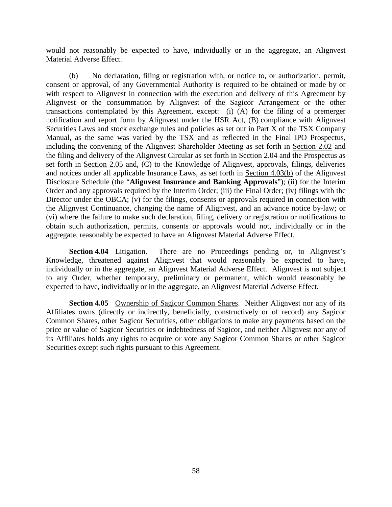would not reasonably be expected to have, individually or in the aggregate, an Alignvest Material Adverse Effect.

<span id="page-62-0"></span>(b) No declaration, filing or registration with, or notice to, or authorization, permit, consent or approval, of any Governmental Authority is required to be obtained or made by or with respect to Alignvest in connection with the execution and delivery of this Agreement by Alignvest or the consummation by Alignvest of the Sagicor Arrangement or the other transactions contemplated by this Agreement, except: (i) (A) for the filing of a premerger notification and report form by Alignvest under the HSR Act, (B) compliance with Alignvest Securities Laws and stock exchange rules and policies as set out in Part X of the TSX Company Manual, as the same was varied by the TSX and as reflected in the Final IPO Prospectus, including the convening of the Alignvest Shareholder Meeting as set forth in [Section 2.02](#page-30-0) and the filing and delivery of the Alignvest Circular as set forth in [Section 2.04](#page-31-0) and the Prospectus as set forth in [Section 2.05](#page-32-1) and, (C) to the Knowledge of Alignvest, approvals, filings, deliveries and notices under all applicable Insurance Laws, as set forth in [Section 4.03\(b\)](#page-62-0) of the Alignvest Disclosure Schedule (the "**Alignvest Insurance and Banking Approvals**"); (ii) for the Interim Order and any approvals required by the Interim Order; (iii) the Final Order; (iv) filings with the Director under the OBCA; (v) for the filings, consents or approvals required in connection with the Alignvest Continuance, changing the name of Alignvest, and an advance notice by-law; or (vi) where the failure to make such declaration, filing, delivery or registration or notifications to obtain such authorization, permits, consents or approvals would not, individually or in the aggregate, reasonably be expected to have an Alignvest Material Adverse Effect.

**Section 4.04** Litigation. There are no Proceedings pending or, to Alignvest's Knowledge, threatened against Alignvest that would reasonably be expected to have, individually or in the aggregate, an Alignvest Material Adverse Effect. Alignvest is not subject to any Order, whether temporary, preliminary or permanent, which would reasonably be expected to have, individually or in the aggregate, an Alignvest Material Adverse Effect.

**Section 4.05** Ownership of Sagicor Common Shares. Neither Alignvest nor any of its Affiliates owns (directly or indirectly, beneficially, constructively or of record) any Sagicor Common Shares, other Sagicor Securities, other obligations to make any payments based on the price or value of Sagicor Securities or indebtedness of Sagicor, and neither Alignvest nor any of its Affiliates holds any rights to acquire or vote any Sagicor Common Shares or other Sagicor Securities except such rights pursuant to this Agreement.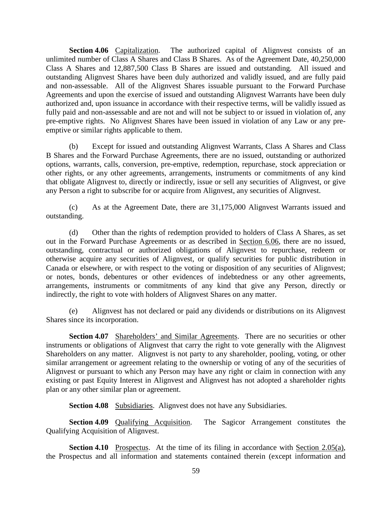Section 4.06 Capitalization. The authorized capital of Alignvest consists of an unlimited number of Class A Shares and Class B Shares. As of the Agreement Date, 40,250,000 Class A Shares and 12,887,500 Class B Shares are issued and outstanding. All issued and outstanding Alignvest Shares have been duly authorized and validly issued, and are fully paid and non-assessable. All of the Alignvest Shares issuable pursuant to the Forward Purchase Agreements and upon the exercise of issued and outstanding Alignvest Warrants have been duly authorized and, upon issuance in accordance with their respective terms, will be validly issued as fully paid and non-assessable and are not and will not be subject to or issued in violation of, any pre-emptive rights. No Alignvest Shares have been issued in violation of any Law or any preemptive or similar rights applicable to them.

(b) Except for issued and outstanding Alignvest Warrants, Class A Shares and Class B Shares and the Forward Purchase Agreements, there are no issued, outstanding or authorized options, warrants, calls, conversion, pre-emptive, redemption, repurchase, stock appreciation or other rights, or any other agreements, arrangements, instruments or commitments of any kind that obligate Alignvest to, directly or indirectly, issue or sell any securities of Alignvest, or give any Person a right to subscribe for or acquire from Alignvest, any securities of Alignvest.

(c) As at the Agreement Date, there are 31,175,000 Alignvest Warrants issued and outstanding.

(d) Other than the rights of redemption provided to holders of Class A Shares, as set out in the Forward Purchase Agreements or as described in [Section 6.06,](#page-85-0) there are no issued, outstanding, contractual or authorized obligations of Alignvest to repurchase, redeem or otherwise acquire any securities of Alignvest, or qualify securities for public distribution in Canada or elsewhere, or with respect to the voting or disposition of any securities of Alignvest; or notes, bonds, debentures or other evidences of indebtedness or any other agreements, arrangements, instruments or commitments of any kind that give any Person, directly or indirectly, the right to vote with holders of Alignvest Shares on any matter.

(e) Alignvest has not declared or paid any dividends or distributions on its Alignvest Shares since its incorporation.

**Section 4.07** Shareholders' and Similar Agreements. There are no securities or other instruments or obligations of Alignvest that carry the right to vote generally with the Alignvest Shareholders on any matter. Alignvest is not party to any shareholder, pooling, voting, or other similar arrangement or agreement relating to the ownership or voting of any of the securities of Alignvest or pursuant to which any Person may have any right or claim in connection with any existing or past Equity Interest in Alignvest and Alignvest has not adopted a shareholder rights plan or any other similar plan or agreement.

**Section 4.08** Subsidiaries. Alignvest does not have any Subsidiaries.

**Section 4.09** Qualifying Acquisition. The Sagicor Arrangement constitutes the Qualifying Acquisition of Alignvest.

**Section 4.10** Prospectus. At the time of its filing in accordance with [Section 2.05\(a\),](#page-32-0) the Prospectus and all information and statements contained therein (except information and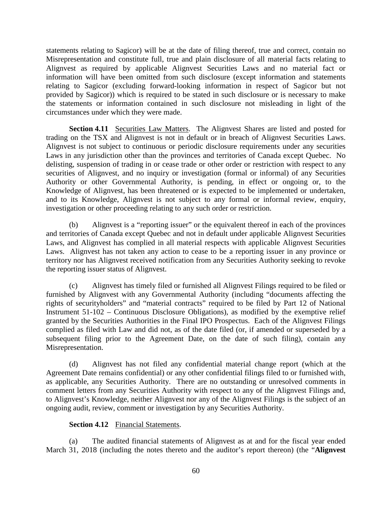statements relating to Sagicor) will be at the date of filing thereof, true and correct, contain no Misrepresentation and constitute full, true and plain disclosure of all material facts relating to Alignvest as required by applicable Alignvest Securities Laws and no material fact or information will have been omitted from such disclosure (except information and statements relating to Sagicor (excluding forward-looking information in respect of Sagicor but not provided by Sagicor)) which is required to be stated in such disclosure or is necessary to make the statements or information contained in such disclosure not misleading in light of the circumstances under which they were made.

**Section 4.11** Securities Law Matters. The Alignvest Shares are listed and posted for trading on the TSX and Alignvest is not in default or in breach of Alignvest Securities Laws. Alignvest is not subject to continuous or periodic disclosure requirements under any securities Laws in any jurisdiction other than the provinces and territories of Canada except Quebec. No delisting, suspension of trading in or cease trade or other order or restriction with respect to any securities of Alignvest, and no inquiry or investigation (formal or informal) of any Securities Authority or other Governmental Authority, is pending, in effect or ongoing or, to the Knowledge of Alignvest, has been threatened or is expected to be implemented or undertaken, and to its Knowledge, Alignvest is not subject to any formal or informal review, enquiry, investigation or other proceeding relating to any such order or restriction.

(b) Alignvest is a "reporting issuer" or the equivalent thereof in each of the provinces and territories of Canada except Quebec and not in default under applicable Alignvest Securities Laws, and Alignvest has complied in all material respects with applicable Alignvest Securities Laws. Alignvest has not taken any action to cease to be a reporting issuer in any province or territory nor has Alignvest received notification from any Securities Authority seeking to revoke the reporting issuer status of Alignvest.

(c) Alignvest has timely filed or furnished all Alignvest Filings required to be filed or furnished by Alignvest with any Governmental Authority (including "documents affecting the rights of securityholders" and "material contracts" required to be filed by Part 12 of National Instrument 51-102 – Continuous Disclosure Obligations), as modified by the exemptive relief granted by the Securities Authorities in the Final IPO Prospectus. Each of the Alignvest Filings complied as filed with Law and did not, as of the date filed (or, if amended or superseded by a subsequent filing prior to the Agreement Date, on the date of such filing), contain any Misrepresentation.

(d) Alignvest has not filed any confidential material change report (which at the Agreement Date remains confidential) or any other confidential filings filed to or furnished with, as applicable, any Securities Authority. There are no outstanding or unresolved comments in comment letters from any Securities Authority with respect to any of the Alignvest Filings and, to Alignvest's Knowledge, neither Alignvest nor any of the Alignvest Filings is the subject of an ongoing audit, review, comment or investigation by any Securities Authority.

### **Section 4.12** Financial Statements.

(a) The audited financial statements of Alignvest as at and for the fiscal year ended March 31, 2018 (including the notes thereto and the auditor's report thereon) (the "**Alignvest**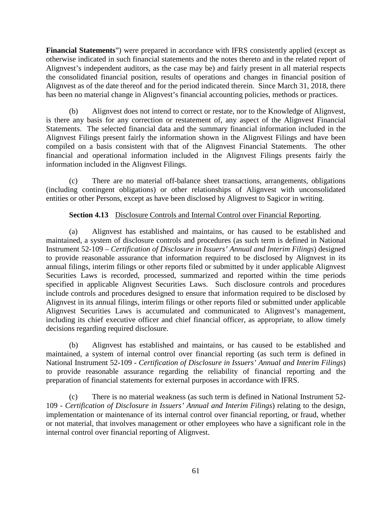**Financial Statements**") were prepared in accordance with IFRS consistently applied (except as otherwise indicated in such financial statements and the notes thereto and in the related report of Alignvest's independent auditors, as the case may be) and fairly present in all material respects the consolidated financial position, results of operations and changes in financial position of Alignvest as of the date thereof and for the period indicated therein. Since March 31, 2018, there has been no material change in Alignvest's financial accounting policies, methods or practices.

(b) Alignvest does not intend to correct or restate, nor to the Knowledge of Alignvest, is there any basis for any correction or restatement of, any aspect of the Alignvest Financial Statements. The selected financial data and the summary financial information included in the Alignvest Filings present fairly the information shown in the Alignvest Filings and have been compiled on a basis consistent with that of the Alignvest Financial Statements. The other financial and operational information included in the Alignvest Filings presents fairly the information included in the Alignvest Filings.

(c) There are no material off-balance sheet transactions, arrangements, obligations (including contingent obligations) or other relationships of Alignvest with unconsolidated entities or other Persons, except as have been disclosed by Alignvest to Sagicor in writing.

# **Section 4.13** Disclosure Controls and Internal Control over Financial Reporting.

(a) Alignvest has established and maintains, or has caused to be established and maintained, a system of disclosure controls and procedures (as such term is defined in National Instrument 52-109 – *Certification of Disclosure in Issuers' Annual and Interim Filings*) designed to provide reasonable assurance that information required to be disclosed by Alignvest in its annual filings, interim filings or other reports filed or submitted by it under applicable Alignvest Securities Laws is recorded, processed, summarized and reported within the time periods specified in applicable Alignvest Securities Laws. Such disclosure controls and procedures include controls and procedures designed to ensure that information required to be disclosed by Alignvest in its annual filings, interim filings or other reports filed or submitted under applicable Alignvest Securities Laws is accumulated and communicated to Alignvest's management, including its chief executive officer and chief financial officer, as appropriate, to allow timely decisions regarding required disclosure.

(b) Alignvest has established and maintains, or has caused to be established and maintained, a system of internal control over financial reporting (as such term is defined in National Instrument 52-109 - *Certification of Disclosure in Issuers' Annual and Interim Filings*) to provide reasonable assurance regarding the reliability of financial reporting and the preparation of financial statements for external purposes in accordance with IFRS.

(c) There is no material weakness (as such term is defined in National Instrument 52- 109 - *Certification of Disclosure in Issuers' Annual and Interim Filings*) relating to the design, implementation or maintenance of its internal control over financial reporting, or fraud, whether or not material, that involves management or other employees who have a significant role in the internal control over financial reporting of Alignvest.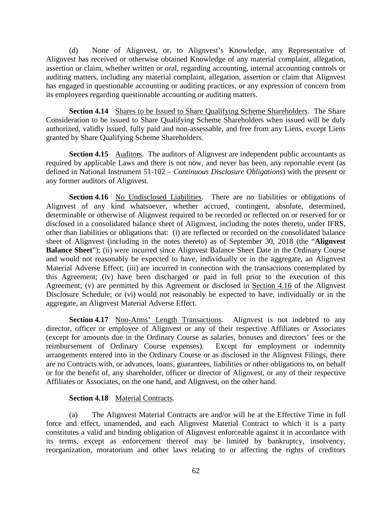(d) None of Alignvest, or, to Alignvest's Knowledge, any Representative of Alignvest has received or otherwise obtained Knowledge of any material complaint, allegation, assertion or claim, whether written or oral, regarding accounting, internal accounting controls or auditing matters, including any material complaint, allegation, assertion or claim that Alignvest has engaged in questionable accounting or auditing practices, or any expression of concern from its employees regarding questionable accounting or auditing matters.

**Section 4.14** Shares to be Issued to Share Qualifying Scheme Shareholders. The Share Consideration to be issued to Share Qualifying Scheme Shareholders when issued will be duly authorized, validly issued, fully paid and non-assessable, and free from any Liens, except Liens granted by Share Qualifying Scheme Shareholders.

**Section 4.15** Auditors. The auditors of Alignvest are independent public accountants as required by applicable Laws and there is not now, and never has been, any reportable event (as defined in National Instrument 51-102 – *Continuous Disclosure Obligations*) with the present or any former auditors of Alignvest.

<span id="page-66-0"></span>Section 4.16 No Undisclosed Liabilities. There are no liabilities or obligations of Alignvest of any kind whatsoever, whether accrued, contingent, absolute, determined, determinable or otherwise of Alignvest required to be recorded or reflected on or reserved for or disclosed in a consolidated balance sheet of Alignvest, including the notes thereto, under IFRS, other than liabilities or obligations that: (i) are reflected or recorded on the consolidated balance sheet of Alignvest (including in the notes thereto) as of September 30, 2018 (the "**Alignvest Balance Sheet**"); (ii) were incurred since Alignvest Balance Sheet Date in the Ordinary Course and would not reasonably be expected to have, individually or in the aggregate, an Alignvest Material Adverse Effect; (iii) are incurred in connection with the transactions contemplated by this Agreement; (iv) have been discharged or paid in full prior to the execution of this Agreement; (v) are permitted by this Agreement or disclosed in [Section 4.16](#page-66-0) of the Alignvest Disclosure Schedule; or (vi) would not reasonably be expected to have, individually or in the aggregate, an Alignvest Material Adverse Effect.

**Section 4.17** Non-Arms' Length Transactions. Alignvest is not indebted to any director, officer or employee of Alignvest or any of their respective Affiliates or Associates (except for amounts due in the Ordinary Course as salaries, bonuses and directors' fees or the reimbursement of Ordinary Course expenses). Except for employment or indemnity arrangements entered into in the Ordinary Course or as disclosed in the Alignvest Filings, there are no Contracts with, or advances, loans, guarantees, liabilities or other obligations to, on behalf or for the benefit of, any shareholder, officer or director of Alignvest, or any of their respective Affiliates or Associates, on the one hand, and Alignvest, on the other hand.

### **Section 4.18** Material Contracts.

(a) The Alignvest Material Contracts are and/or will be at the Effective Time in full force and effect, unamended, and each Alignvest Material Contract to which it is a party constitutes a valid and binding obligation of Alignvest enforceable against it in accordance with its terms, except as enforcement thereof may be limited by bankruptcy, insolvency, reorganization, moratorium and other laws relating to or affecting the rights of creditors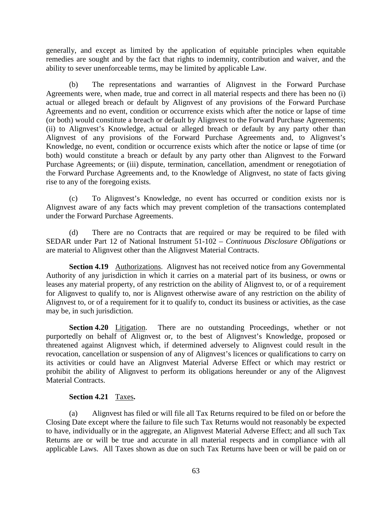generally, and except as limited by the application of equitable principles when equitable remedies are sought and by the fact that rights to indemnity, contribution and waiver, and the ability to sever unenforceable terms, may be limited by applicable Law.

(b) The representations and warranties of Alignvest in the Forward Purchase Agreements were, when made, true and correct in all material respects and there has been no (i) actual or alleged breach or default by Alignvest of any provisions of the Forward Purchase Agreements and no event, condition or occurrence exists which after the notice or lapse of time (or both) would constitute a breach or default by Alignvest to the Forward Purchase Agreements; (ii) to Alignvest's Knowledge, actual or alleged breach or default by any party other than Alignvest of any provisions of the Forward Purchase Agreements and, to Alignvest's Knowledge, no event, condition or occurrence exists which after the notice or lapse of time (or both) would constitute a breach or default by any party other than Alignvest to the Forward Purchase Agreements; or (iii) dispute, termination, cancellation, amendment or renegotiation of the Forward Purchase Agreements and, to the Knowledge of Alignvest, no state of facts giving rise to any of the foregoing exists.

(c) To Alignvest's Knowledge, no event has occurred or condition exists nor is Alignvest aware of any facts which may prevent completion of the transactions contemplated under the Forward Purchase Agreements.

(d) There are no Contracts that are required or may be required to be filed with SEDAR under Part 12 of National Instrument 51-102 – *Continuous Disclosure Obligations* or are material to Alignvest other than the Alignvest Material Contracts.

**Section 4.19** Authorizations. Alignvest has not received notice from any Governmental Authority of any jurisdiction in which it carries on a material part of its business, or owns or leases any material property, of any restriction on the ability of Alignvest to, or of a requirement for Alignvest to qualify to, nor is Alignvest otherwise aware of any restriction on the ability of Alignvest to, or of a requirement for it to qualify to, conduct its business or activities, as the case may be, in such jurisdiction.

**Section 4.20** Litigation. There are no outstanding Proceedings, whether or not purportedly on behalf of Alignvest or, to the best of Alignvest's Knowledge, proposed or threatened against Alignvest which, if determined adversely to Alignvest could result in the revocation, cancellation or suspension of any of Alignvest's licences or qualifications to carry on its activities or could have an Alignvest Material Adverse Effect or which may restrict or prohibit the ability of Alignvest to perform its obligations hereunder or any of the Alignvest Material Contracts.

### **Section 4.21** Taxes**.**

(a) Alignvest has filed or will file all Tax Returns required to be filed on or before the Closing Date except where the failure to file such Tax Returns would not reasonably be expected to have, individually or in the aggregate, an Alignvest Material Adverse Effect; and all such Tax Returns are or will be true and accurate in all material respects and in compliance with all applicable Laws. All Taxes shown as due on such Tax Returns have been or will be paid on or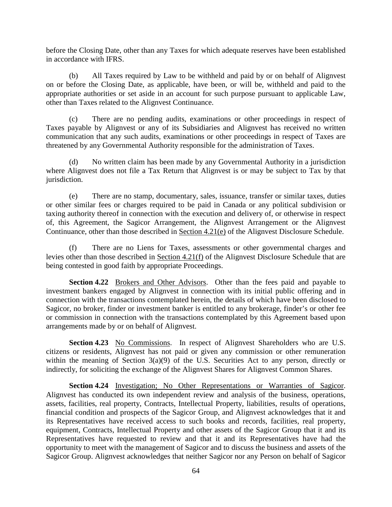before the Closing Date, other than any Taxes for which adequate reserves have been established in accordance with IFRS.

(b) All Taxes required by Law to be withheld and paid by or on behalf of Alignvest on or before the Closing Date, as applicable, have been, or will be, withheld and paid to the appropriate authorities or set aside in an account for such purpose pursuant to applicable Law, other than Taxes related to the Alignvest Continuance.

(c) There are no pending audits, examinations or other proceedings in respect of Taxes payable by Alignvest or any of its Subsidiaries and Alignvest has received no written communication that any such audits, examinations or other proceedings in respect of Taxes are threatened by any Governmental Authority responsible for the administration of Taxes.

(d) No written claim has been made by any Governmental Authority in a jurisdiction where Alignvest does not file a Tax Return that Alignvest is or may be subject to Tax by that jurisdiction.

(e) There are no stamp, documentary, sales, issuance, transfer or similar taxes, duties or other similar fees or charges required to be paid in Canada or any political subdivision or taxing authority thereof in connection with the execution and delivery of, or otherwise in respect of, this Agreement, the Sagicor Arrangement, the Alignvest Arrangement or the Alignvest Continuance, other than those described in Section 4.21(e) of the Alignvest Disclosure Schedule.

<span id="page-68-0"></span>(f) There are no Liens for Taxes, assessments or other governmental charges and levies other than those described in [Section 4.21\(f\)](#page-68-0) of the Alignvest Disclosure Schedule that are being contested in good faith by appropriate Proceedings.

**Section 4.22** Brokers and Other Advisors. Other than the fees paid and payable to investment bankers engaged by Alignvest in connection with its initial public offering and in connection with the transactions contemplated herein, the details of which have been disclosed to Sagicor, no broker, finder or investment banker is entitled to any brokerage, finder's or other fee or commission in connection with the transactions contemplated by this Agreement based upon arrangements made by or on behalf of Alignvest.

**Section 4.23** No Commissions. In respect of Alignvest Shareholders who are U.S. citizens or residents, Alignvest has not paid or given any commission or other remuneration within the meaning of Section  $3(a)(9)$  of the U.S. Securities Act to any person, directly or indirectly, for soliciting the exchange of the Alignvest Shares for Alignvest Common Shares.

**Section 4.24** Investigation; No Other Representations or Warranties of Sagicor. Alignvest has conducted its own independent review and analysis of the business, operations, assets, facilities, real property, Contracts, Intellectual Property, liabilities, results of operations, financial condition and prospects of the Sagicor Group, and Alignvest acknowledges that it and its Representatives have received access to such books and records, facilities, real property, equipment, Contracts, Intellectual Property and other assets of the Sagicor Group that it and its Representatives have requested to review and that it and its Representatives have had the opportunity to meet with the management of Sagicor and to discuss the business and assets of the Sagicor Group. Alignvest acknowledges that neither Sagicor nor any Person on behalf of Sagicor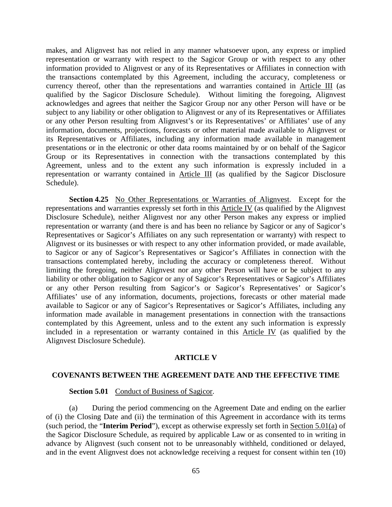makes, and Alignvest has not relied in any manner whatsoever upon, any express or implied representation or warranty with respect to the Sagicor Group or with respect to any other information provided to Alignvest or any of its Representatives or Affiliates in connection with the transactions contemplated by this Agreement, including the accuracy, completeness or currency thereof, other than the representations and warranties contained in [Article III](#page-43-0) (as qualified by the Sagicor Disclosure Schedule). Without limiting the foregoing, Alignvest acknowledges and agrees that neither the Sagicor Group nor any other Person will have or be subject to any liability or other obligation to Alignvest or any of its Representatives or Affiliates or any other Person resulting from Alignvest's or its Representatives' or Affiliates' use of any information, documents, projections, forecasts or other material made available to Alignvest or its Representatives or Affiliates, including any information made available in management presentations or in the electronic or other data rooms maintained by or on behalf of the Sagicor Group or its Representatives in connection with the transactions contemplated by this Agreement, unless and to the extent any such information is expressly included in a representation or warranty contained in [Article III](#page-43-0) (as qualified by the Sagicor Disclosure Schedule).

**Section 4.25** No Other Representations or Warranties of Alignvest. Except for the representations and warranties expressly set forth in this [Article IV](#page-60-0) (as qualified by the Alignvest Disclosure Schedule), neither Alignvest nor any other Person makes any express or implied representation or warranty (and there is and has been no reliance by Sagicor or any of Sagicor's Representatives or Sagicor's Affiliates on any such representation or warranty) with respect to Alignvest or its businesses or with respect to any other information provided, or made available, to Sagicor or any of Sagicor's Representatives or Sagicor's Affiliates in connection with the transactions contemplated hereby, including the accuracy or completeness thereof. Without limiting the foregoing, neither Alignvest nor any other Person will have or be subject to any liability or other obligation to Sagicor or any of Sagicor's Representatives or Sagicor's Affiliates or any other Person resulting from Sagicor's or Sagicor's Representatives' or Sagicor's Affiliates' use of any information, documents, projections, forecasts or other material made available to Sagicor or any of Sagicor's Representatives or Sagicor's Affiliates, including any information made available in management presentations in connection with the transactions contemplated by this Agreement, unless and to the extent any such information is expressly included in a representation or warranty contained in this [Article IV](#page-60-0) (as qualified by the Alignvest Disclosure Schedule).

#### **ARTICLE V**

#### **COVENANTS BETWEEN THE AGREEMENT DATE AND THE EFFECTIVE TIME**

#### Section 5.01 Conduct of Business of Sagicor.

<span id="page-69-0"></span>(a) During the period commencing on the Agreement Date and ending on the earlier of (i) the Closing Date and (ii) the termination of this Agreement in accordance with its terms (such period, the "**Interim Period**"), except as otherwise expressly set forth in [Section 5.01\(a\)](#page-69-0) of the Sagicor Disclosure Schedule, as required by applicable Law or as consented to in writing in advance by Alignvest (such consent not to be unreasonably withheld, conditioned or delayed, and in the event Alignvest does not acknowledge receiving a request for consent within ten (10)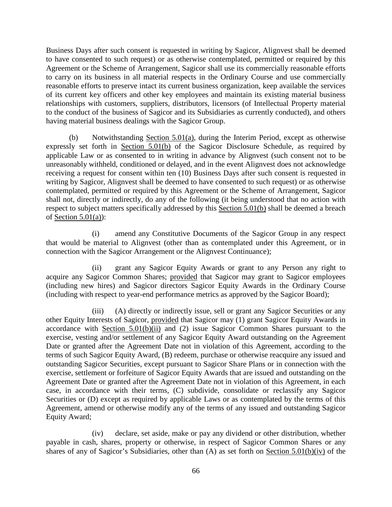Business Days after such consent is requested in writing by Sagicor, Alignvest shall be deemed to have consented to such request) or as otherwise contemplated, permitted or required by this Agreement or the Scheme of Arrangement, Sagicor shall use its commercially reasonable efforts to carry on its business in all material respects in the Ordinary Course and use commercially reasonable efforts to preserve intact its current business organization, keep available the services of its current key officers and other key employees and maintain its existing material business relationships with customers, suppliers, distributors, licensors (of Intellectual Property material to the conduct of the business of Sagicor and its Subsidiaries as currently conducted), and others having material business dealings with the Sagicor Group.

<span id="page-70-0"></span>(b) Notwithstanding [Section 5.01\(a\),](#page-69-0) during the Interim Period, except as otherwise expressly set forth in [Section 5.01\(b\)](#page-70-0) of the Sagicor Disclosure Schedule, as required by applicable Law or as consented to in writing in advance by Alignvest (such consent not to be unreasonably withheld, conditioned or delayed, and in the event Alignvest does not acknowledge receiving a request for consent within ten (10) Business Days after such consent is requested in writing by Sagicor, Alignvest shall be deemed to have consented to such request) or as otherwise contemplated, permitted or required by this Agreement or the Scheme of Arrangement, Sagicor shall not, directly or indirectly, do any of the following (it being understood that no action with respect to subject matters specifically addressed by this [Section 5.01\(b\)](#page-70-0) shall be deemed a breach of Section  $5.01(a)$ :

(i) amend any Constitutive Documents of the Sagicor Group in any respect that would be material to Alignvest (other than as contemplated under this Agreement, or in connection with the Sagicor Arrangement or the Alignvest Continuance);

<span id="page-70-1"></span>(ii) grant any Sagicor Equity Awards or grant to any Person any right to acquire any Sagicor Common Shares; provided that Sagicor may grant to Sagicor employees (including new hires) and Sagicor directors Sagicor Equity Awards in the Ordinary Course (including with respect to year-end performance metrics as approved by the Sagicor Board);

(iii) (A) directly or indirectly issue, sell or grant any Sagicor Securities or any other Equity Interests of Sagicor, provided that Sagicor may (1) grant Sagicor Equity Awards in accordance with [Section 5.01\(b\)\(ii\)](#page-70-1) and (2) issue Sagicor Common Shares pursuant to the exercise, vesting and/or settlement of any Sagicor Equity Award outstanding on the Agreement Date or granted after the Agreement Date not in violation of this Agreement, according to the terms of such Sagicor Equity Award, (B) redeem, purchase or otherwise reacquire any issued and outstanding Sagicor Securities, except pursuant to Sagicor Share Plans or in connection with the exercise, settlement or forfeiture of Sagicor Equity Awards that are issued and outstanding on the Agreement Date or granted after the Agreement Date not in violation of this Agreement, in each case, in accordance with their terms, (C) subdivide, consolidate or reclassify any Sagicor Securities or (D) except as required by applicable Laws or as contemplated by the terms of this Agreement, amend or otherwise modify any of the terms of any issued and outstanding Sagicor Equity Award;

<span id="page-70-2"></span>(iv) declare, set aside, make or pay any dividend or other distribution, whether payable in cash, shares, property or otherwise, in respect of Sagicor Common Shares or any shares of any of Sagicor's Subsidiaries, other than (A) as set forth on [Section 5.01\(b\)\(iv\)](#page-70-2) of the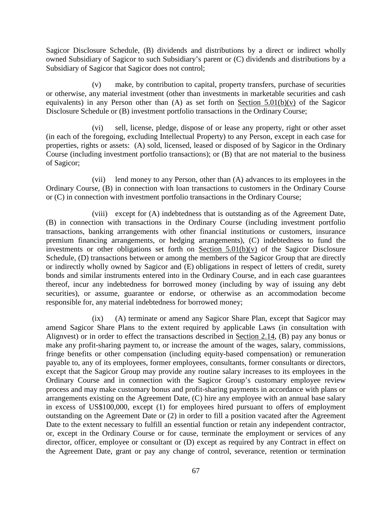Sagicor Disclosure Schedule, (B) dividends and distributions by a direct or indirect wholly owned Subsidiary of Sagicor to such Subsidiary's parent or (C) dividends and distributions by a Subsidiary of Sagicor that Sagicor does not control;

<span id="page-71-0"></span>(v) make, by contribution to capital, property transfers, purchase of securities or otherwise, any material investment (other than investments in marketable securities and cash equivalents) in any Person other than  $(A)$  as set forth on [Section 5.01\(b\)\(v\)](#page-71-0) of the Sagicor Disclosure Schedule or (B) investment portfolio transactions in the Ordinary Course;

(vi) sell, license, pledge, dispose of or lease any property, right or other asset (in each of the foregoing, excluding Intellectual Property) to any Person, except in each case for properties, rights or assets: (A) sold, licensed, leased or disposed of by Sagicor in the Ordinary Course (including investment portfolio transactions); or (B) that are not material to the business of Sagicor;

(vii) lend money to any Person, other than (A) advances to its employees in the Ordinary Course, (B) in connection with loan transactions to customers in the Ordinary Course or (C) in connection with investment portfolio transactions in the Ordinary Course;

(viii) except for (A) indebtedness that is outstanding as of the Agreement Date, (B) in connection with transactions in the Ordinary Course (including investment portfolio transactions, banking arrangements with other financial institutions or customers, insurance premium financing arrangements, or hedging arrangements), (C) indebtedness to fund the investments or other obligations set forth on Section  $5.01(b)(v)$  of the Sagicor Disclosure Schedule, (D) transactions between or among the members of the Sagicor Group that are directly or indirectly wholly owned by Sagicor and (E) obligations in respect of letters of credit, surety bonds and similar instruments entered into in the Ordinary Course, and in each case guarantees thereof, incur any indebtedness for borrowed money (including by way of issuing any debt securities), or assume, guarantee or endorse, or otherwise as an accommodation become responsible for, any material indebtedness for borrowed money;

(ix) (A) terminate or amend any Sagicor Share Plan, except that Sagicor may amend Sagicor Share Plans to the extent required by applicable Laws (in consultation with Alignvest) or in order to effect the transactions described in [Section 2.14,](#page-40-0) (B) pay any bonus or make any profit-sharing payment to, or increase the amount of the wages, salary, commissions, fringe benefits or other compensation (including equity-based compensation) or remuneration payable to, any of its employees, former employees, consultants, former consultants or directors, except that the Sagicor Group may provide any routine salary increases to its employees in the Ordinary Course and in connection with the Sagicor Group's customary employee review process and may make customary bonus and profit-sharing payments in accordance with plans or arrangements existing on the Agreement Date, (C) hire any employee with an annual base salary in excess of US\$100,000, except (1) for employees hired pursuant to offers of employment outstanding on the Agreement Date or (2) in order to fill a position vacated after the Agreement Date to the extent necessary to fulfill an essential function or retain any independent contractor, or, except in the Ordinary Course or for cause, terminate the employment or services of any director, officer, employee or consultant or (D) except as required by any Contract in effect on the Agreement Date, grant or pay any change of control, severance, retention or termination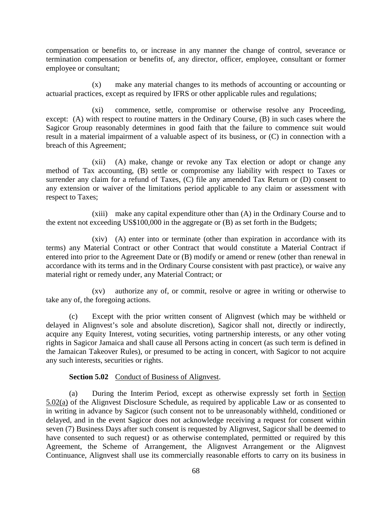compensation or benefits to, or increase in any manner the change of control, severance or termination compensation or benefits of, any director, officer, employee, consultant or former employee or consultant;

(x) make any material changes to its methods of accounting or accounting or actuarial practices, except as required by IFRS or other applicable rules and regulations;

(xi) commence, settle, compromise or otherwise resolve any Proceeding, except: (A) with respect to routine matters in the Ordinary Course, (B) in such cases where the Sagicor Group reasonably determines in good faith that the failure to commence suit would result in a material impairment of a valuable aspect of its business, or (C) in connection with a breach of this Agreement;

(xii) (A) make, change or revoke any Tax election or adopt or change any method of Tax accounting, (B) settle or compromise any liability with respect to Taxes or surrender any claim for a refund of Taxes, (C) file any amended Tax Return or (D) consent to any extension or waiver of the limitations period applicable to any claim or assessment with respect to Taxes;

(xiii) make any capital expenditure other than (A) in the Ordinary Course and to the extent not exceeding US\$100,000 in the aggregate or (B) as set forth in the Budgets;

(xiv) (A) enter into or terminate (other than expiration in accordance with its terms) any Material Contract or other Contract that would constitute a Material Contract if entered into prior to the Agreement Date or (B) modify or amend or renew (other than renewal in accordance with its terms and in the Ordinary Course consistent with past practice), or waive any material right or remedy under, any Material Contract; or

(xv) authorize any of, or commit, resolve or agree in writing or otherwise to take any of, the foregoing actions.

(c) Except with the prior written consent of Alignvest (which may be withheld or delayed in Alignvest's sole and absolute discretion), Sagicor shall not, directly or indirectly, acquire any Equity Interest, voting securities, voting partnership interests, or any other voting rights in Sagicor Jamaica and shall cause all Persons acting in concert (as such term is defined in the Jamaican Takeover Rules), or presumed to be acting in concert, with Sagicor to not acquire any such interests, securities or rights.

## **Section 5.02** Conduct of Business of Alignvest.

<span id="page-72-0"></span>(a) During the Interim Period, except as otherwise expressly set forth in [Section](#page-72-0)  [5.02\(a\)](#page-72-0) of the Alignvest Disclosure Schedule, as required by applicable Law or as consented to in writing in advance by Sagicor (such consent not to be unreasonably withheld, conditioned or delayed, and in the event Sagicor does not acknowledge receiving a request for consent within seven (7) Business Days after such consent is requested by Alignvest, Sagicor shall be deemed to have consented to such request) or as otherwise contemplated, permitted or required by this Agreement, the Scheme of Arrangement, the Alignvest Arrangement or the Alignvest Continuance, Alignvest shall use its commercially reasonable efforts to carry on its business in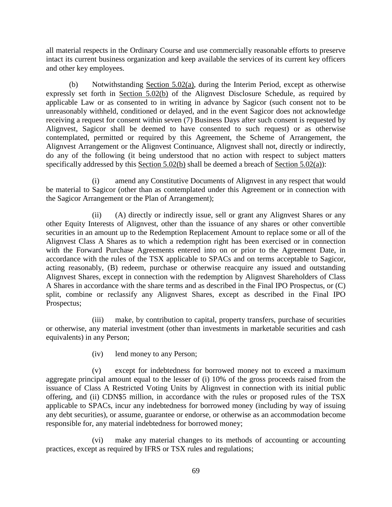all material respects in the Ordinary Course and use commercially reasonable efforts to preserve intact its current business organization and keep available the services of its current key officers and other key employees.

<span id="page-73-0"></span>(b) Notwithstanding [Section 5.02\(a\),](#page-72-0) during the Interim Period, except as otherwise expressly set forth in [Section 5.02\(b\)](#page-73-0) of the Alignvest Disclosure Schedule, as required by applicable Law or as consented to in writing in advance by Sagicor (such consent not to be unreasonably withheld, conditioned or delayed, and in the event Sagicor does not acknowledge receiving a request for consent within seven (7) Business Days after such consent is requested by Alignvest, Sagicor shall be deemed to have consented to such request) or as otherwise contemplated, permitted or required by this Agreement, the Scheme of Arrangement, the Alignvest Arrangement or the Alignvest Continuance, Alignvest shall not, directly or indirectly, do any of the following (it being understood that no action with respect to subject matters specifically addressed by this [Section 5.02\(b\)](#page-73-0) shall be deemed a breach of [Section 5.02\(a\)\)](#page-72-0):

(i) amend any Constitutive Documents of Alignvest in any respect that would be material to Sagicor (other than as contemplated under this Agreement or in connection with the Sagicor Arrangement or the Plan of Arrangement);

(ii) (A) directly or indirectly issue, sell or grant any Alignvest Shares or any other Equity Interests of Alignvest, other than the issuance of any shares or other convertible securities in an amount up to the Redemption Replacement Amount to replace some or all of the Alignvest Class A Shares as to which a redemption right has been exercised or in connection with the Forward Purchase Agreements entered into on or prior to the Agreement Date, in accordance with the rules of the TSX applicable to SPACs and on terms acceptable to Sagicor, acting reasonably, (B) redeem, purchase or otherwise reacquire any issued and outstanding Alignvest Shares, except in connection with the redemption by Alignvest Shareholders of Class A Shares in accordance with the share terms and as described in the Final IPO Prospectus, or (C) split, combine or reclassify any Alignvest Shares, except as described in the Final IPO Prospectus;

(iii) make, by contribution to capital, property transfers, purchase of securities or otherwise, any material investment (other than investments in marketable securities and cash equivalents) in any Person;

(iv) lend money to any Person;

(v) except for indebtedness for borrowed money not to exceed a maximum aggregate principal amount equal to the lesser of (i) 10% of the gross proceeds raised from the issuance of Class A Restricted Voting Units by Alignvest in connection with its initial public offering, and (ii) CDN\$5 million, in accordance with the rules or proposed rules of the TSX applicable to SPACs, incur any indebtedness for borrowed money (including by way of issuing any debt securities), or assume, guarantee or endorse, or otherwise as an accommodation become responsible for, any material indebtedness for borrowed money;

(vi) make any material changes to its methods of accounting or accounting practices, except as required by IFRS or TSX rules and regulations;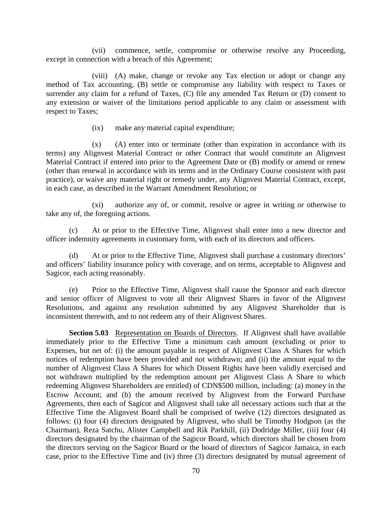(vii) commence, settle, compromise or otherwise resolve any Proceeding, except in connection with a breach of this Agreement;

(viii) (A) make, change or revoke any Tax election or adopt or change any method of Tax accounting, (B) settle or compromise any liability with respect to Taxes or surrender any claim for a refund of Taxes, (C) file any amended Tax Return or (D) consent to any extension or waiver of the limitations period applicable to any claim or assessment with respect to Taxes;

(ix) make any material capital expenditure;

(x) (A) enter into or terminate (other than expiration in accordance with its terms) any Alignvest Material Contract or other Contract that would constitute an Alignvest Material Contract if entered into prior to the Agreement Date or (B) modify or amend or renew (other than renewal in accordance with its terms and in the Ordinary Course consistent with past practice), or waive any material right or remedy under, any Alignvest Material Contract, except, in each case, as described in the Warrant Amendment Resolution; or

(xi) authorize any of, or commit, resolve or agree in writing or otherwise to take any of, the foregoing actions.

(c) At or prior to the Effective Time, Alignvest shall enter into a new director and officer indemnity agreements in customary form, with each of its directors and officers.

(d) At or prior to the Effective Time, Alignvest shall purchase a customary directors' and officers' liability insurance policy with coverage, and on terms, acceptable to Alignvest and Sagicor, each acting reasonably.

(e) Prior to the Effective Time, Alignvest shall cause the Sponsor and each director and senior officer of Alignvest to vote all their Alignvest Shares in favor of the Alignvest Resolutions, and against any resolution submitted by any Alignvest Shareholder that is inconsistent therewith, and to not redeem any of their Alignvest Shares.

**Section 5.03** Representation on Boards of Directors. If Alignvest shall have available immediately prior to the Effective Time a minimum cash amount (excluding or prior to Expenses, but net of: (i) the amount payable in respect of Alignvest Class A Shares for which notices of redemption have been provided and not withdrawn; and (ii) the amount equal to the number of Alignvest Class A Shares for which Dissent Rights have been validly exercised and not withdrawn multiplied by the redemption amount per Alignvest Class A Share to which redeeming Alignvest Shareholders are entitled) of CDN\$500 million, including: (a) money in the Escrow Account; and (b) the amount received by Alignvest from the Forward Purchase Agreements, then each of Sagicor and Alignvest shall take all necessary actions such that at the Effective Time the Alignvest Board shall be comprised of twelve (12) directors designated as follows: (i) four (4) directors designated by Alignvest, who shall be Timothy Hodgson (as the Chairman), Reza Satchu, Alister Campbell and Rik Parkhill, (ii) Dodridge Miller, (iii) four (4) directors designated by the chairman of the Sagicor Board, which directors shall be chosen from the directors serving on the Sagicor Board or the board of directors of Sagicor Jamaica, in each case, prior to the Effective Time and (iv) three (3) directors designated by mutual agreement of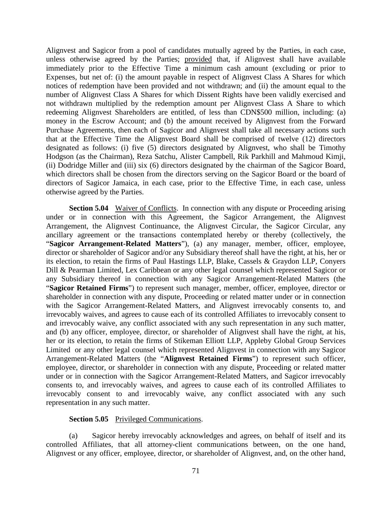Alignvest and Sagicor from a pool of candidates mutually agreed by the Parties, in each case, unless otherwise agreed by the Parties; provided that, if Alignvest shall have available immediately prior to the Effective Time a minimum cash amount (excluding or prior to Expenses, but net of: (i) the amount payable in respect of Alignvest Class A Shares for which notices of redemption have been provided and not withdrawn; and (ii) the amount equal to the number of Alignvest Class A Shares for which Dissent Rights have been validly exercised and not withdrawn multiplied by the redemption amount per Alignvest Class A Share to which redeeming Alignvest Shareholders are entitled, of less than CDN\$500 million, including: (a) money in the Escrow Account; and (b) the amount received by Alignvest from the Forward Purchase Agreements, then each of Sagicor and Alignvest shall take all necessary actions such that at the Effective Time the Alignvest Board shall be comprised of twelve (12) directors designated as follows: (i) five (5) directors designated by Alignvest, who shall be Timothy Hodgson (as the Chairman), Reza Satchu, Alister Campbell, Rik Parkhill and Mahmoud Kimji, (ii) Dodridge Miller and (iii) six (6) directors designated by the chairman of the Sagicor Board, which directors shall be chosen from the directors serving on the Sagicor Board or the board of directors of Sagicor Jamaica, in each case, prior to the Effective Time, in each case, unless otherwise agreed by the Parties.

<span id="page-75-0"></span>**Section 5.04** Waiver of Conflicts. In connection with any dispute or Proceeding arising under or in connection with this Agreement, the Sagicor Arrangement, the Alignvest Arrangement, the Alignvest Continuance, the Alignvest Circular, the Sagicor Circular, any ancillary agreement or the transactions contemplated hereby or thereby (collectively, the "**Sagicor Arrangement-Related Matters**"), (a) any manager, member, officer, employee, director or shareholder of Sagicor and/or any Subsidiary thereof shall have the right, at his, her or its election, to retain the firms of Paul Hastings LLP, Blake, Cassels & Graydon LLP, Conyers Dill & Pearman Limited, Lex Caribbean or any other legal counsel which represented Sagicor or any Subsidiary thereof in connection with any Sagicor Arrangement-Related Matters (the "**Sagicor Retained Firms**") to represent such manager, member, officer, employee, director or shareholder in connection with any dispute, Proceeding or related matter under or in connection with the Sagicor Arrangement-Related Matters, and Alignvest irrevocably consents to, and irrevocably waives, and agrees to cause each of its controlled Affiliates to irrevocably consent to and irrevocably waive, any conflict associated with any such representation in any such matter, and (b) any officer, employee, director, or shareholder of Alignvest shall have the right, at his, her or its election, to retain the firms of Stikeman Elliott LLP, Appleby Global Group Services Limited or any other legal counsel which represented Alignvest in connection with any Sagicor Arrangement-Related Matters (the "**Alignvest Retained Firms**") to represent such officer, employee, director, or shareholder in connection with any dispute, Proceeding or related matter under or in connection with the Sagicor Arrangement-Related Matters, and Sagicor irrevocably consents to, and irrevocably waives, and agrees to cause each of its controlled Affiliates to irrevocably consent to and irrevocably waive, any conflict associated with any such representation in any such matter.

## **Section 5.05** Privileged Communications.

(a) Sagicor hereby irrevocably acknowledges and agrees, on behalf of itself and its controlled Affiliates, that all attorney-client communications between, on the one hand, Alignvest or any officer, employee, director, or shareholder of Alignvest, and, on the other hand,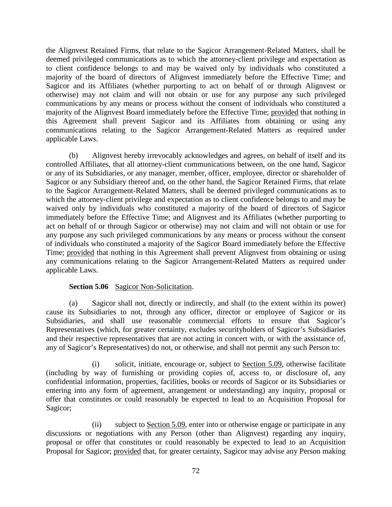the Alignvest Retained Firms, that relate to the Sagicor Arrangement-Related Matters, shall be deemed privileged communications as to which the attorney-client privilege and expectation as to client confidence belongs to and may be waived only by individuals who constituted a majority of the board of directors of Alignvest immediately before the Effective Time; and Sagicor and its Affiliates (whether purporting to act on behalf of or through Alignvest or otherwise) may not claim and will not obtain or use for any purpose any such privileged communications by any means or process without the consent of individuals who constituted a majority of the Alignvest Board immediately before the Effective Time; provided that nothing in this Agreement shall prevent Sagicor and its Affiliates from obtaining or using any communications relating to the Sagicor Arrangement-Related Matters as required under applicable Laws.

(b) Alignvest hereby irrevocably acknowledges and agrees, on behalf of itself and its controlled Affiliates, that all attorney-client communications between, on the one hand, Sagicor or any of its Subsidiaries, or any manager, member, officer, employee, director or shareholder of Sagicor or any Subsidiary thereof and, on the other hand, the Sagicor Retained Firms, that relate to the Sagicor Arrangement-Related Matters, shall be deemed privileged communications as to which the attorney-client privilege and expectation as to client confidence belongs to and may be waived only by individuals who constituted a majority of the board of directors of Sagicor immediately before the Effective Time; and Alignvest and its Affiliates (whether purporting to act on behalf of or through Sagicor or otherwise) may not claim and will not obtain or use for any purpose any such privileged communications by any means or process without the consent of individuals who constituted a majority of the Sagicor Board immediately before the Effective Time; provided that nothing in this Agreement shall prevent Alignvest from obtaining or using any communications relating to the Sagicor Arrangement-Related Matters as required under applicable Laws.

## **Section 5.06** Sagicor Non-Solicitation.

<span id="page-76-1"></span>(a) Sagicor shall not, directly or indirectly, and shall (to the extent within its power) cause its Subsidiaries to not, through any officer, director or employee of Sagicor or its Subsidiaries, and shall use reasonable commercial efforts to ensure that Sagicor's Representatives (which, for greater certainty, excludes securityholders of Sagicor's Subsidiaries and their respective representatives that are not acting in concert with, or with the assistance of, any of Sagicor's Representatives) do not, or otherwise, and shall not permit any such Person to:

<span id="page-76-0"></span>(i) solicit, initiate, encourage or, subject to Section 5.09, otherwise facilitate (including by way of furnishing or providing copies of, access to, or disclosure of, any confidential information, properties, facilities, books or records of Sagicor or its Subsidiaries or entering into any form of agreement, arrangement or understanding) any inquiry, proposal or offer that constitutes or could reasonably be expected to lead to an Acquisition Proposal for Sagicor;

(ii) subject to Section 5.09, enter into or otherwise engage or participate in any discussions or negotiations with any Person (other than Alignvest) regarding any inquiry, proposal or offer that constitutes or could reasonably be expected to lead to an Acquisition Proposal for Sagicor; provided that, for greater certainty, Sagicor may advise any Person making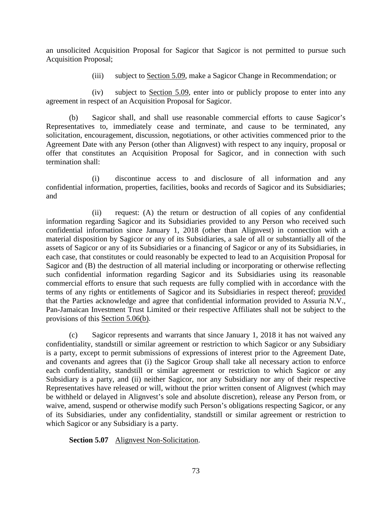an unsolicited Acquisition Proposal for Sagicor that Sagicor is not permitted to pursue such Acquisition Proposal;

(iii) subject to Section 5.09, make a Sagicor Change in Recommendation; or

(iv) subject to Section 5.09, enter into or publicly propose to enter into any agreement in respect of an Acquisition Proposal for Sagicor.

<span id="page-77-0"></span>(b) Sagicor shall, and shall use reasonable commercial efforts to cause Sagicor's Representatives to, immediately cease and terminate, and cause to be terminated, any solicitation, encouragement, discussion, negotiations, or other activities commenced prior to the Agreement Date with any Person (other than Alignvest) with respect to any inquiry, proposal or offer that constitutes an Acquisition Proposal for Sagicor, and in connection with such termination shall:

(i) discontinue access to and disclosure of all information and any confidential information, properties, facilities, books and records of Sagicor and its Subsidiaries; and

(ii) request: (A) the return or destruction of all copies of any confidential information regarding Sagicor and its Subsidiaries provided to any Person who received such confidential information since January 1, 2018 (other than Alignvest) in connection with a material disposition by Sagicor or any of its Subsidiaries, a sale of all or substantially all of the assets of Sagicor or any of its Subsidiaries or a financing of Sagicor or any of its Subsidiaries, in each case, that constitutes or could reasonably be expected to lead to an Acquisition Proposal for Sagicor and (B) the destruction of all material including or incorporating or otherwise reflecting such confidential information regarding Sagicor and its Subsidiaries using its reasonable commercial efforts to ensure that such requests are fully complied with in accordance with the terms of any rights or entitlements of Sagicor and its Subsidiaries in respect thereof; provided that the Parties acknowledge and agree that confidential information provided to Assuria N.V., Pan-Jamaican Investment Trust Limited or their respective Affiliates shall not be subject to the provisions of this [Section 5.06\(b\).](#page-77-0)

(c) Sagicor represents and warrants that since January 1, 2018 it has not waived any confidentiality, standstill or similar agreement or restriction to which Sagicor or any Subsidiary is a party, except to permit submissions of expressions of interest prior to the Agreement Date, and covenants and agrees that (i) the Sagicor Group shall take all necessary action to enforce each confidentiality, standstill or similar agreement or restriction to which Sagicor or any Subsidiary is a party, and (ii) neither Sagicor, nor any Subsidiary nor any of their respective Representatives have released or will, without the prior written consent of Alignvest (which may be withheld or delayed in Alignvest's sole and absolute discretion), release any Person from, or waive, amend, suspend or otherwise modify such Person's obligations respecting Sagicor, or any of its Subsidiaries, under any confidentiality, standstill or similar agreement or restriction to which Sagicor or any Subsidiary is a party.

**Section 5.07** Alignvest Non-Solicitation.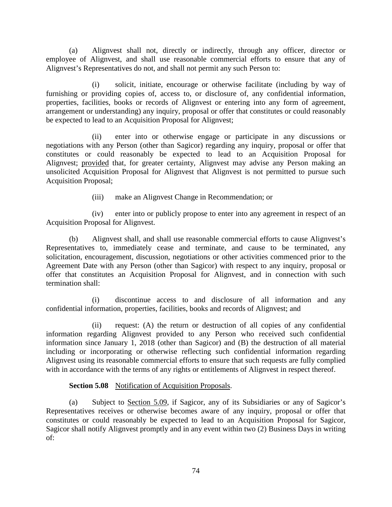(a) Alignvest shall not, directly or indirectly, through any officer, director or employee of Alignvest, and shall use reasonable commercial efforts to ensure that any of Alignvest's Representatives do not, and shall not permit any such Person to:

(i) solicit, initiate, encourage or otherwise facilitate (including by way of furnishing or providing copies of, access to, or disclosure of, any confidential information, properties, facilities, books or records of Alignvest or entering into any form of agreement, arrangement or understanding) any inquiry, proposal or offer that constitutes or could reasonably be expected to lead to an Acquisition Proposal for Alignvest;

(ii) enter into or otherwise engage or participate in any discussions or negotiations with any Person (other than Sagicor) regarding any inquiry, proposal or offer that constitutes or could reasonably be expected to lead to an Acquisition Proposal for Alignvest; provided that, for greater certainty, Alignvest may advise any Person making an unsolicited Acquisition Proposal for Alignvest that Alignvest is not permitted to pursue such Acquisition Proposal;

(iii) make an Alignvest Change in Recommendation; or

(iv) enter into or publicly propose to enter into any agreement in respect of an Acquisition Proposal for Alignvest.

(b) Alignvest shall, and shall use reasonable commercial efforts to cause Alignvest's Representatives to, immediately cease and terminate, and cause to be terminated, any solicitation, encouragement, discussion, negotiations or other activities commenced prior to the Agreement Date with any Person (other than Sagicor) with respect to any inquiry, proposal or offer that constitutes an Acquisition Proposal for Alignvest, and in connection with such termination shall:

(i) discontinue access to and disclosure of all information and any confidential information, properties, facilities, books and records of Alignvest; and

(ii) request: (A) the return or destruction of all copies of any confidential information regarding Alignvest provided to any Person who received such confidential information since January 1, 2018 (other than Sagicor) and (B) the destruction of all material including or incorporating or otherwise reflecting such confidential information regarding Alignvest using its reasonable commercial efforts to ensure that such requests are fully complied with in accordance with the terms of any rights or entitlements of Alignvest in respect thereof.

## **Section 5.08** Notification of Acquisition Proposals.

<span id="page-78-0"></span>(a) Subject to Section 5.09, if Sagicor, any of its Subsidiaries or any of Sagicor's Representatives receives or otherwise becomes aware of any inquiry, proposal or offer that constitutes or could reasonably be expected to lead to an Acquisition Proposal for Sagicor, Sagicor shall notify Alignvest promptly and in any event within two (2) Business Days in writing of: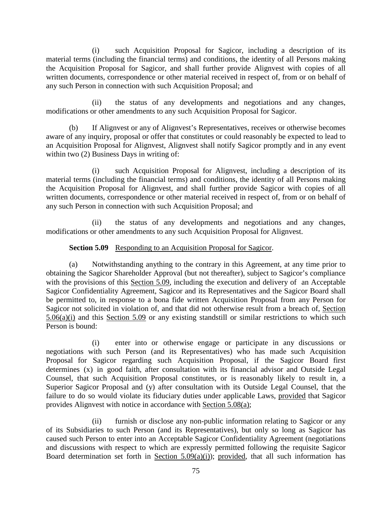(i) such Acquisition Proposal for Sagicor, including a description of its material terms (including the financial terms) and conditions, the identity of all Persons making the Acquisition Proposal for Sagicor, and shall further provide Alignvest with copies of all written documents, correspondence or other material received in respect of, from or on behalf of any such Person in connection with such Acquisition Proposal; and

(ii) the status of any developments and negotiations and any changes, modifications or other amendments to any such Acquisition Proposal for Sagicor.

(b) If Alignvest or any of Alignvest's Representatives, receives or otherwise becomes aware of any inquiry, proposal or offer that constitutes or could reasonably be expected to lead to an Acquisition Proposal for Alignvest, Alignvest shall notify Sagicor promptly and in any event within two (2) Business Days in writing of:

(i) such Acquisition Proposal for Alignvest, including a description of its material terms (including the financial terms) and conditions, the identity of all Persons making the Acquisition Proposal for Alignvest, and shall further provide Sagicor with copies of all written documents, correspondence or other material received in respect of, from or on behalf of any such Person in connection with such Acquisition Proposal; and

(ii) the status of any developments and negotiations and any changes, modifications or other amendments to any such Acquisition Proposal for Alignvest.

## **Section 5.09** Responding to an Acquisition Proposal for Sagicor.

<span id="page-79-0"></span>(a) Notwithstanding anything to the contrary in this Agreement, at any time prior to obtaining the Sagicor Shareholder Approval (but not thereafter), subject to Sagicor's compliance with the provisions of this [Section 5.09,](#page-79-0) including the execution and delivery of an Acceptable Sagicor Confidentiality Agreement, Sagicor and its Representatives and the Sagicor Board shall be permitted to, in response to a bona fide written Acquisition Proposal from any Person for Sagicor not solicited in violation of, and that did not otherwise result from a breach of, [Section](#page-76-0)   $5.06(a)(i)$  and this [Section 5.09](#page-79-0) or any existing standstill or similar restrictions to which such Person is bound:

<span id="page-79-1"></span>(i) enter into or otherwise engage or participate in any discussions or negotiations with such Person (and its Representatives) who has made such Acquisition Proposal for Sagicor regarding such Acquisition Proposal, if the Sagicor Board first determines (x) in good faith, after consultation with its financial advisor and Outside Legal Counsel, that such Acquisition Proposal constitutes, or is reasonably likely to result in, a Superior Sagicor Proposal and (y) after consultation with its Outside Legal Counsel, that the failure to do so would violate its fiduciary duties under applicable Laws, provided that Sagicor provides Alignvest with notice in accordance with [Section 5.08\(a\);](#page-78-0)

(ii) furnish or disclose any non-public information relating to Sagicor or any of its Subsidiaries to such Person (and its Representatives), but only so long as Sagicor has caused such Person to enter into an Acceptable Sagicor Confidentiality Agreement (negotiations and discussions with respect to which are expressly permitted following the requisite Sagicor Board determination set forth in Section  $5.09(a)(i)$ ; provided, that all such information has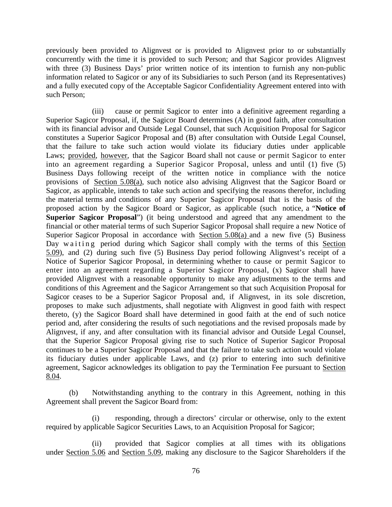previously been provided to Alignvest or is provided to Alignvest prior to or substantially concurrently with the time it is provided to such Person; and that Sagicor provides Alignvest with three (3) Business Days' prior written notice of its intention to furnish any non-public information related to Sagicor or any of its Subsidiaries to such Person (and its Representatives) and a fully executed copy of the Acceptable Sagicor Confidentiality Agreement entered into with such Person;

(iii) cause or permit Sagicor to enter into a definitive agreement regarding a Superior Sagicor Proposal, if, the Sagicor Board determines (A) in good faith, after consultation with its financial advisor and Outside Legal Counsel, that such Acquisition Proposal for Sagicor constitutes a Superior Sagicor Proposal and (B) after consultation with Outside Legal Counsel, that the failure to take such action would violate its fiduciary duties under applicable Laws; provided, however, that the Sagicor Board shall not cause or permit Sagicor to enter into an agreement regarding a Superior Sagicor Proposal, unless and until (1) five (5) Business Days following receipt of the written notice in compliance with the notice provisions of [Section 5.08\(a\),](#page-78-0) such notice also advising Alignvest that the Sagicor Board or Sagicor, as applicable, intends to take such action and specifying the reasons therefor, including the material terms and conditions of any Superior Sagicor Proposal that is the basis of the proposed action by the Sagicor Board or Sagicor, as applicable (such notice, a "**Notice of Superior Sagicor Proposal**") (it being understood and agreed that any amendment to the financial or other material terms of such Superior Sagicor Proposal shall require a new Notice of Superior Sagicor Proposal in accordance with [Section 5.08\(a\)](#page-78-0) and a new five (5) Business Day waiting period during which Sagicor shall comply with the terms of this [Section](#page-79-0)  [5.09\)](#page-79-0), and (2) during such five (5) Business Day period following Alignvest's receipt of a Notice of Superior Sagicor Proposal, in determining whether to cause or permit Sagicor to enter into an agreement regarding a Superior Sagicor Proposal, (x) Sagicor shall have provided Alignvest with a reasonable opportunity to make any adjustments to the terms and conditions of this Agreement and the Sagicor Arrangement so that such Acquisition Proposal for Sagicor ceases to be a Superior Sagicor Proposal and, if Alignvest, in its sole discretion, proposes to make such adjustments, shall negotiate with Alignvest in good faith with respect thereto, (y) the Sagicor Board shall have determined in good faith at the end of such notice period and, after considering the results of such negotiations and the revised proposals made by Alignvest, if any, and after consultation with its financial advisor and Outside Legal Counsel, that the Superior Sagicor Proposal giving rise to such Notice of Superior Sagicor Proposal continues to be a Superior Sagicor Proposal and that the failure to take such action would violate its fiduciary duties under applicable Laws, and (z) prior to entering into such definitive agreement, Sagicor acknowledges its obligation to pay the Termination Fee pursuant to [Section](#page-95-0)  [8.04.](#page-95-0)

(b) Notwithstanding anything to the contrary in this Agreement, nothing in this Agreement shall prevent the Sagicor Board from:

(i) responding, through a directors' circular or otherwise, only to the extent required by applicable Sagicor Securities Laws, to an Acquisition Proposal for Sagicor;

(ii) provided that Sagicor complies at all times with its obligations under [Section 5.06](#page-76-1) and [Section 5.09,](#page-79-0) making any disclosure to the Sagicor Shareholders if the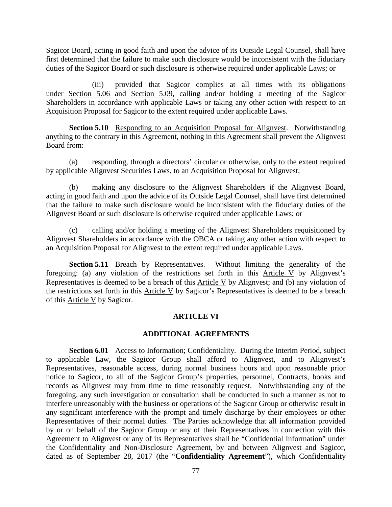Sagicor Board, acting in good faith and upon the advice of its Outside Legal Counsel, shall have first determined that the failure to make such disclosure would be inconsistent with the fiduciary duties of the Sagicor Board or such disclosure is otherwise required under applicable Laws; or

(iii) provided that Sagicor complies at all times with its obligations under <u>[Section 5.06](#page-76-1)</u> and <u>Section 5.09</u>, calling and/or holding a meeting of the Sagicor Shareholders in accordance with applicable Laws or taking any other action with respect to an Acquisition Proposal for Sagicor to the extent required under applicable Laws.

**Section 5.10** Responding to an Acquisition Proposal for Alignvest. Notwithstanding anything to the contrary in this Agreement, nothing in this Agreement shall prevent the Alignvest Board from:

(a) responding, through a directors' circular or otherwise, only to the extent required by applicable Alignvest Securities Laws, to an Acquisition Proposal for Alignvest;

(b) making any disclosure to the Alignvest Shareholders if the Alignvest Board, acting in good faith and upon the advice of its Outside Legal Counsel, shall have first determined that the failure to make such disclosure would be inconsistent with the fiduciary duties of the Alignvest Board or such disclosure is otherwise required under applicable Laws; or

(c) calling and/or holding a meeting of the Alignvest Shareholders requisitioned by Alignvest Shareholders in accordance with the OBCA or taking any other action with respect to an Acquisition Proposal for Alignvest to the extent required under applicable Laws.

**Section 5.11** Breach by Representatives. Without limiting the generality of the foregoing: (a) any violation of the restrictions set forth in this [Article V](#page-69-0) by Alignvest's Representatives is deemed to be a breach of this [Article V](#page-69-0) by Alignvest; and (b) any violation of the restrictions set forth in this [Article V](#page-69-0) by Sagicor's Representatives is deemed to be a breach of this [Article V](#page-69-0) by Sagicor.

## **ARTICLE VI**

#### **ADDITIONAL AGREEMENTS**

<span id="page-81-0"></span>**Section 6.01** Access to Information; Confidentiality. During the Interim Period, subject to applicable Law, the Sagicor Group shall afford to Alignvest, and to Alignvest's Representatives, reasonable access, during normal business hours and upon reasonable prior notice to Sagicor, to all of the Sagicor Group's properties, personnel, Contracts, books and records as Alignvest may from time to time reasonably request. Notwithstanding any of the foregoing, any such investigation or consultation shall be conducted in such a manner as not to interfere unreasonably with the business or operations of the Sagicor Group or otherwise result in any significant interference with the prompt and timely discharge by their employees or other Representatives of their normal duties. The Parties acknowledge that all information provided by or on behalf of the Sagicor Group or any of their Representatives in connection with this Agreement to Alignvest or any of its Representatives shall be "Confidential Information" under the Confidentiality and Non-Disclosure Agreement, by and between Alignvest and Sagicor, dated as of September 28, 2017 (the "**Confidentiality Agreement**"), which Confidentiality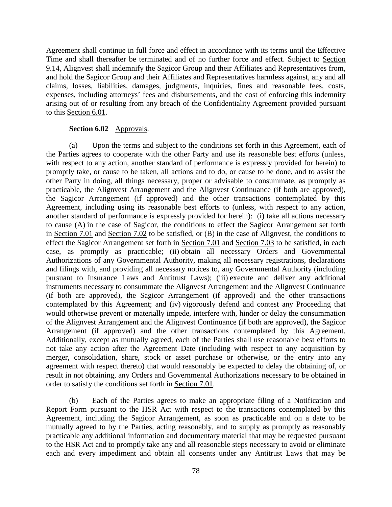Agreement shall continue in full force and effect in accordance with its terms until the Effective Time and shall thereafter be terminated and of no further force and effect. Subject to [Section](#page-101-0)  [9.14,](#page-101-0) Alignvest shall indemnify the Sagicor Group and their Affiliates and Representatives from, and hold the Sagicor Group and their Affiliates and Representatives harmless against, any and all claims, losses, liabilities, damages, judgments, inquiries, fines and reasonable fees, costs, expenses, including attorneys' fees and disbursements, and the cost of enforcing this indemnity arising out of or resulting from any breach of the Confidentiality Agreement provided pursuant to this [Section 6.01.](#page-81-0)

### **Section 6.02** Approvals.

<span id="page-82-0"></span>(a) Upon the terms and subject to the conditions set forth in this Agreement, each of the Parties agrees to cooperate with the other Party and use its reasonable best efforts (unless, with respect to any action, another standard of performance is expressly provided for herein) to promptly take, or cause to be taken, all actions and to do, or cause to be done, and to assist the other Party in doing, all things necessary, proper or advisable to consummate, as promptly as practicable, the Alignvest Arrangement and the Alignvest Continuance (if both are approved), the Sagicor Arrangement (if approved) and the other transactions contemplated by this Agreement, including using its reasonable best efforts to (unless, with respect to any action, another standard of performance is expressly provided for herein): (i) take all actions necessary to cause (A) in the case of Sagicor, the conditions to effect the Sagicor Arrangement set forth in [Section 7.01](#page-88-0) and [Section 7.02](#page-91-0) to be satisfied, or (B) in the case of Alignvest, the conditions to effect the Sagicor Arrangement set forth in [Section 7.01](#page-88-0) and [Section 7.03](#page-92-0) to be satisfied, in each case, as promptly as practicable; (ii) obtain all necessary Orders and Governmental Authorizations of any Governmental Authority, making all necessary registrations, declarations and filings with, and providing all necessary notices to, any Governmental Authority (including pursuant to Insurance Laws and Antitrust Laws); (iii) execute and deliver any additional instruments necessary to consummate the Alignvest Arrangement and the Alignvest Continuance (if both are approved), the Sagicor Arrangement (if approved) and the other transactions contemplated by this Agreement; and (iv) vigorously defend and contest any Proceeding that would otherwise prevent or materially impede, interfere with, hinder or delay the consummation of the Alignvest Arrangement and the Alignvest Continuance (if both are approved), the Sagicor Arrangement (if approved) and the other transactions contemplated by this Agreement. Additionally, except as mutually agreed, each of the Parties shall use reasonable best efforts to not take any action after the Agreement Date (including with respect to any acquisition by merger, consolidation, share, stock or asset purchase or otherwise, or the entry into any agreement with respect thereto) that would reasonably be expected to delay the obtaining of, or result in not obtaining, any Orders and Governmental Authorizations necessary to be obtained in order to satisfy the conditions set forth in [Section 7.01.](#page-88-0)

(b) Each of the Parties agrees to make an appropriate filing of a Notification and Report Form pursuant to the HSR Act with respect to the transactions contemplated by this Agreement, including the Sagicor Arrangement, as soon as practicable and on a date to be mutually agreed to by the Parties, acting reasonably, and to supply as promptly as reasonably practicable any additional information and documentary material that may be requested pursuant to the HSR Act and to promptly take any and all reasonable steps necessary to avoid or eliminate each and every impediment and obtain all consents under any Antitrust Laws that may be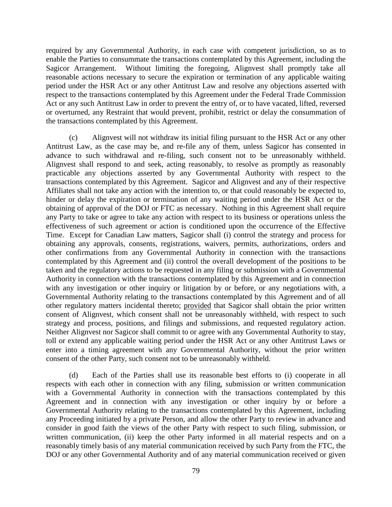required by any Governmental Authority, in each case with competent jurisdiction, so as to enable the Parties to consummate the transactions contemplated by this Agreement, including the Sagicor Arrangement. Without limiting the foregoing, Alignvest shall promptly take all reasonable actions necessary to secure the expiration or termination of any applicable waiting period under the HSR Act or any other Antitrust Law and resolve any objections asserted with respect to the transactions contemplated by this Agreement under the Federal Trade Commission Act or any such Antitrust Law in order to prevent the entry of, or to have vacated, lifted, reversed or overturned, any Restraint that would prevent, prohibit, restrict or delay the consummation of the transactions contemplated by this Agreement.

(c) Alignvest will not withdraw its initial filing pursuant to the HSR Act or any other Antitrust Law, as the case may be, and re-file any of them, unless Sagicor has consented in advance to such withdrawal and re-filing, such consent not to be unreasonably withheld. Alignvest shall respond to and seek, acting reasonably, to resolve as promptly as reasonably practicable any objections asserted by any Governmental Authority with respect to the transactions contemplated by this Agreement. Sagicor and Alignvest and any of their respective Affiliates shall not take any action with the intention to, or that could reasonably be expected to, hinder or delay the expiration or termination of any waiting period under the HSR Act or the obtaining of approval of the DOJ or FTC as necessary. Nothing in this Agreement shall require any Party to take or agree to take any action with respect to its business or operations unless the effectiveness of such agreement or action is conditioned upon the occurrence of the Effective Time. Except for Canadian Law matters, Sagicor shall (i) control the strategy and process for obtaining any approvals, consents, registrations, waivers, permits, authorizations, orders and other confirmations from any Governmental Authority in connection with the transactions contemplated by this Agreement and (ii) control the overall development of the positions to be taken and the regulatory actions to be requested in any filing or submission with a Governmental Authority in connection with the transactions contemplated by this Agreement and in connection with any investigation or other inquiry or litigation by or before, or any negotiations with, a Governmental Authority relating to the transactions contemplated by this Agreement and of all other regulatory matters incidental thereto; provided that Sagicor shall obtain the prior written consent of Alignvest, which consent shall not be unreasonably withheld, with respect to such strategy and process, positions, and filings and submissions, and requested regulatory action. Neither Alignvest nor Sagicor shall commit to or agree with any Governmental Authority to stay, toll or extend any applicable waiting period under the HSR Act or any other Antitrust Laws or enter into a timing agreement with any Governmental Authority, without the prior written consent of the other Party, such consent not to be unreasonably withheld.

(d) Each of the Parties shall use its reasonable best efforts to (i) cooperate in all respects with each other in connection with any filing, submission or written communication with a Governmental Authority in connection with the transactions contemplated by this Agreement and in connection with any investigation or other inquiry by or before a Governmental Authority relating to the transactions contemplated by this Agreement, including any Proceeding initiated by a private Person, and allow the other Party to review in advance and consider in good faith the views of the other Party with respect to such filing, submission, or written communication, (ii) keep the other Party informed in all material respects and on a reasonably timely basis of any material communication received by such Party from the FTC, the DOJ or any other Governmental Authority and of any material communication received or given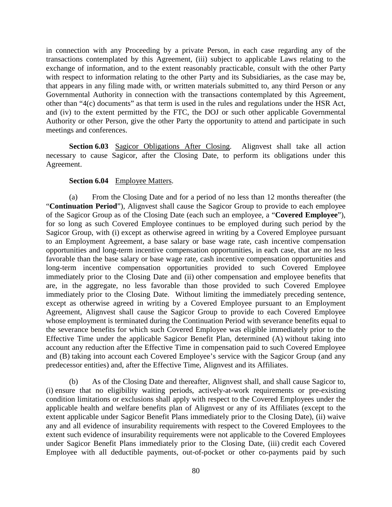in connection with any Proceeding by a private Person, in each case regarding any of the transactions contemplated by this Agreement, (iii) subject to applicable Laws relating to the exchange of information, and to the extent reasonably practicable, consult with the other Party with respect to information relating to the other Party and its Subsidiaries, as the case may be, that appears in any filing made with, or written materials submitted to, any third Person or any Governmental Authority in connection with the transactions contemplated by this Agreement, other than "4(c) documents" as that term is used in the rules and regulations under the HSR Act, and (iv) to the extent permitted by the FTC, the DOJ or such other applicable Governmental Authority or other Person, give the other Party the opportunity to attend and participate in such meetings and conferences.

**Section 6.03** Sagicor Obligations After Closing. Alignvest shall take all action necessary to cause Sagicor, after the Closing Date, to perform its obligations under this Agreement.

## **Section 6.04** Employee Matters.

<span id="page-84-0"></span>(a) From the Closing Date and for a period of no less than 12 months thereafter (the "**Continuation Period**"), Alignvest shall cause the Sagicor Group to provide to each employee of the Sagicor Group as of the Closing Date (each such an employee, a "**Covered Employee**"), for so long as such Covered Employee continues to be employed during such period by the Sagicor Group, with (i) except as otherwise agreed in writing by a Covered Employee pursuant to an Employment Agreement, a base salary or base wage rate, cash incentive compensation opportunities and long-term incentive compensation opportunities, in each case, that are no less favorable than the base salary or base wage rate, cash incentive compensation opportunities and long-term incentive compensation opportunities provided to such Covered Employee immediately prior to the Closing Date and (ii) other compensation and employee benefits that are, in the aggregate, no less favorable than those provided to such Covered Employee immediately prior to the Closing Date. Without limiting the immediately preceding sentence, except as otherwise agreed in writing by a Covered Employee pursuant to an Employment Agreement, Alignvest shall cause the Sagicor Group to provide to each Covered Employee whose employment is terminated during the Continuation Period with severance benefits equal to the severance benefits for which such Covered Employee was eligible immediately prior to the Effective Time under the applicable Sagicor Benefit Plan, determined (A) without taking into account any reduction after the Effective Time in compensation paid to such Covered Employee and (B) taking into account each Covered Employee's service with the Sagicor Group (and any predecessor entities) and, after the Effective Time, Alignvest and its Affiliates.

(b) As of the Closing Date and thereafter, Alignvest shall, and shall cause Sagicor to, (i) ensure that no eligibility waiting periods, actively-at-work requirements or pre-existing condition limitations or exclusions shall apply with respect to the Covered Employees under the applicable health and welfare benefits plan of Alignvest or any of its Affiliates (except to the extent applicable under Sagicor Benefit Plans immediately prior to the Closing Date), (ii) waive any and all evidence of insurability requirements with respect to the Covered Employees to the extent such evidence of insurability requirements were not applicable to the Covered Employees under Sagicor Benefit Plans immediately prior to the Closing Date, (iii) credit each Covered Employee with all deductible payments, out-of-pocket or other co-payments paid by such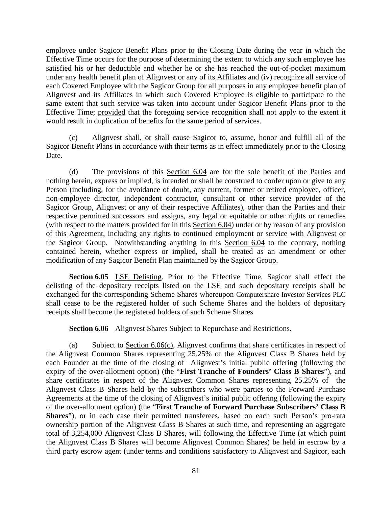employee under Sagicor Benefit Plans prior to the Closing Date during the year in which the Effective Time occurs for the purpose of determining the extent to which any such employee has satisfied his or her deductible and whether he or she has reached the out-of-pocket maximum under any health benefit plan of Alignvest or any of its Affiliates and (iv) recognize all service of each Covered Employee with the Sagicor Group for all purposes in any employee benefit plan of Alignvest and its Affiliates in which such Covered Employee is eligible to participate to the same extent that such service was taken into account under Sagicor Benefit Plans prior to the Effective Time; provided that the foregoing service recognition shall not apply to the extent it would result in duplication of benefits for the same period of services.

(c) Alignvest shall, or shall cause Sagicor to, assume, honor and fulfill all of the Sagicor Benefit Plans in accordance with their terms as in effect immediately prior to the Closing Date.

(d) The provisions of this [Section 6.04](#page-84-0) are for the sole benefit of the Parties and nothing herein, express or implied, is intended or shall be construed to confer upon or give to any Person (including, for the avoidance of doubt, any current, former or retired employee, officer, non-employee director, independent contractor, consultant or other service provider of the Sagicor Group, Alignvest or any of their respective Affiliates), other than the Parties and their respective permitted successors and assigns, any legal or equitable or other rights or remedies (with respect to the matters provided for in this [Section 6.04\)](#page-84-0) under or by reason of any provision of this Agreement, including any rights to continued employment or service with Alignvest or the Sagicor Group. Notwithstanding anything in this [Section 6.04](#page-84-0) to the contrary, nothing contained herein, whether express or implied, shall be treated as an amendment or other modification of any Sagicor Benefit Plan maintained by the Sagicor Group.

**Section 6.05** LSE Delisting. Prior to the Effective Time, Sagicor shall effect the delisting of the depositary receipts listed on the LSE and such depositary receipts shall be exchanged for the corresponding Scheme Shares whereupon Computershare Investor Services PLC shall cease to be the registered holder of such Scheme Shares and the holders of depositary receipts shall become the registered holders of such Scheme Shares

## **Section 6.06** Alignvest Shares Subject to Repurchase and Restrictions.

<span id="page-85-1"></span><span id="page-85-0"></span>(a) Subject to [Section 6.06\(c\),](#page-86-0) Alignvest confirms that share certificates in respect of the Alignvest Common Shares representing 25.25% of the Alignvest Class B Shares held by each Founder at the time of the closing of Alignvest's initial public offering (following the expiry of the over-allotment option) (the "**First Tranche of Founders' Class B Shares**"), and share certificates in respect of the Alignvest Common Shares representing 25.25% of the Alignvest Class B Shares held by the subscribers who were parties to the Forward Purchase Agreements at the time of the closing of Alignvest's initial public offering (following the expiry of the over-allotment option) (the "**First Tranche of Forward Purchase Subscribers' Class B Shares**"), or in each case their permitted transferees, based on each such Person's pro-rata ownership portion of the Alignvest Class B Shares at such time, and representing an aggregate total of 3,254,000 Alignvest Class B Shares, will following the Effective Time (at which point the Alignvest Class B Shares will become Alignvest Common Shares) be held in escrow by a third party escrow agent (under terms and conditions satisfactory to Alignvest and Sagicor, each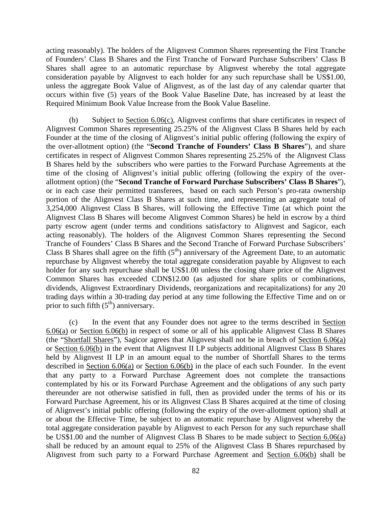acting reasonably). The holders of the Alignvest Common Shares representing the First Tranche of Founders' Class B Shares and the First Tranche of Forward Purchase Subscribers' Class B Shares shall agree to an automatic repurchase by Alignvest whereby the total aggregate consideration payable by Alignvest to each holder for any such repurchase shall be US\$1.00, unless the aggregate Book Value of Alignvest, as of the last day of any calendar quarter that occurs within five (5) years of the Book Value Baseline Date, has increased by at least the Required Minimum Book Value Increase from the Book Value Baseline.

<span id="page-86-1"></span>(b) Subject to [Section 6.06\(c\),](#page-86-0) Alignvest confirms that share certificates in respect of Alignvest Common Shares representing 25.25% of the Alignvest Class B Shares held by each Founder at the time of the closing of Alignvest's initial public offering (following the expiry of the over-allotment option) (the "**Second Tranche of Founders' Class B Shares**"), and share certificates in respect of Alignvest Common Shares representing 25.25% of the Alignvest Class B Shares held by the subscribers who were parties to the Forward Purchase Agreements at the time of the closing of Alignvest's initial public offering (following the expiry of the overallotment option) (the "**Second Tranche of Forward Purchase Subscribers' Class B Shares**"), or in each case their permitted transferees, based on each such Person's pro-rata ownership portion of the Alignvest Class B Shares at such time, and representing an aggregate total of 3,254,000 Alignvest Class B Shares, will following the Effective Time (at which point the Alignvest Class B Shares will become Alignvest Common Shares) be held in escrow by a third party escrow agent (under terms and conditions satisfactory to Alignvest and Sagicor, each acting reasonably). The holders of the Alignvest Common Shares representing the Second Tranche of Founders' Class B Shares and the Second Tranche of Forward Purchase Subscribers' Class B Shares shall agree on the fifth  $(5<sup>th</sup>)$  anniversary of the Agreement Date, to an automatic repurchase by Alignvest whereby the total aggregate consideration payable by Alignvest to each holder for any such repurchase shall be US\$1.00 unless the closing share price of the Alignvest Common Shares has exceeded CDN\$12.00 (as adjusted for share splits or combinations, dividends, Alignvest Extraordinary Dividends, reorganizations and recapitalizations) for any 20 trading days within a 30-trading day period at any time following the Effective Time and on or prior to such fifth  $(5<sup>th</sup>)$  anniversary.

<span id="page-86-0"></span>(c) In the event that any Founder does not agree to the terms described in [Section](#page-85-0)  [6.06\(a\)](#page-85-0) or [Section 6.06\(b\)](#page-86-1) in respect of some or all of his applicable Alignvest Class B Shares (the "Shortfall Shares"), Sagicor agrees that Alignvest shall not be in breach of [Section 6.06\(a\)](#page-85-0) or [Section 6.06\(b\)](#page-86-1) in the event that Alignvest II LP subjects additional Alignvest Class B Shares held by Alignvest II LP in an amount equal to the number of Shortfall Shares to the terms described in <u>Section 6.06(a)</u> or <u>Section 6.06(b)</u> in the place of each such Founder. In the event that any party to a Forward Purchase Agreement does not complete the transactions contemplated by his or its Forward Purchase Agreement and the obligations of any such party thereunder are not otherwise satisfied in full, then as provided under the terms of his or its Forward Purchase Agreement, his or its Alignvest Class B Shares acquired at the time of closing of Alignvest's initial public offering (following the expiry of the over-allotment option) shall at or about the Effective Time, be subject to an automatic repurchase by Alignvest whereby the total aggregate consideration payable by Alignvest to each Person for any such repurchase shall be US\$1.00 and the number of Alignvest Class B Shares to be made subject to [Section 6.06\(a\)](#page-85-0) shall be reduced by an amount equal to 25% of the Alignvest Class B Shares repurchased by Alignvest from such party to a Forward Purchase Agreement and [Section 6.06\(b\)](#page-86-1) shall be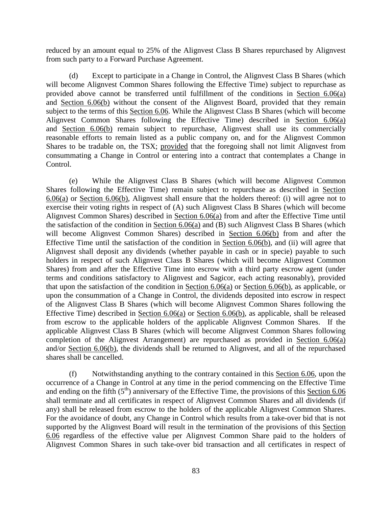reduced by an amount equal to 25% of the Alignvest Class B Shares repurchased by Alignvest from such party to a Forward Purchase Agreement.

(d) Except to participate in a Change in Control, the Alignvest Class B Shares (which will become Alignvest Common Shares following the Effective Time) subject to repurchase as provided above cannot be transferred until fulfillment of the conditions in [Section 6.06\(a\)](#page-85-0) and [Section 6.06\(b\)](#page-86-1) without the consent of the Alignvest Board, provided that they remain subject to the terms of this [Section 6.06.](#page-85-1) While the Alignvest Class B Shares (which will become Alignvest Common Shares following the Effective Time) described in [Section 6.06\(a\)](#page-85-0) and [Section 6.06\(b\)](#page-86-1) remain subject to repurchase, Alignvest shall use its commercially reasonable efforts to remain listed as a public company on, and for the Alignvest Common Shares to be tradable on, the TSX; provided that the foregoing shall not limit Alignvest from consummating a Change in Control or entering into a contract that contemplates a Change in Control.

(e) While the Alignvest Class B Shares (which will become Alignvest Common Shares following the Effective Time) remain subject to repurchase as described in [Section](#page-85-0)  [6.06\(a\)](#page-85-0) or [Section 6.06\(b\),](#page-86-1) Alignvest shall ensure that the holders thereof: (i) will agree not to exercise their voting rights in respect of (A) such Alignvest Class B Shares (which will become Alignvest Common Shares) described in [Section 6.06\(a\)](#page-85-0) from and after the Effective Time until the satisfaction of the condition in [Section 6.06\(a\)](#page-85-0) and (B) such Alignvest Class B Shares (which will become Alignvest Common Shares) described in [Section 6.06\(b\)](#page-86-1) from and after the Effective Time until the satisfaction of the condition in [Section 6.06\(b\),](#page-86-1) and (ii) will agree that Alignvest shall deposit any dividends (whether payable in cash or in specie) payable to such holders in respect of such Alignvest Class B Shares (which will become Alignvest Common Shares) from and after the Effective Time into escrow with a third party escrow agent (under terms and conditions satisfactory to Alignvest and Sagicor, each acting reasonably), provided that upon the satisfaction of the condition in [Section 6.06\(a\)](#page-85-0) or [Section 6.06\(b\),](#page-86-1) as applicable, or upon the consummation of a Change in Control, the dividends deposited into escrow in respect of the Alignvest Class B Shares (which will become Alignvest Common Shares following the Effective Time) described in [Section 6.06\(a\)](#page-85-0) or [Section 6.06\(b\),](#page-86-1) as applicable, shall be released from escrow to the applicable holders of the applicable Alignvest Common Shares. If the applicable Alignvest Class B Shares (which will become Alignvest Common Shares following completion of the Alignvest Arrangement) are repurchased as provided in [Section 6.06\(a\)](#page-85-0) and/or [Section](#page-86-1) 6.06(b), the dividends shall be returned to Alignvest, and all of the repurchased shares shall be cancelled.

(f) Notwithstanding anything to the contrary contained in this [Section 6.06,](#page-85-1) upon the occurrence of a Change in Control at any time in the period commencing on the Effective Time and ending on the fifth  $(5<sup>th</sup>)$  anniversary of the Effective Time, the provisions of this [Section 6.06](#page-85-1) shall terminate and all certificates in respect of Alignvest Common Shares and all dividends (if any) shall be released from escrow to the holders of the applicable Alignvest Common Shares. For the avoidance of doubt, any Change in Control which results from a take-over bid that is not supported by the Alignvest Board will result in the termination of the provisions of this [Section](#page-85-1)  [6.06](#page-85-1) regardless of the effective value per Alignvest Common Share paid to the holders of Alignvest Common Shares in such take-over bid transaction and all certificates in respect of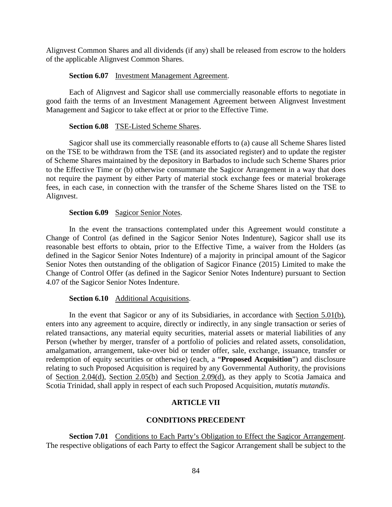Alignvest Common Shares and all dividends (if any) shall be released from escrow to the holders of the applicable Alignvest Common Shares.

## **Section 6.07** Investment Management Agreement.

Each of Alignvest and Sagicor shall use commercially reasonable efforts to negotiate in good faith the terms of an Investment Management Agreement between Alignvest Investment Management and Sagicor to take effect at or prior to the Effective Time.

### **Section 6.08** TSE-Listed Scheme Shares.

Sagicor shall use its commercially reasonable efforts to (a) cause all Scheme Shares listed on the TSE to be withdrawn from the TSE (and its associated register) and to update the register of Scheme Shares maintained by the depository in Barbados to include such Scheme Shares prior to the Effective Time or (b) otherwise consummate the Sagicor Arrangement in a way that does not require the payment by either Party of material stock exchange fees or material brokerage fees, in each case, in connection with the transfer of the Scheme Shares listed on the TSE to Alignvest.

### Section 6.09 Sagicor Senior Notes.

In the event the transactions contemplated under this Agreement would constitute a Change of Control (as defined in the Sagicor Senior Notes Indenture), Sagicor shall use its reasonable best efforts to obtain, prior to the Effective Time, a waiver from the Holders (as defined in the Sagicor Senior Notes Indenture) of a majority in principal amount of the Sagicor Senior Notes then outstanding of the obligation of Sagicor Finance (2015) Limited to make the Change of Control Offer (as defined in the Sagicor Senior Notes Indenture) pursuant to Section 4.07 of the Sagicor Senior Notes Indenture.

## **Section 6.10** Additional Acquisitions.

In the event that Sagicor or any of its Subsidiaries, in accordance with [Section 5.01\(b\),](#page-70-0) enters into any agreement to acquire, directly or indirectly, in any single transaction or series of related transactions, any material equity securities, material assets or material liabilities of any Person (whether by merger, transfer of a portfolio of policies and related assets, consolidation, amalgamation, arrangement, take-over bid or tender offer, sale, exchange, issuance, transfer or redemption of equity securities or otherwise) (each, a "**Proposed Acquisition**") and disclosure relating to such Proposed Acquisition is required by any Governmental Authority, the provisions of Section 2.04(d), [Section 2.05\(b\)](#page-33-0) and [Section 2.09\(d\),](#page-36-0) as they apply to Scotia Jamaica and Scotia Trinidad, shall apply in respect of each such Proposed Acquisition, *mutatis mutandis*.

## **ARTICLE VII**

## **CONDITIONS PRECEDENT**

<span id="page-88-1"></span><span id="page-88-0"></span>**Section 7.01** Conditions to Each Party's Obligation to Effect the Sagicor Arrangement. The respective obligations of each Party to effect the Sagicor Arrangement shall be subject to the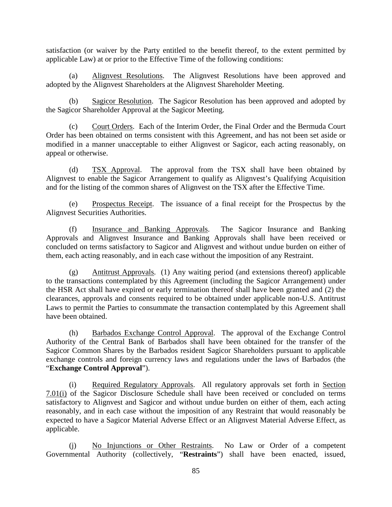satisfaction (or waiver by the Party entitled to the benefit thereof, to the extent permitted by applicable Law) at or prior to the Effective Time of the following conditions:

(a) Alignvest Resolutions. The Alignvest Resolutions have been approved and adopted by the Alignvest Shareholders at the Alignvest Shareholder Meeting.

(b) Sagicor Resolution. The Sagicor Resolution has been approved and adopted by the Sagicor Shareholder Approval at the Sagicor Meeting.

(c) Court Orders. Each of the Interim Order, the Final Order and the Bermuda Court Order has been obtained on terms consistent with this Agreement, and has not been set aside or modified in a manner unacceptable to either Alignvest or Sagicor, each acting reasonably, on appeal or otherwise.

<span id="page-89-1"></span>(d) TSX Approval. The approval from the TSX shall have been obtained by Alignvest to enable the Sagicor Arrangement to qualify as Alignvest's Qualifying Acquisition and for the listing of the common shares of Alignvest on the TSX after the Effective Time.

(e) Prospectus Receipt. The issuance of a final receipt for the Prospectus by the Alignvest Securities Authorities.

<span id="page-89-2"></span>(f) Insurance and Banking Approvals. The Sagicor Insurance and Banking Approvals and Alignvest Insurance and Banking Approvals shall have been received or concluded on terms satisfactory to Sagicor and Alignvest and without undue burden on either of them, each acting reasonably, and in each case without the imposition of any Restraint.

<span id="page-89-3"></span>(g) Antitrust Approvals. (1) Any waiting period (and extensions thereof) applicable to the transactions contemplated by this Agreement (including the Sagicor Arrangement) under the HSR Act shall have expired or early termination thereof shall have been granted and (2) the clearances, approvals and consents required to be obtained under applicable non-U.S. Antitrust Laws to permit the Parties to consummate the transaction contemplated by this Agreement shall have been obtained.

<span id="page-89-4"></span>(h) Barbados Exchange Control Approval. The approval of the Exchange Control Authority of the Central Bank of Barbados shall have been obtained for the transfer of the Sagicor Common Shares by the Barbados resident Sagicor Shareholders pursuant to applicable exchange controls and foreign currency laws and regulations under the laws of Barbados (the "**Exchange Control Approval**").

<span id="page-89-0"></span>(i) Required Regulatory Approvals. All regulatory approvals set forth in [Section](#page-89-0)  [7.01\(i\)](#page-89-0) of the Sagicor Disclosure Schedule shall have been received or concluded on terms satisfactory to Alignvest and Sagicor and without undue burden on either of them, each acting reasonably, and in each case without the imposition of any Restraint that would reasonably be expected to have a Sagicor Material Adverse Effect or an Alignvest Material Adverse Effect, as applicable.

<span id="page-89-5"></span>(j) No Injunctions or Other Restraints. No Law or Order of a competent Governmental Authority (collectively, "**Restraints**") shall have been enacted, issued,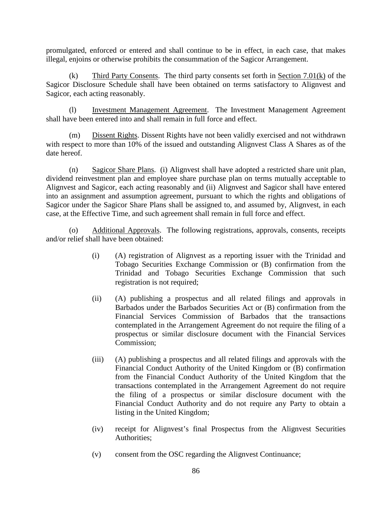promulgated, enforced or entered and shall continue to be in effect, in each case, that makes illegal, enjoins or otherwise prohibits the consummation of the Sagicor Arrangement.

<span id="page-90-0"></span>(k) Third Party Consents. The third party consents set forth in [Section 7.01\(k\)](#page-90-0) of the Sagicor Disclosure Schedule shall have been obtained on terms satisfactory to Alignvest and Sagicor, each acting reasonably.

(l) Investment Management Agreement. The Investment Management Agreement shall have been entered into and shall remain in full force and effect.

(m) Dissent Rights. Dissent Rights have not been validly exercised and not withdrawn with respect to more than 10% of the issued and outstanding Alignvest Class A Shares as of the date hereof.

(n) Sagicor Share Plans. (i) Alignvest shall have adopted a restricted share unit plan, dividend reinvestment plan and employee share purchase plan on terms mutually acceptable to Alignvest and Sagicor, each acting reasonably and (ii) Alignvest and Sagicor shall have entered into an assignment and assumption agreement, pursuant to which the rights and obligations of Sagicor under the Sagicor Share Plans shall be assigned to, and assumed by, Alignvest, in each case, at the Effective Time, and such agreement shall remain in full force and effect.

(o) Additional Approvals. The following registrations, approvals, consents, receipts and/or relief shall have been obtained:

- (i) (A) registration of Alignvest as a reporting issuer with the Trinidad and Tobago Securities Exchange Commission or (B) confirmation from the Trinidad and Tobago Securities Exchange Commission that such registration is not required;
- (ii) (A) publishing a prospectus and all related filings and approvals in Barbados under the Barbados Securities Act or (B) confirmation from the Financial Services Commission of Barbados that the transactions contemplated in the Arrangement Agreement do not require the filing of a prospectus or similar disclosure document with the Financial Services Commission;
- (iii) (A) publishing a prospectus and all related filings and approvals with the Financial Conduct Authority of the United Kingdom or (B) confirmation from the Financial Conduct Authority of the United Kingdom that the transactions contemplated in the Arrangement Agreement do not require the filing of a prospectus or similar disclosure document with the Financial Conduct Authority and do not require any Party to obtain a listing in the United Kingdom;
- (iv) receipt for Alignvest's final Prospectus from the Alignvest Securities Authorities;
- (v) consent from the OSC regarding the Alignvest Continuance;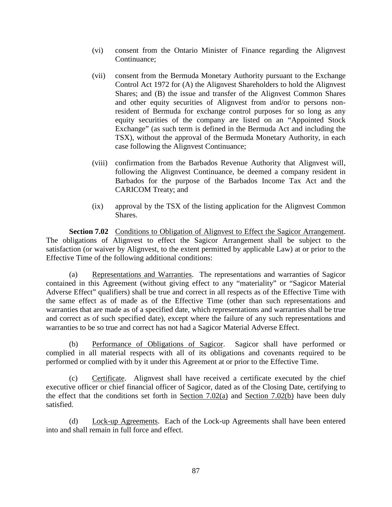- (vi) consent from the Ontario Minister of Finance regarding the Alignvest Continuance;
- (vii) consent from the Bermuda Monetary Authority pursuant to the Exchange Control Act 1972 for (A) the Alignvest Shareholders to hold the Alignvest Shares; and (B) the issue and transfer of the Alignvest Common Shares and other equity securities of Alignvest from and/or to persons nonresident of Bermuda for exchange control purposes for so long as any equity securities of the company are listed on an "Appointed Stock Exchange" (as such term is defined in the Bermuda Act and including the TSX), without the approval of the Bermuda Monetary Authority, in each case following the Alignvest Continuance;
- (viii) confirmation from the Barbados Revenue Authority that Alignvest will, following the Alignvest Continuance, be deemed a company resident in Barbados for the purpose of the Barbados Income Tax Act and the CARICOM Treaty; and
- (ix) approval by the TSX of the listing application for the Alignvest Common Shares.

<span id="page-91-0"></span>**Section 7.02** Conditions to Obligation of Alignvest to Effect the Sagicor Arrangement. The obligations of Alignvest to effect the Sagicor Arrangement shall be subject to the satisfaction (or waiver by Alignvest, to the extent permitted by applicable Law) at or prior to the Effective Time of the following additional conditions:

<span id="page-91-1"></span>(a) Representations and Warranties. The representations and warranties of Sagicor contained in this Agreement (without giving effect to any "materiality" or "Sagicor Material Adverse Effect" qualifiers) shall be true and correct in all respects as of the Effective Time with the same effect as of made as of the Effective Time (other than such representations and warranties that are made as of a specified date, which representations and warranties shall be true and correct as of such specified date), except where the failure of any such representations and warranties to be so true and correct has not had a Sagicor Material Adverse Effect.

<span id="page-91-2"></span>(b) Performance of Obligations of Sagicor. Sagicor shall have performed or complied in all material respects with all of its obligations and covenants required to be performed or complied with by it under this Agreement at or prior to the Effective Time.

(c) Certificate. Alignvest shall have received a certificate executed by the chief executive officer or chief financial officer of Sagicor, dated as of the Closing Date, certifying to the effect that the conditions set forth in Section  $7.02(a)$  and Section  $7.02(b)$  have been duly satisfied.

(d) Lock-up Agreements. Each of the Lock-up Agreements shall have been entered into and shall remain in full force and effect.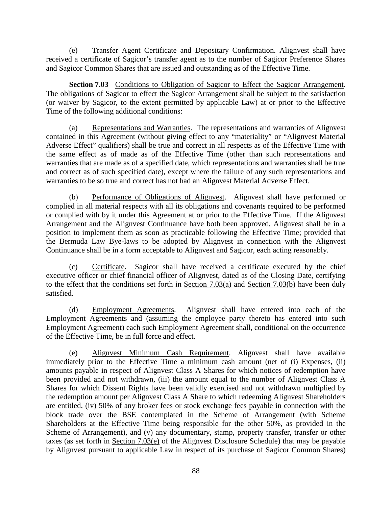(e) Transfer Agent Certificate and Depositary Confirmation. Alignvest shall have received a certificate of Sagicor's transfer agent as to the number of Sagicor Preference Shares and Sagicor Common Shares that are issued and outstanding as of the Effective Time.

<span id="page-92-0"></span>**Section 7.03** Conditions to Obligation of Sagicor to Effect the Sagicor Arrangement. The obligations of Sagicor to effect the Sagicor Arrangement shall be subject to the satisfaction (or waiver by Sagicor, to the extent permitted by applicable Law) at or prior to the Effective Time of the following additional conditions:

<span id="page-92-1"></span>(a) Representations and Warranties. The representations and warranties of Alignvest contained in this Agreement (without giving effect to any "materiality" or "Alignvest Material Adverse Effect" qualifiers) shall be true and correct in all respects as of the Effective Time with the same effect as of made as of the Effective Time (other than such representations and warranties that are made as of a specified date, which representations and warranties shall be true and correct as of such specified date), except where the failure of any such representations and warranties to be so true and correct has not had an Alignvest Material Adverse Effect.

<span id="page-92-2"></span>(b) Performance of Obligations of Alignvest. Alignvest shall have performed or complied in all material respects with all its obligations and covenants required to be performed or complied with by it under this Agreement at or prior to the Effective Time. If the Alignvest Arrangement and the Alignvest Continuance have both been approved, Alignvest shall be in a position to implement them as soon as practicable following the Effective Time; provided that the Bermuda Law Bye-laws to be adopted by Alignvest in connection with the Alignvest Continuance shall be in a form acceptable to Alignvest and Sagicor, each acting reasonably.

(c) Certificate. Sagicor shall have received a certificate executed by the chief executive officer or chief financial officer of Alignvest, dated as of the Closing Date, certifying to the effect that the conditions set forth in [Section 7.03\(a\)](#page-92-1) and [Section 7.03\(b\)](#page-92-2) have been duly satisfied.

(d) Employment Agreements. Alignvest shall have entered into each of the Employment Agreements and (assuming the employee party thereto has entered into such Employment Agreement) each such Employment Agreement shall, conditional on the occurrence of the Effective Time, be in full force and effect.

<span id="page-92-3"></span>(e) Alignvest Minimum Cash Requirement. Alignvest shall have available immediately prior to the Effective Time a minimum cash amount (net of (i) Expenses, (ii) amounts payable in respect of Alignvest Class A Shares for which notices of redemption have been provided and not withdrawn, (iii) the amount equal to the number of Alignvest Class A Shares for which Dissent Rights have been validly exercised and not withdrawn multiplied by the redemption amount per Alignvest Class A Share to which redeeming Alignvest Shareholders are entitled, (iv) 50% of any broker fees or stock exchange fees payable in connection with the block trade over the BSE contemplated in the Scheme of Arrangement (with Scheme Shareholders at the Effective Time being responsible for the other 50%, as provided in the Scheme of Arrangement), and (v) any documentary, stamp, property transfer, transfer or other taxes (as set forth in [Section 7.03\(e\)](#page-92-3) of the Alignvest Disclosure Schedule) that may be payable by Alignvest pursuant to applicable Law in respect of its purchase of Sagicor Common Shares)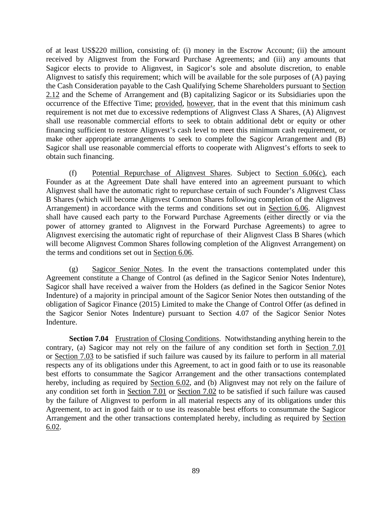of at least US\$220 million, consisting of: (i) money in the Escrow Account; (ii) the amount received by Alignvest from the Forward Purchase Agreements; and (iii) any amounts that Sagicor elects to provide to Alignvest, in Sagicor's sole and absolute discretion, to enable Alignvest to satisfy this requirement; which will be available for the sole purposes of (A) paying the Cash Consideration payable to the Cash Qualifying Scheme Shareholders pursuant to [Section](#page-38-0)  [2.12](#page-38-0) and the Scheme of Arrangement and (B) capitalizing Sagicor or its Subsidiaries upon the occurrence of the Effective Time; provided, however, that in the event that this minimum cash requirement is not met due to excessive redemptions of Alignvest Class A Shares, (A) Alignvest shall use reasonable commercial efforts to seek to obtain additional debt or equity or other financing sufficient to restore Alignvest's cash level to meet this minimum cash requirement, or make other appropriate arrangements to seek to complete the Sagicor Arrangement and (B) Sagicor shall use reasonable commercial efforts to cooperate with Alignvest's efforts to seek to obtain such financing.

(f) Potential Repurchase of Alignvest Shares. Subject to [Section 6.06\(c\),](#page-86-0) each Founder as at the Agreement Date shall have entered into an agreement pursuant to which Alignvest shall have the automatic right to repurchase certain of such Founder's Alignvest Class B Shares (which will become Alignvest Common Shares following completion of the Alignvest Arrangement) in accordance with the terms and conditions set out in [Section 6.06.](#page-85-1) Alignvest shall have caused each party to the Forward Purchase Agreements (either directly or via the power of attorney granted to Alignvest in the Forward Purchase Agreements) to agree to Alignvest exercising the automatic right of repurchase of their Alignvest Class B Shares (which will become Alignvest Common Shares following completion of the Alignvest Arrangement) on the terms and conditions set out in [Section 6.06.](#page-85-1)

(g) Sagicor Senior Notes. In the event the transactions contemplated under this Agreement constitute a Change of Control (as defined in the Sagicor Senior Notes Indenture), Sagicor shall have received a waiver from the Holders (as defined in the Sagicor Senior Notes Indenture) of a majority in principal amount of the Sagicor Senior Notes then outstanding of the obligation of Sagicor Finance (2015) Limited to make the Change of Control Offer (as defined in the Sagicor Senior Notes Indenture) pursuant to Section 4.07 of the Sagicor Senior Notes Indenture.

**Section 7.04** Frustration of Closing Conditions. Notwithstanding anything herein to the contrary, (a) Sagicor may not rely on the failure of any condition set forth in [Section 7.01](#page-88-0) or [Section 7.03](#page-92-0) to be satisfied if such failure was caused by its failure to perform in all material respects any of its obligations under this Agreement, to act in good faith or to use its reasonable best efforts to consummate the Sagicor Arrangement and the other transactions contemplated hereby, including as required by [Section 6.02,](#page-82-0) and (b) Alignvest may not rely on the failure of any condition set forth in [Section 7.01](#page-88-0) or [Section 7.02](#page-91-0) to be satisfied if such failure was caused by the failure of Alignvest to perform in all material respects any of its obligations under this Agreement, to act in good faith or to use its reasonable best efforts to consummate the Sagicor Arrangement and the other transactions contemplated hereby, including as required by [Section](#page-82-0)  [6.02.](#page-82-0)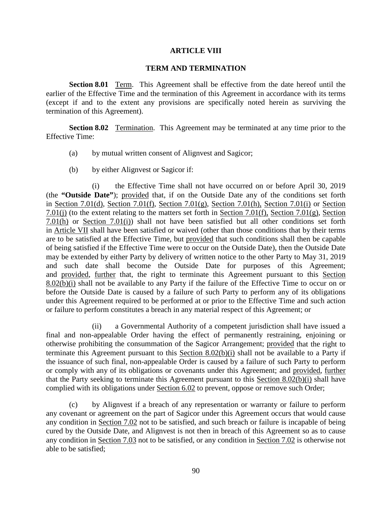#### **ARTICLE VIII**

#### **TERM AND TERMINATION**

<span id="page-94-3"></span>**Section 8.01** Term. This Agreement shall be effective from the date hereof until the earlier of the Effective Time and the termination of this Agreement in accordance with its terms (except if and to the extent any provisions are specifically noted herein as surviving the termination of this Agreement).

<span id="page-94-1"></span>**Section 8.02** Termination. This Agreement may be terminated at any time prior to the Effective Time:

- <span id="page-94-2"></span>(a) by mutual written consent of Alignvest and Sagicor;
- (b) by either Alignvest or Sagicor if:

<span id="page-94-0"></span>(i) the Effective Time shall not have occurred on or before April 30, 2019 (the **"Outside Date"**); provided that, if on the Outside Date any of the conditions set forth in [Section 7.01\(d\),](#page-89-1) [Section 7.01\(f\),](#page-89-2) [Section 7.01\(g\),](#page-89-3) [Section 7.01\(h\),](#page-89-4) [Section 7.01\(i\)](#page-89-0) or [Section](#page-89-5)  [7.01\(j\)](#page-89-5) (to the extent relating to the matters set forth in [Section 7.01\(f\),](#page-89-2) [Section 7.01\(g\),](#page-89-3) Section [7.01\(h\)](#page-89-4) or [Section 7.01\(i\)\)](#page-89-0) shall not have been satisfied but all other conditions set forth in [Article VII](#page-88-1) shall have been satisfied or waived (other than those conditions that by their terms are to be satisfied at the Effective Time, but provided that such conditions shall then be capable of being satisfied if the Effective Time were to occur on the Outside Date), then the Outside Date may be extended by either Party by delivery of written notice to the other Party to May 31, 2019 and such date shall become the Outside Date for purposes of this Agreement; and provided, further that, the right to terminate this Agreement pursuant to this [Section](#page-94-0)  [8.02\(b\)\(i\)](#page-94-0) shall not be available to any Party if the failure of the Effective Time to occur on or before the Outside Date is caused by a failure of such Party to perform any of its obligations under this Agreement required to be performed at or prior to the Effective Time and such action or failure to perform constitutes a breach in any material respect of this Agreement; or

(ii) a Governmental Authority of a competent jurisdiction shall have issued a final and non-appealable Order having the effect of permanently restraining, enjoining or otherwise prohibiting the consummation of the Sagicor Arrangement; provided that the right to terminate this Agreement pursuant to this [Section 8.02\(b\)\(i\)](#page-94-0) shall not be available to a Party if the issuance of such final, non-appealable Order is caused by a failure of such Party to perform or comply with any of its obligations or covenants under this Agreement; and provided, further that the Party seeking to terminate this Agreement pursuant to this [Section 8.02\(b\)\(i\)](#page-94-0) shall have complied with its obligations under [Section 6.02](#page-82-0) to prevent, oppose or remove such Order;

(c) by Alignvest if a breach of any representation or warranty or failure to perform any covenant or agreement on the part of Sagicor under this Agreement occurs that would cause any condition in [Section 7.02](#page-91-0) not to be satisfied, and such breach or failure is incapable of being cured by the Outside Date, and Alignvest is not then in breach of this Agreement so as to cause any condition in [Section 7.03](#page-92-0) not to be satisfied, or any condition in [Section 7.02](#page-91-0) is otherwise not able to be satisfied;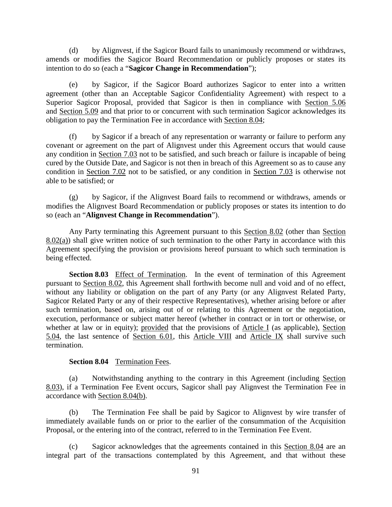(d) by Alignvest, if the Sagicor Board fails to unanimously recommend or withdraws, amends or modifies the Sagicor Board Recommendation or publicly proposes or states its intention to do so (each a "**Sagicor Change in Recommendation**");

(e) by Sagicor, if the Sagicor Board authorizes Sagicor to enter into a written agreement (other than an Acceptable Sagicor Confidentiality Agreement) with respect to a Superior Sagicor Proposal, provided that Sagicor is then in compliance with [Section 5.06](#page-76-1) and Section 5.09 and that prior to or concurrent with such termination Sagicor acknowledges its obligation to pay the Termination Fee in accordance with [Section 8.04;](#page-95-0)

(f) by Sagicor if a breach of any representation or warranty or failure to perform any covenant or agreement on the part of Alignvest under this Agreement occurs that would cause any condition in [Section 7.03](#page-92-0) not to be satisfied, and such breach or failure is incapable of being cured by the Outside Date, and Sagicor is not then in breach of this Agreement so as to cause any condition in [Section 7.02](#page-91-0) not to be satisfied, or any condition in [Section 7.03](#page-92-0) is otherwise not able to be satisfied; or

(g) by Sagicor, if the Alignvest Board fails to recommend or withdraws, amends or modifies the Alignvest Board Recommendation or publicly proposes or states its intention to do so (each an "**Alignvest Change in Recommendation**").

Any Party terminating this Agreement pursuant to this [Section 8.02](#page-94-1) (other than [Section](#page-94-2)  [8.02\(a\)\)](#page-94-2) shall give written notice of such termination to the other Party in accordance with this Agreement specifying the provision or provisions hereof pursuant to which such termination is being effected.

<span id="page-95-1"></span>**Section 8.03** Effect of Termination. In the event of termination of this Agreement pursuant to [Section 8.02,](#page-94-1) this Agreement shall forthwith become null and void and of no effect, without any liability or obligation on the part of any Party (or any Alignvest Related Party, Sagicor Related Party or any of their respective Representatives), whether arising before or after such termination, based on, arising out of or relating to this Agreement or the negotiation, execution, performance or subject matter hereof (whether in contract or in tort or otherwise, or whether at law or in equity); provided that the provisions of [Article I](#page-6-0) (as applicable), [Section](#page-75-0)  [5.04,](#page-75-0) the last sentence of [Section 6.01,](#page-81-0) this [Article VIII](#page-94-3) and [Article IX](#page-96-0) shall survive such termination.

#### **Section 8.04** Termination Fees.

<span id="page-95-0"></span>(a) Notwithstanding anything to the contrary in this Agreement (including [Section](#page-95-1)  [8.03\)](#page-95-1), if a Termination Fee Event occurs, Sagicor shall pay Alignvest the Termination Fee in accordance with [Section 8.04\(b\).](#page-95-2)

<span id="page-95-2"></span>(b) The Termination Fee shall be paid by Sagicor to Alignvest by wire transfer of immediately available funds on or prior to the earlier of the consummation of the Acquisition Proposal, or the entering into of the contract, referred to in the Termination Fee Event.

(c) Sagicor acknowledges that the agreements contained in this [Section 8.04](#page-95-0) are an integral part of the transactions contemplated by this Agreement, and that without these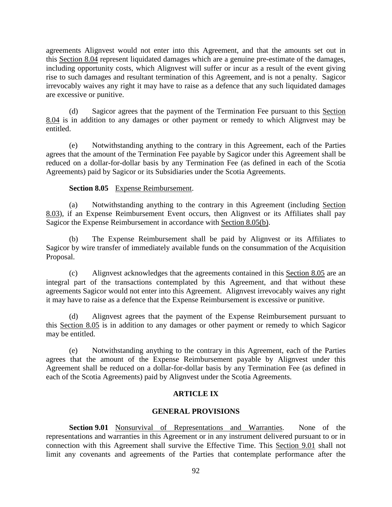agreements Alignvest would not enter into this Agreement, and that the amounts set out in this [Section 8.04](#page-95-0) represent liquidated damages which are a genuine pre-estimate of the damages, including opportunity costs, which Alignvest will suffer or incur as a result of the event giving rise to such damages and resultant termination of this Agreement, and is not a penalty. Sagicor irrevocably waives any right it may have to raise as a defence that any such liquidated damages are excessive or punitive.

(d) Sagicor agrees that the payment of the Termination Fee pursuant to this [Section](#page-95-0)  [8.04](#page-95-0) is in addition to any damages or other payment or remedy to which Alignvest may be entitled.

(e) Notwithstanding anything to the contrary in this Agreement, each of the Parties agrees that the amount of the Termination Fee payable by Sagicor under this Agreement shall be reduced on a dollar-for-dollar basis by any Termination Fee (as defined in each of the Scotia Agreements) paid by Sagicor or its Subsidiaries under the Scotia Agreements.

## **Section 8.05** Expense Reimbursement.

<span id="page-96-2"></span>(a) Notwithstanding anything to the contrary in this Agreement (including [Section](#page-95-1)  [8.03\)](#page-95-1), if an Expense Reimbursement Event occurs, then Alignvest or its Affiliates shall pay Sagicor the Expense Reimbursement in accordance with [Section 8.05\(b\).](#page-96-1)

<span id="page-96-1"></span>(b) The Expense Reimbursement shall be paid by Alignvest or its Affiliates to Sagicor by wire transfer of immediately available funds on the consummation of the Acquisition Proposal.

(c) Alignvest acknowledges that the agreements contained in this [Section 8.05](#page-96-2) are an integral part of the transactions contemplated by this Agreement, and that without these agreements Sagicor would not enter into this Agreement. Alignvest irrevocably waives any right it may have to raise as a defence that the Expense Reimbursement is excessive or punitive.

(d) Alignvest agrees that the payment of the Expense Reimbursement pursuant to this [Section 8.05](#page-96-2) is in addition to any damages or other payment or remedy to which Sagicor may be entitled.

(e) Notwithstanding anything to the contrary in this Agreement, each of the Parties agrees that the amount of the Expense Reimbursement payable by Alignvest under this Agreement shall be reduced on a dollar-for-dollar basis by any Termination Fee (as defined in each of the Scotia Agreements) paid by Alignvest under the Scotia Agreements.

## **ARTICLE IX**

## **GENERAL PROVISIONS**

<span id="page-96-3"></span><span id="page-96-0"></span>**Section 9.01** Nonsurvival of Representations and Warranties. None of the representations and warranties in this Agreement or in any instrument delivered pursuant to or in connection with this Agreement shall survive the Effective Time. This [Section 9.01](#page-96-3) shall not limit any covenants and agreements of the Parties that contemplate performance after the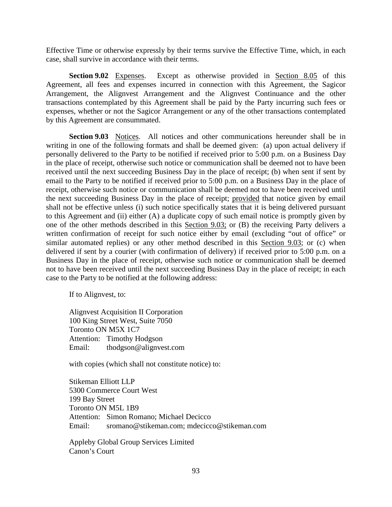Effective Time or otherwise expressly by their terms survive the Effective Time, which, in each case, shall survive in accordance with their terms.

**Section 9.02** Expenses. Except as otherwise provided in [Section 8.05](#page-96-2) of this Agreement, all fees and expenses incurred in connection with this Agreement, the Sagicor Arrangement, the Alignvest Arrangement and the Alignvest Continuance and the other transactions contemplated by this Agreement shall be paid by the Party incurring such fees or expenses, whether or not the Sagicor Arrangement or any of the other transactions contemplated by this Agreement are consummated.

<span id="page-97-0"></span>**Section 9.03** Notices. All notices and other communications hereunder shall be in writing in one of the following formats and shall be deemed given: (a) upon actual delivery if personally delivered to the Party to be notified if received prior to 5:00 p.m. on a Business Day in the place of receipt, otherwise such notice or communication shall be deemed not to have been received until the next succeeding Business Day in the place of receipt; (b) when sent if sent by email to the Party to be notified if received prior to 5:00 p.m. on a Business Day in the place of receipt, otherwise such notice or communication shall be deemed not to have been received until the next succeeding Business Day in the place of receipt; provided that notice given by email shall not be effective unless (i) such notice specifically states that it is being delivered pursuant to this Agreement and (ii) either (A) a duplicate copy of such email notice is promptly given by one of the other methods described in this [Section 9.03;](#page-97-0) or (B) the receiving Party delivers a written confirmation of receipt for such notice either by email (excluding "out of office" or similar automated replies) or any other method described in this [Section 9.03;](#page-97-0) or (c) when delivered if sent by a courier (with confirmation of delivery) if received prior to 5:00 p.m. on a Business Day in the place of receipt, otherwise such notice or communication shall be deemed not to have been received until the next succeeding Business Day in the place of receipt; in each case to the Party to be notified at the following address:

If to Alignvest, to:

Alignvest Acquisition II Corporation 100 King Street West, Suite 7050 Toronto ON M5X 1C7 Attention: Timothy Hodgson Email: thodgson@alignvest.com

with copies (which shall not constitute notice) to:

Stikeman Elliott LLP 5300 Commerce Court West 199 Bay Street Toronto ON M5L 1B9 Attention: Simon Romano; Michael Decicco Email: sromano@stikeman.com; mdecicco@stikeman.com

Appleby Global Group Services Limited Canon's Court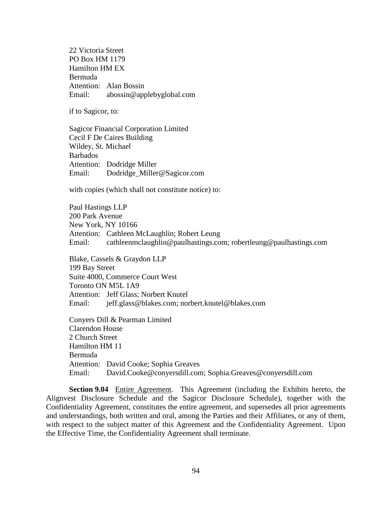22 Victoria Street PO Box HM 1179 Hamilton HM EX Bermuda Attention: Alan Bossin Email: abossin@applebyglobal.com

if to Sagicor, to:

Sagicor Financial Corporation Limited Cecil F De Caires Building Wildey, St. Michael Barbados Attention: Dodridge Miller Email: Dodridge\_Miller@Sagicor.com

with copies (which shall not constitute notice) to:

Paul Hastings LLP 200 Park Avenue New York, NY 10166 Attention: Cathleen McLaughlin; Robert Leung Email: cathleenmclaughlin@paulhastings.com; robertleung@paulhastings.com

Blake, Cassels & Graydon LLP 199 Bay Street Suite 4000, Commerce Court West Toronto ON M5L 1A9 Attention: Jeff Glass; Norbert Knutel Email: jeff.glass@blakes.com; norbert.knutel@blakes.com

Conyers Dill & Pearman Limited Clarendon House 2 Church Street Hamilton HM 11 Bermuda Attention: David Cooke; Sophia Greaves Email: David.Cooke@conyersdill.com; Sophia.Greaves@conyersdill.com

**Section 9.04** Entire Agreement. This Agreement (including the Exhibits hereto, the Alignvest Disclosure Schedule and the Sagicor Disclosure Schedule), together with the Confidentiality Agreement, constitutes the entire agreement, and supersedes all prior agreements and understandings, both written and oral, among the Parties and their Affiliates, or any of them, with respect to the subject matter of this Agreement and the Confidentiality Agreement. Upon the Effective Time, the Confidentiality Agreement shall terminate.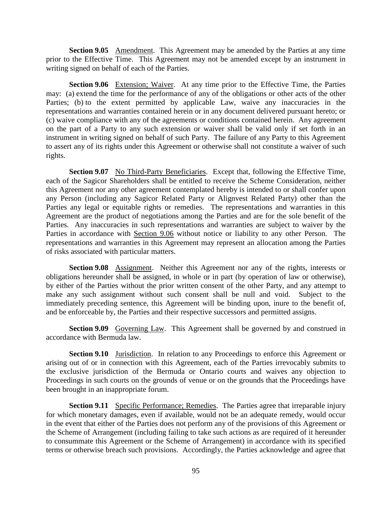**Section 9.05** Amendment. This Agreement may be amended by the Parties at any time prior to the Effective Time. This Agreement may not be amended except by an instrument in writing signed on behalf of each of the Parties.

<span id="page-99-0"></span>**Section 9.06** Extension; Waiver. At any time prior to the Effective Time, the Parties may: (a) extend the time for the performance of any of the obligations or other acts of the other Parties; (b) to the extent permitted by applicable Law, waive any inaccuracies in the representations and warranties contained herein or in any document delivered pursuant hereto; or (c) waive compliance with any of the agreements or conditions contained herein. Any agreement on the part of a Party to any such extension or waiver shall be valid only if set forth in an instrument in writing signed on behalf of such Party. The failure of any Party to this Agreement to assert any of its rights under this Agreement or otherwise shall not constitute a waiver of such rights.

**Section 9.07** No Third-Party Beneficiaries. Except that, following the Effective Time, each of the Sagicor Shareholders shall be entitled to receive the Scheme Consideration, neither this Agreement nor any other agreement contemplated hereby is intended to or shall confer upon any Person (including any Sagicor Related Party or Alignvest Related Party) other than the Parties any legal or equitable rights or remedies. The representations and warranties in this Agreement are the product of negotiations among the Parties and are for the sole benefit of the Parties. Any inaccuracies in such representations and warranties are subject to waiver by the Parties in accordance with [Section 9.06](#page-99-0) without notice or liability to any other Person. The representations and warranties in this Agreement may represent an allocation among the Parties of risks associated with particular matters.

**Section 9.08** Assignment. Neither this Agreement nor any of the rights, interests or obligations hereunder shall be assigned, in whole or in part (by operation of law or otherwise), by either of the Parties without the prior written consent of the other Party, and any attempt to make any such assignment without such consent shall be null and void. Subject to the immediately preceding sentence, this Agreement will be binding upon, inure to the benefit of, and be enforceable by, the Parties and their respective successors and permitted assigns.

**Section 9.09** Governing Law. This Agreement shall be governed by and construed in accordance with Bermuda law.

<span id="page-99-1"></span>**Section 9.10** Jurisdiction. In relation to any Proceedings to enforce this Agreement or arising out of or in connection with this Agreement, each of the Parties irrevocably submits to the exclusive jurisdiction of the Bermuda or Ontario courts and waives any objection to Proceedings in such courts on the grounds of venue or on the grounds that the Proceedings have been brought in an inappropriate forum.

**Section 9.11** Specific Performance; Remedies. The Parties agree that irreparable injury for which monetary damages, even if available, would not be an adequate remedy, would occur in the event that either of the Parties does not perform any of the provisions of this Agreement or the Scheme of Arrangement (including failing to take such actions as are required of it hereunder to consummate this Agreement or the Scheme of Arrangement) in accordance with its specified terms or otherwise breach such provisions. Accordingly, the Parties acknowledge and agree that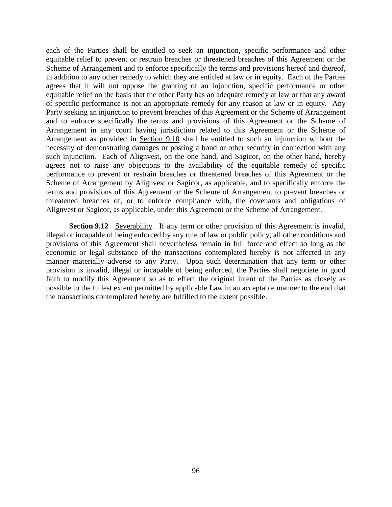each of the Parties shall be entitled to seek an injunction, specific performance and other equitable relief to prevent or restrain breaches or threatened breaches of this Agreement or the Scheme of Arrangement and to enforce specifically the terms and provisions hereof and thereof, in addition to any other remedy to which they are entitled at law or in equity. Each of the Parties agrees that it will not oppose the granting of an injunction, specific performance or other equitable relief on the basis that the other Party has an adequate remedy at law or that any award of specific performance is not an appropriate remedy for any reason at law or in equity. Any Party seeking an injunction to prevent breaches of this Agreement or the Scheme of Arrangement and to enforce specifically the terms and provisions of this Agreement or the Scheme of Arrangement in any court having jurisdiction related to this Agreement or the Scheme of Arrangement as provided in [Section 9.10](#page-99-1) shall be entitled to such an injunction without the necessity of demonstrating damages or posting a bond or other security in connection with any such injunction. Each of Alignvest, on the one hand, and Sagicor, on the other hand, hereby agrees not to raise any objections to the availability of the equitable remedy of specific performance to prevent or restrain breaches or threatened breaches of this Agreement or the Scheme of Arrangement by Alignvest or Sagicor, as applicable, and to specifically enforce the terms and provisions of this Agreement or the Scheme of Arrangement to prevent breaches or threatened breaches of, or to enforce compliance with, the covenants and obligations of Alignvest or Sagicor, as applicable, under this Agreement or the Scheme of Arrangement.

**Section 9.12** Severability. If any term or other provision of this Agreement is invalid, illegal or incapable of being enforced by any rule of law or public policy, all other conditions and provisions of this Agreement shall nevertheless remain in full force and effect so long as the economic or legal substance of the transactions contemplated hereby is not affected in any manner materially adverse to any Party. Upon such determination that any term or other provision is invalid, illegal or incapable of being enforced, the Parties shall negotiate in good faith to modify this Agreement so as to effect the original intent of the Parties as closely as possible to the fullest extent permitted by applicable Law in an acceptable manner to the end that the transactions contemplated hereby are fulfilled to the extent possible.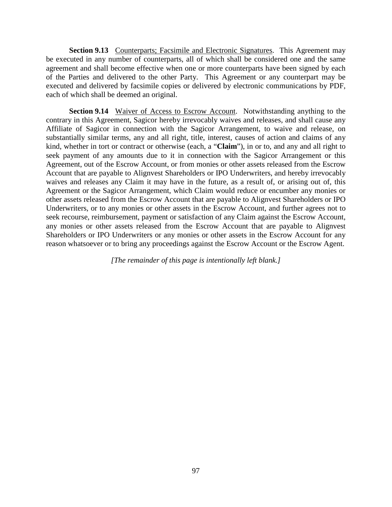**Section 9.13** Counterparts; Facsimile and Electronic Signatures. This Agreement may be executed in any number of counterparts, all of which shall be considered one and the same agreement and shall become effective when one or more counterparts have been signed by each of the Parties and delivered to the other Party. This Agreement or any counterpart may be executed and delivered by facsimile copies or delivered by electronic communications by PDF, each of which shall be deemed an original.

<span id="page-101-0"></span>**Section 9.14** Waiver of Access to Escrow Account. Notwithstanding anything to the contrary in this Agreement, Sagicor hereby irrevocably waives and releases, and shall cause any Affiliate of Sagicor in connection with the Sagicor Arrangement, to waive and release, on substantially similar terms, any and all right, title, interest, causes of action and claims of any kind, whether in tort or contract or otherwise (each, a "**Claim**"), in or to, and any and all right to seek payment of any amounts due to it in connection with the Sagicor Arrangement or this Agreement, out of the Escrow Account, or from monies or other assets released from the Escrow Account that are payable to Alignvest Shareholders or IPO Underwriters, and hereby irrevocably waives and releases any Claim it may have in the future, as a result of, or arising out of, this Agreement or the Sagicor Arrangement, which Claim would reduce or encumber any monies or other assets released from the Escrow Account that are payable to Alignvest Shareholders or IPO Underwriters, or to any monies or other assets in the Escrow Account, and further agrees not to seek recourse, reimbursement, payment or satisfaction of any Claim against the Escrow Account, any monies or other assets released from the Escrow Account that are payable to Alignvest Shareholders or IPO Underwriters or any monies or other assets in the Escrow Account for any reason whatsoever or to bring any proceedings against the Escrow Account or the Escrow Agent.

*[The remainder of this page is intentionally left blank.]*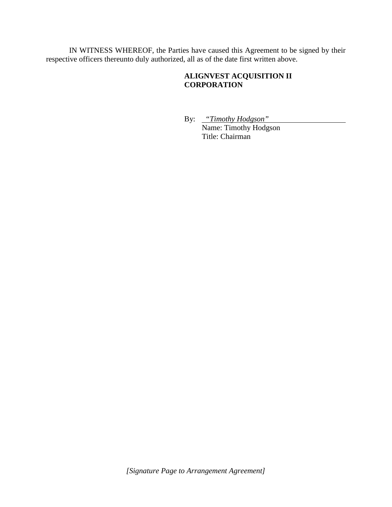IN WITNESS WHEREOF, the Parties have caused this Agreement to be signed by their respective officers thereunto duly authorized, all as of the date first written above.

# **ALIGNVEST ACQUISITION II CORPORATION**

By: *"Timothy Hodgson"* Name: Timothy Hodgson Title: Chairman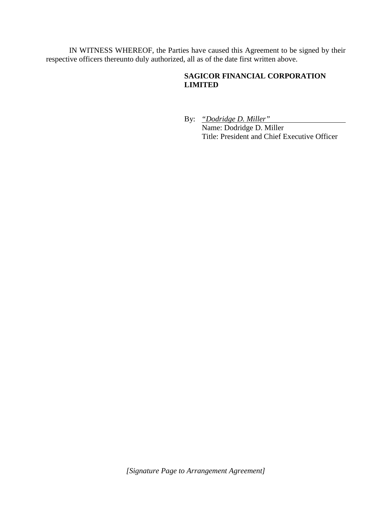IN WITNESS WHEREOF, the Parties have caused this Agreement to be signed by their respective officers thereunto duly authorized, all as of the date first written above.

# **SAGICOR FINANCIAL CORPORATION LIMITED**

By: *"Dodridge D. Miller"* Name: Dodridge D. Miller Title: President and Chief Executive Officer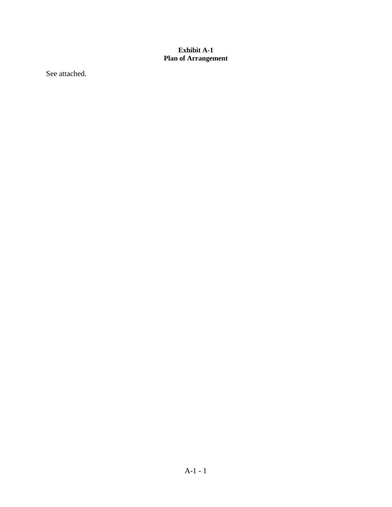## <span id="page-104-0"></span>**Exhibit A-1 Plan of Arrangement**

See attached.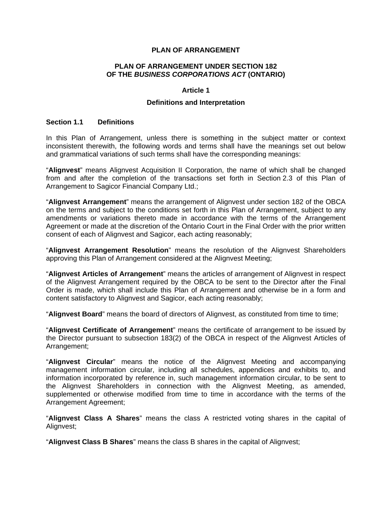### **PLAN OF ARRANGEMENT**

#### **PLAN OF ARRANGEMENT UNDER SECTION 182 OF THE** *BUSINESS CORPORATIONS ACT* **(ONTARIO)**

#### **Article 1**

## **Definitions and Interpretation**

#### **Section 1.1 Definitions**

In this Plan of Arrangement, unless there is something in the subject matter or context inconsistent therewith, the following words and terms shall have the meanings set out below and grammatical variations of such terms shall have the corresponding meanings:

"**Alignvest**" means Alignvest Acquisition II Corporation, the name of which shall be changed from and after the completion of the transactions set forth in Section 2.3 of this Plan of Arrangement to Sagicor Financial Company Ltd.;

"**Alignvest Arrangement**" means the arrangement of Alignvest under section 182 of the OBCA on the terms and subject to the conditions set forth in this Plan of Arrangement, subject to any amendments or variations thereto made in accordance with the terms of the Arrangement Agreement or made at the discretion of the Ontario Court in the Final Order with the prior written consent of each of Alignvest and Sagicor, each acting reasonably;

"**Alignvest Arrangement Resolution**" means the resolution of the Alignvest Shareholders approving this Plan of Arrangement considered at the Alignvest Meeting;

"**Alignvest Articles of Arrangement**" means the articles of arrangement of Alignvest in respect of the Alignvest Arrangement required by the OBCA to be sent to the Director after the Final Order is made, which shall include this Plan of Arrangement and otherwise be in a form and content satisfactory to Alignvest and Sagicor, each acting reasonably;

"**Alignvest Board**" means the board of directors of Alignvest, as constituted from time to time;

"**Alignvest Certificate of Arrangement**" means the certificate of arrangement to be issued by the Director pursuant to subsection 183(2) of the OBCA in respect of the Alignvest Articles of Arrangement;

"**Alignvest Circular**" means the notice of the Alignvest Meeting and accompanying management information circular, including all schedules, appendices and exhibits to, and information incorporated by reference in, such management information circular, to be sent to the Alignvest Shareholders in connection with the Alignvest Meeting, as amended, supplemented or otherwise modified from time to time in accordance with the terms of the Arrangement Agreement;

"**Alignvest Class A Shares**" means the class A restricted voting shares in the capital of Alignvest;

"**Alignvest Class B Shares**" means the class B shares in the capital of Alignvest;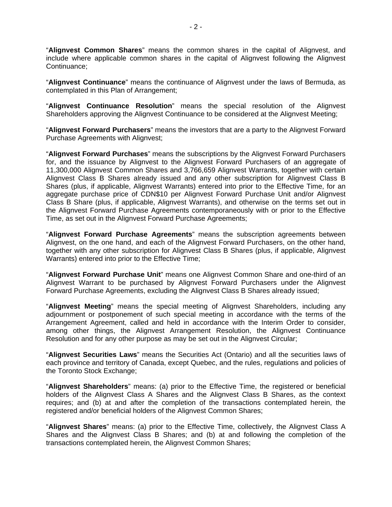"**Alignvest Common Shares**" means the common shares in the capital of Alignvest, and include where applicable common shares in the capital of Alignvest following the Alignvest Continuance;

"**Alignvest Continuance**" means the continuance of Alignvest under the laws of Bermuda, as contemplated in this Plan of Arrangement;

"**Alignvest Continuance Resolution**" means the special resolution of the Alignvest Shareholders approving the Alignvest Continuance to be considered at the Alignvest Meeting;

"**Alignvest Forward Purchasers**" means the investors that are a party to the Alignvest Forward Purchase Agreements with Alignvest;

"**Alignvest Forward Purchases**" means the subscriptions by the Alignvest Forward Purchasers for, and the issuance by Alignvest to the Alignvest Forward Purchasers of an aggregate of 11,300,000 Alignvest Common Shares and 3,766,659 Alignvest Warrants, together with certain Alignvest Class B Shares already issued and any other subscription for Alignvest Class B Shares (plus, if applicable, Alignvest Warrants) entered into prior to the Effective Time, for an aggregate purchase price of CDN\$10 per Alignvest Forward Purchase Unit and/or Alignvest Class B Share (plus, if applicable, Alignvest Warrants), and otherwise on the terms set out in the Alignvest Forward Purchase Agreements contemporaneously with or prior to the Effective Time, as set out in the Alignvest Forward Purchase Agreements;

"**Alignvest Forward Purchase Agreements**" means the subscription agreements between Alignvest, on the one hand, and each of the Alignvest Forward Purchasers, on the other hand, together with any other subscription for Alignvest Class B Shares (plus, if applicable, Alignvest Warrants) entered into prior to the Effective Time;

"**Alignvest Forward Purchase Unit**" means one Alignvest Common Share and one-third of an Alignvest Warrant to be purchased by Alignvest Forward Purchasers under the Alignvest Forward Purchase Agreements, excluding the Alignvest Class B Shares already issued;

"**Alignvest Meeting**" means the special meeting of Alignvest Shareholders, including any adjournment or postponement of such special meeting in accordance with the terms of the Arrangement Agreement, called and held in accordance with the Interim Order to consider, among other things, the Alignvest Arrangement Resolution, the Alignvest Continuance Resolution and for any other purpose as may be set out in the Alignvest Circular;

"**Alignvest Securities Laws**" means the Securities Act (Ontario) and all the securities laws of each province and territory of Canada, except Quebec, and the rules, regulations and policies of the Toronto Stock Exchange;

"**Alignvest Shareholders**" means: (a) prior to the Effective Time, the registered or beneficial holders of the Alignvest Class A Shares and the Alignvest Class B Shares, as the context requires; and (b) at and after the completion of the transactions contemplated herein, the registered and/or beneficial holders of the Alignvest Common Shares;

"**Alignvest Shares**" means: (a) prior to the Effective Time, collectively, the Alignvest Class A Shares and the Alignvest Class B Shares; and (b) at and following the completion of the transactions contemplated herein, the Alignvest Common Shares;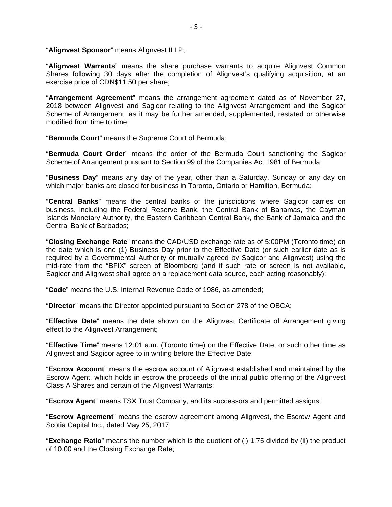"**Alignvest Sponsor**" means Alignvest II LP;

"**Alignvest Warrants**" means the share purchase warrants to acquire Alignvest Common Shares following 30 days after the completion of Alignvest's qualifying acquisition, at an exercise price of CDN\$11.50 per share;

"**Arrangement Agreement**" means the arrangement agreement dated as of November 27, 2018 between Alignvest and Sagicor relating to the Alignvest Arrangement and the Sagicor Scheme of Arrangement, as it may be further amended, supplemented, restated or otherwise modified from time to time;

"**Bermuda Court**" means the Supreme Court of Bermuda;

"**Bermuda Court Order**" means the order of the Bermuda Court sanctioning the Sagicor Scheme of Arrangement pursuant to Section 99 of the Companies Act 1981 of Bermuda;

"**Business Day**" means any day of the year, other than a Saturday, Sunday or any day on which major banks are closed for business in Toronto, Ontario or Hamilton, Bermuda;

"**Central Banks**" means the central banks of the jurisdictions where Sagicor carries on business, including the Federal Reserve Bank, the Central Bank of Bahamas, the Cayman Islands Monetary Authority, the Eastern Caribbean Central Bank, the Bank of Jamaica and the Central Bank of Barbados;

"**Closing Exchange Rate**" means the CAD/USD exchange rate as of 5:00PM (Toronto time) on the date which is one (1) Business Day prior to the Effective Date (or such earlier date as is required by a Governmental Authority or mutually agreed by Sagicor and Alignvest) using the mid-rate from the "BFIX" screen of Bloomberg (and if such rate or screen is not available, Sagicor and Alignvest shall agree on a replacement data source, each acting reasonably);

"**Code**" means the U.S. Internal Revenue Code of 1986, as amended;

"**Director**" means the Director appointed pursuant to Section 278 of the OBCA;

"**Effective Date**" means the date shown on the Alignvest Certificate of Arrangement giving effect to the Alignvest Arrangement;

"**Effective Time**" means 12:01 a.m. (Toronto time) on the Effective Date, or such other time as Alignvest and Sagicor agree to in writing before the Effective Date;

"**Escrow Account**" means the escrow account of Alignvest established and maintained by the Escrow Agent, which holds in escrow the proceeds of the initial public offering of the Alignvest Class A Shares and certain of the Alignvest Warrants;

"**Escrow Agent**" means TSX Trust Company, and its successors and permitted assigns;

"**Escrow Agreement**" means the escrow agreement among Alignvest, the Escrow Agent and Scotia Capital Inc., dated May 25, 2017;

"**Exchange Ratio**" means the number which is the quotient of (i) 1.75 divided by (ii) the product of 10.00 and the Closing Exchange Rate;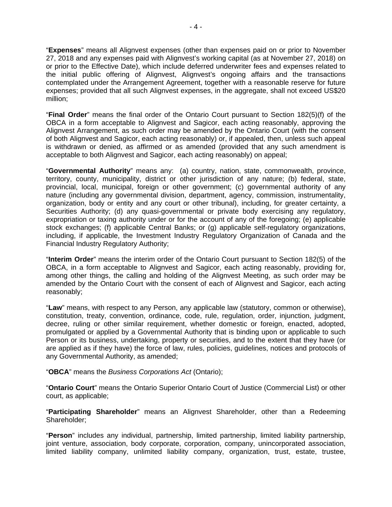"**Expenses**" means all Alignvest expenses (other than expenses paid on or prior to November 27, 2018 and any expenses paid with Alignvest's working capital (as at November 27, 2018) on or prior to the Effective Date), which include deferred underwriter fees and expenses related to the initial public offering of Alignvest, Alignvest's ongoing affairs and the transactions contemplated under the Arrangement Agreement, together with a reasonable reserve for future expenses; provided that all such Alignvest expenses, in the aggregate, shall not exceed US\$20 million;

"**Final Order**" means the final order of the Ontario Court pursuant to Section 182(5)(f) of the OBCA in a form acceptable to Alignvest and Sagicor, each acting reasonably, approving the Alignvest Arrangement, as such order may be amended by the Ontario Court (with the consent of both Alignvest and Sagicor, each acting reasonably) or, if appealed, then, unless such appeal is withdrawn or denied, as affirmed or as amended (provided that any such amendment is acceptable to both Alignvest and Sagicor, each acting reasonably) on appeal;

"**Governmental Authority**" means any: (a) country, nation, state, commonwealth, province, territory, county, municipality, district or other jurisdiction of any nature; (b) federal, state, provincial, local, municipal, foreign or other government; (c) governmental authority of any nature (including any governmental division, department, agency, commission, instrumentality, organization, body or entity and any court or other tribunal), including, for greater certainty, a Securities Authority; (d) any quasi-governmental or private body exercising any regulatory, expropriation or taxing authority under or for the account of any of the foregoing; (e) applicable stock exchanges; (f) applicable Central Banks; or (g) applicable self-regulatory organizations, including, if applicable, the Investment Industry Regulatory Organization of Canada and the Financial Industry Regulatory Authority;

"**Interim Order**" means the interim order of the Ontario Court pursuant to Section 182(5) of the OBCA, in a form acceptable to Alignvest and Sagicor, each acting reasonably, providing for, among other things, the calling and holding of the Alignvest Meeting, as such order may be amended by the Ontario Court with the consent of each of Alignvest and Sagicor, each acting reasonably;

"**Law**" means, with respect to any Person, any applicable law (statutory, common or otherwise), constitution, treaty, convention, ordinance, code, rule, regulation, order, injunction, judgment, decree, ruling or other similar requirement, whether domestic or foreign, enacted, adopted, promulgated or applied by a Governmental Authority that is binding upon or applicable to such Person or its business, undertaking, property or securities, and to the extent that they have (or are applied as if they have) the force of law, rules, policies, guidelines, notices and protocols of any Governmental Authority, as amended;

"**OBCA**" means the *Business Corporations Act* (Ontario);

"**Ontario Court**" means the Ontario Superior Ontario Court of Justice (Commercial List) or other court, as applicable;

"**Participating Shareholder**" means an Alignvest Shareholder, other than a Redeeming Shareholder;

"**Person**" includes any individual, partnership, limited partnership, limited liability partnership, joint venture, association, body corporate, corporation, company, unincorporated association, limited liability company, unlimited liability company, organization, trust, estate, trustee,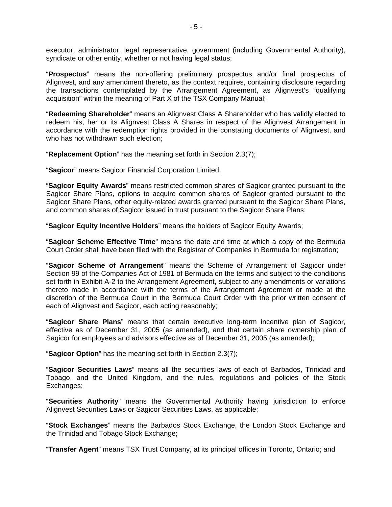executor, administrator, legal representative, government (including Governmental Authority), syndicate or other entity, whether or not having legal status;

"**Prospectus**" means the non-offering preliminary prospectus and/or final prospectus of Alignvest, and any amendment thereto, as the context requires, containing disclosure regarding the transactions contemplated by the Arrangement Agreement, as Alignvest's "qualifying acquisition" within the meaning of Part X of the TSX Company Manual;

"**Redeeming Shareholder**" means an Alignvest Class A Shareholder who has validly elected to redeem his, her or its Alignvest Class A Shares in respect of the Alignvest Arrangement in accordance with the redemption rights provided in the constating documents of Alignvest, and who has not withdrawn such election:

"**Replacement Option**" has the meaning set forth in Section 2.3(7);

"**Sagicor**" means Sagicor Financial Corporation Limited;

"**Sagicor Equity Awards**" means restricted common shares of Sagicor granted pursuant to the Sagicor Share Plans, options to acquire common shares of Sagicor granted pursuant to the Sagicor Share Plans, other equity-related awards granted pursuant to the Sagicor Share Plans, and common shares of Sagicor issued in trust pursuant to the Sagicor Share Plans;

"**Sagicor Equity Incentive Holders**" means the holders of Sagicor Equity Awards;

"**Sagicor Scheme Effective Time**" means the date and time at which a copy of the Bermuda Court Order shall have been filed with the Registrar of Companies in Bermuda for registration;

"**Sagicor Scheme of Arrangement**" means the Scheme of Arrangement of Sagicor under Section 99 of the Companies Act of 1981 of Bermuda on the terms and subject to the conditions set forth in Exhibit A-2 to the Arrangement Agreement, subject to any amendments or variations thereto made in accordance with the terms of the Arrangement Agreement or made at the discretion of the Bermuda Court in the Bermuda Court Order with the prior written consent of each of Alignvest and Sagicor, each acting reasonably;

"**Sagicor Share Plans**" means that certain executive long-term incentive plan of Sagicor, effective as of December 31, 2005 (as amended), and that certain share ownership plan of Sagicor for employees and advisors effective as of December 31, 2005 (as amended);

"**Sagicor Option**" has the meaning set forth in Section 2.3(7);

"**Sagicor Securities Laws**" means all the securities laws of each of Barbados, Trinidad and Tobago, and the United Kingdom, and the rules, regulations and policies of the Stock Exchanges;

"**Securities Authority**" means the Governmental Authority having jurisdiction to enforce Alignvest Securities Laws or Sagicor Securities Laws, as applicable;

"**Stock Exchanges**" means the Barbados Stock Exchange, the London Stock Exchange and the Trinidad and Tobago Stock Exchange;

"**Transfer Agent**" means TSX Trust Company, at its principal offices in Toronto, Ontario; and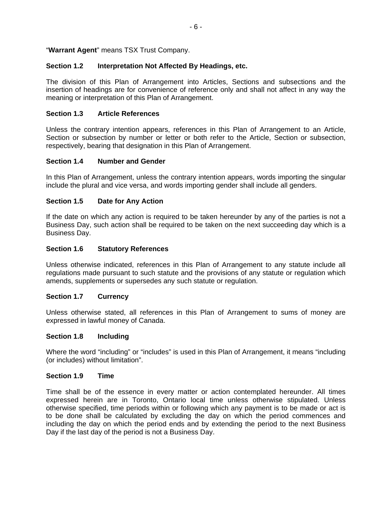# "**Warrant Agent**" means TSX Trust Company.

## **Section 1.2 Interpretation Not Affected By Headings, etc.**

The division of this Plan of Arrangement into Articles, Sections and subsections and the insertion of headings are for convenience of reference only and shall not affect in any way the meaning or interpretation of this Plan of Arrangement.

## **Section 1.3 Article References**

Unless the contrary intention appears, references in this Plan of Arrangement to an Article, Section or subsection by number or letter or both refer to the Article, Section or subsection, respectively, bearing that designation in this Plan of Arrangement.

## **Section 1.4 Number and Gender**

In this Plan of Arrangement, unless the contrary intention appears, words importing the singular include the plural and vice versa, and words importing gender shall include all genders.

## **Section 1.5 Date for Any Action**

If the date on which any action is required to be taken hereunder by any of the parties is not a Business Day, such action shall be required to be taken on the next succeeding day which is a Business Day.

## **Section 1.6 Statutory References**

Unless otherwise indicated, references in this Plan of Arrangement to any statute include all regulations made pursuant to such statute and the provisions of any statute or regulation which amends, supplements or supersedes any such statute or regulation.

## **Section 1.7 Currency**

Unless otherwise stated, all references in this Plan of Arrangement to sums of money are expressed in lawful money of Canada.

## **Section 1.8 Including**

Where the word "including" or "includes" is used in this Plan of Arrangement, it means "including (or includes) without limitation".

## **Section 1.9 Time**

Time shall be of the essence in every matter or action contemplated hereunder. All times expressed herein are in Toronto, Ontario local time unless otherwise stipulated. Unless otherwise specified, time periods within or following which any payment is to be made or act is to be done shall be calculated by excluding the day on which the period commences and including the day on which the period ends and by extending the period to the next Business Day if the last day of the period is not a Business Day.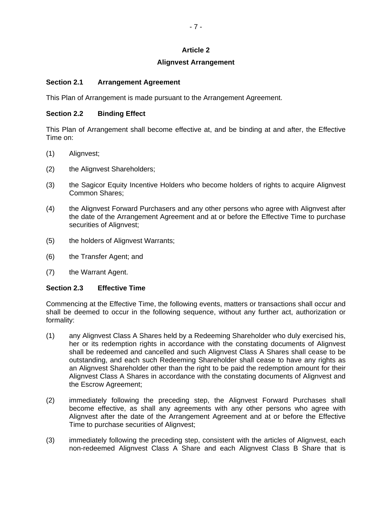# **Article 2**

## **Alignvest Arrangement**

## **Section 2.1 Arrangement Agreement**

This Plan of Arrangement is made pursuant to the Arrangement Agreement.

## **Section 2.2 Binding Effect**

This Plan of Arrangement shall become effective at, and be binding at and after, the Effective Time on:

- (1) Alignvest;
- (2) the Alignvest Shareholders;
- (3) the Sagicor Equity Incentive Holders who become holders of rights to acquire Alignvest Common Shares;
- (4) the Alignvest Forward Purchasers and any other persons who agree with Alignvest after the date of the Arrangement Agreement and at or before the Effective Time to purchase securities of Alignvest;
- (5) the holders of Alignvest Warrants;
- (6) the Transfer Agent; and
- (7) the Warrant Agent.

# **Section 2.3 Effective Time**

Commencing at the Effective Time, the following events, matters or transactions shall occur and shall be deemed to occur in the following sequence, without any further act, authorization or formality:

- (1) any Alignvest Class A Shares held by a Redeeming Shareholder who duly exercised his, her or its redemption rights in accordance with the constating documents of Alignvest shall be redeemed and cancelled and such Alignvest Class A Shares shall cease to be outstanding, and each such Redeeming Shareholder shall cease to have any rights as an Alignvest Shareholder other than the right to be paid the redemption amount for their Alignvest Class A Shares in accordance with the constating documents of Alignvest and the Escrow Agreement;
- (2) immediately following the preceding step, the Alignvest Forward Purchases shall become effective, as shall any agreements with any other persons who agree with Alignvest after the date of the Arrangement Agreement and at or before the Effective Time to purchase securities of Alignvest;
- (3) immediately following the preceding step, consistent with the articles of Alignvest, each non-redeemed Alignvest Class A Share and each Alignvest Class B Share that is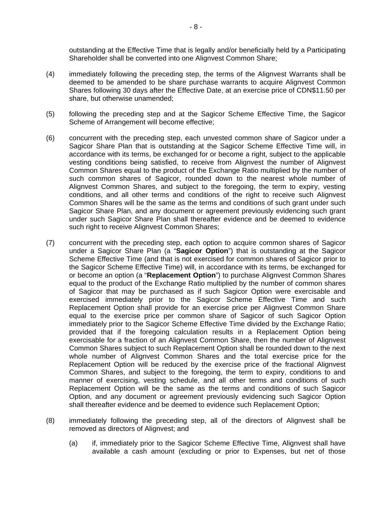outstanding at the Effective Time that is legally and/or beneficially held by a Participating Shareholder shall be converted into one Alignvest Common Share;

- (4) immediately following the preceding step, the terms of the Alignvest Warrants shall be deemed to be amended to be share purchase warrants to acquire Alignvest Common Shares following 30 days after the Effective Date, at an exercise price of CDN\$11.50 per share, but otherwise unamended;
- (5) following the preceding step and at the Sagicor Scheme Effective Time, the Sagicor Scheme of Arrangement will become effective;
- (6) concurrent with the preceding step, each unvested common share of Sagicor under a Sagicor Share Plan that is outstanding at the Sagicor Scheme Effective Time will, in accordance with its terms, be exchanged for or become a right, subject to the applicable vesting conditions being satisfied, to receive from Alignvest the number of Alignvest Common Shares equal to the product of the Exchange Ratio multiplied by the number of such common shares of Sagicor, rounded down to the nearest whole number of Alignvest Common Shares, and subject to the foregoing, the term to expiry, vesting conditions, and all other terms and conditions of the right to receive such Alignvest Common Shares will be the same as the terms and conditions of such grant under such Sagicor Share Plan, and any document or agreement previously evidencing such grant under such Sagicor Share Plan shall thereafter evidence and be deemed to evidence such right to receive Alignvest Common Shares;
- (7) concurrent with the preceding step, each option to acquire common shares of Sagicor under a Sagicor Share Plan (a "**Sagicor Option**") that is outstanding at the Sagicor Scheme Effective Time (and that is not exercised for common shares of Sagicor prior to the Sagicor Scheme Effective Time) will, in accordance with its terms, be exchanged for or become an option (a "**Replacement Option**") to purchase Alignvest Common Shares equal to the product of the Exchange Ratio multiplied by the number of common shares of Sagicor that may be purchased as if such Sagicor Option were exercisable and exercised immediately prior to the Sagicor Scheme Effective Time and such Replacement Option shall provide for an exercise price per Alignvest Common Share equal to the exercise price per common share of Sagicor of such Sagicor Option immediately prior to the Sagicor Scheme Effective Time divided by the Exchange Ratio; provided that if the foregoing calculation results in a Replacement Option being exercisable for a fraction of an Alignvest Common Share, then the number of Alignvest Common Shares subject to such Replacement Option shall be rounded down to the next whole number of Alignvest Common Shares and the total exercise price for the Replacement Option will be reduced by the exercise price of the fractional Alignvest Common Shares, and subject to the foregoing, the term to expiry, conditions to and manner of exercising, vesting schedule, and all other terms and conditions of such Replacement Option will be the same as the terms and conditions of such Sagicor Option, and any document or agreement previously evidencing such Sagicor Option shall thereafter evidence and be deemed to evidence such Replacement Option;
- (8) immediately following the preceding step, all of the directors of Alignvest shall be removed as directors of Alignvest; and
	- (a) if, immediately prior to the Sagicor Scheme Effective Time, Alignvest shall have available a cash amount (excluding or prior to Expenses, but net of those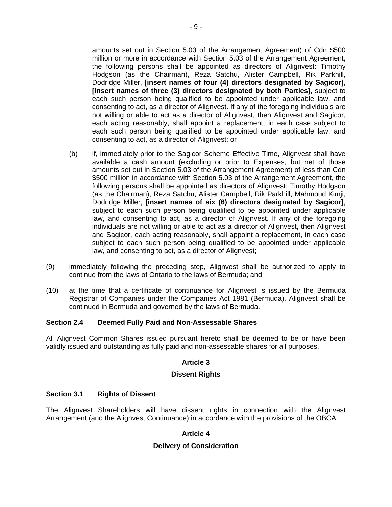amounts set out in Section 5.03 of the Arrangement Agreement) of Cdn \$500 million or more in accordance with Section 5.03 of the Arrangement Agreement, the following persons shall be appointed as directors of Alignvest: Timothy Hodgson (as the Chairman), Reza Satchu, Alister Campbell, Rik Parkhill, Dodridge Miller, **[insert names of four (4) directors designated by Sagicor]**, **[insert names of three (3) directors designated by both Parties]**, subject to each such person being qualified to be appointed under applicable law, and consenting to act, as a director of Alignvest. If any of the foregoing individuals are not willing or able to act as a director of Alignvest, then Alignvest and Sagicor, each acting reasonably, shall appoint a replacement, in each case subject to each such person being qualified to be appointed under applicable law, and consenting to act, as a director of Alignvest; or

- (b) if, immediately prior to the Sagicor Scheme Effective Time, Alignvest shall have available a cash amount (excluding or prior to Expenses, but net of those amounts set out in Section 5.03 of the Arrangement Agreement) of less than Cdn \$500 million in accordance with Section 5.03 of the Arrangement Agreement, the following persons shall be appointed as directors of Alignvest: Timothy Hodgson (as the Chairman), Reza Satchu, Alister Campbell, Rik Parkhill, Mahmoud Kimji, Dodridge Miller, **[insert names of six (6) directors designated by Sagicor]**, subject to each such person being qualified to be appointed under applicable law, and consenting to act, as a director of Alignvest. If any of the foregoing individuals are not willing or able to act as a director of Alignvest, then Alignvest and Sagicor, each acting reasonably, shall appoint a replacement, in each case subject to each such person being qualified to be appointed under applicable law, and consenting to act, as a director of Alignvest;
- (9) immediately following the preceding step, Alignvest shall be authorized to apply to continue from the laws of Ontario to the laws of Bermuda; and
- (10) at the time that a certificate of continuance for Alignvest is issued by the Bermuda Registrar of Companies under the Companies Act 1981 (Bermuda), Alignvest shall be continued in Bermuda and governed by the laws of Bermuda.

## **Section 2.4 Deemed Fully Paid and Non-Assessable Shares**

All Alignvest Common Shares issued pursuant hereto shall be deemed to be or have been validly issued and outstanding as fully paid and non-assessable shares for all purposes.

# **Article 3**

## **Dissent Rights**

## **Section 3.1 Rights of Dissent**

The Alignvest Shareholders will have dissent rights in connection with the Alignvest Arrangement (and the Alignvest Continuance) in accordance with the provisions of the OBCA.

## **Article 4**

## **Delivery of Consideration**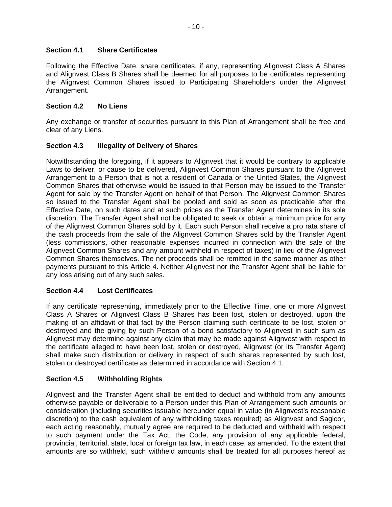# **Section 4.1 Share Certificates**

Following the Effective Date, share certificates, if any, representing Alignvest Class A Shares and Alignvest Class B Shares shall be deemed for all purposes to be certificates representing the Alignvest Common Shares issued to Participating Shareholders under the Alignvest Arrangement.

## **Section 4.2 No Liens**

Any exchange or transfer of securities pursuant to this Plan of Arrangement shall be free and clear of any Liens.

## **Section 4.3 Illegality of Delivery of Shares**

Notwithstanding the foregoing, if it appears to Alignvest that it would be contrary to applicable Laws to deliver, or cause to be delivered, Alignvest Common Shares pursuant to the Alignvest Arrangement to a Person that is not a resident of Canada or the United States, the Alignvest Common Shares that otherwise would be issued to that Person may be issued to the Transfer Agent for sale by the Transfer Agent on behalf of that Person. The Alignvest Common Shares so issued to the Transfer Agent shall be pooled and sold as soon as practicable after the Effective Date, on such dates and at such prices as the Transfer Agent determines in its sole discretion. The Transfer Agent shall not be obligated to seek or obtain a minimum price for any of the Alignvest Common Shares sold by it. Each such Person shall receive a pro rata share of the cash proceeds from the sale of the Alignvest Common Shares sold by the Transfer Agent (less commissions, other reasonable expenses incurred in connection with the sale of the Alignvest Common Shares and any amount withheld in respect of taxes) in lieu of the Alignvest Common Shares themselves. The net proceeds shall be remitted in the same manner as other payments pursuant to this Article 4. Neither Alignvest nor the Transfer Agent shall be liable for any loss arising out of any such sales.

# **Section 4.4 Lost Certificates**

If any certificate representing, immediately prior to the Effective Time, one or more Alignvest Class A Shares or Alignvest Class B Shares has been lost, stolen or destroyed, upon the making of an affidavit of that fact by the Person claiming such certificate to be lost, stolen or destroyed and the giving by such Person of a bond satisfactory to Alignvest in such sum as Alignvest may determine against any claim that may be made against Alignvest with respect to the certificate alleged to have been lost, stolen or destroyed, Alignvest (or its Transfer Agent) shall make such distribution or delivery in respect of such shares represented by such lost, stolen or destroyed certificate as determined in accordance with Section 4.1.

# **Section 4.5 Withholding Rights**

Alignvest and the Transfer Agent shall be entitled to deduct and withhold from any amounts otherwise payable or deliverable to a Person under this Plan of Arrangement such amounts or consideration (including securities issuable hereunder equal in value (in Alignvest's reasonable discretion) to the cash equivalent of any withholding taxes required) as Alignvest and Sagicor, each acting reasonably, mutually agree are required to be deducted and withheld with respect to such payment under the Tax Act, the Code, any provision of any applicable federal, provincial, territorial, state, local or foreign tax law, in each case, as amended. To the extent that amounts are so withheld, such withheld amounts shall be treated for all purposes hereof as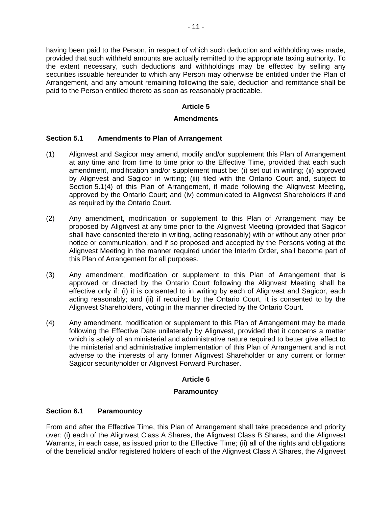having been paid to the Person, in respect of which such deduction and withholding was made, provided that such withheld amounts are actually remitted to the appropriate taxing authority. To the extent necessary, such deductions and withholdings may be effected by selling any securities issuable hereunder to which any Person may otherwise be entitled under the Plan of Arrangement, and any amount remaining following the sale, deduction and remittance shall be paid to the Person entitled thereto as soon as reasonably practicable.

# **Article 5**

## **Amendments**

# **Section 5.1 Amendments to Plan of Arrangement**

- (1) Alignvest and Sagicor may amend, modify and/or supplement this Plan of Arrangement at any time and from time to time prior to the Effective Time, provided that each such amendment, modification and/or supplement must be: (i) set out in writing; (ii) approved by Alignvest and Sagicor in writing; (iii) filed with the Ontario Court and, subject to Section 5.1(4) of this Plan of Arrangement, if made following the Alignvest Meeting, approved by the Ontario Court; and (iv) communicated to Alignvest Shareholders if and as required by the Ontario Court.
- (2) Any amendment, modification or supplement to this Plan of Arrangement may be proposed by Alignvest at any time prior to the Alignvest Meeting (provided that Sagicor shall have consented thereto in writing, acting reasonably) with or without any other prior notice or communication, and if so proposed and accepted by the Persons voting at the Alignvest Meeting in the manner required under the Interim Order, shall become part of this Plan of Arrangement for all purposes.
- (3) Any amendment, modification or supplement to this Plan of Arrangement that is approved or directed by the Ontario Court following the Alignvest Meeting shall be effective only if: (i) it is consented to in writing by each of Alignvest and Sagicor, each acting reasonably; and (ii) if required by the Ontario Court, it is consented to by the Alignvest Shareholders, voting in the manner directed by the Ontario Court.
- (4) Any amendment, modification or supplement to this Plan of Arrangement may be made following the Effective Date unilaterally by Alignvest, provided that it concerns a matter which is solely of an ministerial and administrative nature required to better give effect to the ministerial and administrative implementation of this Plan of Arrangement and is not adverse to the interests of any former Alignvest Shareholder or any current or former Sagicor securityholder or Alignvest Forward Purchaser.

# **Article 6**

## **Paramountcy**

# **Section 6.1 Paramountcy**

From and after the Effective Time, this Plan of Arrangement shall take precedence and priority over: (i) each of the Alignvest Class A Shares, the Alignvest Class B Shares, and the Alignvest Warrants, in each case, as issued prior to the Effective Time; (ii) all of the rights and obligations of the beneficial and/or registered holders of each of the Alignvest Class A Shares, the Alignvest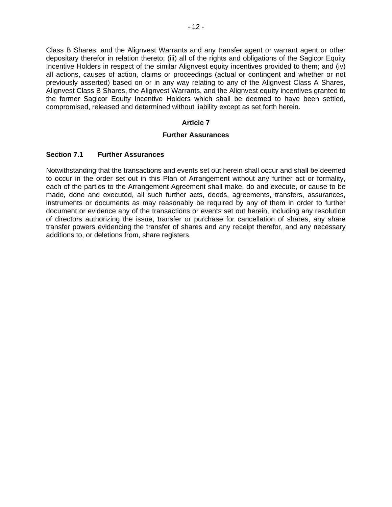Class B Shares, and the Alignvest Warrants and any transfer agent or warrant agent or other depositary therefor in relation thereto; (iii) all of the rights and obligations of the Sagicor Equity Incentive Holders in respect of the similar Alignvest equity incentives provided to them; and (iv) all actions, causes of action, claims or proceedings (actual or contingent and whether or not previously asserted) based on or in any way relating to any of the Alignvest Class A Shares, Alignvest Class B Shares, the Alignvest Warrants, and the Alignvest equity incentives granted to the former Sagicor Equity Incentive Holders which shall be deemed to have been settled, compromised, released and determined without liability except as set forth herein.

## **Article 7**

## **Further Assurances**

# **Section 7.1 Further Assurances**

Notwithstanding that the transactions and events set out herein shall occur and shall be deemed to occur in the order set out in this Plan of Arrangement without any further act or formality, each of the parties to the Arrangement Agreement shall make, do and execute, or cause to be made, done and executed, all such further acts, deeds, agreements, transfers, assurances, instruments or documents as may reasonably be required by any of them in order to further document or evidence any of the transactions or events set out herein, including any resolution of directors authorizing the issue, transfer or purchase for cancellation of shares, any share transfer powers evidencing the transfer of shares and any receipt therefor, and any necessary additions to, or deletions from, share registers.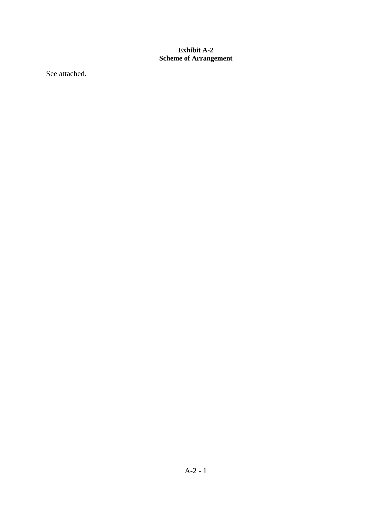# <span id="page-117-0"></span>**Exhibit A-2 Scheme of Arrangement**

See attached.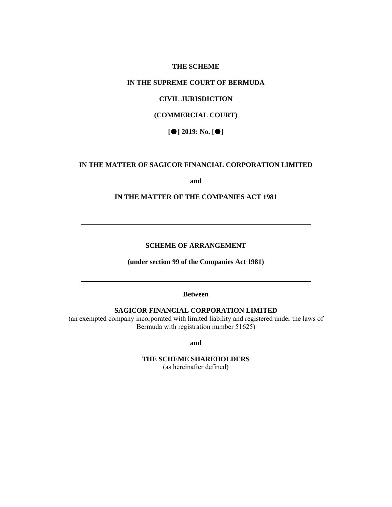#### **THE SCHEME**

# **IN THE SUPREME COURT OF BERMUDA**

# **CIVIL JURISDICTION**

# **(COMMERCIAL COURT)**

**[**●**] 2019: No. [**●**]** 

### **IN THE MATTER OF SAGICOR FINANCIAL CORPORATION LIMITED**

**and** 

### **IN THE MATTER OF THE COMPANIES ACT 1981**

#### **SCHEME OF ARRANGEMENT**

**(under section 99 of the Companies Act 1981)** 

#### **Between**

## **SAGICOR FINANCIAL CORPORATION LIMITED**

(an exempted company incorporated with limited liability and registered under the laws of Bermuda with registration number 51625)

**and** 

# **THE SCHEME SHAREHOLDERS**

(as hereinafter defined)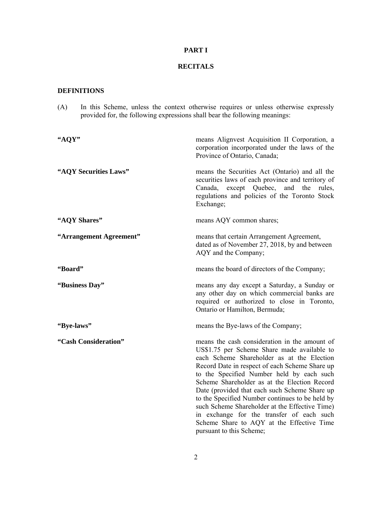# **PART I**

## **RECITALS**

## **DEFINITIONS**

(A) In this Scheme, unless the context otherwise requires or unless otherwise expressly provided for, the following expressions shall bear the following meanings:

| "AQY"                   | means Alignvest Acquisition II Corporation, a<br>corporation incorporated under the laws of the<br>Province of Ontario, Canada;                                                                                                                                                                                                                                                                                                                                                                                                                                       |
|-------------------------|-----------------------------------------------------------------------------------------------------------------------------------------------------------------------------------------------------------------------------------------------------------------------------------------------------------------------------------------------------------------------------------------------------------------------------------------------------------------------------------------------------------------------------------------------------------------------|
| "AQY Securities Laws"   | means the Securities Act (Ontario) and all the<br>securities laws of each province and territory of<br>Canada, except Quebec, and the<br>rules,<br>regulations and policies of the Toronto Stock<br>Exchange;                                                                                                                                                                                                                                                                                                                                                         |
| "AQY Shares"            | means AQY common shares;                                                                                                                                                                                                                                                                                                                                                                                                                                                                                                                                              |
| "Arrangement Agreement" | means that certain Arrangement Agreement,<br>dated as of November 27, 2018, by and between<br>AQY and the Company;                                                                                                                                                                                                                                                                                                                                                                                                                                                    |
| "Board"                 | means the board of directors of the Company;                                                                                                                                                                                                                                                                                                                                                                                                                                                                                                                          |
| "Business Day"          | means any day except a Saturday, a Sunday or<br>any other day on which commercial banks are<br>required or authorized to close in Toronto,<br>Ontario or Hamilton, Bermuda;                                                                                                                                                                                                                                                                                                                                                                                           |
| "Bye-laws"              | means the Bye-laws of the Company;                                                                                                                                                                                                                                                                                                                                                                                                                                                                                                                                    |
| "Cash Consideration"    | means the cash consideration in the amount of<br>US\$1.75 per Scheme Share made available to<br>each Scheme Shareholder as at the Election<br>Record Date in respect of each Scheme Share up<br>to the Specified Number held by each such<br>Scheme Shareholder as at the Election Record<br>Date (provided that each such Scheme Share up<br>to the Specified Number continues to be held by<br>such Scheme Shareholder at the Effective Time)<br>in exchange for the transfer of each such<br>Scheme Share to AQY at the Effective Time<br>pursuant to this Scheme; |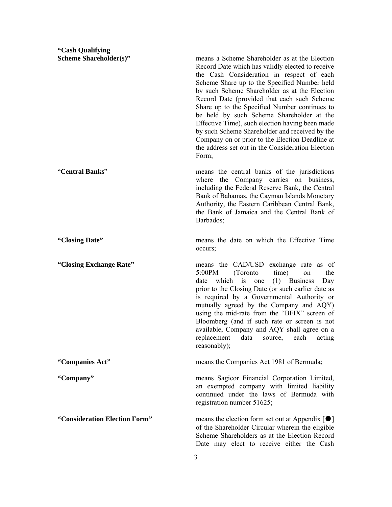**"Cash Qualifying** 

**Scheme Shareholder(s)"** means a Scheme Shareholder as at the Election Record Date which has validly elected to receive the Cash Consideration in respect of each Scheme Share up to the Specified Number held by such Scheme Shareholder as at the Election Record Date (provided that each such Scheme Share up to the Specified Number continues to be held by such Scheme Shareholder at the Effective Time), such election having been made by such Scheme Shareholder and received by the Company on or prior to the Election Deadline at the address set out in the Consideration Election Form; "**Central Banks**" means the central banks of the jurisdictions where the Company carries on business, including the Federal Reserve Bank, the Central Bank of Bahamas, the Cayman Islands Monetary Authority, the Eastern Caribbean Central Bank, the Bank of Jamaica and the Central Bank of Barbados; **"Closing Date"** means the date on which the Effective Time occurs; **"Closing Exchange Rate"** means the CAD/USD exchange rate as of 5:00PM (Toronto time) on the date which is one (1) Business Day prior to the Closing Date (or such earlier date as is required by a Governmental Authority or mutually agreed by the Company and AQY) using the mid-rate from the "BFIX" screen of Bloomberg (and if such rate or screen is not available, Company and AQY shall agree on a replacement data source, each acting reasonably); **"Companies Act"** means the Companies Act 1981 of Bermuda; **"Company"** means Sagicor Financial Corporation Limited, an exempted company with limited liability continued under the laws of Bermuda with registration number 51625; **"Consideration Election Form"** means the election form set out at Appendix [●] of the Shareholder Circular wherein the eligible Scheme Shareholders as at the Election Record Date may elect to receive either the Cash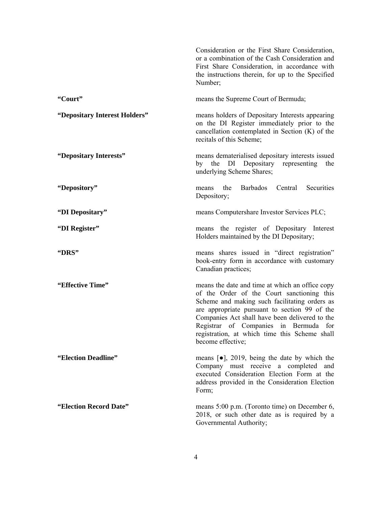|                               | Consideration or the First Share Consideration,<br>or a combination of the Cash Consideration and<br>First Share Consideration, in accordance with<br>the instructions therein, for up to the Specified<br>Number;                                                                                                                                               |
|-------------------------------|------------------------------------------------------------------------------------------------------------------------------------------------------------------------------------------------------------------------------------------------------------------------------------------------------------------------------------------------------------------|
| "Court"                       | means the Supreme Court of Bermuda;                                                                                                                                                                                                                                                                                                                              |
| "Depositary Interest Holders" | means holders of Depositary Interests appearing<br>on the DI Register immediately prior to the<br>cancellation contemplated in Section $(K)$ of the<br>recitals of this Scheme;                                                                                                                                                                                  |
| "Depositary Interests"        | means dematerialised depositary interests issued<br>by the DI Depositary representing<br>the<br>underlying Scheme Shares;                                                                                                                                                                                                                                        |
| "Depository"                  | Securities<br><b>Barbados</b><br>Central<br>the<br>means<br>Depository;                                                                                                                                                                                                                                                                                          |
| "DI Depositary"               | means Computershare Investor Services PLC;                                                                                                                                                                                                                                                                                                                       |
| "DI Register"                 | means the register of Depositary Interest<br>Holders maintained by the DI Depositary;                                                                                                                                                                                                                                                                            |
| "DRS"                         | means shares issued in "direct registration"<br>book-entry form in accordance with customary<br>Canadian practices;                                                                                                                                                                                                                                              |
| "Effective Time"              | means the date and time at which an office copy<br>of the Order of the Court sanctioning this<br>Scheme and making such facilitating orders as<br>are appropriate pursuant to section 99 of the<br>Companies Act shall have been delivered to the<br>Registrar of Companies in Bermuda for<br>registration, at which time this Scheme shall<br>become effective; |
| "Election Deadline"           | means $\lceil \bullet \rceil$ , 2019, being the date by which the<br>Company must receive a completed and<br>executed Consideration Election Form at the<br>address provided in the Consideration Election<br>Form;                                                                                                                                              |
| "Election Record Date"        | means 5:00 p.m. (Toronto time) on December 6,<br>2018, or such other date as is required by a<br>Governmental Authority;                                                                                                                                                                                                                                         |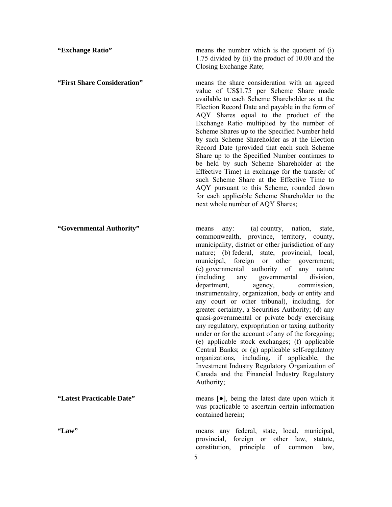**"Exchange Ratio"** means the number which is the quotient of (i) 1.75 divided by (ii) the product of 10.00 and the Closing Exchange Rate;

**"First Share Consideration"** means the share consideration with an agreed value of US\$1.75 per Scheme Share made available to each Scheme Shareholder as at the Election Record Date and payable in the form of AQY Shares equal to the product of the Exchange Ratio multiplied by the number of Scheme Shares up to the Specified Number held by such Scheme Shareholder as at the Election Record Date (provided that each such Scheme Share up to the Specified Number continues to be held by such Scheme Shareholder at the Effective Time) in exchange for the transfer of such Scheme Share at the Effective Time to AQY pursuant to this Scheme, rounded down for each applicable Scheme Shareholder to the next whole number of AQY Shares;

**"Governmental Authority"** means any: (a) country, nation, state, commonwealth, province, territory, county, municipality, district or other jurisdiction of any nature; (b) federal, state, provincial, local, municipal, foreign or other government; (c) governmental authority of any nature (including any governmental division, department, agency, commission, instrumentality, organization, body or entity and any court or other tribunal), including, for greater certainty, a Securities Authority; (d) any quasi-governmental or private body exercising any regulatory, expropriation or taxing authority under or for the account of any of the foregoing; (e) applicable stock exchanges; (f) applicable Central Banks; or (g) applicable self-regulatory organizations, including, if applicable, the Investment Industry Regulatory Organization of Canada and the Financial Industry Regulatory Authority;

**"Latest Practicable Date"** means [●], being the latest date upon which it was practicable to ascertain certain information contained herein;

**"Law"** means any federal, state, local, municipal, provincial, foreign or other law, statute, constitution, principle of common law,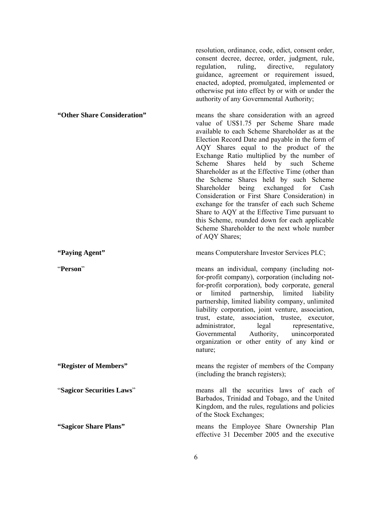resolution, ordinance, code, edict, consent order, consent decree, decree, order, judgment, rule, regulation, ruling, directive, regulatory guidance, agreement or requirement issued, enacted, adopted, promulgated, implemented or otherwise put into effect by or with or under the authority of any Governmental Authority;

# **"Other Share Consideration"** means the share consideration with an agreed value of US\$1.75 per Scheme Share made available to each Scheme Shareholder as at the Election Record Date and payable in the form of AQY Shares equal to the product of the Exchange Ratio multiplied by the number of Scheme Shares held by such Scheme Shareholder as at the Effective Time (other than the Scheme Shares held by such Scheme Shareholder being exchanged for Cash Consideration or First Share Consideration) in exchange for the transfer of each such Scheme Share to AQY at the Effective Time pursuant to this Scheme, rounded down for each applicable Scheme Shareholder to the next whole number of AQY Shares; **"Paying Agent"** means Computershare Investor Services PLC; "**Person**" means an individual, company (including notfor-profit company), corporation (including notfor-profit corporation), body corporate, general or limited partnership, limited liability

partnership, limited liability company, unlimited liability corporation, joint venture, association, trust, estate, association, trustee, executor, administrator, legal representative, Governmental Authority, unincorporated organization or other entity of any kind or nature;

Kingdom, and the rules, regulations and policies

effective 31 December 2005 and the executive

of the Stock Exchanges;

**"Register of Members"** means the register of members of the Company (including the branch registers); "**Sagicor Securities Laws**" means all the securities laws of each of Barbados, Trinidad and Tobago, and the United

**"Sagicor Share Plans"** means the Employee Share Ownership Plan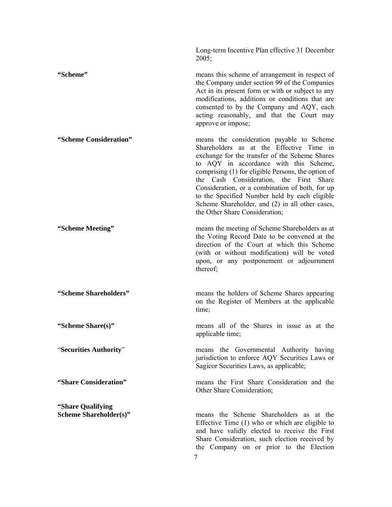Long-term Incentive Plan effective 31 December 2005;

**"Scheme"** means this scheme of arrangement in respect of the Company under section 99 of the Companies Act in its present form or with or subject to any modifications, additions or conditions that are consented to by the Company and AQY, each acting reasonably, and that the Court may approve or impose;

**"Scheme Consideration"** means the consideration payable to Scheme Shareholders as at the Effective Time in exchange for the transfer of the Scheme Shares to AQY in accordance with this Scheme, comprising (1) for eligible Persons, the option of the Cash Consideration, the First Share Consideration, or a combination of both, for up to the Specified Number held by each eligible Scheme Shareholder, and (2) in all other cases, the Other Share Consideration;

**"Scheme Meeting"** means the meeting of Scheme Shareholders as at the Voting Record Date to be convened at the direction of the Court at which this Scheme (with or without modification) will be voted upon, or any postponement or adjournment thereof;

**"Scheme Shareholders"** means the holders of Scheme Shares appearing on the Register of Members at the applicable time;

**"Scheme Share(s)"** *means all of the Shares in issue as at the* applicable time;

"**Securities Authority**" means the Governmental Authority having jurisdiction to enforce AQY Securities Laws or Sagicor Securities Laws, as applicable;

**"Share Consideration"** means the First Share Consideration and the Other Share Consideration;

**Scheme Shareholder(s)** *means* the Scheme Shareholders as at the Effective Time (1) who or which are eligible to and have validly elected to receive the First Share Consideration, such election received by the Company on or prior to the Election

7

**"Share Qualifying**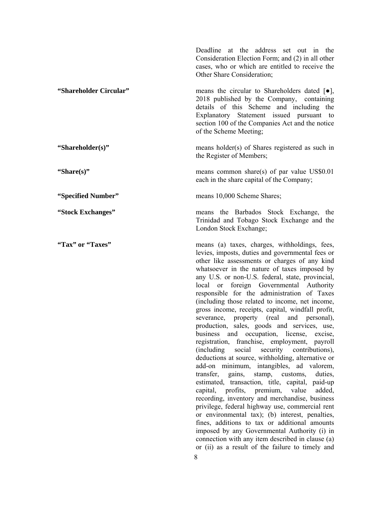|                        | Deadline at the address set out in the<br>Consideration Election Form; and (2) in all other<br>cases, who or which are entitled to receive the<br>Other Share Consideration;                                                                                                                                                                                                                                                                                                                                                                                                                                                                                                                                                                                                                                                                                             |
|------------------------|--------------------------------------------------------------------------------------------------------------------------------------------------------------------------------------------------------------------------------------------------------------------------------------------------------------------------------------------------------------------------------------------------------------------------------------------------------------------------------------------------------------------------------------------------------------------------------------------------------------------------------------------------------------------------------------------------------------------------------------------------------------------------------------------------------------------------------------------------------------------------|
| "Shareholder Circular" | means the circular to Shareholders dated $[\bullet]$ ,<br>2018 published by the Company, containing<br>details of this Scheme and including the<br>Explanatory Statement issued pursuant to<br>section 100 of the Companies Act and the notice<br>of the Scheme Meeting;                                                                                                                                                                                                                                                                                                                                                                                                                                                                                                                                                                                                 |
| "Shareholder(s)"       | means holder(s) of Shares registered as such in<br>the Register of Members;                                                                                                                                                                                                                                                                                                                                                                                                                                                                                                                                                                                                                                                                                                                                                                                              |
| "Share(s)"             | means common share(s) of par value US\$0.01<br>each in the share capital of the Company;                                                                                                                                                                                                                                                                                                                                                                                                                                                                                                                                                                                                                                                                                                                                                                                 |
| "Specified Number"     | means 10,000 Scheme Shares;                                                                                                                                                                                                                                                                                                                                                                                                                                                                                                                                                                                                                                                                                                                                                                                                                                              |
| "Stock Exchanges"      | means the Barbados Stock Exchange, the<br>Trinidad and Tobago Stock Exchange and the<br>London Stock Exchange;                                                                                                                                                                                                                                                                                                                                                                                                                                                                                                                                                                                                                                                                                                                                                           |
| "Tax" or "Taxes"       | means (a) taxes, charges, withholdings, fees,<br>levies, imposts, duties and governmental fees or<br>other like assessments or charges of any kind<br>whatsoever in the nature of taxes imposed by<br>any U.S. or non-U.S. federal, state, provincial,<br>local or foreign Governmental Authority<br>responsible for the administration of Taxes<br>(including those related to income, net income,<br>gross income, receipts, capital, windfall profit,<br>property (real<br>and personal),<br>severance,<br>production, sales, goods and services, use,<br>business and occupation, license,<br>excise,<br>registration, franchise, employment, payroll<br>social<br>security contributions),<br><i>(including)</i><br>deductions at source, withholding, alternative or<br>add-on minimum, intangibles, ad valorem,<br>transfer,<br>gains, stamp, customs,<br>duties. |

8

transfer, gains, stamp, customs, duties, estimated, transaction, title, capital, paid-up capital, profits, premium, value added, recording, inventory and merchandise, business privilege, federal highway use, commercial rent or environmental tax); (b) interest, penalties, fines, additions to tax or additional amounts imposed by any Governmental Authority (i) in connection with any item described in clause (a) or (ii) as a result of the failure to timely and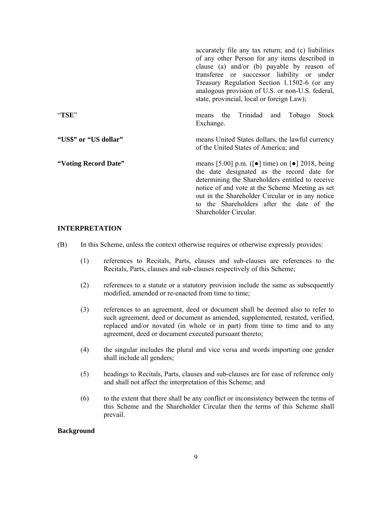|                       | accurately file any tax return; and (c) liabilities<br>of any other Person for any items described in<br>clause (a) and/or (b) payable by reason of<br>transferee or successor liability or under<br>Treasury Regulation Section 1.1502-6 (or any<br>analogous provision of U.S. or non-U.S. federal,<br>state, provincial, local or foreign Law);                      |
|-----------------------|-------------------------------------------------------------------------------------------------------------------------------------------------------------------------------------------------------------------------------------------------------------------------------------------------------------------------------------------------------------------------|
| "TSE"                 | Trinidad and<br>Tobago<br>Stock<br>the<br>means<br>Exchange.                                                                                                                                                                                                                                                                                                            |
| "US\$" or "US dollar" | means United States dollars, the lawful currency<br>of the United States of America; and                                                                                                                                                                                                                                                                                |
| "Voting Record Date"  | means [5.00] p.m. ( $\lceil \bullet \rceil$ time) on $\lceil \bullet \rceil$ 2018, being<br>the date designated as the record date for<br>determining the Shareholders entitled to receive<br>notice of and vote at the Scheme Meeting as set<br>out in the Shareholder Circular or in any notice<br>to the Shareholders after the date of the<br>Shareholder Circular. |

### **INTERPRETATION**

- (B) In this Scheme, unless the context otherwise requires or otherwise expressly provides:
	- (1) references to Recitals, Parts, clauses and sub-clauses are references to the Recitals, Parts, clauses and sub-clauses respectively of this Scheme;
	- (2) references to a statute or a statutory provision include the same as subsequently modified, amended or re-enacted from time to time;
	- (3) references to an agreement, deed or document shall be deemed also to refer to such agreement, deed or document as amended, supplemented, restated, verified, replaced and/or novated (in whole or in part) from time to time and to any agreement, deed or document executed pursuant thereto;
	- (4) the singular includes the plural and vice versa and words importing one gender shall include all genders;
	- (5) headings to Recitals, Parts, clauses and sub-clauses are for ease of reference only and shall not affect the interpretation of this Scheme; and
	- (6) to the extent that there shall be any conflict or inconsistency between the terms of this Scheme and the Shareholder Circular then the terms of this Scheme shall prevail.

#### **Background**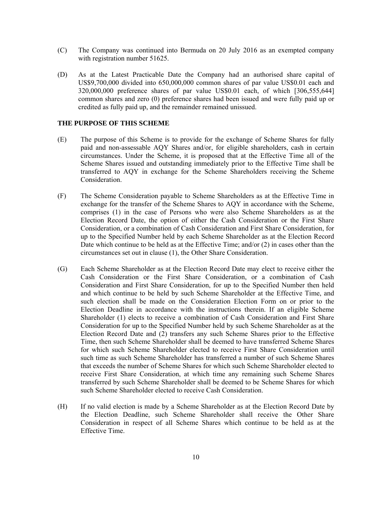- (C) The Company was continued into Bermuda on 20 July 2016 as an exempted company with registration number 51625.
- (D) As at the Latest Practicable Date the Company had an authorised share capital of US\$9,700,000 divided into 650,000,000 common shares of par value US\$0.01 each and 320,000,000 preference shares of par value US\$0.01 each, of which [306,555,644] common shares and zero (0) preference shares had been issued and were fully paid up or credited as fully paid up, and the remainder remained unissued.

### **THE PURPOSE OF THIS SCHEME**

- (E) The purpose of this Scheme is to provide for the exchange of Scheme Shares for fully paid and non-assessable AQY Shares and/or, for eligible shareholders, cash in certain circumstances. Under the Scheme, it is proposed that at the Effective Time all of the Scheme Shares issued and outstanding immediately prior to the Effective Time shall be transferred to AQY in exchange for the Scheme Shareholders receiving the Scheme Consideration.
- (F) The Scheme Consideration payable to Scheme Shareholders as at the Effective Time in exchange for the transfer of the Scheme Shares to AQY in accordance with the Scheme, comprises (1) in the case of Persons who were also Scheme Shareholders as at the Election Record Date, the option of either the Cash Consideration or the First Share Consideration, or a combination of Cash Consideration and First Share Consideration, for up to the Specified Number held by each Scheme Shareholder as at the Election Record Date which continue to be held as at the Effective Time; and/or (2) in cases other than the circumstances set out in clause (1), the Other Share Consideration.
- (G) Each Scheme Shareholder as at the Election Record Date may elect to receive either the Cash Consideration or the First Share Consideration, or a combination of Cash Consideration and First Share Consideration, for up to the Specified Number then held and which continue to be held by such Scheme Shareholder at the Effective Time, and such election shall be made on the Consideration Election Form on or prior to the Election Deadline in accordance with the instructions therein. If an eligible Scheme Shareholder (1) elects to receive a combination of Cash Consideration and First Share Consideration for up to the Specified Number held by such Scheme Shareholder as at the Election Record Date and (2) transfers any such Scheme Shares prior to the Effective Time, then such Scheme Shareholder shall be deemed to have transferred Scheme Shares for which such Scheme Shareholder elected to receive First Share Consideration until such time as such Scheme Shareholder has transferred a number of such Scheme Shares that exceeds the number of Scheme Shares for which such Scheme Shareholder elected to receive First Share Consideration, at which time any remaining such Scheme Shares transferred by such Scheme Shareholder shall be deemed to be Scheme Shares for which such Scheme Shareholder elected to receive Cash Consideration.
- (H) If no valid election is made by a Scheme Shareholder as at the Election Record Date by the Election Deadline, such Scheme Shareholder shall receive the Other Share Consideration in respect of all Scheme Shares which continue to be held as at the Effective Time.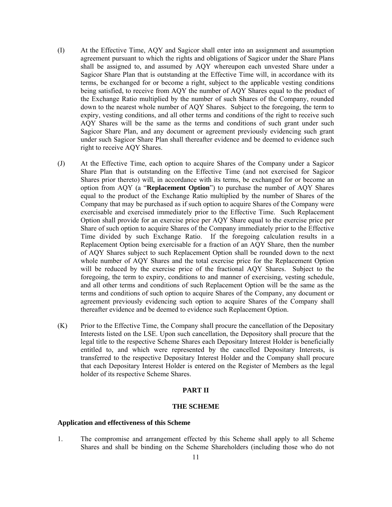- (I) At the Effective Time, AQY and Sagicor shall enter into an assignment and assumption agreement pursuant to which the rights and obligations of Sagicor under the Share Plans shall be assigned to, and assumed by AQY whereupon each unvested Share under a Sagicor Share Plan that is outstanding at the Effective Time will, in accordance with its terms, be exchanged for or become a right, subject to the applicable vesting conditions being satisfied, to receive from AQY the number of AQY Shares equal to the product of the Exchange Ratio multiplied by the number of such Shares of the Company, rounded down to the nearest whole number of AQY Shares. Subject to the foregoing, the term to expiry, vesting conditions, and all other terms and conditions of the right to receive such AQY Shares will be the same as the terms and conditions of such grant under such Sagicor Share Plan, and any document or agreement previously evidencing such grant under such Sagicor Share Plan shall thereafter evidence and be deemed to evidence such right to receive AQY Shares.
- (J) At the Effective Time, each option to acquire Shares of the Company under a Sagicor Share Plan that is outstanding on the Effective Time (and not exercised for Sagicor Shares prior thereto) will, in accordance with its terms, be exchanged for or become an option from AQY (a "**Replacement Option**") to purchase the number of AQY Shares equal to the product of the Exchange Ratio multiplied by the number of Shares of the Company that may be purchased as if such option to acquire Shares of the Company were exercisable and exercised immediately prior to the Effective Time. Such Replacement Option shall provide for an exercise price per AQY Share equal to the exercise price per Share of such option to acquire Shares of the Company immediately prior to the Effective Time divided by such Exchange Ratio. If the foregoing calculation results in a Replacement Option being exercisable for a fraction of an AQY Share, then the number of AQY Shares subject to such Replacement Option shall be rounded down to the next whole number of AQY Shares and the total exercise price for the Replacement Option will be reduced by the exercise price of the fractional AQY Shares. Subject to the foregoing, the term to expiry, conditions to and manner of exercising, vesting schedule, and all other terms and conditions of such Replacement Option will be the same as the terms and conditions of such option to acquire Shares of the Company, any document or agreement previously evidencing such option to acquire Shares of the Company shall thereafter evidence and be deemed to evidence such Replacement Option.
- (K) Prior to the Effective Time, the Company shall procure the cancellation of the Depositary Interests listed on the LSE. Upon such cancellation, the Depository shall procure that the legal title to the respective Scheme Shares each Depositary Interest Holder is beneficially entitled to, and which were represented by the cancelled Depositary Interests, is transferred to the respective Depositary Interest Holder and the Company shall procure that each Depositary Interest Holder is entered on the Register of Members as the legal holder of its respective Scheme Shares.

### **PART II**

#### **THE SCHEME**

#### **Application and effectiveness of this Scheme**

1. The compromise and arrangement effected by this Scheme shall apply to all Scheme Shares and shall be binding on the Scheme Shareholders (including those who do not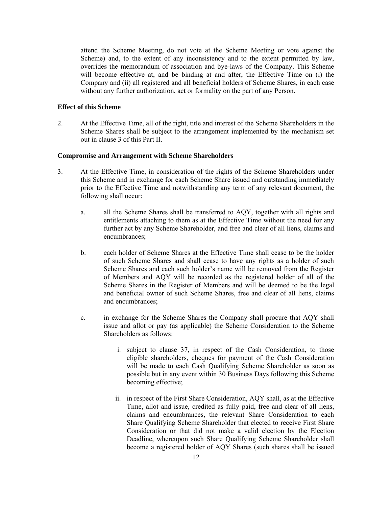attend the Scheme Meeting, do not vote at the Scheme Meeting or vote against the Scheme) and, to the extent of any inconsistency and to the extent permitted by law, overrides the memorandum of association and bye-laws of the Company. This Scheme will become effective at, and be binding at and after, the Effective Time on (i) the Company and (ii) all registered and all beneficial holders of Scheme Shares, in each case without any further authorization, act or formality on the part of any Person.

#### **Effect of this Scheme**

2. At the Effective Time, all of the right, title and interest of the Scheme Shareholders in the Scheme Shares shall be subject to the arrangement implemented by the mechanism set out in clause 3 of this Part II.

#### **Compromise and Arrangement with Scheme Shareholders**

- 3. At the Effective Time, in consideration of the rights of the Scheme Shareholders under this Scheme and in exchange for each Scheme Share issued and outstanding immediately prior to the Effective Time and notwithstanding any term of any relevant document, the following shall occur:
	- a. all the Scheme Shares shall be transferred to AQY, together with all rights and entitlements attaching to them as at the Effective Time without the need for any further act by any Scheme Shareholder, and free and clear of all liens, claims and encumbrances;
	- b. each holder of Scheme Shares at the Effective Time shall cease to be the holder of such Scheme Shares and shall cease to have any rights as a holder of such Scheme Shares and each such holder's name will be removed from the Register of Members and AQY will be recorded as the registered holder of all of the Scheme Shares in the Register of Members and will be deemed to be the legal and beneficial owner of such Scheme Shares, free and clear of all liens, claims and encumbrances;
	- c. in exchange for the Scheme Shares the Company shall procure that AQY shall issue and allot or pay (as applicable) the Scheme Consideration to the Scheme Shareholders as follows:
		- i. subject to clause 37, in respect of the Cash Consideration, to those eligible shareholders, cheques for payment of the Cash Consideration will be made to each Cash Qualifying Scheme Shareholder as soon as possible but in any event within 30 Business Days following this Scheme becoming effective;
		- ii. in respect of the First Share Consideration, AQY shall, as at the Effective Time, allot and issue, credited as fully paid, free and clear of all liens, claims and encumbrances, the relevant Share Consideration to each Share Qualifying Scheme Shareholder that elected to receive First Share Consideration or that did not make a valid election by the Election Deadline, whereupon such Share Qualifying Scheme Shareholder shall become a registered holder of AQY Shares (such shares shall be issued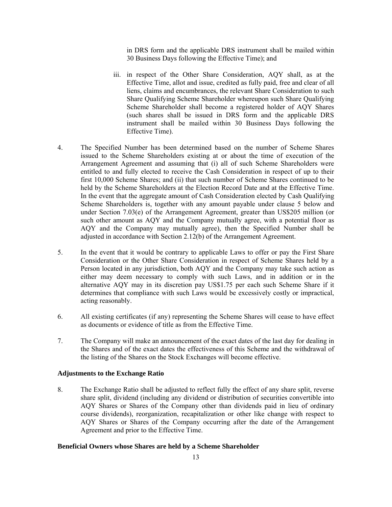in DRS form and the applicable DRS instrument shall be mailed within 30 Business Days following the Effective Time); and

- iii. in respect of the Other Share Consideration, AQY shall, as at the Effective Time, allot and issue, credited as fully paid, free and clear of all liens, claims and encumbrances, the relevant Share Consideration to such Share Qualifying Scheme Shareholder whereupon such Share Qualifying Scheme Shareholder shall become a registered holder of AQY Shares (such shares shall be issued in DRS form and the applicable DRS instrument shall be mailed within 30 Business Days following the Effective Time).
- 4. The Specified Number has been determined based on the number of Scheme Shares issued to the Scheme Shareholders existing at or about the time of execution of the Arrangement Agreement and assuming that (i) all of such Scheme Shareholders were entitled to and fully elected to receive the Cash Consideration in respect of up to their first 10,000 Scheme Shares; and (ii) that such number of Scheme Shares continued to be held by the Scheme Shareholders at the Election Record Date and at the Effective Time. In the event that the aggregate amount of Cash Consideration elected by Cash Qualifying Scheme Shareholders is, together with any amount payable under clause 5 below and under Section 7.03(e) of the Arrangement Agreement, greater than US\$205 million (or such other amount as AQY and the Company mutually agree, with a potential floor as AQY and the Company may mutually agree), then the Specified Number shall be adjusted in accordance with Section 2.12(b) of the Arrangement Agreement.
- 5. In the event that it would be contrary to applicable Laws to offer or pay the First Share Consideration or the Other Share Consideration in respect of Scheme Shares held by a Person located in any jurisdiction, both AQY and the Company may take such action as either may deem necessary to comply with such Laws, and in addition or in the alternative AQY may in its discretion pay US\$1.75 per each such Scheme Share if it determines that compliance with such Laws would be excessively costly or impractical, acting reasonably.
- 6. All existing certificates (if any) representing the Scheme Shares will cease to have effect as documents or evidence of title as from the Effective Time.
- 7. The Company will make an announcement of the exact dates of the last day for dealing in the Shares and of the exact dates the effectiveness of this Scheme and the withdrawal of the listing of the Shares on the Stock Exchanges will become effective.

#### **Adjustments to the Exchange Ratio**

8. The Exchange Ratio shall be adjusted to reflect fully the effect of any share split, reverse share split, dividend (including any dividend or distribution of securities convertible into AQY Shares or Shares of the Company other than dividends paid in lieu of ordinary course dividends), reorganization, recapitalization or other like change with respect to AQY Shares or Shares of the Company occurring after the date of the Arrangement Agreement and prior to the Effective Time.

#### **Beneficial Owners whose Shares are held by a Scheme Shareholder**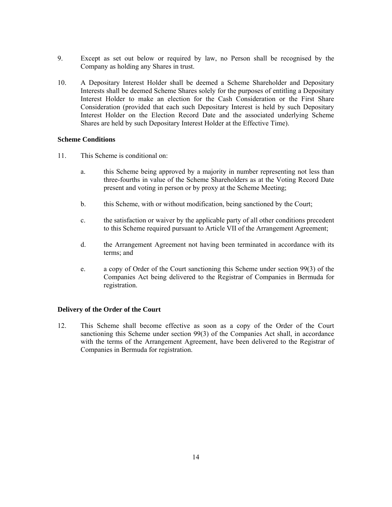- 9. Except as set out below or required by law, no Person shall be recognised by the Company as holding any Shares in trust.
- 10. A Depositary Interest Holder shall be deemed a Scheme Shareholder and Depositary Interests shall be deemed Scheme Shares solely for the purposes of entitling a Depositary Interest Holder to make an election for the Cash Consideration or the First Share Consideration (provided that each such Depositary Interest is held by such Depositary Interest Holder on the Election Record Date and the associated underlying Scheme Shares are held by such Depositary Interest Holder at the Effective Time).

### **Scheme Conditions**

- 11. This Scheme is conditional on:
	- a. this Scheme being approved by a majority in number representing not less than three-fourths in value of the Scheme Shareholders as at the Voting Record Date present and voting in person or by proxy at the Scheme Meeting;
	- b. this Scheme, with or without modification, being sanctioned by the Court;
	- c. the satisfaction or waiver by the applicable party of all other conditions precedent to this Scheme required pursuant to Article VII of the Arrangement Agreement;
	- d. the Arrangement Agreement not having been terminated in accordance with its terms; and
	- e. a copy of Order of the Court sanctioning this Scheme under section 99(3) of the Companies Act being delivered to the Registrar of Companies in Bermuda for registration.

#### **Delivery of the Order of the Court**

12. This Scheme shall become effective as soon as a copy of the Order of the Court sanctioning this Scheme under section 99(3) of the Companies Act shall, in accordance with the terms of the Arrangement Agreement, have been delivered to the Registrar of Companies in Bermuda for registration.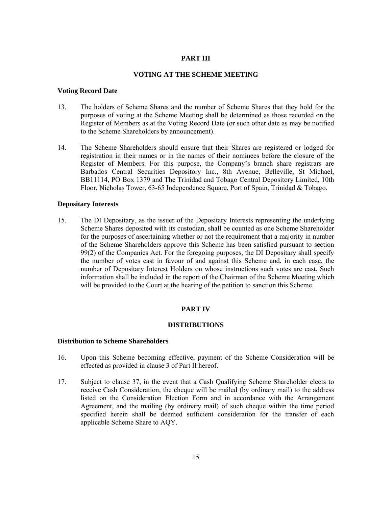### **PART III**

#### **VOTING AT THE SCHEME MEETING**

#### **Voting Record Date**

- 13. The holders of Scheme Shares and the number of Scheme Shares that they hold for the purposes of voting at the Scheme Meeting shall be determined as those recorded on the Register of Members as at the Voting Record Date (or such other date as may be notified to the Scheme Shareholders by announcement).
- 14. The Scheme Shareholders should ensure that their Shares are registered or lodged for registration in their names or in the names of their nominees before the closure of the Register of Members. For this purpose, the Company's branch share registrars are Barbados Central Securities Depository Inc., 8th Avenue, Belleville, St Michael, BB11114, PO Box 1379 and The Trinidad and Tobago Central Depository Limited, 10th Floor, Nicholas Tower, 63-65 Independence Square, Port of Spain, Trinidad & Tobago.

#### **Depositary Interests**

15. The DI Depositary, as the issuer of the Depositary Interests representing the underlying Scheme Shares deposited with its custodian, shall be counted as one Scheme Shareholder for the purposes of ascertaining whether or not the requirement that a majority in number of the Scheme Shareholders approve this Scheme has been satisfied pursuant to section 99(2) of the Companies Act. For the foregoing purposes, the DI Depositary shall specify the number of votes cast in favour of and against this Scheme and, in each case, the number of Depositary Interest Holders on whose instructions such votes are cast. Such information shall be included in the report of the Chairman of the Scheme Meeting which will be provided to the Court at the hearing of the petition to sanction this Scheme.

#### **PART IV**

#### **DISTRIBUTIONS**

### **Distribution to Scheme Shareholders**

- 16. Upon this Scheme becoming effective, payment of the Scheme Consideration will be effected as provided in clause 3 of Part II hereof.
- 17. Subject to clause 37, in the event that a Cash Qualifying Scheme Shareholder elects to receive Cash Consideration, the cheque will be mailed (by ordinary mail) to the address listed on the Consideration Election Form and in accordance with the Arrangement Agreement, and the mailing (by ordinary mail) of such cheque within the time period specified herein shall be deemed sufficient consideration for the transfer of each applicable Scheme Share to AQY.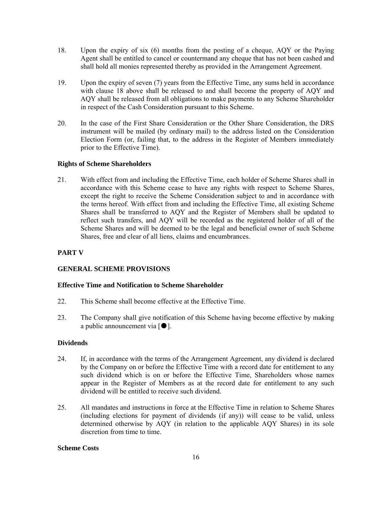- 18. Upon the expiry of six (6) months from the posting of a cheque, AQY or the Paying Agent shall be entitled to cancel or countermand any cheque that has not been cashed and shall hold all monies represented thereby as provided in the Arrangement Agreement.
- 19. Upon the expiry of seven (7) years from the Effective Time, any sums held in accordance with clause 18 above shall be released to and shall become the property of AQY and AQY shall be released from all obligations to make payments to any Scheme Shareholder in respect of the Cash Consideration pursuant to this Scheme.
- 20. In the case of the First Share Consideration or the Other Share Consideration, the DRS instrument will be mailed (by ordinary mail) to the address listed on the Consideration Election Form (or, failing that, to the address in the Register of Members immediately prior to the Effective Time).

## **Rights of Scheme Shareholders**

21. With effect from and including the Effective Time, each holder of Scheme Shares shall in accordance with this Scheme cease to have any rights with respect to Scheme Shares, except the right to receive the Scheme Consideration subject to and in accordance with the terms hereof. With effect from and including the Effective Time, all existing Scheme Shares shall be transferred to AQY and the Register of Members shall be updated to reflect such transfers, and AQY will be recorded as the registered holder of all of the Scheme Shares and will be deemed to be the legal and beneficial owner of such Scheme Shares, free and clear of all liens, claims and encumbrances.

### **PART V**

## **GENERAL SCHEME PROVISIONS**

### **Effective Time and Notification to Scheme Shareholder**

- 22. This Scheme shall become effective at the Effective Time.
- 23. The Company shall give notification of this Scheme having become effective by making a public announcement via  $\lceil \bullet \rceil$ .

#### **Dividends**

- 24. If, in accordance with the terms of the Arrangement Agreement, any dividend is declared by the Company on or before the Effective Time with a record date for entitlement to any such dividend which is on or before the Effective Time, Shareholders whose names appear in the Register of Members as at the record date for entitlement to any such dividend will be entitled to receive such dividend.
- 25. All mandates and instructions in force at the Effective Time in relation to Scheme Shares (including elections for payment of dividends (if any)) will cease to be valid, unless determined otherwise by AQY (in relation to the applicable AQY Shares) in its sole discretion from time to time.

#### **Scheme Costs**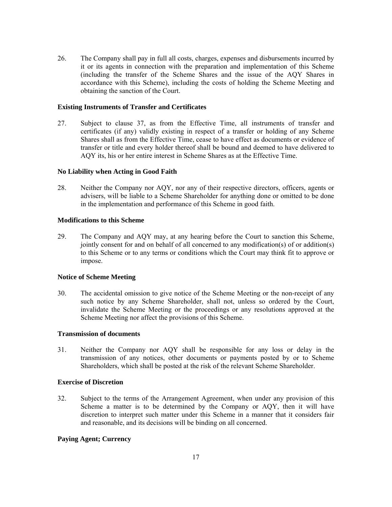26. The Company shall pay in full all costs, charges, expenses and disbursements incurred by it or its agents in connection with the preparation and implementation of this Scheme (including the transfer of the Scheme Shares and the issue of the AQY Shares in accordance with this Scheme), including the costs of holding the Scheme Meeting and obtaining the sanction of the Court.

### **Existing Instruments of Transfer and Certificates**

27. Subject to clause 37, as from the Effective Time, all instruments of transfer and certificates (if any) validly existing in respect of a transfer or holding of any Scheme Shares shall as from the Effective Time, cease to have effect as documents or evidence of transfer or title and every holder thereof shall be bound and deemed to have delivered to AQY its, his or her entire interest in Scheme Shares as at the Effective Time.

#### **No Liability when Acting in Good Faith**

28. Neither the Company nor AQY, nor any of their respective directors, officers, agents or advisers, will be liable to a Scheme Shareholder for anything done or omitted to be done in the implementation and performance of this Scheme in good faith.

#### **Modifications to this Scheme**

29. The Company and AQY may, at any hearing before the Court to sanction this Scheme, jointly consent for and on behalf of all concerned to any modification(s) of or addition(s) to this Scheme or to any terms or conditions which the Court may think fit to approve or impose.

#### **Notice of Scheme Meeting**

30. The accidental omission to give notice of the Scheme Meeting or the non-receipt of any such notice by any Scheme Shareholder, shall not, unless so ordered by the Court, invalidate the Scheme Meeting or the proceedings or any resolutions approved at the Scheme Meeting nor affect the provisions of this Scheme.

#### **Transmission of documents**

31. Neither the Company nor AQY shall be responsible for any loss or delay in the transmission of any notices, other documents or payments posted by or to Scheme Shareholders, which shall be posted at the risk of the relevant Scheme Shareholder.

#### **Exercise of Discretion**

32. Subject to the terms of the Arrangement Agreement, when under any provision of this Scheme a matter is to be determined by the Company or AQY, then it will have discretion to interpret such matter under this Scheme in a manner that it considers fair and reasonable, and its decisions will be binding on all concerned.

#### **Paying Agent; Currency**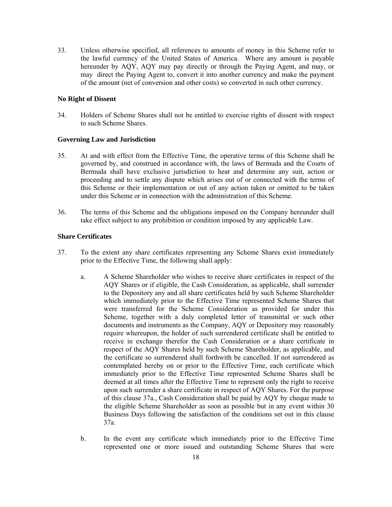33. Unless otherwise specified, all references to amounts of money in this Scheme refer to the lawful currency of the United States of America. Where any amount is payable hereunder by AQY, AQY may pay directly or through the Paying Agent, and may, or may direct the Paying Agent to, convert it into another currency and make the payment of the amount (net of conversion and other costs) so converted in such other currency.

### **No Right of Dissent**

34. Holders of Scheme Shares shall not be entitled to exercise rights of dissent with respect to such Scheme Shares.

#### **Governing Law and Jurisdiction**

- 35. At and with effect from the Effective Time, the operative terms of this Scheme shall be governed by, and construed in accordance with, the laws of Bermuda and the Courts of Bermuda shall have exclusive jurisdiction to hear and determine any suit, action or proceeding and to settle any dispute which arises out of or connected with the terms of this Scheme or their implementation or out of any action taken or omitted to be taken under this Scheme or in connection with the administration of this Scheme.
- 36. The terms of this Scheme and the obligations imposed on the Company hereunder shall take effect subject to any prohibition or condition imposed by any applicable Law.

### **Share Certificates**

- 37. To the extent any share certificates representing any Scheme Shares exist immediately prior to the Effective Time, the following shall apply:
	- a. A Scheme Shareholder who wishes to receive share certificates in respect of the AQY Shares or if eligible, the Cash Consideration, as applicable, shall surrender to the Depository any and all share certificates held by such Scheme Shareholder which immediately prior to the Effective Time represented Scheme Shares that were transferred for the Scheme Consideration as provided for under this Scheme, together with a duly completed letter of transmittal or such other documents and instruments as the Company, AQY or Depository may reasonably require whereupon, the holder of such surrendered certificate shall be entitled to receive in exchange therefor the Cash Consideration or a share certificate in respect of the AQY Shares held by such Scheme Shareholder, as applicable, and the certificate so surrendered shall forthwith be cancelled. If not surrendered as contemplated hereby on or prior to the Effective Time, each certificate which immediately prior to the Effective Time represented Scheme Shares shall be deemed at all times after the Effective Time to represent only the right to receive upon such surrender a share certificate in respect of AQY Shares. For the purpose of this clause 37a., Cash Consideration shall be paid by AQY by cheque made to the eligible Scheme Shareholder as soon as possible but in any event within 30 Business Days following the satisfaction of the conditions set out in this clause 37a.
	- b. In the event any certificate which immediately prior to the Effective Time represented one or more issued and outstanding Scheme Shares that were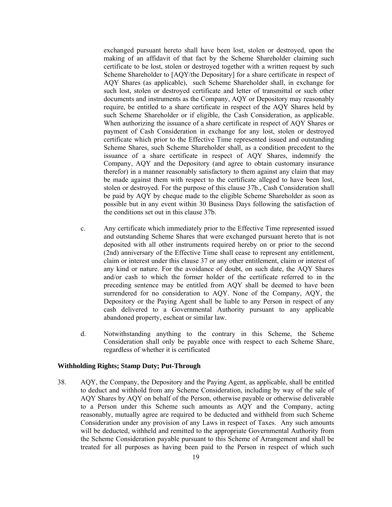exchanged pursuant hereto shall have been lost, stolen or destroyed, upon the making of an affidavit of that fact by the Scheme Shareholder claiming such certificate to be lost, stolen or destroyed together with a written request by such Scheme Shareholder to [AQY/the Depositary] for a share certificate in respect of AQY Shares (as applicable), such Scheme Shareholder shall, in exchange for such lost, stolen or destroyed certificate and letter of transmittal or such other documents and instruments as the Company, AQY or Depository may reasonably require, be entitled to a share certificate in respect of the AQY Shares held by such Scheme Shareholder or if eligible, the Cash Consideration, as applicable. When authorizing the issuance of a share certificate in respect of AQY Shares or payment of Cash Consideration in exchange for any lost, stolen or destroyed certificate which prior to the Effective Time represented issued and outstanding Scheme Shares, such Scheme Shareholder shall, as a condition precedent to the issuance of a share certificate in respect of AQY Shares, indemnify the Company, AQY and the Depository (and agree to obtain customary insurance therefor) in a manner reasonably satisfactory to them against any claim that may be made against them with respect to the certificate alleged to have been lost, stolen or destroyed. For the purpose of this clause 37b., Cash Consideration shall be paid by AQY by cheque made to the eligible Scheme Shareholder as soon as possible but in any event within 30 Business Days following the satisfaction of the conditions set out in this clause 37b.

- c. Any certificate which immediately prior to the Effective Time represented issued and outstanding Scheme Shares that were exchanged pursuant hereto that is not deposited with all other instruments required hereby on or prior to the second (2nd) anniversary of the Effective Time shall cease to represent any entitlement, claim or interest under this clause 37 or any other entitlement, claim or interest of any kind or nature. For the avoidance of doubt, on such date, the AQY Shares and/or cash to which the former holder of the certificate referred to in the preceding sentence may be entitled from AQY shall be deemed to have been surrendered for no consideration to AQY. None of the Company, AQY, the Depository or the Paying Agent shall be liable to any Person in respect of any cash delivered to a Governmental Authority pursuant to any applicable abandoned property, escheat or similar law.
- d. Notwithstanding anything to the contrary in this Scheme, the Scheme Consideration shall only be payable once with respect to each Scheme Share, regardless of whether it is certificated

## **Withholding Rights; Stamp Duty; Put-Through**

38. AQY, the Company, the Depository and the Paying Agent, as applicable, shall be entitled to deduct and withhold from any Scheme Consideration, including by way of the sale of AQY Shares by AQY on behalf of the Person, otherwise payable or otherwise deliverable to a Person under this Scheme such amounts as AQY and the Company, acting reasonably, mutually agree are required to be deducted and withheld from such Scheme Consideration under any provision of any Laws in respect of Taxes. Any such amounts will be deducted, withheld and remitted to the appropriate Governmental Authority from the Scheme Consideration payable pursuant to this Scheme of Arrangement and shall be treated for all purposes as having been paid to the Person in respect of which such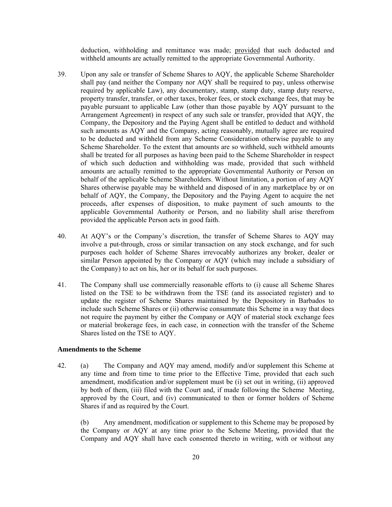deduction, withholding and remittance was made; provided that such deducted and withheld amounts are actually remitted to the appropriate Governmental Authority.

- 39. Upon any sale or transfer of Scheme Shares to AQY, the applicable Scheme Shareholder shall pay (and neither the Company nor AQY shall be required to pay, unless otherwise required by applicable Law), any documentary, stamp, stamp duty, stamp duty reserve, property transfer, transfer, or other taxes, broker fees, or stock exchange fees, that may be payable pursuant to applicable Law (other than those payable by AQY pursuant to the Arrangement Agreement) in respect of any such sale or transfer, provided that AQY, the Company, the Depository and the Paying Agent shall be entitled to deduct and withhold such amounts as AQY and the Company, acting reasonably, mutually agree are required to be deducted and withheld from any Scheme Consideration otherwise payable to any Scheme Shareholder. To the extent that amounts are so withheld, such withheld amounts shall be treated for all purposes as having been paid to the Scheme Shareholder in respect of which such deduction and withholding was made, provided that such withheld amounts are actually remitted to the appropriate Governmental Authority or Person on behalf of the applicable Scheme Shareholders. Without limitation, a portion of any AQY Shares otherwise payable may be withheld and disposed of in any marketplace by or on behalf of AQY, the Company, the Depository and the Paying Agent to acquire the net proceeds, after expenses of disposition, to make payment of such amounts to the applicable Governmental Authority or Person, and no liability shall arise therefrom provided the applicable Person acts in good faith.
- 40. At AQY's or the Company's discretion, the transfer of Scheme Shares to AQY may involve a put-through, cross or similar transaction on any stock exchange, and for such purposes each holder of Scheme Shares irrevocably authorizes any broker, dealer or similar Person appointed by the Company or AQY (which may include a subsidiary of the Company) to act on his, her or its behalf for such purposes.
- 41. The Company shall use commercially reasonable efforts to (i) cause all Scheme Shares listed on the TSE to be withdrawn from the TSE (and its associated register) and to update the register of Scheme Shares maintained by the Depository in Barbados to include such Scheme Shares or (ii) otherwise consummate this Scheme in a way that does not require the payment by either the Company or AQY of material stock exchange fees or material brokerage fees, in each case, in connection with the transfer of the Scheme Shares listed on the TSE to AQY.

#### **Amendments to the Scheme**

42. (a) The Company and AQY may amend, modify and/or supplement this Scheme at any time and from time to time prior to the Effective Time, provided that each such amendment, modification and/or supplement must be (i) set out in writing, (ii) approved by both of them, (iii) filed with the Court and, if made following the Scheme Meeting, approved by the Court, and (iv) communicated to then or former holders of Scheme Shares if and as required by the Court.

(b) Any amendment, modification or supplement to this Scheme may be proposed by the Company or AQY at any time prior to the Scheme Meeting, provided that the Company and AQY shall have each consented thereto in writing, with or without any